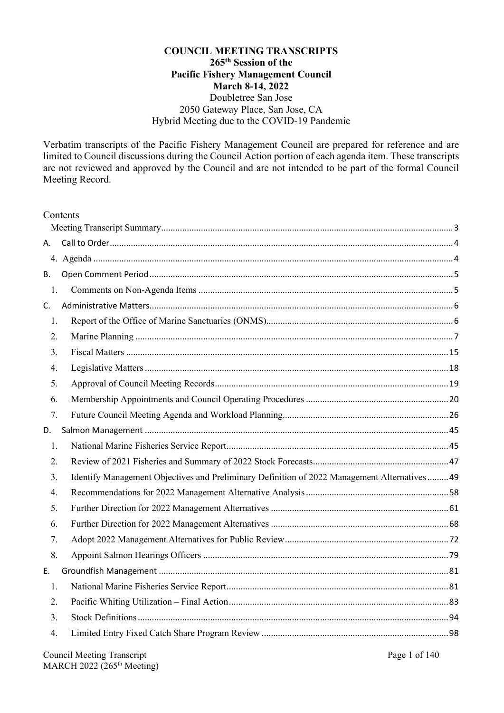#### **COUNCIL MEETING TRANSCRIPTS 265th Session of the Pacific Fishery Management Council March 8-14, 2022** Doubletree San Jose 2050 Gateway Place, San Jose, CA Hybrid Meeting due to the COVID-19 Pandemic

Verbatim transcripts of the Pacific Fishery Management Council are prepared for reference and are limited to Council discussions during the Council Action portion of each agenda item. These transcripts are not reviewed and approved by the Council and are not intended to be part of the formal Council Meeting Record.

| Contents |
|----------|
|----------|

| А. |                                                                                               |
|----|-----------------------------------------------------------------------------------------------|
|    |                                                                                               |
| Β. |                                                                                               |
| 1. |                                                                                               |
| C. |                                                                                               |
| 1. |                                                                                               |
| 2. |                                                                                               |
| 3. |                                                                                               |
| 4. |                                                                                               |
| 5. |                                                                                               |
| 6. |                                                                                               |
| 7. |                                                                                               |
| D. |                                                                                               |
| 1. |                                                                                               |
| 2. |                                                                                               |
| 3. | Identify Management Objectives and Preliminary Definition of 2022 Management Alternatives  49 |
| 4. |                                                                                               |
| 5. |                                                                                               |
| 6. |                                                                                               |
| 7. |                                                                                               |
| 8. |                                                                                               |
| Е. |                                                                                               |
| 1. |                                                                                               |
| 2. |                                                                                               |
| 3. |                                                                                               |
| 4. |                                                                                               |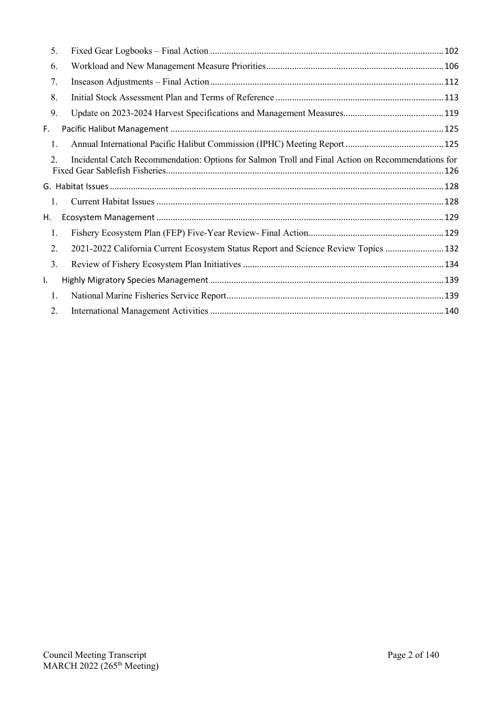| 5. |                                                                                                   |  |
|----|---------------------------------------------------------------------------------------------------|--|
| 6. |                                                                                                   |  |
| 7. |                                                                                                   |  |
| 8. |                                                                                                   |  |
| 9. |                                                                                                   |  |
| F. |                                                                                                   |  |
| 1. |                                                                                                   |  |
| 2. | Incidental Catch Recommendation: Options for Salmon Troll and Final Action on Recommendations for |  |
|    |                                                                                                   |  |
| 1. |                                                                                                   |  |
| Н. |                                                                                                   |  |
| 1. |                                                                                                   |  |
|    |                                                                                                   |  |
| 2. | 2021-2022 California Current Ecosystem Status Report and Science Review Topics  132               |  |
| 3. |                                                                                                   |  |
| ı. |                                                                                                   |  |
| 1. |                                                                                                   |  |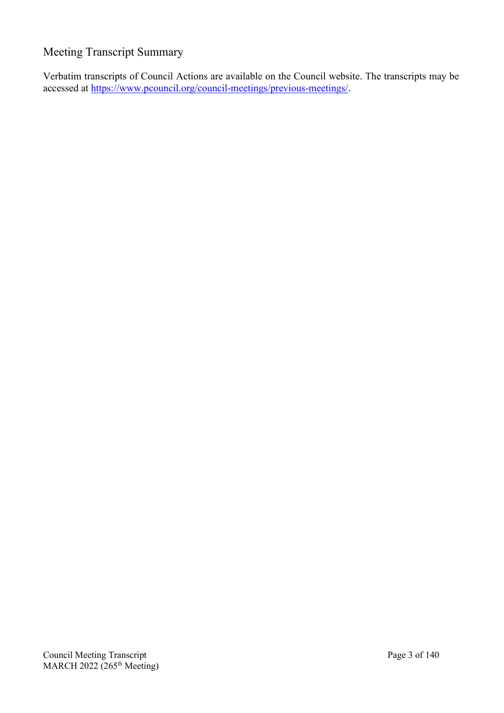## <span id="page-2-0"></span>Meeting Transcript Summary

Verbatim transcripts of Council Actions are available on the Council website. The transcripts may be accessed at [https://www.pcouncil.org/council-meetings/previous-meetings/.](https://www.pcouncil.org/council-meetings/previous-meetings/)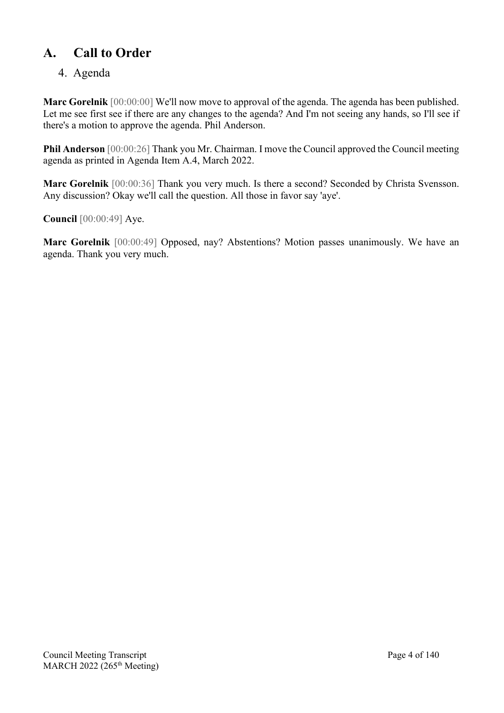## <span id="page-3-0"></span>**A. Call to Order**

## <span id="page-3-1"></span>4. Agenda

**Marc Gorelnik** [00:00:00] We'll now move to approval of the agenda. The agenda has been published. Let me see first see if there are any changes to the agenda? And I'm not seeing any hands, so I'll see if there's a motion to approve the agenda. Phil Anderson.

**Phil Anderson** [00:00:26] Thank you Mr. Chairman. I move the Council approved the Council meeting agenda as printed in Agenda Item A.4, March 2022.

**Marc Gorelnik** [00:00:36] Thank you very much. Is there a second? Seconded by Christa Svensson. Any discussion? Okay we'll call the question. All those in favor say 'aye'.

**Council** [00:00:49] Aye.

**Marc Gorelnik** [00:00:49] Opposed, nay? Abstentions? Motion passes unanimously. We have an agenda. Thank you very much.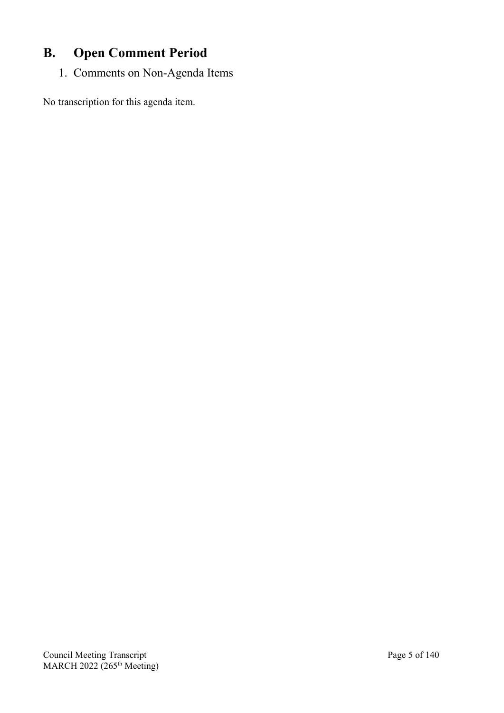# <span id="page-4-0"></span>**B. Open Comment Period**

<span id="page-4-1"></span>1. Comments on Non-Agenda Items

No transcription for this agenda item.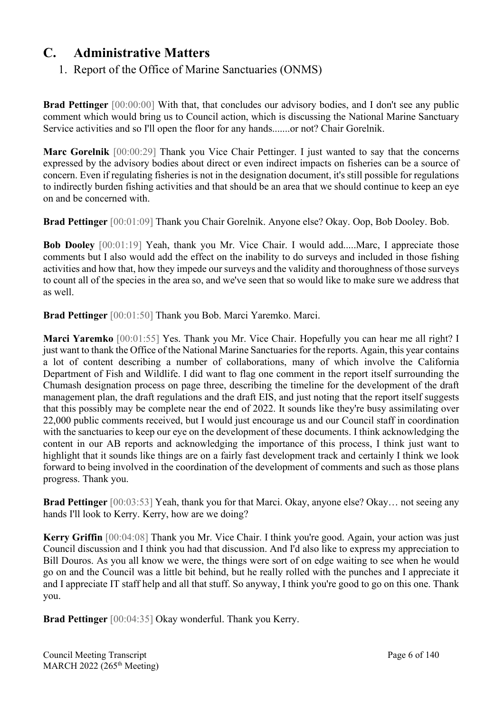## <span id="page-5-1"></span><span id="page-5-0"></span>**C. Administrative Matters**

## 1. Report of the Office of Marine Sanctuaries (ONMS)

**Brad Pettinger** [00:00:00] With that, that concludes our advisory bodies, and I don't see any public comment which would bring us to Council action, which is discussing the National Marine Sanctuary Service activities and so I'll open the floor for any hands.......or not? Chair Gorelnik.

**Marc Gorelnik** [00:00:29] Thank you Vice Chair Pettinger. I just wanted to say that the concerns expressed by the advisory bodies about direct or even indirect impacts on fisheries can be a source of concern. Even if regulating fisheries is not in the designation document, it's still possible for regulations to indirectly burden fishing activities and that should be an area that we should continue to keep an eye on and be concerned with.

**Brad Pettinger** [00:01:09] Thank you Chair Gorelnik. Anyone else? Okay. Oop, Bob Dooley. Bob.

**Bob Dooley** [00:01:19] Yeah, thank you Mr. Vice Chair. I would add.....Marc, I appreciate those comments but I also would add the effect on the inability to do surveys and included in those fishing activities and how that, how they impede our surveys and the validity and thoroughness of those surveys to count all of the species in the area so, and we've seen that so would like to make sure we address that as well.

**Brad Pettinger** [00:01:50] Thank you Bob. Marci Yaremko. Marci.

**Marci Yaremko** [00:01:55] Yes. Thank you Mr. Vice Chair. Hopefully you can hear me all right? I just want to thank the Office of the National Marine Sanctuaries for the reports. Again, this year contains a lot of content describing a number of collaborations, many of which involve the California Department of Fish and Wildlife. I did want to flag one comment in the report itself surrounding the Chumash designation process on page three, describing the timeline for the development of the draft management plan, the draft regulations and the draft EIS, and just noting that the report itself suggests that this possibly may be complete near the end of 2022. It sounds like they're busy assimilating over 22,000 public comments received, but I would just encourage us and our Council staff in coordination with the sanctuaries to keep our eye on the development of these documents. I think acknowledging the content in our AB reports and acknowledging the importance of this process, I think just want to highlight that it sounds like things are on a fairly fast development track and certainly I think we look forward to being involved in the coordination of the development of comments and such as those plans progress. Thank you.

**Brad Pettinger** [00:03:53] Yeah, thank you for that Marci. Okay, anyone else? Okay… not seeing any hands I'll look to Kerry. Kerry, how are we doing?

**Kerry Griffin** [00:04:08] Thank you Mr. Vice Chair. I think you're good. Again, your action was just Council discussion and I think you had that discussion. And I'd also like to express my appreciation to Bill Douros. As you all know we were, the things were sort of on edge waiting to see when he would go on and the Council was a little bit behind, but he really rolled with the punches and I appreciate it and I appreciate IT staff help and all that stuff. So anyway, I think you're good to go on this one. Thank you.

**Brad Pettinger** [00:04:35] Okay wonderful. Thank you Kerry.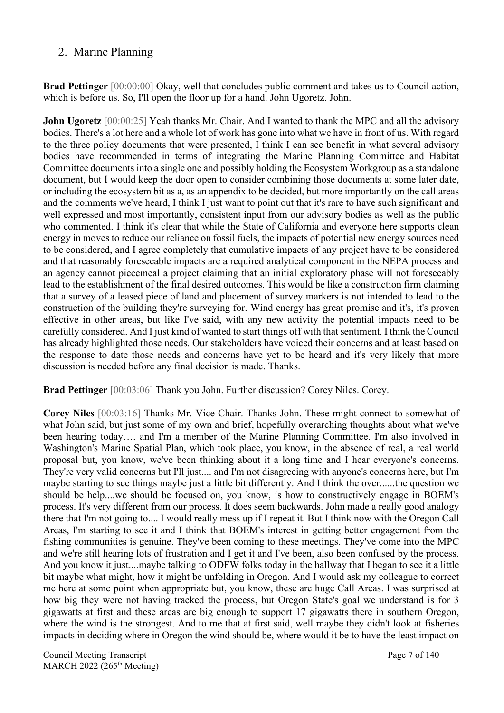### <span id="page-6-0"></span>2. Marine Planning

**Brad Pettinger** [00:00:00] Okay, well that concludes public comment and takes us to Council action, which is before us. So, I'll open the floor up for a hand. John Ugoretz. John.

**John Ugoretz** [00:00:25] Yeah thanks Mr. Chair. And I wanted to thank the MPC and all the advisory bodies. There's a lot here and a whole lot of work has gone into what we have in front of us. With regard to the three policy documents that were presented, I think I can see benefit in what several advisory bodies have recommended in terms of integrating the Marine Planning Committee and Habitat Committee documents into a single one and possibly holding the Ecosystem Workgroup as a standalone document, but I would keep the door open to consider combining those documents at some later date, or including the ecosystem bit as a, as an appendix to be decided, but more importantly on the call areas and the comments we've heard, I think I just want to point out that it's rare to have such significant and well expressed and most importantly, consistent input from our advisory bodies as well as the public who commented. I think it's clear that while the State of California and everyone here supports clean energy in moves to reduce our reliance on fossil fuels, the impacts of potential new energy sources need to be considered, and I agree completely that cumulative impacts of any project have to be considered and that reasonably foreseeable impacts are a required analytical component in the NEPA process and an agency cannot piecemeal a project claiming that an initial exploratory phase will not foreseeably lead to the establishment of the final desired outcomes. This would be like a construction firm claiming that a survey of a leased piece of land and placement of survey markers is not intended to lead to the construction of the building they're surveying for. Wind energy has great promise and it's, it's proven effective in other areas, but like I've said, with any new activity the potential impacts need to be carefully considered. And I just kind of wanted to start things off with that sentiment. I think the Council has already highlighted those needs. Our stakeholders have voiced their concerns and at least based on the response to date those needs and concerns have yet to be heard and it's very likely that more discussion is needed before any final decision is made. Thanks.

**Brad Pettinger** [00:03:06] Thank you John. Further discussion? Corey Niles. Corey.

**Corey Niles** [00:03:16] Thanks Mr. Vice Chair. Thanks John. These might connect to somewhat of what John said, but just some of my own and brief, hopefully overarching thoughts about what we've been hearing today…. and I'm a member of the Marine Planning Committee. I'm also involved in Washington's Marine Spatial Plan, which took place, you know, in the absence of real, a real world proposal but, you know, we've been thinking about it a long time and I hear everyone's concerns. They're very valid concerns but I'll just.... and I'm not disagreeing with anyone's concerns here, but I'm maybe starting to see things maybe just a little bit differently. And I think the over......the question we should be help....we should be focused on, you know, is how to constructively engage in BOEM's process. It's very different from our process. It does seem backwards. John made a really good analogy there that I'm not going to.... I would really mess up if I repeat it. But I think now with the Oregon Call Areas, I'm starting to see it and I think that BOEM's interest in getting better engagement from the fishing communities is genuine. They've been coming to these meetings. They've come into the MPC and we're still hearing lots of frustration and I get it and I've been, also been confused by the process. And you know it just....maybe talking to ODFW folks today in the hallway that I began to see it a little bit maybe what might, how it might be unfolding in Oregon. And I would ask my colleague to correct me here at some point when appropriate but, you know, these are huge Call Areas. I was surprised at how big they were not having tracked the process, but Oregon State's goal we understand is for 3 gigawatts at first and these areas are big enough to support 17 gigawatts there in southern Oregon, where the wind is the strongest. And to me that at first said, well maybe they didn't look at fisheries impacts in deciding where in Oregon the wind should be, where would it be to have the least impact on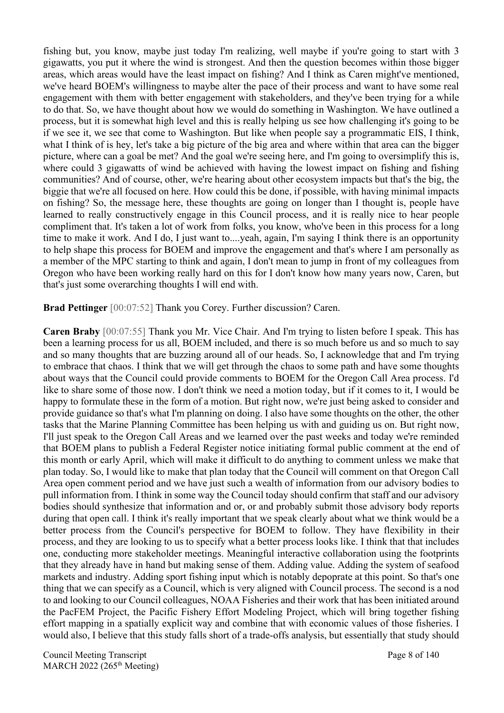fishing but, you know, maybe just today I'm realizing, well maybe if you're going to start with 3 gigawatts, you put it where the wind is strongest. And then the question becomes within those bigger areas, which areas would have the least impact on fishing? And I think as Caren might've mentioned, we've heard BOEM's willingness to maybe alter the pace of their process and want to have some real engagement with them with better engagement with stakeholders, and they've been trying for a while to do that. So, we have thought about how we would do something in Washington. We have outlined a process, but it is somewhat high level and this is really helping us see how challenging it's going to be if we see it, we see that come to Washington. But like when people say a programmatic EIS, I think, what I think of is hey, let's take a big picture of the big area and where within that area can the bigger picture, where can a goal be met? And the goal we're seeing here, and I'm going to oversimplify this is, where could 3 gigawatts of wind be achieved with having the lowest impact on fishing and fishing communities? And of course, other, we're hearing about other ecosystem impacts but that's the big, the biggie that we're all focused on here. How could this be done, if possible, with having minimal impacts on fishing? So, the message here, these thoughts are going on longer than I thought is, people have learned to really constructively engage in this Council process, and it is really nice to hear people compliment that. It's taken a lot of work from folks, you know, who've been in this process for a long time to make it work. And I do, I just want to....yeah, again, I'm saying I think there is an opportunity to help shape this process for BOEM and improve the engagement and that's where I am personally as a member of the MPC starting to think and again, I don't mean to jump in front of my colleagues from Oregon who have been working really hard on this for I don't know how many years now, Caren, but that's just some overarching thoughts I will end with.

**Brad Pettinger** [00:07:52] Thank you Corey. Further discussion? Caren.

**Caren Braby** [00:07:55] Thank you Mr. Vice Chair. And I'm trying to listen before I speak. This has been a learning process for us all, BOEM included, and there is so much before us and so much to say and so many thoughts that are buzzing around all of our heads. So, I acknowledge that and I'm trying to embrace that chaos. I think that we will get through the chaos to some path and have some thoughts about ways that the Council could provide comments to BOEM for the Oregon Call Area process. I'd like to share some of those now. I don't think we need a motion today, but if it comes to it, I would be happy to formulate these in the form of a motion. But right now, we're just being asked to consider and provide guidance so that's what I'm planning on doing. I also have some thoughts on the other, the other tasks that the Marine Planning Committee has been helping us with and guiding us on. But right now, I'll just speak to the Oregon Call Areas and we learned over the past weeks and today we're reminded that BOEM plans to publish a Federal Register notice initiating formal public comment at the end of this month or early April, which will make it difficult to do anything to comment unless we make that plan today. So, I would like to make that plan today that the Council will comment on that Oregon Call Area open comment period and we have just such a wealth of information from our advisory bodies to pull information from. I think in some way the Council today should confirm that staff and our advisory bodies should synthesize that information and or, or and probably submit those advisory body reports during that open call. I think it's really important that we speak clearly about what we think would be a better process from the Council's perspective for BOEM to follow. They have flexibility in their process, and they are looking to us to specify what a better process looks like. I think that that includes one, conducting more stakeholder meetings. Meaningful interactive collaboration using the footprints that they already have in hand but making sense of them. Adding value. Adding the system of seafood markets and industry. Adding sport fishing input which is notably depoprate at this point. So that's one thing that we can specify as a Council, which is very aligned with Council process. The second is a nod to and looking to our Council colleagues, NOAA Fisheries and their work that has been initiated around the PacFEM Project, the Pacific Fishery Effort Modeling Project, which will bring together fishing effort mapping in a spatially explicit way and combine that with economic values of those fisheries. I would also, I believe that this study falls short of a trade-offs analysis, but essentially that study should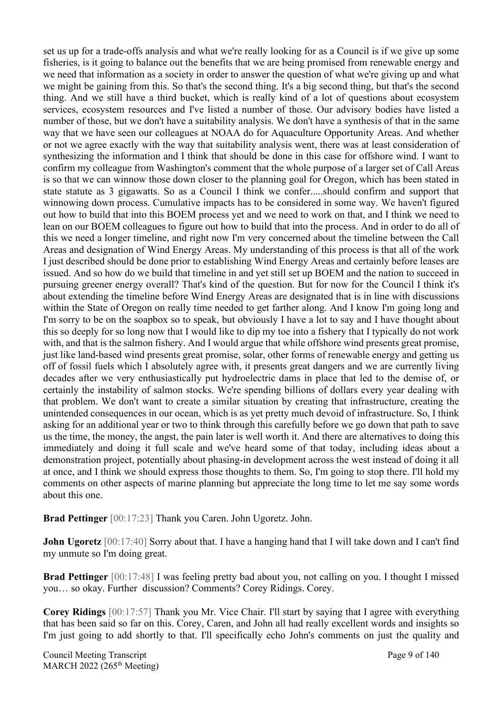set us up for a trade-offs analysis and what we're really looking for as a Council is if we give up some fisheries, is it going to balance out the benefits that we are being promised from renewable energy and we need that information as a society in order to answer the question of what we're giving up and what we might be gaining from this. So that's the second thing. It's a big second thing, but that's the second thing. And we still have a third bucket, which is really kind of a lot of questions about ecosystem services, ecosystem resources and I've listed a number of those. Our advisory bodies have listed a number of those, but we don't have a suitability analysis. We don't have a synthesis of that in the same way that we have seen our colleagues at NOAA do for Aquaculture Opportunity Areas. And whether or not we agree exactly with the way that suitability analysis went, there was at least consideration of synthesizing the information and I think that should be done in this case for offshore wind. I want to confirm my colleague from Washington's comment that the whole purpose of a larger set of Call Areas is so that we can winnow those down closer to the planning goal for Oregon, which has been stated in state statute as 3 gigawatts. So as a Council I think we confer.....should confirm and support that winnowing down process. Cumulative impacts has to be considered in some way. We haven't figured out how to build that into this BOEM process yet and we need to work on that, and I think we need to lean on our BOEM colleagues to figure out how to build that into the process. And in order to do all of this we need a longer timeline, and right now I'm very concerned about the timeline between the Call Areas and designation of Wind Energy Areas. My understanding of this process is that all of the work I just described should be done prior to establishing Wind Energy Areas and certainly before leases are issued. And so how do we build that timeline in and yet still set up BOEM and the nation to succeed in pursuing greener energy overall? That's kind of the question. But for now for the Council I think it's about extending the timeline before Wind Energy Areas are designated that is in line with discussions within the State of Oregon on really time needed to get farther along. And I know I'm going long and I'm sorry to be on the soapbox so to speak, but obviously I have a lot to say and I have thought about this so deeply for so long now that I would like to dip my toe into a fishery that I typically do not work with, and that is the salmon fishery. And I would argue that while offshore wind presents great promise, just like land-based wind presents great promise, solar, other forms of renewable energy and getting us off of fossil fuels which I absolutely agree with, it presents great dangers and we are currently living decades after we very enthusiastically put hydroelectric dams in place that led to the demise of, or certainly the instability of salmon stocks. We're spending billions of dollars every year dealing with that problem. We don't want to create a similar situation by creating that infrastructure, creating the unintended consequences in our ocean, which is as yet pretty much devoid of infrastructure. So, I think asking for an additional year or two to think through this carefully before we go down that path to save us the time, the money, the angst, the pain later is well worth it. And there are alternatives to doing this immediately and doing it full scale and we've heard some of that today, including ideas about a demonstration project, potentially about phasing-in development across the west instead of doing it all at once, and I think we should express those thoughts to them. So, I'm going to stop there. I'll hold my comments on other aspects of marine planning but appreciate the long time to let me say some words about this one.

**Brad Pettinger** [00:17:23] Thank you Caren. John Ugoretz. John.

**John Ugoretz** [00:17:40] Sorry about that. I have a hanging hand that I will take down and I can't find my unmute so I'm doing great.

**Brad Pettinger** [00:17:48] I was feeling pretty bad about you, not calling on you. I thought I missed you… so okay. Further discussion? Comments? Corey Ridings. Corey.

**Corey Ridings** [00:17:57] Thank you Mr. Vice Chair. I'll start by saying that I agree with everything that has been said so far on this. Corey, Caren, and John all had really excellent words and insights so I'm just going to add shortly to that. I'll specifically echo John's comments on just the quality and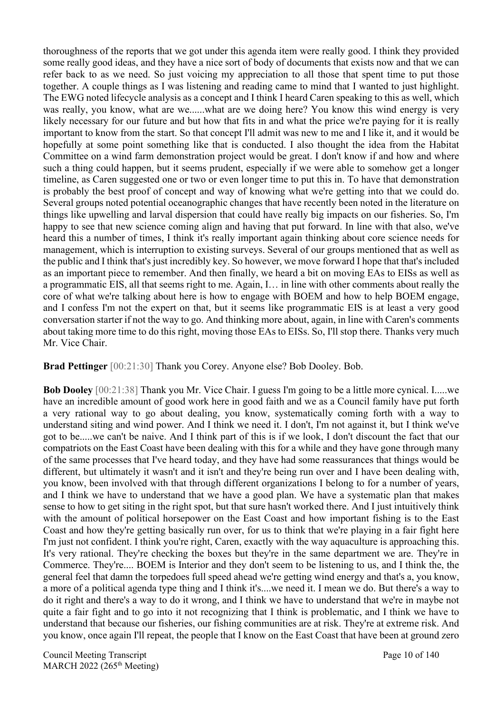thoroughness of the reports that we got under this agenda item were really good. I think they provided some really good ideas, and they have a nice sort of body of documents that exists now and that we can refer back to as we need. So just voicing my appreciation to all those that spent time to put those together. A couple things as I was listening and reading came to mind that I wanted to just highlight. The EWG noted lifecycle analysis as a concept and I think I heard Caren speaking to this as well, which was really, you know, what are we......what are we doing here? You know this wind energy is very likely necessary for our future and but how that fits in and what the price we're paying for it is really important to know from the start. So that concept I'll admit was new to me and I like it, and it would be hopefully at some point something like that is conducted. I also thought the idea from the Habitat Committee on a wind farm demonstration project would be great. I don't know if and how and where such a thing could happen, but it seems prudent, especially if we were able to somehow get a longer timeline, as Caren suggested one or two or even longer time to put this in. To have that demonstration is probably the best proof of concept and way of knowing what we're getting into that we could do. Several groups noted potential oceanographic changes that have recently been noted in the literature on things like upwelling and larval dispersion that could have really big impacts on our fisheries. So, I'm happy to see that new science coming align and having that put forward. In line with that also, we've heard this a number of times, I think it's really important again thinking about core science needs for management, which is interruption to existing surveys. Several of our groups mentioned that as well as the public and I think that's just incredibly key. So however, we move forward I hope that that's included as an important piece to remember. And then finally, we heard a bit on moving EAs to EISs as well as a programmatic EIS, all that seems right to me. Again, I… in line with other comments about really the core of what we're talking about here is how to engage with BOEM and how to help BOEM engage, and I confess I'm not the expert on that, but it seems like programmatic EIS is at least a very good conversation starter if not the way to go. And thinking more about, again, in line with Caren's comments about taking more time to do this right, moving those EAs to EISs. So, I'll stop there. Thanks very much Mr. Vice Chair.

**Brad Pettinger** [00:21:30] Thank you Corey. Anyone else? Bob Dooley. Bob.

**Bob Dooley** [00:21:38] Thank you Mr. Vice Chair. I guess I'm going to be a little more cynical. I.....we have an incredible amount of good work here in good faith and we as a Council family have put forth a very rational way to go about dealing, you know, systematically coming forth with a way to understand siting and wind power. And I think we need it. I don't, I'm not against it, but I think we've got to be.....we can't be naive. And I think part of this is if we look, I don't discount the fact that our compatriots on the East Coast have been dealing with this for a while and they have gone through many of the same processes that I've heard today, and they have had some reassurances that things would be different, but ultimately it wasn't and it isn't and they're being run over and I have been dealing with, you know, been involved with that through different organizations I belong to for a number of years, and I think we have to understand that we have a good plan. We have a systematic plan that makes sense to how to get siting in the right spot, but that sure hasn't worked there. And I just intuitively think with the amount of political horsepower on the East Coast and how important fishing is to the East Coast and how they're getting basically run over, for us to think that we're playing in a fair fight here I'm just not confident. I think you're right, Caren, exactly with the way aquaculture is approaching this. It's very rational. They're checking the boxes but they're in the same department we are. They're in Commerce. They're.... BOEM is Interior and they don't seem to be listening to us, and I think the, the general feel that damn the torpedoes full speed ahead we're getting wind energy and that's a, you know, a more of a political agenda type thing and I think it's....we need it. I mean we do. But there's a way to do it right and there's a way to do it wrong, and I think we have to understand that we're in maybe not quite a fair fight and to go into it not recognizing that I think is problematic, and I think we have to understand that because our fisheries, our fishing communities are at risk. They're at extreme risk. And you know, once again I'll repeat, the people that I know on the East Coast that have been at ground zero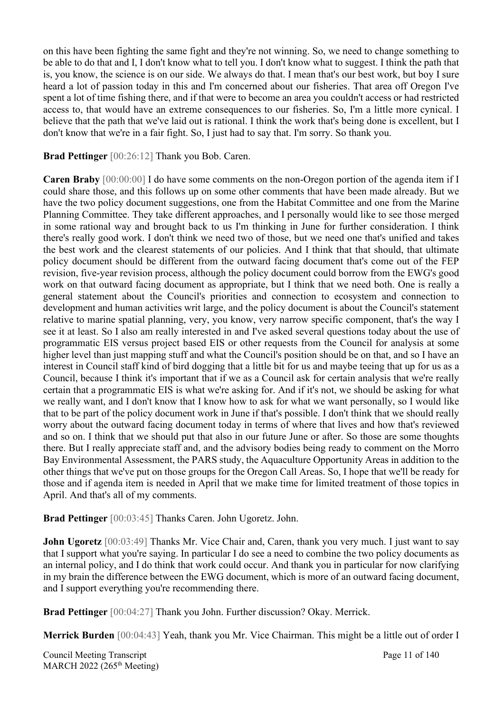on this have been fighting the same fight and they're not winning. So, we need to change something to be able to do that and I, I don't know what to tell you. I don't know what to suggest. I think the path that is, you know, the science is on our side. We always do that. I mean that's our best work, but boy I sure heard a lot of passion today in this and I'm concerned about our fisheries. That area off Oregon I've spent a lot of time fishing there, and if that were to become an area you couldn't access or had restricted access to, that would have an extreme consequences to our fisheries. So, I'm a little more cynical. I believe that the path that we've laid out is rational. I think the work that's being done is excellent, but I don't know that we're in a fair fight. So, I just had to say that. I'm sorry. So thank you.

**Brad Pettinger** [00:26:12] Thank you Bob. Caren.

**Caren Braby** [00:00:00] I do have some comments on the non-Oregon portion of the agenda item if I could share those, and this follows up on some other comments that have been made already. But we have the two policy document suggestions, one from the Habitat Committee and one from the Marine Planning Committee. They take different approaches, and I personally would like to see those merged in some rational way and brought back to us I'm thinking in June for further consideration. I think there's really good work. I don't think we need two of those, but we need one that's unified and takes the best work and the clearest statements of our policies. And I think that that should, that ultimate policy document should be different from the outward facing document that's come out of the FEP revision, five-year revision process, although the policy document could borrow from the EWG's good work on that outward facing document as appropriate, but I think that we need both. One is really a general statement about the Council's priorities and connection to ecosystem and connection to development and human activities writ large, and the policy document is about the Council's statement relative to marine spatial planning, very, you know, very narrow specific component, that's the way I see it at least. So I also am really interested in and I've asked several questions today about the use of programmatic EIS versus project based EIS or other requests from the Council for analysis at some higher level than just mapping stuff and what the Council's position should be on that, and so I have an interest in Council staff kind of bird dogging that a little bit for us and maybe teeing that up for us as a Council, because I think it's important that if we as a Council ask for certain analysis that we're really certain that a programmatic EIS is what we're asking for. And if it's not, we should be asking for what we really want, and I don't know that I know how to ask for what we want personally, so I would like that to be part of the policy document work in June if that's possible. I don't think that we should really worry about the outward facing document today in terms of where that lives and how that's reviewed and so on. I think that we should put that also in our future June or after. So those are some thoughts there. But I really appreciate staff and, and the advisory bodies being ready to comment on the Morro Bay Environmental Assessment, the PARS study, the Aquaculture Opportunity Areas in addition to the other things that we've put on those groups for the Oregon Call Areas. So, I hope that we'll be ready for those and if agenda item is needed in April that we make time for limited treatment of those topics in April. And that's all of my comments.

**Brad Pettinger** [00:03:45] Thanks Caren. John Ugoretz. John.

**John Ugoretz** [00:03:49] Thanks Mr. Vice Chair and, Caren, thank you very much. I just want to say that I support what you're saying. In particular I do see a need to combine the two policy documents as an internal policy, and I do think that work could occur. And thank you in particular for now clarifying in my brain the difference between the EWG document, which is more of an outward facing document, and I support everything you're recommending there.

**Brad Pettinger** [00:04:27] Thank you John. Further discussion? Okay. Merrick.

**Merrick Burden** [00:04:43] Yeah, thank you Mr. Vice Chairman. This might be a little out of order I

Council Meeting Transcript **Page 11 of 140** MARCH 2022 (265<sup>th</sup> Meeting)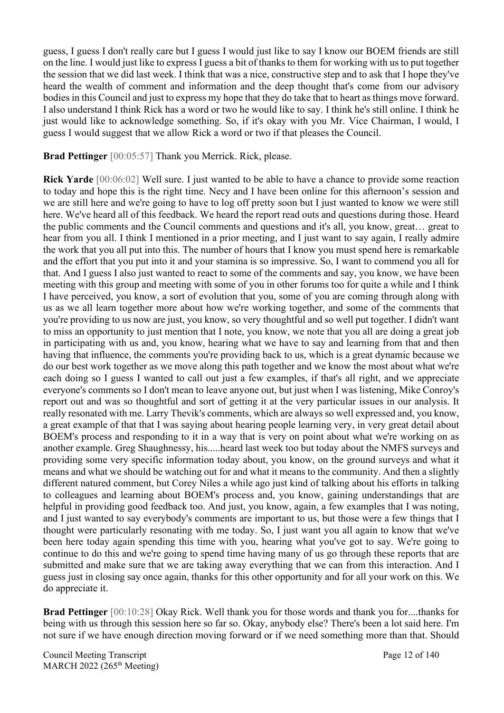guess, I guess I don't really care but I guess I would just like to say I know our BOEM friends are still on the line. I would just like to express I guess a bit of thanks to them for working with us to put together the session that we did last week. I think that was a nice, constructive step and to ask that I hope they've heard the wealth of comment and information and the deep thought that's come from our advisory bodies in this Council and just to express my hope that they do take that to heart as things move forward. I also understand I think Rick has a word or two he would like to say. I think he's still online. I think he just would like to acknowledge something. So, if it's okay with you Mr. Vice Chairman, I would, I guess I would suggest that we allow Rick a word or two if that pleases the Council.

**Brad Pettinger** [00:05:57] Thank you Merrick. Rick, please.

**Rick Yarde** [00:06:02] Well sure. I just wanted to be able to have a chance to provide some reaction to today and hope this is the right time. Necy and I have been online for this afternoon's session and we are still here and we're going to have to log off pretty soon but I just wanted to know we were still here. We've heard all of this feedback. We heard the report read outs and questions during those. Heard the public comments and the Council comments and questions and it's all, you know, great… great to hear from you all. I think I mentioned in a prior meeting, and I just want to say again, I really admire the work that you all put into this. The number of hours that I know you must spend here is remarkable and the effort that you put into it and your stamina is so impressive. So, I want to commend you all for that. And I guess I also just wanted to react to some of the comments and say, you know, we have been meeting with this group and meeting with some of you in other forums too for quite a while and I think I have perceived, you know, a sort of evolution that you, some of you are coming through along with us as we all learn together more about how we're working together, and some of the comments that you're providing to us now are just, you know, so very thoughtful and so well put together. I didn't want to miss an opportunity to just mention that I note, you know, we note that you all are doing a great job in participating with us and, you know, hearing what we have to say and learning from that and then having that influence, the comments you're providing back to us, which is a great dynamic because we do our best work together as we move along this path together and we know the most about what we're each doing so I guess I wanted to call out just a few examples, if that's all right, and we appreciate everyone's comments so I don't mean to leave anyone out, but just when I was listening, Mike Conroy's report out and was so thoughtful and sort of getting it at the very particular issues in our analysis. It really resonated with me. Larry Thevik's comments, which are always so well expressed and, you know, a great example of that that I was saying about hearing people learning very, in very great detail about BOEM's process and responding to it in a way that is very on point about what we're working on as another example. Greg Shaughnessy, his.....heard last week too but today about the NMFS surveys and providing some very specific information today about, you know, on the ground surveys and what it means and what we should be watching out for and what it means to the community. And then a slightly different natured comment, but Corey Niles a while ago just kind of talking about his efforts in talking to colleagues and learning about BOEM's process and, you know, gaining understandings that are helpful in providing good feedback too. And just, you know, again, a few examples that I was noting, and I just wanted to say everybody's comments are important to us, but those were a few things that I thought were particularly resonating with me today. So, I just want you all again to know that we've been here today again spending this time with you, hearing what you've got to say. We're going to continue to do this and we're going to spend time having many of us go through these reports that are submitted and make sure that we are taking away everything that we can from this interaction. And I guess just in closing say once again, thanks for this other opportunity and for all your work on this. We do appreciate it.

**Brad Pettinger** [00:10:28] Okay Rick. Well thank you for those words and thank you for....thanks for being with us through this session here so far so. Okay, anybody else? There's been a lot said here. I'm not sure if we have enough direction moving forward or if we need something more than that. Should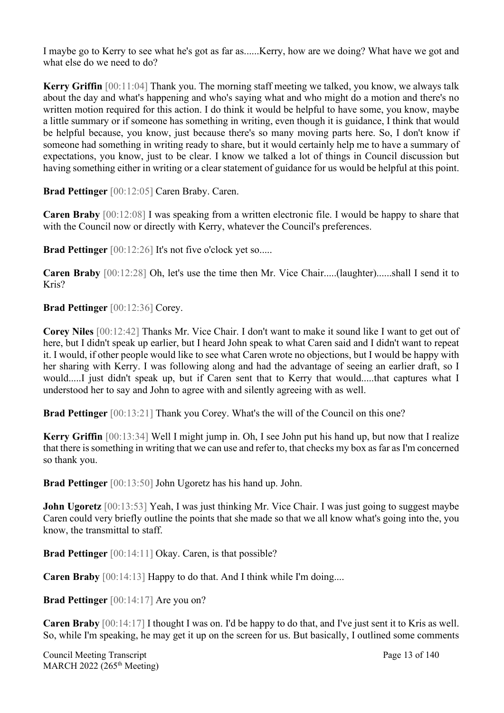I maybe go to Kerry to see what he's got as far as......Kerry, how are we doing? What have we got and what else do we need to do?

**Kerry Griffin** [00:11:04] Thank you. The morning staff meeting we talked, you know, we always talk about the day and what's happening and who's saying what and who might do a motion and there's no written motion required for this action. I do think it would be helpful to have some, you know, maybe a little summary or if someone has something in writing, even though it is guidance, I think that would be helpful because, you know, just because there's so many moving parts here. So, I don't know if someone had something in writing ready to share, but it would certainly help me to have a summary of expectations, you know, just to be clear. I know we talked a lot of things in Council discussion but having something either in writing or a clear statement of guidance for us would be helpful at this point.

**Brad Pettinger** [00:12:05] Caren Braby. Caren.

**Caren Braby** [00:12:08] I was speaking from a written electronic file. I would be happy to share that with the Council now or directly with Kerry, whatever the Council's preferences.

**Brad Pettinger** [00:12:26] It's not five o'clock yet so.....

**Caren Braby** [00:12:28] Oh, let's use the time then Mr. Vice Chair.....(laughter)......shall I send it to Kris?

**Brad Pettinger** [00:12:36] Corey.

**Corey Niles** [00:12:42] Thanks Mr. Vice Chair. I don't want to make it sound like I want to get out of here, but I didn't speak up earlier, but I heard John speak to what Caren said and I didn't want to repeat it. I would, if other people would like to see what Caren wrote no objections, but I would be happy with her sharing with Kerry. I was following along and had the advantage of seeing an earlier draft, so I would.....I just didn't speak up, but if Caren sent that to Kerry that would.....that captures what I understood her to say and John to agree with and silently agreeing with as well.

**Brad Pettinger** [00:13:21] Thank you Corey. What's the will of the Council on this one?

**Kerry Griffin** [00:13:34] Well I might jump in. Oh, I see John put his hand up, but now that I realize that there is something in writing that we can use and refer to, that checks my box as far as I'm concerned so thank you.

**Brad Pettinger** [00:13:50] John Ugoretz has his hand up. John.

**John Ugoretz** [00:13:53] Yeah, I was just thinking Mr. Vice Chair. I was just going to suggest maybe Caren could very briefly outline the points that she made so that we all know what's going into the, you know, the transmittal to staff.

**Brad Pettinger** [00:14:11] Okay. Caren, is that possible?

**Caren Braby** [00:14:13] Happy to do that. And I think while I'm doing....

**Brad Pettinger** [00:14:17] Are you on?

**Caren Braby** [00:14:17] I thought I was on. I'd be happy to do that, and I've just sent it to Kris as well. So, while I'm speaking, he may get it up on the screen for us. But basically, I outlined some comments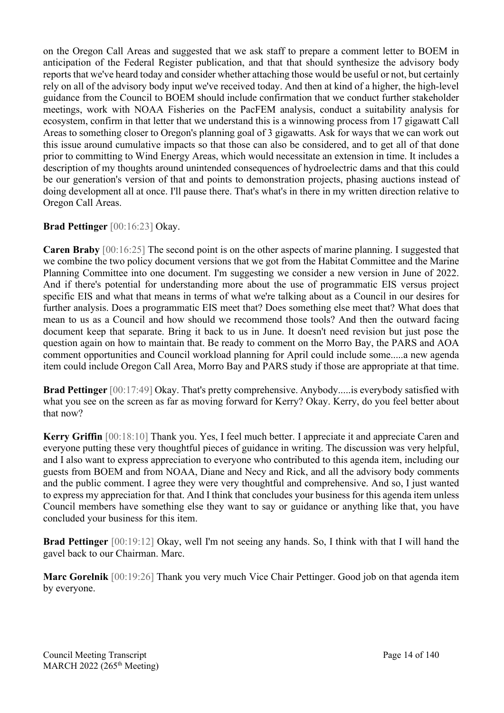on the Oregon Call Areas and suggested that we ask staff to prepare a comment letter to BOEM in anticipation of the Federal Register publication, and that that should synthesize the advisory body reports that we've heard today and consider whether attaching those would be useful or not, but certainly rely on all of the advisory body input we've received today. And then at kind of a higher, the high-level guidance from the Council to BOEM should include confirmation that we conduct further stakeholder meetings, work with NOAA Fisheries on the PacFEM analysis, conduct a suitability analysis for ecosystem, confirm in that letter that we understand this is a winnowing process from 17 gigawatt Call Areas to something closer to Oregon's planning goal of 3 gigawatts. Ask for ways that we can work out this issue around cumulative impacts so that those can also be considered, and to get all of that done prior to committing to Wind Energy Areas, which would necessitate an extension in time. It includes a description of my thoughts around unintended consequences of hydroelectric dams and that this could be our generation's version of that and points to demonstration projects, phasing auctions instead of doing development all at once. I'll pause there. That's what's in there in my written direction relative to Oregon Call Areas.

### **Brad Pettinger** [00:16:23] Okay.

**Caren Braby** [00:16:25] The second point is on the other aspects of marine planning. I suggested that we combine the two policy document versions that we got from the Habitat Committee and the Marine Planning Committee into one document. I'm suggesting we consider a new version in June of 2022. And if there's potential for understanding more about the use of programmatic EIS versus project specific EIS and what that means in terms of what we're talking about as a Council in our desires for further analysis. Does a programmatic EIS meet that? Does something else meet that? What does that mean to us as a Council and how should we recommend those tools? And then the outward facing document keep that separate. Bring it back to us in June. It doesn't need revision but just pose the question again on how to maintain that. Be ready to comment on the Morro Bay, the PARS and AOA comment opportunities and Council workload planning for April could include some.....a new agenda item could include Oregon Call Area, Morro Bay and PARS study if those are appropriate at that time.

**Brad Pettinger** [00:17:49] Okay. That's pretty comprehensive. Anybody.....is everybody satisfied with what you see on the screen as far as moving forward for Kerry? Okay. Kerry, do you feel better about that now?

**Kerry Griffin** [00:18:10] Thank you. Yes, I feel much better. I appreciate it and appreciate Caren and everyone putting these very thoughtful pieces of guidance in writing. The discussion was very helpful, and I also want to express appreciation to everyone who contributed to this agenda item, including our guests from BOEM and from NOAA, Diane and Necy and Rick, and all the advisory body comments and the public comment. I agree they were very thoughtful and comprehensive. And so, I just wanted to express my appreciation for that. And I think that concludes your business for this agenda item unless Council members have something else they want to say or guidance or anything like that, you have concluded your business for this item.

**Brad Pettinger** [00:19:12] Okay, well I'm not seeing any hands. So, I think with that I will hand the gavel back to our Chairman. Marc.

**Marc Gorelnik** [00:19:26] Thank you very much Vice Chair Pettinger. Good job on that agenda item by everyone.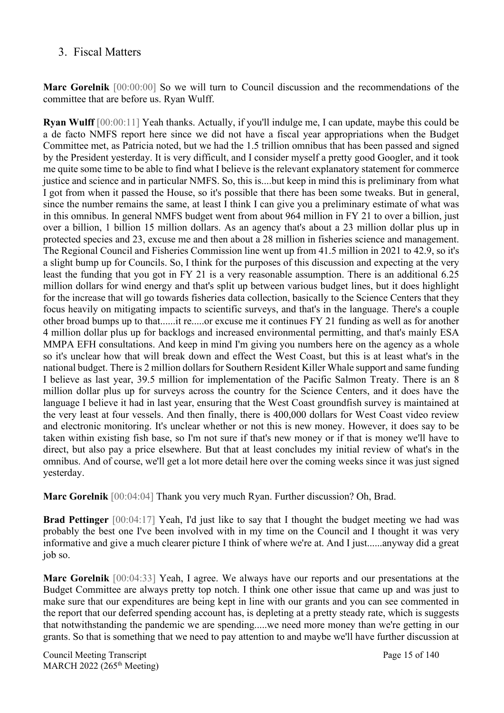### <span id="page-14-0"></span>3. Fiscal Matters

**Marc Gorelnik** [00:00:00] So we will turn to Council discussion and the recommendations of the committee that are before us. Ryan Wulff.

**Ryan Wulff** [00:00:11] Yeah thanks. Actually, if you'll indulge me, I can update, maybe this could be a de facto NMFS report here since we did not have a fiscal year appropriations when the Budget Committee met, as Patricia noted, but we had the 1.5 trillion omnibus that has been passed and signed by the President yesterday. It is very difficult, and I consider myself a pretty good Googler, and it took me quite some time to be able to find what I believe is the relevant explanatory statement for commerce justice and science and in particular NMFS. So, this is....but keep in mind this is preliminary from what I got from when it passed the House, so it's possible that there has been some tweaks. But in general, since the number remains the same, at least I think I can give you a preliminary estimate of what was in this omnibus. In general NMFS budget went from about 964 million in FY 21 to over a billion, just over a billion, 1 billion 15 million dollars. As an agency that's about a 23 million dollar plus up in protected species and 23, excuse me and then about a 28 million in fisheries science and management. The Regional Council and Fisheries Commission line went up from 41.5 million in 2021 to 42.9, so it's a slight bump up for Councils. So, I think for the purposes of this discussion and expecting at the very least the funding that you got in FY 21 is a very reasonable assumption. There is an additional 6.25 million dollars for wind energy and that's split up between various budget lines, but it does highlight for the increase that will go towards fisheries data collection, basically to the Science Centers that they focus heavily on mitigating impacts to scientific surveys, and that's in the language. There's a couple other broad bumps up to that......it re.....or excuse me it continues FY 21 funding as well as for another 4 million dollar plus up for backlogs and increased environmental permitting, and that's mainly ESA MMPA EFH consultations. And keep in mind I'm giving you numbers here on the agency as a whole so it's unclear how that will break down and effect the West Coast, but this is at least what's in the national budget. There is 2 million dollars for Southern Resident Killer Whale support and same funding I believe as last year, 39.5 million for implementation of the Pacific Salmon Treaty. There is an 8 million dollar plus up for surveys across the country for the Science Centers, and it does have the language I believe it had in last year, ensuring that the West Coast groundfish survey is maintained at the very least at four vessels. And then finally, there is 400,000 dollars for West Coast video review and electronic monitoring. It's unclear whether or not this is new money. However, it does say to be taken within existing fish base, so I'm not sure if that's new money or if that is money we'll have to direct, but also pay a price elsewhere. But that at least concludes my initial review of what's in the omnibus. And of course, we'll get a lot more detail here over the coming weeks since it was just signed yesterday.

**Marc Gorelnik** [00:04:04] Thank you very much Ryan. Further discussion? Oh, Brad.

**Brad Pettinger** [00:04:17] Yeah, I'd just like to say that I thought the budget meeting we had was probably the best one I've been involved with in my time on the Council and I thought it was very informative and give a much clearer picture I think of where we're at. And I just......anyway did a great job so.

**Marc Gorelnik** [00:04:33] Yeah, I agree. We always have our reports and our presentations at the Budget Committee are always pretty top notch. I think one other issue that came up and was just to make sure that our expenditures are being kept in line with our grants and you can see commented in the report that our deferred spending account has, is depleting at a pretty steady rate, which is suggests that notwithstanding the pandemic we are spending.....we need more money than we're getting in our grants. So that is something that we need to pay attention to and maybe we'll have further discussion at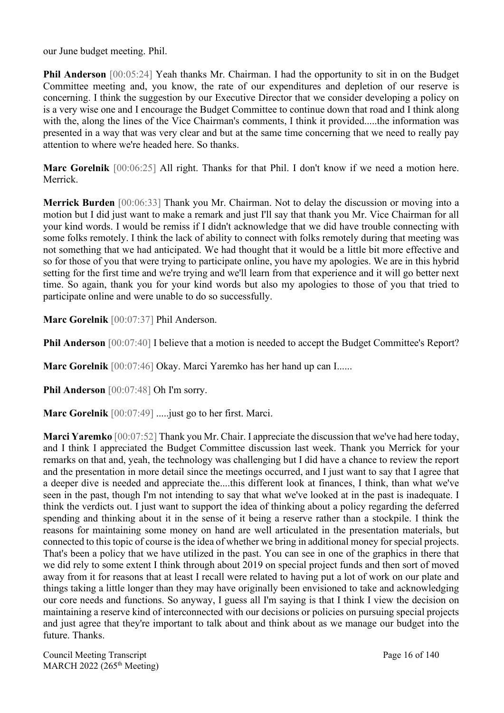our June budget meeting. Phil.

**Phil Anderson** [00:05:24] Yeah thanks Mr. Chairman. I had the opportunity to sit in on the Budget Committee meeting and, you know, the rate of our expenditures and depletion of our reserve is concerning. I think the suggestion by our Executive Director that we consider developing a policy on is a very wise one and I encourage the Budget Committee to continue down that road and I think along with the, along the lines of the Vice Chairman's comments, I think it provided.....the information was presented in a way that was very clear and but at the same time concerning that we need to really pay attention to where we're headed here. So thanks.

**Marc Gorelnik** [00:06:25] All right. Thanks for that Phil. I don't know if we need a motion here. Merrick.

**Merrick Burden** [00:06:33] Thank you Mr. Chairman. Not to delay the discussion or moving into a motion but I did just want to make a remark and just I'll say that thank you Mr. Vice Chairman for all your kind words. I would be remiss if I didn't acknowledge that we did have trouble connecting with some folks remotely. I think the lack of ability to connect with folks remotely during that meeting was not something that we had anticipated. We had thought that it would be a little bit more effective and so for those of you that were trying to participate online, you have my apologies. We are in this hybrid setting for the first time and we're trying and we'll learn from that experience and it will go better next time. So again, thank you for your kind words but also my apologies to those of you that tried to participate online and were unable to do so successfully.

**Marc Gorelnik** [00:07:37] Phil Anderson.

**Phil Anderson** [00:07:40] I believe that a motion is needed to accept the Budget Committee's Report?

**Marc Gorelnik** [00:07:46] Okay. Marci Yaremko has her hand up can I......

**Phil Anderson** [00:07:48] Oh I'm sorry.

**Marc Gorelnik** [00:07:49] .....just go to her first. Marci.

**Marci Yaremko** [00:07:52] Thank you Mr. Chair. I appreciate the discussion that we've had here today, and I think I appreciated the Budget Committee discussion last week. Thank you Merrick for your remarks on that and, yeah, the technology was challenging but I did have a chance to review the report and the presentation in more detail since the meetings occurred, and I just want to say that I agree that a deeper dive is needed and appreciate the....this different look at finances, I think, than what we've seen in the past, though I'm not intending to say that what we've looked at in the past is inadequate. I think the verdicts out. I just want to support the idea of thinking about a policy regarding the deferred spending and thinking about it in the sense of it being a reserve rather than a stockpile. I think the reasons for maintaining some money on hand are well articulated in the presentation materials, but connected to this topic of course is the idea of whether we bring in additional money for special projects. That's been a policy that we have utilized in the past. You can see in one of the graphics in there that we did rely to some extent I think through about 2019 on special project funds and then sort of moved away from it for reasons that at least I recall were related to having put a lot of work on our plate and things taking a little longer than they may have originally been envisioned to take and acknowledging our core needs and functions. So anyway, I guess all I'm saying is that I think I view the decision on maintaining a reserve kind of interconnected with our decisions or policies on pursuing special projects and just agree that they're important to talk about and think about as we manage our budget into the future. Thanks.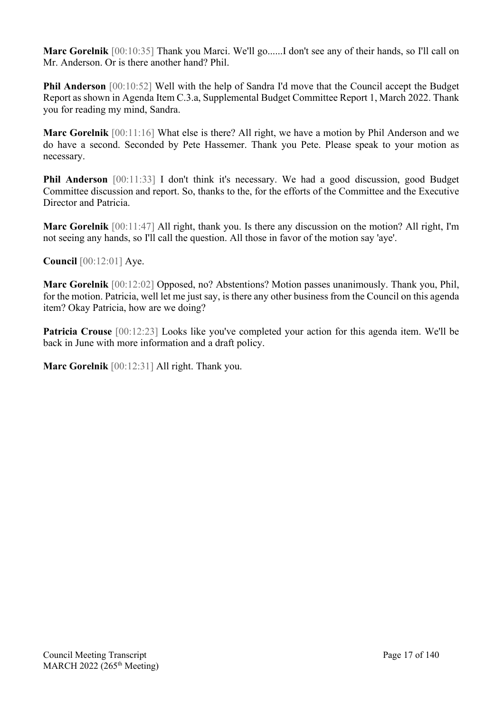**Marc Gorelnik** [00:10:35] Thank you Marci. We'll go......I don't see any of their hands, so I'll call on Mr. Anderson. Or is there another hand? Phil.

**Phil Anderson** [00:10:52] Well with the help of Sandra I'd move that the Council accept the Budget Report as shown in Agenda Item C.3.a, Supplemental Budget Committee Report 1, March 2022. Thank you for reading my mind, Sandra.

**Marc Gorelnik** [00:11:16] What else is there? All right, we have a motion by Phil Anderson and we do have a second. Seconded by Pete Hassemer. Thank you Pete. Please speak to your motion as necessary.

**Phil Anderson** [00:11:33] I don't think it's necessary. We had a good discussion, good Budget Committee discussion and report. So, thanks to the, for the efforts of the Committee and the Executive Director and Patricia.

**Marc Gorelnik** [00:11:47] All right, thank you. Is there any discussion on the motion? All right, I'm not seeing any hands, so I'll call the question. All those in favor of the motion say 'aye'.

**Council** [00:12:01] Aye.

**Marc Gorelnik** [00:12:02] Opposed, no? Abstentions? Motion passes unanimously. Thank you, Phil, for the motion. Patricia, well let me just say, is there any other business from the Council on this agenda item? Okay Patricia, how are we doing?

**Patricia Crouse** [00:12:23] Looks like you've completed your action for this agenda item. We'll be back in June with more information and a draft policy.

**Marc Gorelnik** [00:12:31] All right. Thank you.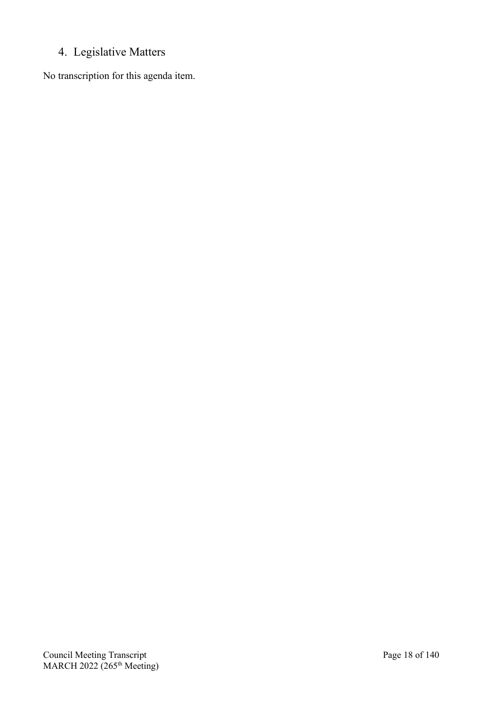## <span id="page-17-0"></span>4. Legislative Matters

No transcription for this agenda item.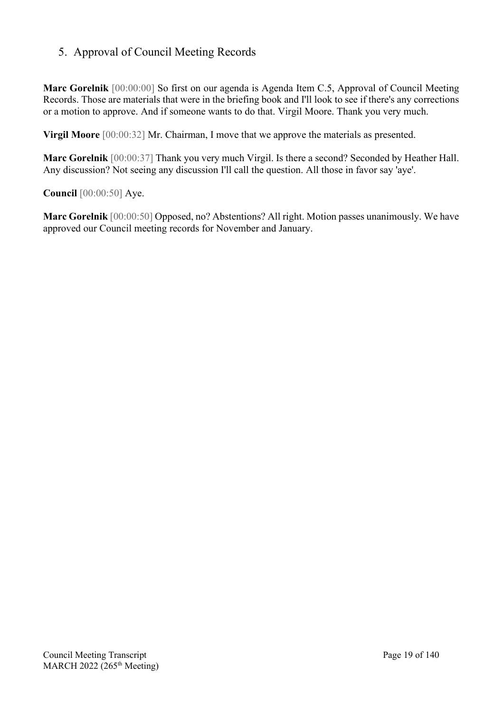## <span id="page-18-0"></span>5. Approval of Council Meeting Records

**Marc Gorelnik** [00:00:00] So first on our agenda is Agenda Item C.5, Approval of Council Meeting Records. Those are materials that were in the briefing book and I'll look to see if there's any corrections or a motion to approve. And if someone wants to do that. Virgil Moore. Thank you very much.

**Virgil Moore** [00:00:32] Mr. Chairman, I move that we approve the materials as presented.

**Marc Gorelnik** [00:00:37] Thank you very much Virgil. Is there a second? Seconded by Heather Hall. Any discussion? Not seeing any discussion I'll call the question. All those in favor say 'aye'.

**Council** [00:00:50] Aye.

**Marc Gorelnik** [00:00:50] Opposed, no? Abstentions? All right. Motion passes unanimously. We have approved our Council meeting records for November and January.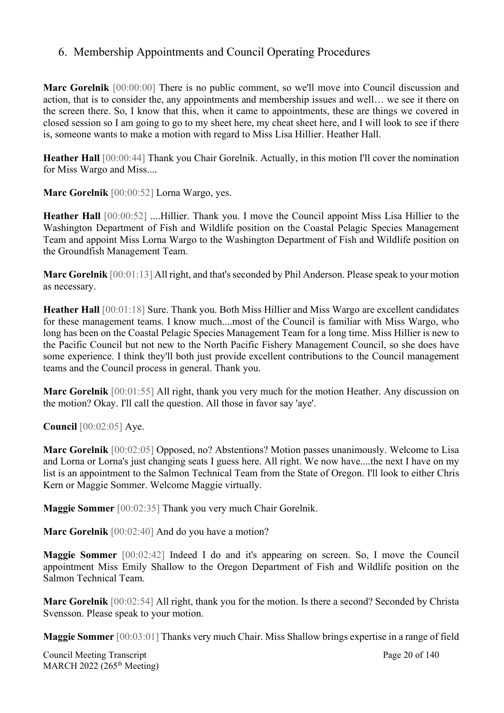### <span id="page-19-0"></span>6. Membership Appointments and Council Operating Procedures

**Marc Gorelnik** [00:00:00] There is no public comment, so we'll move into Council discussion and action, that is to consider the, any appointments and membership issues and well… we see it there on the screen there. So, I know that this, when it came to appointments, these are things we covered in closed session so I am going to go to my sheet here, my cheat sheet here, and I will look to see if there is, someone wants to make a motion with regard to Miss Lisa Hillier. Heather Hall.

**Heather Hall** [00:00:44] Thank you Chair Gorelnik. Actually, in this motion I'll cover the nomination for Miss Wargo and Miss....

**Marc Gorelnik** [00:00:52] Lorna Wargo, yes.

**Heather Hall** [00:00:52] ....Hillier. Thank you. I move the Council appoint Miss Lisa Hillier to the Washington Department of Fish and Wildlife position on the Coastal Pelagic Species Management Team and appoint Miss Lorna Wargo to the Washington Department of Fish and Wildlife position on the Groundfish Management Team.

**Marc Gorelnik** [00:01:13] All right, and that's seconded by Phil Anderson. Please speak to your motion as necessary.

**Heather Hall** [00:01:18] Sure. Thank you. Both Miss Hillier and Miss Wargo are excellent candidates for these management teams. I know much....most of the Council is familiar with Miss Wargo, who long has been on the Coastal Pelagic Species Management Team for a long time. Miss Hillier is new to the Pacific Council but not new to the North Pacific Fishery Management Council, so she does have some experience. I think they'll both just provide excellent contributions to the Council management teams and the Council process in general. Thank you.

**Marc Gorelnik** [00:01:55] All right, thank you very much for the motion Heather. Any discussion on the motion? Okay. I'll call the question. All those in favor say 'aye'.

**Council** [00:02:05] Aye.

**Marc Gorelnik** [00:02:05] Opposed, no? Abstentions? Motion passes unanimously. Welcome to Lisa and Lorna or Lorna's just changing seats I guess here. All right. We now have....the next I have on my list is an appointment to the Salmon Technical Team from the State of Oregon. I'll look to either Chris Kern or Maggie Sommer. Welcome Maggie virtually.

**Maggie Sommer** [00:02:35] Thank you very much Chair Gorelnik.

**Marc Gorelnik** [00:02:40] And do you have a motion?

**Maggie Sommer** [00:02:42] Indeed I do and it's appearing on screen. So, I move the Council appointment Miss Emily Shallow to the Oregon Department of Fish and Wildlife position on the Salmon Technical Team.

**Marc Gorelnik** [00:02:54] All right, thank you for the motion. Is there a second? Seconded by Christa Svensson. Please speak to your motion.

**Maggie Sommer** [00:03:01] Thanks very much Chair. Miss Shallow brings expertise in a range of field

Council Meeting Transcript **Page 20 of 140** MARCH 2022 (265<sup>th</sup> Meeting)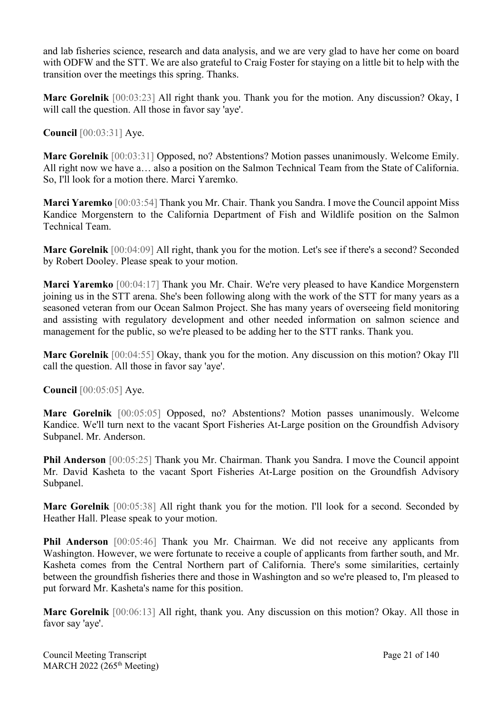and lab fisheries science, research and data analysis, and we are very glad to have her come on board with ODFW and the STT. We are also grateful to Craig Foster for staying on a little bit to help with the transition over the meetings this spring. Thanks.

**Marc Gorelnik** [00:03:23] All right thank you. Thank you for the motion. Any discussion? Okay, I will call the question. All those in favor say 'aye'.

**Council** [00:03:31] Aye.

**Marc Gorelnik** [00:03:31] Opposed, no? Abstentions? Motion passes unanimously. Welcome Emily. All right now we have a… also a position on the Salmon Technical Team from the State of California. So, I'll look for a motion there. Marci Yaremko.

**Marci Yaremko** [00:03:54] Thank you Mr. Chair. Thank you Sandra. I move the Council appoint Miss Kandice Morgenstern to the California Department of Fish and Wildlife position on the Salmon Technical Team.

**Marc Gorelnik** [00:04:09] All right, thank you for the motion. Let's see if there's a second? Seconded by Robert Dooley. Please speak to your motion.

**Marci Yaremko** [00:04:17] Thank you Mr. Chair. We're very pleased to have Kandice Morgenstern joining us in the STT arena. She's been following along with the work of the STT for many years as a seasoned veteran from our Ocean Salmon Project. She has many years of overseeing field monitoring and assisting with regulatory development and other needed information on salmon science and management for the public, so we're pleased to be adding her to the STT ranks. Thank you.

**Marc Gorelnik** [00:04:55] Okay, thank you for the motion. Any discussion on this motion? Okay I'll call the question. All those in favor say 'aye'.

**Council** [00:05:05] Aye.

**Marc Gorelnik** [00:05:05] Opposed, no? Abstentions? Motion passes unanimously. Welcome Kandice. We'll turn next to the vacant Sport Fisheries At-Large position on the Groundfish Advisory Subpanel. Mr. Anderson.

**Phil Anderson** [00:05:25] Thank you Mr. Chairman. Thank you Sandra. I move the Council appoint Mr. David Kasheta to the vacant Sport Fisheries At-Large position on the Groundfish Advisory Subpanel.

**Marc Gorelnik** [00:05:38] All right thank you for the motion. I'll look for a second. Seconded by Heather Hall. Please speak to your motion.

**Phil Anderson** [00:05:46] Thank you Mr. Chairman. We did not receive any applicants from Washington. However, we were fortunate to receive a couple of applicants from farther south, and Mr. Kasheta comes from the Central Northern part of California. There's some similarities, certainly between the groundfish fisheries there and those in Washington and so we're pleased to, I'm pleased to put forward Mr. Kasheta's name for this position.

**Marc Gorelnik** [00:06:13] All right, thank you. Any discussion on this motion? Okay. All those in favor say 'aye'.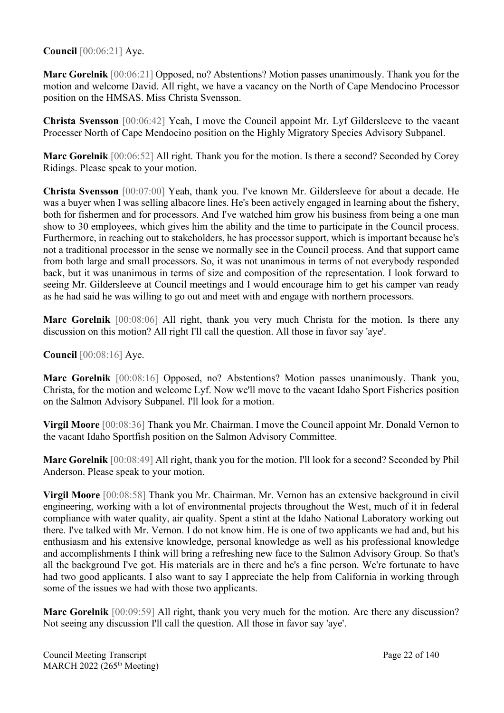### **Council** [00:06:21] Aye.

**Marc Gorelnik** [00:06:21] Opposed, no? Abstentions? Motion passes unanimously. Thank you for the motion and welcome David. All right, we have a vacancy on the North of Cape Mendocino Processor position on the HMSAS. Miss Christa Svensson.

**Christa Svensson** [00:06:42] Yeah, I move the Council appoint Mr. Lyf Gildersleeve to the vacant Processer North of Cape Mendocino position on the Highly Migratory Species Advisory Subpanel.

**Marc Gorelnik** [00:06:52] All right. Thank you for the motion. Is there a second? Seconded by Corey Ridings. Please speak to your motion.

**Christa Svensson** [00:07:00] Yeah, thank you. I've known Mr. Gildersleeve for about a decade. He was a buyer when I was selling albacore lines. He's been actively engaged in learning about the fishery, both for fishermen and for processors. And I've watched him grow his business from being a one man show to 30 employees, which gives him the ability and the time to participate in the Council process. Furthermore, in reaching out to stakeholders, he has processor support, which is important because he's not a traditional processor in the sense we normally see in the Council process. And that support came from both large and small processors. So, it was not unanimous in terms of not everybody responded back, but it was unanimous in terms of size and composition of the representation. I look forward to seeing Mr. Gildersleeve at Council meetings and I would encourage him to get his camper van ready as he had said he was willing to go out and meet with and engage with northern processors.

**Marc Gorelnik** [00:08:06] All right, thank you very much Christa for the motion. Is there any discussion on this motion? All right I'll call the question. All those in favor say 'aye'.

### **Council** [00:08:16] Aye.

**Marc Gorelnik** [00:08:16] Opposed, no? Abstentions? Motion passes unanimously. Thank you, Christa, for the motion and welcome Lyf. Now we'll move to the vacant Idaho Sport Fisheries position on the Salmon Advisory Subpanel. I'll look for a motion.

**Virgil Moore** [00:08:36] Thank you Mr. Chairman. I move the Council appoint Mr. Donald Vernon to the vacant Idaho Sportfish position on the Salmon Advisory Committee.

**Marc Gorelnik** [00:08:49] All right, thank you for the motion. I'll look for a second? Seconded by Phil Anderson. Please speak to your motion.

**Virgil Moore** [00:08:58] Thank you Mr. Chairman. Mr. Vernon has an extensive background in civil engineering, working with a lot of environmental projects throughout the West, much of it in federal compliance with water quality, air quality. Spent a stint at the Idaho National Laboratory working out there. I've talked with Mr. Vernon. I do not know him. He is one of two applicants we had and, but his enthusiasm and his extensive knowledge, personal knowledge as well as his professional knowledge and accomplishments I think will bring a refreshing new face to the Salmon Advisory Group. So that's all the background I've got. His materials are in there and he's a fine person. We're fortunate to have had two good applicants. I also want to say I appreciate the help from California in working through some of the issues we had with those two applicants.

**Marc Gorelnik** [00:09:59] All right, thank you very much for the motion. Are there any discussion? Not seeing any discussion I'll call the question. All those in favor say 'aye'.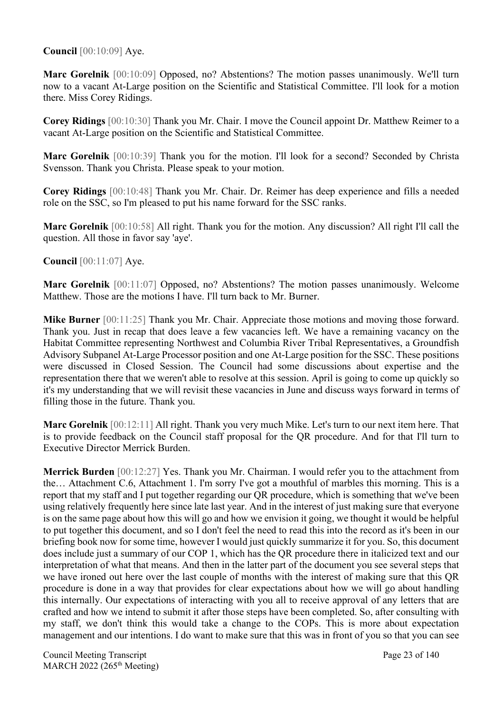### **Council** [00:10:09] Aye.

**Marc Gorelnik** [00:10:09] Opposed, no? Abstentions? The motion passes unanimously. We'll turn now to a vacant At-Large position on the Scientific and Statistical Committee. I'll look for a motion there. Miss Corey Ridings.

**Corey Ridings** [00:10:30] Thank you Mr. Chair. I move the Council appoint Dr. Matthew Reimer to a vacant At-Large position on the Scientific and Statistical Committee.

**Marc Gorelnik** [00:10:39] Thank you for the motion. I'll look for a second? Seconded by Christa Svensson. Thank you Christa. Please speak to your motion.

**Corey Ridings** [00:10:48] Thank you Mr. Chair. Dr. Reimer has deep experience and fills a needed role on the SSC, so I'm pleased to put his name forward for the SSC ranks.

**Marc Gorelnik** [00:10:58] All right. Thank you for the motion. Any discussion? All right I'll call the question. All those in favor say 'aye'.

**Council** [00:11:07] Aye.

**Marc Gorelnik** [00:11:07] Opposed, no? Abstentions? The motion passes unanimously. Welcome Matthew. Those are the motions I have. I'll turn back to Mr. Burner.

**Mike Burner** [00:11:25] Thank you Mr. Chair. Appreciate those motions and moving those forward. Thank you. Just in recap that does leave a few vacancies left. We have a remaining vacancy on the Habitat Committee representing Northwest and Columbia River Tribal Representatives, a Groundfish Advisory Subpanel At-Large Processor position and one At-Large position for the SSC. These positions were discussed in Closed Session. The Council had some discussions about expertise and the representation there that we weren't able to resolve at this session. April is going to come up quickly so it's my understanding that we will revisit these vacancies in June and discuss ways forward in terms of filling those in the future. Thank you.

**Marc Gorelnik** [00:12:11] All right. Thank you very much Mike. Let's turn to our next item here. That is to provide feedback on the Council staff proposal for the QR procedure. And for that I'll turn to Executive Director Merrick Burden.

**Merrick Burden** [00:12:27] Yes. Thank you Mr. Chairman. I would refer you to the attachment from the… Attachment C.6, Attachment 1. I'm sorry I've got a mouthful of marbles this morning. This is a report that my staff and I put together regarding our QR procedure, which is something that we've been using relatively frequently here since late last year. And in the interest of just making sure that everyone is on the same page about how this will go and how we envision it going, we thought it would be helpful to put together this document, and so I don't feel the need to read this into the record as it's been in our briefing book now for some time, however I would just quickly summarize it for you. So, this document does include just a summary of our COP 1, which has the QR procedure there in italicized text and our interpretation of what that means. And then in the latter part of the document you see several steps that we have ironed out here over the last couple of months with the interest of making sure that this QR procedure is done in a way that provides for clear expectations about how we will go about handling this internally. Our expectations of interacting with you all to receive approval of any letters that are crafted and how we intend to submit it after those steps have been completed. So, after consulting with my staff, we don't think this would take a change to the COPs. This is more about expectation management and our intentions. I do want to make sure that this was in front of you so that you can see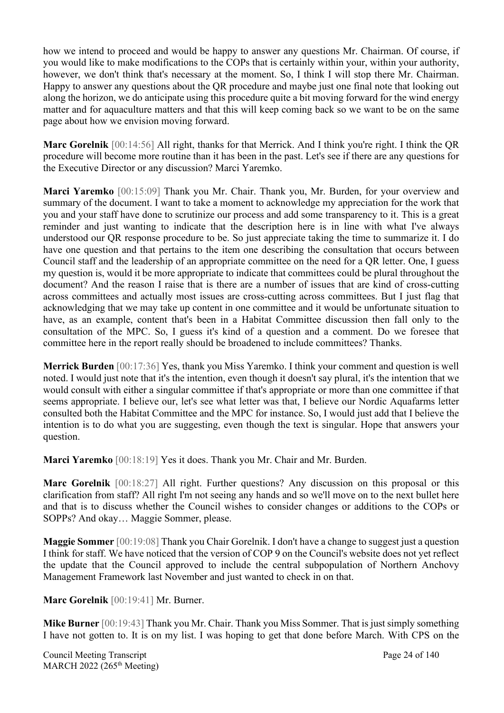how we intend to proceed and would be happy to answer any questions Mr. Chairman. Of course, if you would like to make modifications to the COPs that is certainly within your, within your authority, however, we don't think that's necessary at the moment. So, I think I will stop there Mr. Chairman. Happy to answer any questions about the QR procedure and maybe just one final note that looking out along the horizon, we do anticipate using this procedure quite a bit moving forward for the wind energy matter and for aquaculture matters and that this will keep coming back so we want to be on the same page about how we envision moving forward.

**Marc Gorelnik** [00:14:56] All right, thanks for that Merrick. And I think you're right. I think the QR procedure will become more routine than it has been in the past. Let's see if there are any questions for the Executive Director or any discussion? Marci Yaremko.

**Marci Yaremko** [00:15:09] Thank you Mr. Chair. Thank you, Mr. Burden, for your overview and summary of the document. I want to take a moment to acknowledge my appreciation for the work that you and your staff have done to scrutinize our process and add some transparency to it. This is a great reminder and just wanting to indicate that the description here is in line with what I've always understood our QR response procedure to be. So just appreciate taking the time to summarize it. I do have one question and that pertains to the item one describing the consultation that occurs between Council staff and the leadership of an appropriate committee on the need for a QR letter. One, I guess my question is, would it be more appropriate to indicate that committees could be plural throughout the document? And the reason I raise that is there are a number of issues that are kind of cross-cutting across committees and actually most issues are cross-cutting across committees. But I just flag that acknowledging that we may take up content in one committee and it would be unfortunate situation to have, as an example, content that's been in a Habitat Committee discussion then fall only to the consultation of the MPC. So, I guess it's kind of a question and a comment. Do we foresee that committee here in the report really should be broadened to include committees? Thanks.

**Merrick Burden** [00:17:36] Yes, thank you Miss Yaremko. I think your comment and question is well noted. I would just note that it's the intention, even though it doesn't say plural, it's the intention that we would consult with either a singular committee if that's appropriate or more than one committee if that seems appropriate. I believe our, let's see what letter was that, I believe our Nordic Aquafarms letter consulted both the Habitat Committee and the MPC for instance. So, I would just add that I believe the intention is to do what you are suggesting, even though the text is singular. Hope that answers your question.

**Marci Yaremko** [00:18:19] Yes it does. Thank you Mr. Chair and Mr. Burden.

**Marc Gorelnik** [00:18:27] All right. Further questions? Any discussion on this proposal or this clarification from staff? All right I'm not seeing any hands and so we'll move on to the next bullet here and that is to discuss whether the Council wishes to consider changes or additions to the COPs or SOPPs? And okay… Maggie Sommer, please.

**Maggie Sommer** [00:19:08] Thank you Chair Gorelnik. I don't have a change to suggest just a question I think for staff. We have noticed that the version of COP 9 on the Council's website does not yet reflect the update that the Council approved to include the central subpopulation of Northern Anchovy Management Framework last November and just wanted to check in on that.

**Marc Gorelnik** [00:19:41] Mr. Burner.

**Mike Burner** [00:19:43] Thank you Mr. Chair. Thank you Miss Sommer. That is just simply something I have not gotten to. It is on my list. I was hoping to get that done before March. With CPS on the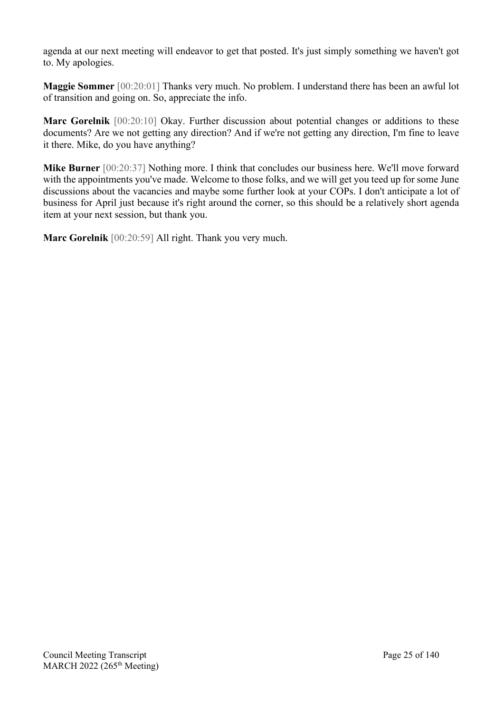agenda at our next meeting will endeavor to get that posted. It's just simply something we haven't got to. My apologies.

**Maggie Sommer** [00:20:01] Thanks very much. No problem. I understand there has been an awful lot of transition and going on. So, appreciate the info.

**Marc Gorelnik** [00:20:10] Okay. Further discussion about potential changes or additions to these documents? Are we not getting any direction? And if we're not getting any direction, I'm fine to leave it there. Mike, do you have anything?

**Mike Burner** [00:20:37] Nothing more. I think that concludes our business here. We'll move forward with the appointments you've made. Welcome to those folks, and we will get you teed up for some June discussions about the vacancies and maybe some further look at your COPs. I don't anticipate a lot of business for April just because it's right around the corner, so this should be a relatively short agenda item at your next session, but thank you.

**Marc Gorelnik** [00:20:59] All right. Thank you very much.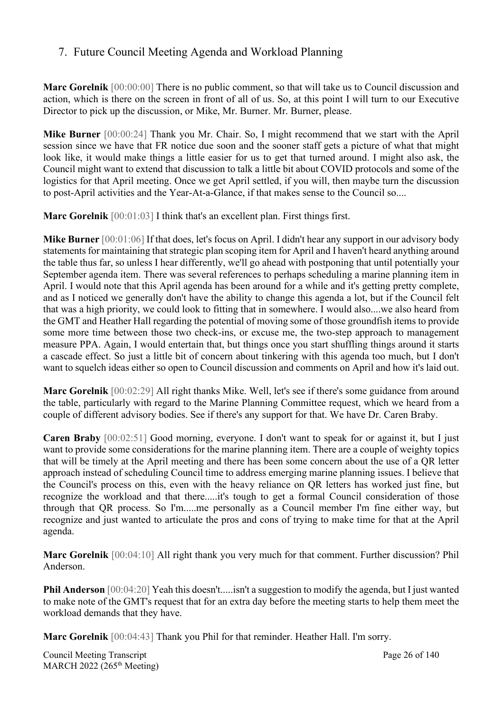## <span id="page-25-0"></span>7. Future Council Meeting Agenda and Workload Planning

**Marc Gorelnik** [00:00:00] There is no public comment, so that will take us to Council discussion and action, which is there on the screen in front of all of us. So, at this point I will turn to our Executive Director to pick up the discussion, or Mike, Mr. Burner. Mr. Burner, please.

**Mike Burner** [00:00:24] Thank you Mr. Chair. So, I might recommend that we start with the April session since we have that FR notice due soon and the sooner staff gets a picture of what that might look like, it would make things a little easier for us to get that turned around. I might also ask, the Council might want to extend that discussion to talk a little bit about COVID protocols and some of the logistics for that April meeting. Once we get April settled, if you will, then maybe turn the discussion to post-April activities and the Year-At-a-Glance, if that makes sense to the Council so....

**Marc Gorelnik** [00:01:03] I think that's an excellent plan. First things first.

**Mike Burner** [00:01:06] If that does, let's focus on April. I didn't hear any support in our advisory body statements for maintaining that strategic plan scoping item for April and I haven't heard anything around the table thus far, so unless I hear differently, we'll go ahead with postponing that until potentially your September agenda item. There was several references to perhaps scheduling a marine planning item in April. I would note that this April agenda has been around for a while and it's getting pretty complete, and as I noticed we generally don't have the ability to change this agenda a lot, but if the Council felt that was a high priority, we could look to fitting that in somewhere. I would also....we also heard from the GMT and Heather Hall regarding the potential of moving some of those groundfish items to provide some more time between those two check-ins, or excuse me, the two-step approach to management measure PPA. Again, I would entertain that, but things once you start shuffling things around it starts a cascade effect. So just a little bit of concern about tinkering with this agenda too much, but I don't want to squelch ideas either so open to Council discussion and comments on April and how it's laid out.

**Marc Gorelnik** [00:02:29] All right thanks Mike. Well, let's see if there's some guidance from around the table, particularly with regard to the Marine Planning Committee request, which we heard from a couple of different advisory bodies. See if there's any support for that. We have Dr. Caren Braby.

**Caren Braby** [00:02:51] Good morning, everyone. I don't want to speak for or against it, but I just want to provide some considerations for the marine planning item. There are a couple of weighty topics that will be timely at the April meeting and there has been some concern about the use of a QR letter approach instead of scheduling Council time to address emerging marine planning issues. I believe that the Council's process on this, even with the heavy reliance on QR letters has worked just fine, but recognize the workload and that there.....it's tough to get a formal Council consideration of those through that QR process. So I'm.....me personally as a Council member I'm fine either way, but recognize and just wanted to articulate the pros and cons of trying to make time for that at the April agenda.

**Marc Gorelnik** [00:04:10] All right thank you very much for that comment. Further discussion? Phil Anderson.

**Phil Anderson** [00:04:20] Yeah this doesn't.....isn't a suggestion to modify the agenda, but I just wanted to make note of the GMT's request that for an extra day before the meeting starts to help them meet the workload demands that they have.

**Marc Gorelnik** [00:04:43] Thank you Phil for that reminder. Heather Hall. I'm sorry.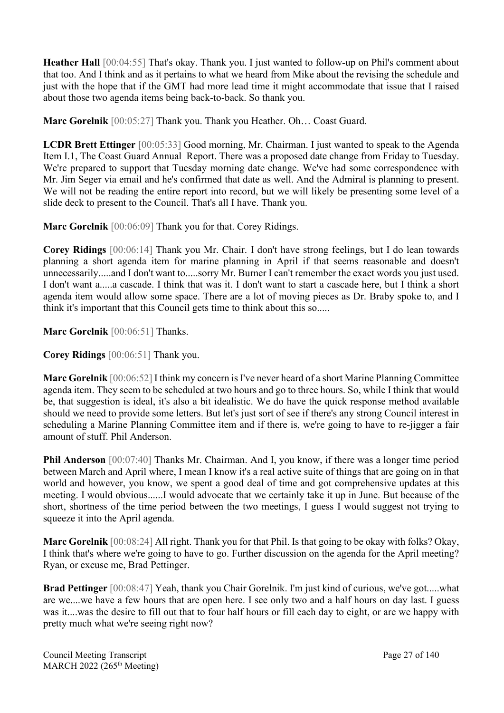**Heather Hall** [00:04:55] That's okay. Thank you. I just wanted to follow-up on Phil's comment about that too. And I think and as it pertains to what we heard from Mike about the revising the schedule and just with the hope that if the GMT had more lead time it might accommodate that issue that I raised about those two agenda items being back-to-back. So thank you.

**Marc Gorelnik** [00:05:27] Thank you. Thank you Heather. Oh… Coast Guard.

**LCDR Brett Ettinger** [00:05:33] Good morning, Mr. Chairman. I just wanted to speak to the Agenda Item I.1, The Coast Guard Annual Report. There was a proposed date change from Friday to Tuesday. We're prepared to support that Tuesday morning date change. We've had some correspondence with Mr. Jim Seger via email and he's confirmed that date as well. And the Admiral is planning to present. We will not be reading the entire report into record, but we will likely be presenting some level of a slide deck to present to the Council. That's all I have. Thank you.

**Marc Gorelnik** [00:06:09] Thank you for that. Corey Ridings.

**Corey Ridings** [00:06:14] Thank you Mr. Chair. I don't have strong feelings, but I do lean towards planning a short agenda item for marine planning in April if that seems reasonable and doesn't unnecessarily.....and I don't want to.....sorry Mr. Burner I can't remember the exact words you just used. I don't want a.....a cascade. I think that was it. I don't want to start a cascade here, but I think a short agenda item would allow some space. There are a lot of moving pieces as Dr. Braby spoke to, and I think it's important that this Council gets time to think about this so.....

**Marc Gorelnik** [00:06:51] Thanks.

**Corey Ridings** [00:06:51] Thank you.

**Marc Gorelnik** [00:06:52] I think my concern is I've never heard of a short Marine Planning Committee agenda item. They seem to be scheduled at two hours and go to three hours. So, while I think that would be, that suggestion is ideal, it's also a bit idealistic. We do have the quick response method available should we need to provide some letters. But let's just sort of see if there's any strong Council interest in scheduling a Marine Planning Committee item and if there is, we're going to have to re-jigger a fair amount of stuff. Phil Anderson.

**Phil Anderson** [00:07:40] Thanks Mr. Chairman. And I, you know, if there was a longer time period between March and April where, I mean I know it's a real active suite of things that are going on in that world and however, you know, we spent a good deal of time and got comprehensive updates at this meeting. I would obvious......I would advocate that we certainly take it up in June. But because of the short, shortness of the time period between the two meetings, I guess I would suggest not trying to squeeze it into the April agenda.

**Marc Gorelnik** [00:08:24] All right. Thank you for that Phil. Is that going to be okay with folks? Okay, I think that's where we're going to have to go. Further discussion on the agenda for the April meeting? Ryan, or excuse me, Brad Pettinger.

**Brad Pettinger** [00:08:47] Yeah, thank you Chair Gorelnik. I'm just kind of curious, we've got.....what are we....we have a few hours that are open here. I see only two and a half hours on day last. I guess was it....was the desire to fill out that to four half hours or fill each day to eight, or are we happy with pretty much what we're seeing right now?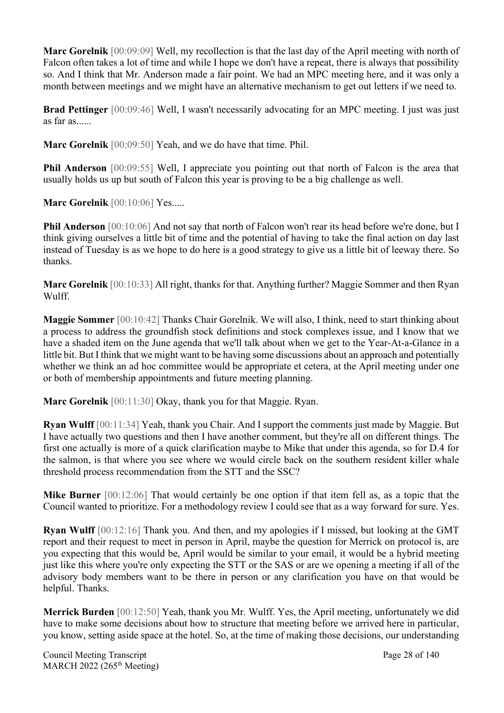**Marc Gorelnik** [00:09:09] Well, my recollection is that the last day of the April meeting with north of Falcon often takes a lot of time and while I hope we don't have a repeat, there is always that possibility so. And I think that Mr. Anderson made a fair point. We had an MPC meeting here, and it was only a month between meetings and we might have an alternative mechanism to get out letters if we need to.

**Brad Pettinger** [00:09:46] Well, I wasn't necessarily advocating for an MPC meeting. I just was just as far as......

**Marc Gorelnik** [00:09:50] Yeah, and we do have that time. Phil.

**Phil Anderson** [00:09:55] Well, I appreciate you pointing out that north of Falcon is the area that usually holds us up but south of Falcon this year is proving to be a big challenge as well.

**Marc Gorelnik** [00:10:06] Yes.....

**Phil Anderson** [00:10:06] And not say that north of Falcon won't rear its head before we're done, but I think giving ourselves a little bit of time and the potential of having to take the final action on day last instead of Tuesday is as we hope to do here is a good strategy to give us a little bit of leeway there. So thanks.

**Marc Gorelnik** [00:10:33] All right, thanks for that. Anything further? Maggie Sommer and then Ryan Wulff.

**Maggie Sommer** [00:10:42] Thanks Chair Gorelnik. We will also, I think, need to start thinking about a process to address the groundfish stock definitions and stock complexes issue, and I know that we have a shaded item on the June agenda that we'll talk about when we get to the Year-At-a-Glance in a little bit. But I think that we might want to be having some discussions about an approach and potentially whether we think an ad hoc committee would be appropriate et cetera, at the April meeting under one or both of membership appointments and future meeting planning.

**Marc Gorelnik** [00:11:30] Okay, thank you for that Maggie. Ryan.

**Ryan Wulff** [00:11:34] Yeah, thank you Chair. And I support the comments just made by Maggie. But I have actually two questions and then I have another comment, but they're all on different things. The first one actually is more of a quick clarification maybe to Mike that under this agenda, so for D.4 for the salmon, is that where you see where we would circle back on the southern resident killer whale threshold process recommendation from the STT and the SSC?

**Mike Burner** [00:12:06] That would certainly be one option if that item fell as, as a topic that the Council wanted to prioritize. For a methodology review I could see that as a way forward for sure. Yes.

**Ryan Wulff** [00:12:16] Thank you. And then, and my apologies if I missed, but looking at the GMT report and their request to meet in person in April, maybe the question for Merrick on protocol is, are you expecting that this would be, April would be similar to your email, it would be a hybrid meeting just like this where you're only expecting the STT or the SAS or are we opening a meeting if all of the advisory body members want to be there in person or any clarification you have on that would be helpful. Thanks.

**Merrick Burden** [00:12:50] Yeah, thank you Mr. Wulff. Yes, the April meeting, unfortunately we did have to make some decisions about how to structure that meeting before we arrived here in particular, you know, setting aside space at the hotel. So, at the time of making those decisions, our understanding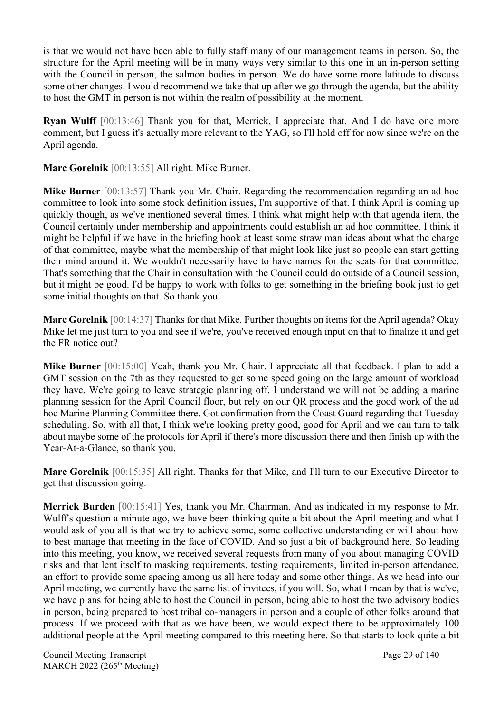is that we would not have been able to fully staff many of our management teams in person. So, the structure for the April meeting will be in many ways very similar to this one in an in-person setting with the Council in person, the salmon bodies in person. We do have some more latitude to discuss some other changes. I would recommend we take that up after we go through the agenda, but the ability to host the GMT in person is not within the realm of possibility at the moment.

**Ryan Wulff** [00:13:46] Thank you for that, Merrick, I appreciate that. And I do have one more comment, but I guess it's actually more relevant to the YAG, so I'll hold off for now since we're on the April agenda.

**Marc Gorelnik** [00:13:55] All right. Mike Burner.

**Mike Burner** [00:13:57] Thank you Mr. Chair. Regarding the recommendation regarding an ad hoc committee to look into some stock definition issues, I'm supportive of that. I think April is coming up quickly though, as we've mentioned several times. I think what might help with that agenda item, the Council certainly under membership and appointments could establish an ad hoc committee. I think it might be helpful if we have in the briefing book at least some straw man ideas about what the charge of that committee, maybe what the membership of that might look like just so people can start getting their mind around it. We wouldn't necessarily have to have names for the seats for that committee. That's something that the Chair in consultation with the Council could do outside of a Council session, but it might be good. I'd be happy to work with folks to get something in the briefing book just to get some initial thoughts on that. So thank you.

**Marc Gorelnik** [00:14:37] Thanks for that Mike. Further thoughts on items for the April agenda? Okay Mike let me just turn to you and see if we're, you've received enough input on that to finalize it and get the FR notice out?

**Mike Burner** [00:15:00] Yeah, thank you Mr. Chair. I appreciate all that feedback. I plan to add a GMT session on the 7th as they requested to get some speed going on the large amount of workload they have. We're going to leave strategic planning off. I understand we will not be adding a marine planning session for the April Council floor, but rely on our QR process and the good work of the ad hoc Marine Planning Committee there. Got confirmation from the Coast Guard regarding that Tuesday scheduling. So, with all that, I think we're looking pretty good, good for April and we can turn to talk about maybe some of the protocols for April if there's more discussion there and then finish up with the Year-At-a-Glance, so thank you.

**Marc Gorelnik** [00:15:35] All right. Thanks for that Mike, and I'll turn to our Executive Director to get that discussion going.

**Merrick Burden** [00:15:41] Yes, thank you Mr. Chairman. And as indicated in my response to Mr. Wulff's question a minute ago, we have been thinking quite a bit about the April meeting and what I would ask of you all is that we try to achieve some, some collective understanding or will about how to best manage that meeting in the face of COVID. And so just a bit of background here. So leading into this meeting, you know, we received several requests from many of you about managing COVID risks and that lent itself to masking requirements, testing requirements, limited in-person attendance, an effort to provide some spacing among us all here today and some other things. As we head into our April meeting, we currently have the same list of invitees, if you will. So, what I mean by that is we've, we have plans for being able to host the Council in person, being able to host the two advisory bodies in person, being prepared to host tribal co-managers in person and a couple of other folks around that process. If we proceed with that as we have been, we would expect there to be approximately 100 additional people at the April meeting compared to this meeting here. So that starts to look quite a bit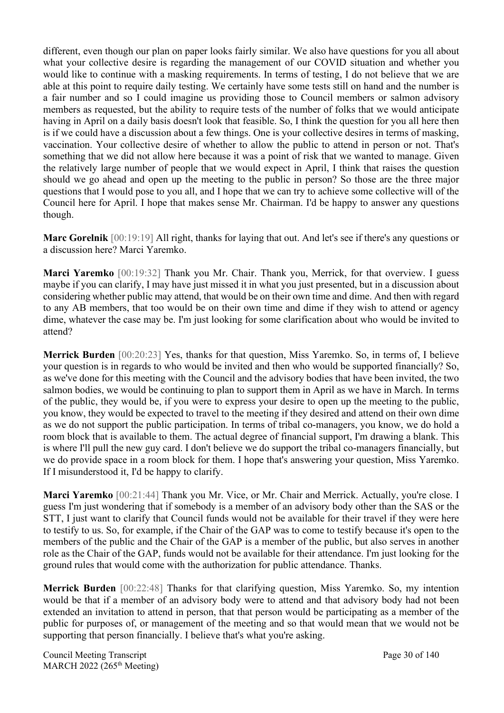different, even though our plan on paper looks fairly similar. We also have questions for you all about what your collective desire is regarding the management of our COVID situation and whether you would like to continue with a masking requirements. In terms of testing, I do not believe that we are able at this point to require daily testing. We certainly have some tests still on hand and the number is a fair number and so I could imagine us providing those to Council members or salmon advisory members as requested, but the ability to require tests of the number of folks that we would anticipate having in April on a daily basis doesn't look that feasible. So, I think the question for you all here then is if we could have a discussion about a few things. One is your collective desires in terms of masking, vaccination. Your collective desire of whether to allow the public to attend in person or not. That's something that we did not allow here because it was a point of risk that we wanted to manage. Given the relatively large number of people that we would expect in April, I think that raises the question should we go ahead and open up the meeting to the public in person? So those are the three major questions that I would pose to you all, and I hope that we can try to achieve some collective will of the Council here for April. I hope that makes sense Mr. Chairman. I'd be happy to answer any questions though.

**Marc Gorelnik** [00:19:19] All right, thanks for laying that out. And let's see if there's any questions or a discussion here? Marci Yaremko.

**Marci Yaremko** [00:19:32] Thank you Mr. Chair. Thank you, Merrick, for that overview. I guess maybe if you can clarify, I may have just missed it in what you just presented, but in a discussion about considering whether public may attend, that would be on their own time and dime. And then with regard to any AB members, that too would be on their own time and dime if they wish to attend or agency dime, whatever the case may be. I'm just looking for some clarification about who would be invited to attend?

**Merrick Burden** [00:20:23] Yes, thanks for that question, Miss Yaremko. So, in terms of, I believe your question is in regards to who would be invited and then who would be supported financially? So, as we've done for this meeting with the Council and the advisory bodies that have been invited, the two salmon bodies, we would be continuing to plan to support them in April as we have in March. In terms of the public, they would be, if you were to express your desire to open up the meeting to the public, you know, they would be expected to travel to the meeting if they desired and attend on their own dime as we do not support the public participation. In terms of tribal co-managers, you know, we do hold a room block that is available to them. The actual degree of financial support, I'm drawing a blank. This is where I'll pull the new guy card. I don't believe we do support the tribal co-managers financially, but we do provide space in a room block for them. I hope that's answering your question, Miss Yaremko. If I misunderstood it, I'd be happy to clarify.

**Marci Yaremko** [00:21:44] Thank you Mr. Vice, or Mr. Chair and Merrick. Actually, you're close. I guess I'm just wondering that if somebody is a member of an advisory body other than the SAS or the STT, I just want to clarify that Council funds would not be available for their travel if they were here to testify to us. So, for example, if the Chair of the GAP was to come to testify because it's open to the members of the public and the Chair of the GAP is a member of the public, but also serves in another role as the Chair of the GAP, funds would not be available for their attendance. I'm just looking for the ground rules that would come with the authorization for public attendance. Thanks.

**Merrick Burden** [00:22:48] Thanks for that clarifying question, Miss Yaremko. So, my intention would be that if a member of an advisory body were to attend and that advisory body had not been extended an invitation to attend in person, that that person would be participating as a member of the public for purposes of, or management of the meeting and so that would mean that we would not be supporting that person financially. I believe that's what you're asking.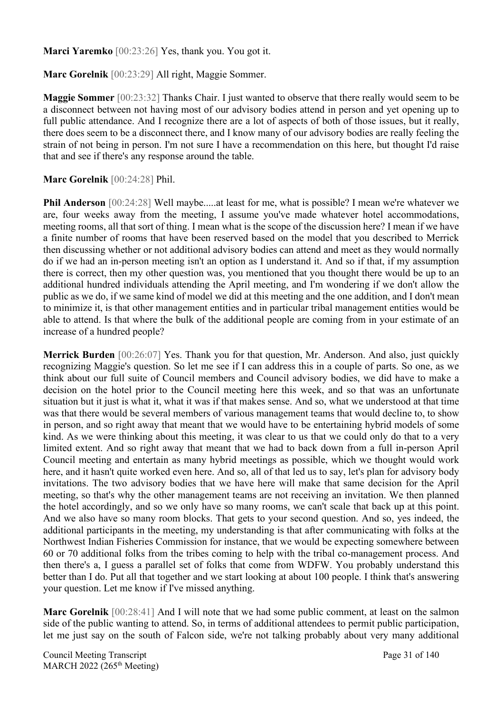**Marci Yaremko** [00:23:26] Yes, thank you. You got it.

**Marc Gorelnik** [00:23:29] All right, Maggie Sommer.

**Maggie Sommer** [00:23:32] Thanks Chair. I just wanted to observe that there really would seem to be a disconnect between not having most of our advisory bodies attend in person and yet opening up to full public attendance. And I recognize there are a lot of aspects of both of those issues, but it really, there does seem to be a disconnect there, and I know many of our advisory bodies are really feeling the strain of not being in person. I'm not sure I have a recommendation on this here, but thought I'd raise that and see if there's any response around the table.

#### **Marc Gorelnik** [00:24:28] Phil.

**Phil Anderson** [00:24:28] Well maybe.....at least for me, what is possible? I mean we're whatever we are, four weeks away from the meeting, I assume you've made whatever hotel accommodations, meeting rooms, all that sort of thing. I mean what is the scope of the discussion here? I mean if we have a finite number of rooms that have been reserved based on the model that you described to Merrick then discussing whether or not additional advisory bodies can attend and meet as they would normally do if we had an in-person meeting isn't an option as I understand it. And so if that, if my assumption there is correct, then my other question was, you mentioned that you thought there would be up to an additional hundred individuals attending the April meeting, and I'm wondering if we don't allow the public as we do, if we same kind of model we did at this meeting and the one addition, and I don't mean to minimize it, is that other management entities and in particular tribal management entities would be able to attend. Is that where the bulk of the additional people are coming from in your estimate of an increase of a hundred people?

**Merrick Burden** [00:26:07] Yes. Thank you for that question, Mr. Anderson. And also, just quickly recognizing Maggie's question. So let me see if I can address this in a couple of parts. So one, as we think about our full suite of Council members and Council advisory bodies, we did have to make a decision on the hotel prior to the Council meeting here this week, and so that was an unfortunate situation but it just is what it, what it was if that makes sense. And so, what we understood at that time was that there would be several members of various management teams that would decline to, to show in person, and so right away that meant that we would have to be entertaining hybrid models of some kind. As we were thinking about this meeting, it was clear to us that we could only do that to a very limited extent. And so right away that meant that we had to back down from a full in-person April Council meeting and entertain as many hybrid meetings as possible, which we thought would work here, and it hasn't quite worked even here. And so, all of that led us to say, let's plan for advisory body invitations. The two advisory bodies that we have here will make that same decision for the April meeting, so that's why the other management teams are not receiving an invitation. We then planned the hotel accordingly, and so we only have so many rooms, we can't scale that back up at this point. And we also have so many room blocks. That gets to your second question. And so, yes indeed, the additional participants in the meeting, my understanding is that after communicating with folks at the Northwest Indian Fisheries Commission for instance, that we would be expecting somewhere between 60 or 70 additional folks from the tribes coming to help with the tribal co-management process. And then there's a, I guess a parallel set of folks that come from WDFW. You probably understand this better than I do. Put all that together and we start looking at about 100 people. I think that's answering your question. Let me know if I've missed anything.

**Marc Gorelnik** [00:28:41] And I will note that we had some public comment, at least on the salmon side of the public wanting to attend. So, in terms of additional attendees to permit public participation, let me just say on the south of Falcon side, we're not talking probably about very many additional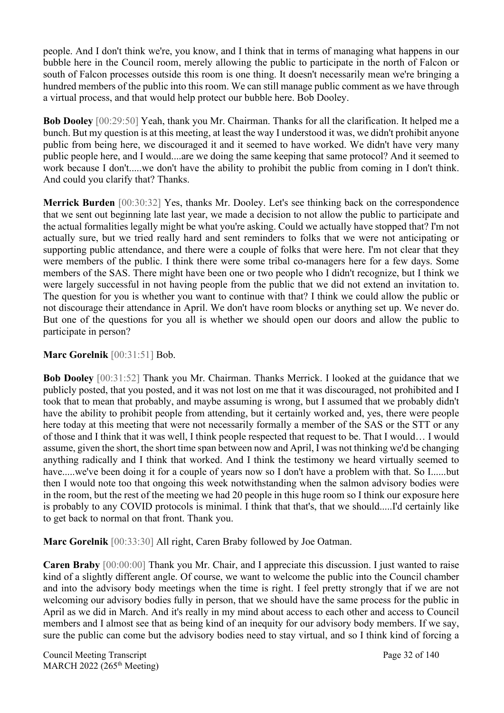people. And I don't think we're, you know, and I think that in terms of managing what happens in our bubble here in the Council room, merely allowing the public to participate in the north of Falcon or south of Falcon processes outside this room is one thing. It doesn't necessarily mean we're bringing a hundred members of the public into this room. We can still manage public comment as we have through a virtual process, and that would help protect our bubble here. Bob Dooley.

**Bob Dooley** [00:29:50] Yeah, thank you Mr. Chairman. Thanks for all the clarification. It helped me a bunch. But my question is at this meeting, at least the way I understood it was, we didn't prohibit anyone public from being here, we discouraged it and it seemed to have worked. We didn't have very many public people here, and I would....are we doing the same keeping that same protocol? And it seemed to work because I don't.....we don't have the ability to prohibit the public from coming in I don't think. And could you clarify that? Thanks.

**Merrick Burden** [00:30:32] Yes, thanks Mr. Dooley. Let's see thinking back on the correspondence that we sent out beginning late last year, we made a decision to not allow the public to participate and the actual formalities legally might be what you're asking. Could we actually have stopped that? I'm not actually sure, but we tried really hard and sent reminders to folks that we were not anticipating or supporting public attendance, and there were a couple of folks that were here. I'm not clear that they were members of the public. I think there were some tribal co-managers here for a few days. Some members of the SAS. There might have been one or two people who I didn't recognize, but I think we were largely successful in not having people from the public that we did not extend an invitation to. The question for you is whether you want to continue with that? I think we could allow the public or not discourage their attendance in April. We don't have room blocks or anything set up. We never do. But one of the questions for you all is whether we should open our doors and allow the public to participate in person?

### **Marc Gorelnik** [00:31:51] Bob.

**Bob Dooley** [00:31:52] Thank you Mr. Chairman. Thanks Merrick. I looked at the guidance that we publicly posted, that you posted, and it was not lost on me that it was discouraged, not prohibited and I took that to mean that probably, and maybe assuming is wrong, but I assumed that we probably didn't have the ability to prohibit people from attending, but it certainly worked and, yes, there were people here today at this meeting that were not necessarily formally a member of the SAS or the STT or any of those and I think that it was well, I think people respected that request to be. That I would… I would assume, given the short, the short time span between now and April, I was not thinking we'd be changing anything radically and I think that worked. And I think the testimony we heard virtually seemed to have.....we've been doing it for a couple of years now so I don't have a problem with that. So I......but then I would note too that ongoing this week notwithstanding when the salmon advisory bodies were in the room, but the rest of the meeting we had 20 people in this huge room so I think our exposure here is probably to any COVID protocols is minimal. I think that that's, that we should.....I'd certainly like to get back to normal on that front. Thank you.

**Marc Gorelnik** [00:33:30] All right, Caren Braby followed by Joe Oatman.

**Caren Braby** [00:00:00] Thank you Mr. Chair, and I appreciate this discussion. I just wanted to raise kind of a slightly different angle. Of course, we want to welcome the public into the Council chamber and into the advisory body meetings when the time is right. I feel pretty strongly that if we are not welcoming our advisory bodies fully in person, that we should have the same process for the public in April as we did in March. And it's really in my mind about access to each other and access to Council members and I almost see that as being kind of an inequity for our advisory body members. If we say, sure the public can come but the advisory bodies need to stay virtual, and so I think kind of forcing a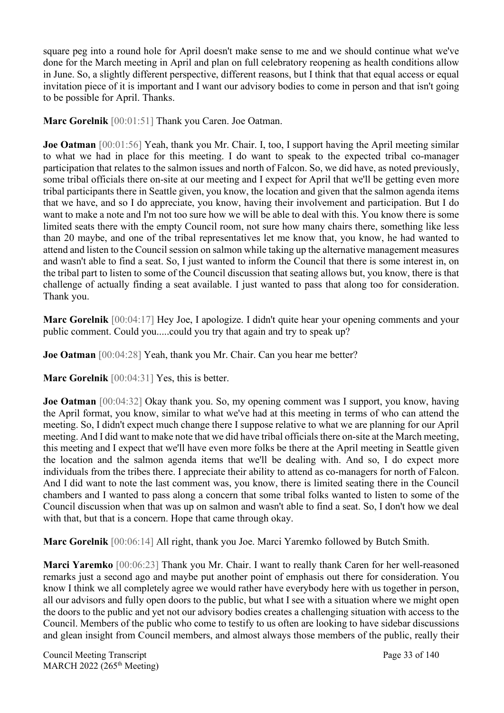square peg into a round hole for April doesn't make sense to me and we should continue what we've done for the March meeting in April and plan on full celebratory reopening as health conditions allow in June. So, a slightly different perspective, different reasons, but I think that that equal access or equal invitation piece of it is important and I want our advisory bodies to come in person and that isn't going to be possible for April. Thanks.

**Marc Gorelnik** [00:01:51] Thank you Caren. Joe Oatman.

**Joe Oatman** [00:01:56] Yeah, thank you Mr. Chair. I, too, I support having the April meeting similar to what we had in place for this meeting. I do want to speak to the expected tribal co-manager participation that relates to the salmon issues and north of Falcon. So, we did have, as noted previously, some tribal officials there on-site at our meeting and I expect for April that we'll be getting even more tribal participants there in Seattle given, you know, the location and given that the salmon agenda items that we have, and so I do appreciate, you know, having their involvement and participation. But I do want to make a note and I'm not too sure how we will be able to deal with this. You know there is some limited seats there with the empty Council room, not sure how many chairs there, something like less than 20 maybe, and one of the tribal representatives let me know that, you know, he had wanted to attend and listen to the Council session on salmon while taking up the alternative management measures and wasn't able to find a seat. So, I just wanted to inform the Council that there is some interest in, on the tribal part to listen to some of the Council discussion that seating allows but, you know, there is that challenge of actually finding a seat available. I just wanted to pass that along too for consideration. Thank you.

**Marc Gorelnik** [00:04:17] Hey Joe, I apologize. I didn't quite hear your opening comments and your public comment. Could you.....could you try that again and try to speak up?

**Joe Oatman** [00:04:28] Yeah, thank you Mr. Chair. Can you hear me better?

**Marc Gorelnik** [00:04:31] Yes, this is better.

**Joe Oatman** [00:04:32] Okay thank you. So, my opening comment was I support, you know, having the April format, you know, similar to what we've had at this meeting in terms of who can attend the meeting. So, I didn't expect much change there I suppose relative to what we are planning for our April meeting. And I did want to make note that we did have tribal officials there on-site at the March meeting, this meeting and I expect that we'll have even more folks be there at the April meeting in Seattle given the location and the salmon agenda items that we'll be dealing with. And so, I do expect more individuals from the tribes there. I appreciate their ability to attend as co-managers for north of Falcon. And I did want to note the last comment was, you know, there is limited seating there in the Council chambers and I wanted to pass along a concern that some tribal folks wanted to listen to some of the Council discussion when that was up on salmon and wasn't able to find a seat. So, I don't how we deal with that, but that is a concern. Hope that came through okay.

**Marc Gorelnik** [00:06:14] All right, thank you Joe. Marci Yaremko followed by Butch Smith.

**Marci Yaremko** [00:06:23] Thank you Mr. Chair. I want to really thank Caren for her well-reasoned remarks just a second ago and maybe put another point of emphasis out there for consideration. You know I think we all completely agree we would rather have everybody here with us together in person, all our advisors and fully open doors to the public, but what I see with a situation where we might open the doors to the public and yet not our advisory bodies creates a challenging situation with access to the Council. Members of the public who come to testify to us often are looking to have sidebar discussions and glean insight from Council members, and almost always those members of the public, really their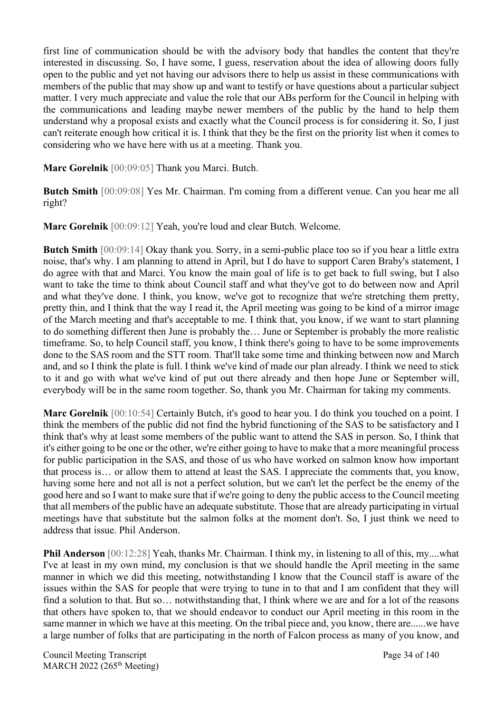first line of communication should be with the advisory body that handles the content that they're interested in discussing. So, I have some, I guess, reservation about the idea of allowing doors fully open to the public and yet not having our advisors there to help us assist in these communications with members of the public that may show up and want to testify or have questions about a particular subject matter. I very much appreciate and value the role that our ABs perform for the Council in helping with the communications and leading maybe newer members of the public by the hand to help them understand why a proposal exists and exactly what the Council process is for considering it. So, I just can't reiterate enough how critical it is. I think that they be the first on the priority list when it comes to considering who we have here with us at a meeting. Thank you.

**Marc Gorelnik** [00:09:05] Thank you Marci. Butch.

**Butch Smith** [00:09:08] Yes Mr. Chairman. I'm coming from a different venue. Can you hear me all right?

**Marc Gorelnik** [00:09:12] Yeah, you're loud and clear Butch. Welcome.

**Butch Smith** [00:09:14] Okay thank you. Sorry, in a semi-public place too so if you hear a little extra noise, that's why. I am planning to attend in April, but I do have to support Caren Braby's statement, I do agree with that and Marci. You know the main goal of life is to get back to full swing, but I also want to take the time to think about Council staff and what they've got to do between now and April and what they've done. I think, you know, we've got to recognize that we're stretching them pretty, pretty thin, and I think that the way I read it, the April meeting was going to be kind of a mirror image of the March meeting and that's acceptable to me. I think that, you know, if we want to start planning to do something different then June is probably the… June or September is probably the more realistic timeframe. So, to help Council staff, you know, I think there's going to have to be some improvements done to the SAS room and the STT room. That'll take some time and thinking between now and March and, and so I think the plate is full. I think we've kind of made our plan already. I think we need to stick to it and go with what we've kind of put out there already and then hope June or September will, everybody will be in the same room together. So, thank you Mr. Chairman for taking my comments.

**Marc Gorelnik** [00:10:54] Certainly Butch, it's good to hear you. I do think you touched on a point. I think the members of the public did not find the hybrid functioning of the SAS to be satisfactory and I think that's why at least some members of the public want to attend the SAS in person. So, I think that it's either going to be one or the other, we're either going to have to make that a more meaningful process for public participation in the SAS, and those of us who have worked on salmon know how important that process is… or allow them to attend at least the SAS. I appreciate the comments that, you know, having some here and not all is not a perfect solution, but we can't let the perfect be the enemy of the good here and so I want to make sure that if we're going to deny the public access to the Council meeting that all members of the public have an adequate substitute. Those that are already participating in virtual meetings have that substitute but the salmon folks at the moment don't. So, I just think we need to address that issue. Phil Anderson.

**Phil Anderson** [00:12:28] Yeah, thanks Mr. Chairman. I think my, in listening to all of this, my....what I've at least in my own mind, my conclusion is that we should handle the April meeting in the same manner in which we did this meeting, notwithstanding I know that the Council staff is aware of the issues within the SAS for people that were trying to tune in to that and I am confident that they will find a solution to that. But so… notwithstanding that, I think where we are and for a lot of the reasons that others have spoken to, that we should endeavor to conduct our April meeting in this room in the same manner in which we have at this meeting. On the tribal piece and, you know, there are......we have a large number of folks that are participating in the north of Falcon process as many of you know, and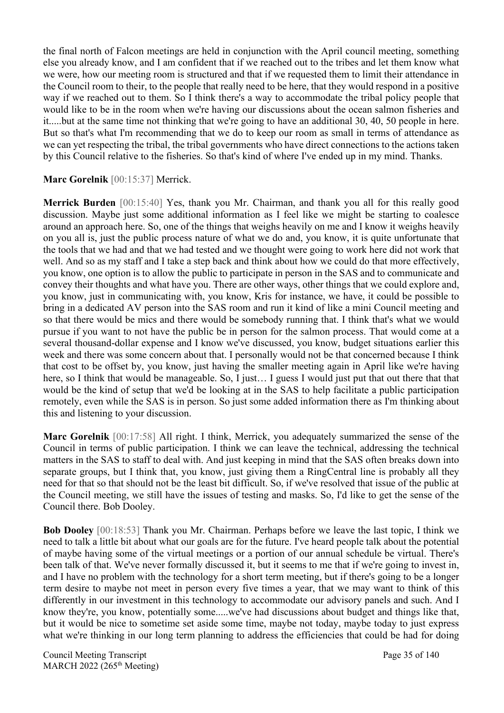the final north of Falcon meetings are held in conjunction with the April council meeting, something else you already know, and I am confident that if we reached out to the tribes and let them know what we were, how our meeting room is structured and that if we requested them to limit their attendance in the Council room to their, to the people that really need to be here, that they would respond in a positive way if we reached out to them. So I think there's a way to accommodate the tribal policy people that would like to be in the room when we're having our discussions about the ocean salmon fisheries and it.....but at the same time not thinking that we're going to have an additional 30, 40, 50 people in here. But so that's what I'm recommending that we do to keep our room as small in terms of attendance as we can yet respecting the tribal, the tribal governments who have direct connections to the actions taken by this Council relative to the fisheries. So that's kind of where I've ended up in my mind. Thanks.

### **Marc Gorelnik** [00:15:37] Merrick.

**Merrick Burden** [00:15:40] Yes, thank you Mr. Chairman, and thank you all for this really good discussion. Maybe just some additional information as I feel like we might be starting to coalesce around an approach here. So, one of the things that weighs heavily on me and I know it weighs heavily on you all is, just the public process nature of what we do and, you know, it is quite unfortunate that the tools that we had and that we had tested and we thought were going to work here did not work that well. And so as my staff and I take a step back and think about how we could do that more effectively, you know, one option is to allow the public to participate in person in the SAS and to communicate and convey their thoughts and what have you. There are other ways, other things that we could explore and, you know, just in communicating with, you know, Kris for instance, we have, it could be possible to bring in a dedicated AV person into the SAS room and run it kind of like a mini Council meeting and so that there would be mics and there would be somebody running that. I think that's what we would pursue if you want to not have the public be in person for the salmon process. That would come at a several thousand-dollar expense and I know we've discussed, you know, budget situations earlier this week and there was some concern about that. I personally would not be that concerned because I think that cost to be offset by, you know, just having the smaller meeting again in April like we're having here, so I think that would be manageable. So, I just… I guess I would just put that out there that that would be the kind of setup that we'd be looking at in the SAS to help facilitate a public participation remotely, even while the SAS is in person. So just some added information there as I'm thinking about this and listening to your discussion.

**Marc Gorelnik** [00:17:58] All right. I think, Merrick, you adequately summarized the sense of the Council in terms of public participation. I think we can leave the technical, addressing the technical matters in the SAS to staff to deal with. And just keeping in mind that the SAS often breaks down into separate groups, but I think that, you know, just giving them a RingCentral line is probably all they need for that so that should not be the least bit difficult. So, if we've resolved that issue of the public at the Council meeting, we still have the issues of testing and masks. So, I'd like to get the sense of the Council there. Bob Dooley.

**Bob Dooley** [00:18:53] Thank you Mr. Chairman. Perhaps before we leave the last topic, I think we need to talk a little bit about what our goals are for the future. I've heard people talk about the potential of maybe having some of the virtual meetings or a portion of our annual schedule be virtual. There's been talk of that. We've never formally discussed it, but it seems to me that if we're going to invest in, and I have no problem with the technology for a short term meeting, but if there's going to be a longer term desire to maybe not meet in person every five times a year, that we may want to think of this differently in our investment in this technology to accommodate our advisory panels and such. And I know they're, you know, potentially some.....we've had discussions about budget and things like that, but it would be nice to sometime set aside some time, maybe not today, maybe today to just express what we're thinking in our long term planning to address the efficiencies that could be had for doing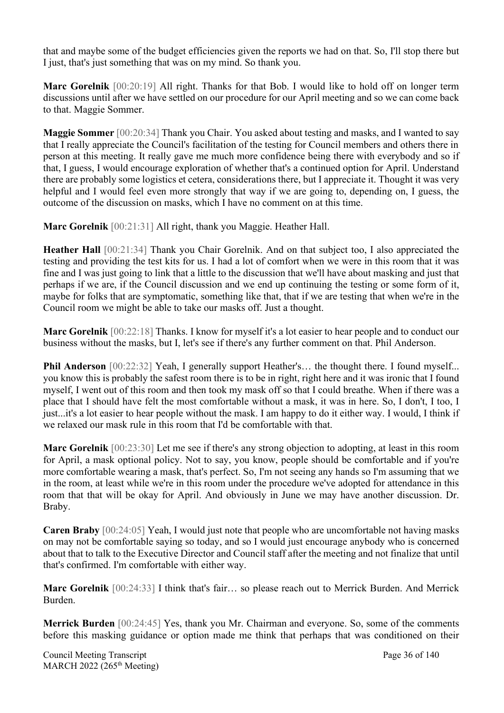that and maybe some of the budget efficiencies given the reports we had on that. So, I'll stop there but I just, that's just something that was on my mind. So thank you.

**Marc Gorelnik** [00:20:19] All right. Thanks for that Bob. I would like to hold off on longer term discussions until after we have settled on our procedure for our April meeting and so we can come back to that. Maggie Sommer.

**Maggie Sommer** [00:20:34] Thank you Chair. You asked about testing and masks, and I wanted to say that I really appreciate the Council's facilitation of the testing for Council members and others there in person at this meeting. It really gave me much more confidence being there with everybody and so if that, I guess, I would encourage exploration of whether that's a continued option for April. Understand there are probably some logistics et cetera, considerations there, but I appreciate it. Thought it was very helpful and I would feel even more strongly that way if we are going to, depending on, I guess, the outcome of the discussion on masks, which I have no comment on at this time.

**Marc Gorelnik** [00:21:31] All right, thank you Maggie. Heather Hall.

**Heather Hall** [00:21:34] Thank you Chair Gorelnik. And on that subject too, I also appreciated the testing and providing the test kits for us. I had a lot of comfort when we were in this room that it was fine and I was just going to link that a little to the discussion that we'll have about masking and just that perhaps if we are, if the Council discussion and we end up continuing the testing or some form of it, maybe for folks that are symptomatic, something like that, that if we are testing that when we're in the Council room we might be able to take our masks off. Just a thought.

**Marc Gorelnik** [00:22:18] Thanks. I know for myself it's a lot easier to hear people and to conduct our business without the masks, but I, let's see if there's any further comment on that. Phil Anderson.

**Phil Anderson** [00:22:32] Yeah, I generally support Heather's... the thought there. I found myself... you know this is probably the safest room there is to be in right, right here and it was ironic that I found myself, I went out of this room and then took my mask off so that I could breathe. When if there was a place that I should have felt the most comfortable without a mask, it was in here. So, I don't, I too, I just...it's a lot easier to hear people without the mask. I am happy to do it either way. I would, I think if we relaxed our mask rule in this room that I'd be comfortable with that.

**Marc Gorelnik** [00:23:30] Let me see if there's any strong objection to adopting, at least in this room for April, a mask optional policy. Not to say, you know, people should be comfortable and if you're more comfortable wearing a mask, that's perfect. So, I'm not seeing any hands so I'm assuming that we in the room, at least while we're in this room under the procedure we've adopted for attendance in this room that that will be okay for April. And obviously in June we may have another discussion. Dr. Braby.

**Caren Braby** [00:24:05] Yeah, I would just note that people who are uncomfortable not having masks on may not be comfortable saying so today, and so I would just encourage anybody who is concerned about that to talk to the Executive Director and Council staff after the meeting and not finalize that until that's confirmed. I'm comfortable with either way.

**Marc Gorelnik** [00:24:33] I think that's fair… so please reach out to Merrick Burden. And Merrick Burden.

**Merrick Burden** [00:24:45] Yes, thank you Mr. Chairman and everyone. So, some of the comments before this masking guidance or option made me think that perhaps that was conditioned on their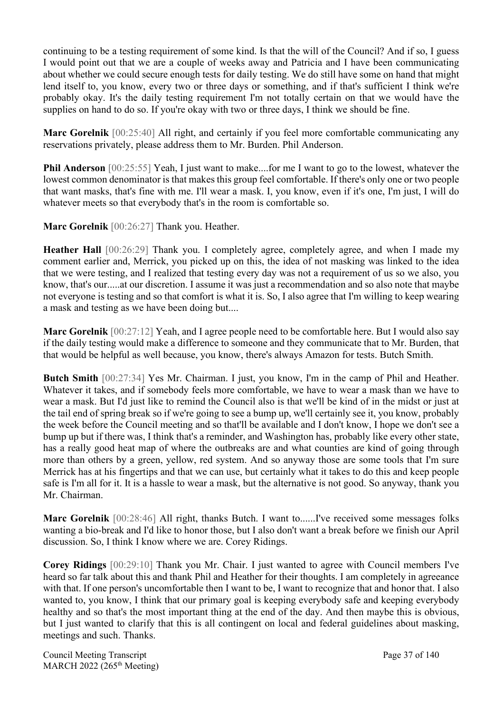continuing to be a testing requirement of some kind. Is that the will of the Council? And if so, I guess I would point out that we are a couple of weeks away and Patricia and I have been communicating about whether we could secure enough tests for daily testing. We do still have some on hand that might lend itself to, you know, every two or three days or something, and if that's sufficient I think we're probably okay. It's the daily testing requirement I'm not totally certain on that we would have the supplies on hand to do so. If you're okay with two or three days, I think we should be fine.

**Marc Gorelnik** [00:25:40] All right, and certainly if you feel more comfortable communicating any reservations privately, please address them to Mr. Burden. Phil Anderson.

**Phil Anderson** [00:25:55] Yeah, I just want to make....for me I want to go to the lowest, whatever the lowest common denominator is that makes this group feel comfortable. If there's only one or two people that want masks, that's fine with me. I'll wear a mask. I, you know, even if it's one, I'm just, I will do whatever meets so that everybody that's in the room is comfortable so.

**Marc Gorelnik** [00:26:27] Thank you. Heather.

**Heather Hall** [00:26:29] Thank you. I completely agree, completely agree, and when I made my comment earlier and, Merrick, you picked up on this, the idea of not masking was linked to the idea that we were testing, and I realized that testing every day was not a requirement of us so we also, you know, that's our.....at our discretion. I assume it was just a recommendation and so also note that maybe not everyone is testing and so that comfort is what it is. So, I also agree that I'm willing to keep wearing a mask and testing as we have been doing but....

**Marc Gorelnik** [00:27:12] Yeah, and I agree people need to be comfortable here. But I would also say if the daily testing would make a difference to someone and they communicate that to Mr. Burden, that that would be helpful as well because, you know, there's always Amazon for tests. Butch Smith.

**Butch Smith** [00:27:34] Yes Mr. Chairman. I just, you know, I'm in the camp of Phil and Heather. Whatever it takes, and if somebody feels more comfortable, we have to wear a mask than we have to wear a mask. But I'd just like to remind the Council also is that we'll be kind of in the midst or just at the tail end of spring break so if we're going to see a bump up, we'll certainly see it, you know, probably the week before the Council meeting and so that'll be available and I don't know, I hope we don't see a bump up but if there was, I think that's a reminder, and Washington has, probably like every other state, has a really good heat map of where the outbreaks are and what counties are kind of going through more than others by a green, yellow, red system. And so anyway those are some tools that I'm sure Merrick has at his fingertips and that we can use, but certainly what it takes to do this and keep people safe is I'm all for it. It is a hassle to wear a mask, but the alternative is not good. So anyway, thank you Mr. Chairman.

**Marc Gorelnik** [00:28:46] All right, thanks Butch. I want to......I've received some messages folks wanting a bio-break and I'd like to honor those, but I also don't want a break before we finish our April discussion. So, I think I know where we are. Corey Ridings.

**Corey Ridings** [00:29:10] Thank you Mr. Chair. I just wanted to agree with Council members I've heard so far talk about this and thank Phil and Heather for their thoughts. I am completely in agreeance with that. If one person's uncomfortable then I want to be, I want to recognize that and honor that. I also wanted to, you know, I think that our primary goal is keeping everybody safe and keeping everybody healthy and so that's the most important thing at the end of the day. And then maybe this is obvious, but I just wanted to clarify that this is all contingent on local and federal guidelines about masking, meetings and such. Thanks.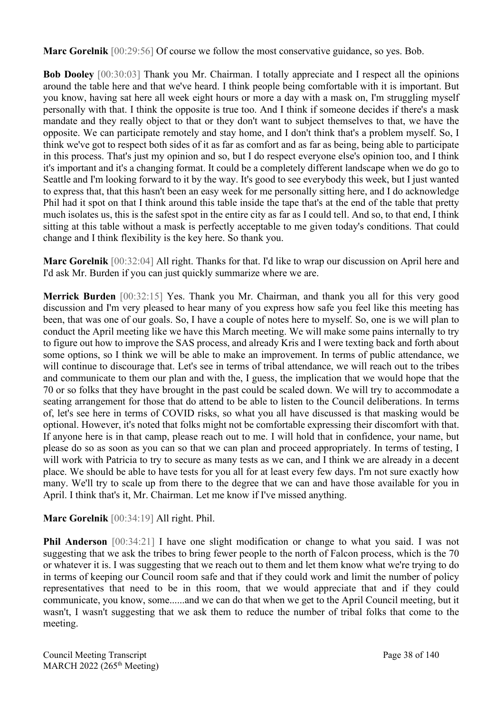**Marc Gorelnik** [00:29:56] Of course we follow the most conservative guidance, so yes. Bob.

**Bob Dooley** [00:30:03] Thank you Mr. Chairman. I totally appreciate and I respect all the opinions around the table here and that we've heard. I think people being comfortable with it is important. But you know, having sat here all week eight hours or more a day with a mask on, I'm struggling myself personally with that. I think the opposite is true too. And I think if someone decides if there's a mask mandate and they really object to that or they don't want to subject themselves to that, we have the opposite. We can participate remotely and stay home, and I don't think that's a problem myself. So, I think we've got to respect both sides of it as far as comfort and as far as being, being able to participate in this process. That's just my opinion and so, but I do respect everyone else's opinion too, and I think it's important and it's a changing format. It could be a completely different landscape when we do go to Seattle and I'm looking forward to it by the way. It's good to see everybody this week, but I just wanted to express that, that this hasn't been an easy week for me personally sitting here, and I do acknowledge Phil had it spot on that I think around this table inside the tape that's at the end of the table that pretty much isolates us, this is the safest spot in the entire city as far as I could tell. And so, to that end, I think sitting at this table without a mask is perfectly acceptable to me given today's conditions. That could change and I think flexibility is the key here. So thank you.

**Marc Gorelnik** [00:32:04] All right. Thanks for that. I'd like to wrap our discussion on April here and I'd ask Mr. Burden if you can just quickly summarize where we are.

**Merrick Burden** [00:32:15] Yes. Thank you Mr. Chairman, and thank you all for this very good discussion and I'm very pleased to hear many of you express how safe you feel like this meeting has been, that was one of our goals. So, I have a couple of notes here to myself. So, one is we will plan to conduct the April meeting like we have this March meeting. We will make some pains internally to try to figure out how to improve the SAS process, and already Kris and I were texting back and forth about some options, so I think we will be able to make an improvement. In terms of public attendance, we will continue to discourage that. Let's see in terms of tribal attendance, we will reach out to the tribes and communicate to them our plan and with the, I guess, the implication that we would hope that the 70 or so folks that they have brought in the past could be scaled down. We will try to accommodate a seating arrangement for those that do attend to be able to listen to the Council deliberations. In terms of, let's see here in terms of COVID risks, so what you all have discussed is that masking would be optional. However, it's noted that folks might not be comfortable expressing their discomfort with that. If anyone here is in that camp, please reach out to me. I will hold that in confidence, your name, but please do so as soon as you can so that we can plan and proceed appropriately. In terms of testing, I will work with Patricia to try to secure as many tests as we can, and I think we are already in a decent place. We should be able to have tests for you all for at least every few days. I'm not sure exactly how many. We'll try to scale up from there to the degree that we can and have those available for you in April. I think that's it, Mr. Chairman. Let me know if I've missed anything.

#### **Marc Gorelnik** [00:34:19] All right. Phil.

**Phil Anderson** [00:34:21] I have one slight modification or change to what you said. I was not suggesting that we ask the tribes to bring fewer people to the north of Falcon process, which is the 70 or whatever it is. I was suggesting that we reach out to them and let them know what we're trying to do in terms of keeping our Council room safe and that if they could work and limit the number of policy representatives that need to be in this room, that we would appreciate that and if they could communicate, you know, some......and we can do that when we get to the April Council meeting, but it wasn't, I wasn't suggesting that we ask them to reduce the number of tribal folks that come to the meeting.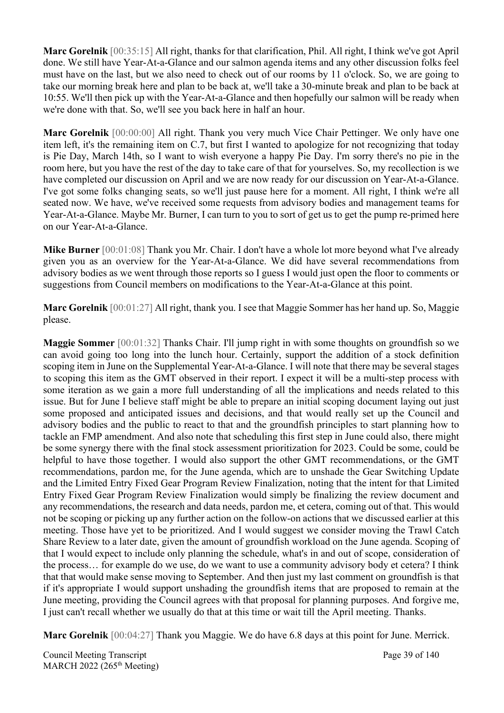**Marc Gorelnik** [00:35:15] All right, thanks for that clarification, Phil. All right, I think we've got April done. We still have Year-At-a-Glance and our salmon agenda items and any other discussion folks feel must have on the last, but we also need to check out of our rooms by 11 o'clock. So, we are going to take our morning break here and plan to be back at, we'll take a 30-minute break and plan to be back at 10:55. We'll then pick up with the Year-At-a-Glance and then hopefully our salmon will be ready when we're done with that. So, we'll see you back here in half an hour.

**Marc Gorelnik** [00:00:00] All right. Thank you very much Vice Chair Pettinger. We only have one item left, it's the remaining item on C.7, but first I wanted to apologize for not recognizing that today is Pie Day, March 14th, so I want to wish everyone a happy Pie Day. I'm sorry there's no pie in the room here, but you have the rest of the day to take care of that for yourselves. So, my recollection is we have completed our discussion on April and we are now ready for our discussion on Year-At-a-Glance. I've got some folks changing seats, so we'll just pause here for a moment. All right, I think we're all seated now. We have, we've received some requests from advisory bodies and management teams for Year-At-a-Glance. Maybe Mr. Burner, I can turn to you to sort of get us to get the pump re-primed here on our Year-At-a-Glance.

**Mike Burner** [00:01:08] Thank you Mr. Chair. I don't have a whole lot more beyond what I've already given you as an overview for the Year-At-a-Glance. We did have several recommendations from advisory bodies as we went through those reports so I guess I would just open the floor to comments or suggestions from Council members on modifications to the Year-At-a-Glance at this point.

**Marc Gorelnik** [00:01:27] All right, thank you. I see that Maggie Sommer has her hand up. So, Maggie please.

**Maggie Sommer** [00:01:32] Thanks Chair. I'll jump right in with some thoughts on groundfish so we can avoid going too long into the lunch hour. Certainly, support the addition of a stock definition scoping item in June on the Supplemental Year-At-a-Glance. I will note that there may be several stages to scoping this item as the GMT observed in their report. I expect it will be a multi-step process with some iteration as we gain a more full understanding of all the implications and needs related to this issue. But for June I believe staff might be able to prepare an initial scoping document laying out just some proposed and anticipated issues and decisions, and that would really set up the Council and advisory bodies and the public to react to that and the groundfish principles to start planning how to tackle an FMP amendment. And also note that scheduling this first step in June could also, there might be some synergy there with the final stock assessment prioritization for 2023. Could be some, could be helpful to have those together. I would also support the other GMT recommendations, or the GMT recommendations, pardon me, for the June agenda, which are to unshade the Gear Switching Update and the Limited Entry Fixed Gear Program Review Finalization, noting that the intent for that Limited Entry Fixed Gear Program Review Finalization would simply be finalizing the review document and any recommendations, the research and data needs, pardon me, et cetera, coming out of that. This would not be scoping or picking up any further action on the follow-on actions that we discussed earlier at this meeting. Those have yet to be prioritized. And I would suggest we consider moving the Trawl Catch Share Review to a later date, given the amount of groundfish workload on the June agenda. Scoping of that I would expect to include only planning the schedule, what's in and out of scope, consideration of the process… for example do we use, do we want to use a community advisory body et cetera? I think that that would make sense moving to September. And then just my last comment on groundfish is that if it's appropriate I would support unshading the groundfish items that are proposed to remain at the June meeting, providing the Council agrees with that proposal for planning purposes. And forgive me, I just can't recall whether we usually do that at this time or wait till the April meeting. Thanks.

**Marc Gorelnik** [00:04:27] Thank you Maggie. We do have 6.8 days at this point for June. Merrick.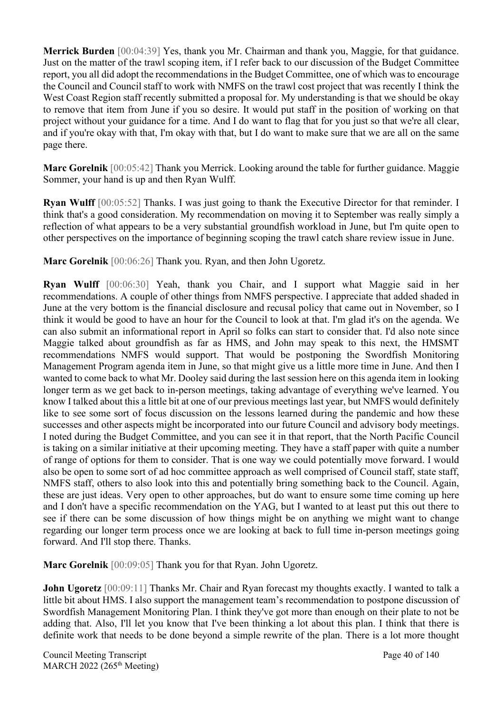**Merrick Burden** [00:04:39] Yes, thank you Mr. Chairman and thank you, Maggie, for that guidance. Just on the matter of the trawl scoping item, if I refer back to our discussion of the Budget Committee report, you all did adopt the recommendations in the Budget Committee, one of which was to encourage the Council and Council staff to work with NMFS on the trawl cost project that was recently I think the West Coast Region staff recently submitted a proposal for. My understanding is that we should be okay to remove that item from June if you so desire. It would put staff in the position of working on that project without your guidance for a time. And I do want to flag that for you just so that we're all clear, and if you're okay with that, I'm okay with that, but I do want to make sure that we are all on the same page there.

**Marc Gorelnik** [00:05:42] Thank you Merrick. Looking around the table for further guidance. Maggie Sommer, your hand is up and then Ryan Wulff.

**Ryan Wulff** [00:05:52] Thanks. I was just going to thank the Executive Director for that reminder. I think that's a good consideration. My recommendation on moving it to September was really simply a reflection of what appears to be a very substantial groundfish workload in June, but I'm quite open to other perspectives on the importance of beginning scoping the trawl catch share review issue in June.

**Marc Gorelnik** [00:06:26] Thank you. Ryan, and then John Ugoretz.

**Ryan Wulff** [00:06:30] Yeah, thank you Chair, and I support what Maggie said in her recommendations. A couple of other things from NMFS perspective. I appreciate that added shaded in June at the very bottom is the financial disclosure and recusal policy that came out in November, so I think it would be good to have an hour for the Council to look at that. I'm glad it's on the agenda. We can also submit an informational report in April so folks can start to consider that. I'd also note since Maggie talked about groundfish as far as HMS, and John may speak to this next, the HMSMT recommendations NMFS would support. That would be postponing the Swordfish Monitoring Management Program agenda item in June, so that might give us a little more time in June. And then I wanted to come back to what Mr. Dooley said during the last session here on this agenda item in looking longer term as we get back to in-person meetings, taking advantage of everything we've learned. You know I talked about this a little bit at one of our previous meetings last year, but NMFS would definitely like to see some sort of focus discussion on the lessons learned during the pandemic and how these successes and other aspects might be incorporated into our future Council and advisory body meetings. I noted during the Budget Committee, and you can see it in that report, that the North Pacific Council is taking on a similar initiative at their upcoming meeting. They have a staff paper with quite a number of range of options for them to consider. That is one way we could potentially move forward. I would also be open to some sort of ad hoc committee approach as well comprised of Council staff, state staff, NMFS staff, others to also look into this and potentially bring something back to the Council. Again, these are just ideas. Very open to other approaches, but do want to ensure some time coming up here and I don't have a specific recommendation on the YAG, but I wanted to at least put this out there to see if there can be some discussion of how things might be on anything we might want to change regarding our longer term process once we are looking at back to full time in-person meetings going forward. And I'll stop there. Thanks.

**Marc Gorelnik** [00:09:05] Thank you for that Ryan. John Ugoretz.

**John Ugoretz** [00:09:11] Thanks Mr. Chair and Ryan forecast my thoughts exactly. I wanted to talk a little bit about HMS. I also support the management team's recommendation to postpone discussion of Swordfish Management Monitoring Plan. I think they've got more than enough on their plate to not be adding that. Also, I'll let you know that I've been thinking a lot about this plan. I think that there is definite work that needs to be done beyond a simple rewrite of the plan. There is a lot more thought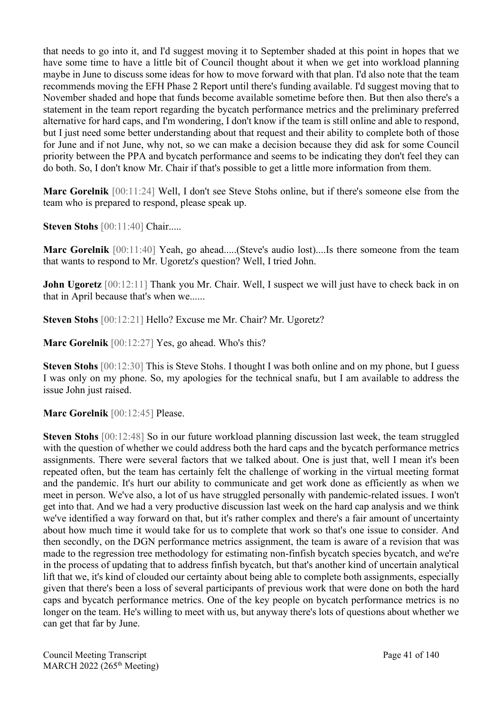that needs to go into it, and I'd suggest moving it to September shaded at this point in hopes that we have some time to have a little bit of Council thought about it when we get into workload planning maybe in June to discuss some ideas for how to move forward with that plan. I'd also note that the team recommends moving the EFH Phase 2 Report until there's funding available. I'd suggest moving that to November shaded and hope that funds become available sometime before then. But then also there's a statement in the team report regarding the bycatch performance metrics and the preliminary preferred alternative for hard caps, and I'm wondering, I don't know if the team is still online and able to respond, but I just need some better understanding about that request and their ability to complete both of those for June and if not June, why not, so we can make a decision because they did ask for some Council priority between the PPA and bycatch performance and seems to be indicating they don't feel they can do both. So, I don't know Mr. Chair if that's possible to get a little more information from them.

**Marc Gorelnik** [00:11:24] Well, I don't see Steve Stohs online, but if there's someone else from the team who is prepared to respond, please speak up.

**Steven Stohs** [00:11:40] Chair.....

**Marc Gorelnik** [00:11:40] Yeah, go ahead.....(Steve's audio lost)....Is there someone from the team that wants to respond to Mr. Ugoretz's question? Well, I tried John.

**John Ugoretz** [00:12:11] Thank you Mr. Chair. Well, I suspect we will just have to check back in on that in April because that's when we......

**Steven Stohs** [00:12:21] Hello? Excuse me Mr. Chair? Mr. Ugoretz?

**Marc Gorelnik** [00:12:27] Yes, go ahead. Who's this?

**Steven Stohs** [00:12:30] This is Steve Stohs. I thought I was both online and on my phone, but I guess I was only on my phone. So, my apologies for the technical snafu, but I am available to address the issue John just raised.

**Marc Gorelnik** [00:12:45] Please.

**Steven Stohs** [00:12:48] So in our future workload planning discussion last week, the team struggled with the question of whether we could address both the hard caps and the bycatch performance metrics assignments. There were several factors that we talked about. One is just that, well I mean it's been repeated often, but the team has certainly felt the challenge of working in the virtual meeting format and the pandemic. It's hurt our ability to communicate and get work done as efficiently as when we meet in person. We've also, a lot of us have struggled personally with pandemic-related issues. I won't get into that. And we had a very productive discussion last week on the hard cap analysis and we think we've identified a way forward on that, but it's rather complex and there's a fair amount of uncertainty about how much time it would take for us to complete that work so that's one issue to consider. And then secondly, on the DGN performance metrics assignment, the team is aware of a revision that was made to the regression tree methodology for estimating non-finfish bycatch species bycatch, and we're in the process of updating that to address finfish bycatch, but that's another kind of uncertain analytical lift that we, it's kind of clouded our certainty about being able to complete both assignments, especially given that there's been a loss of several participants of previous work that were done on both the hard caps and bycatch performance metrics. One of the key people on bycatch performance metrics is no longer on the team. He's willing to meet with us, but anyway there's lots of questions about whether we can get that far by June.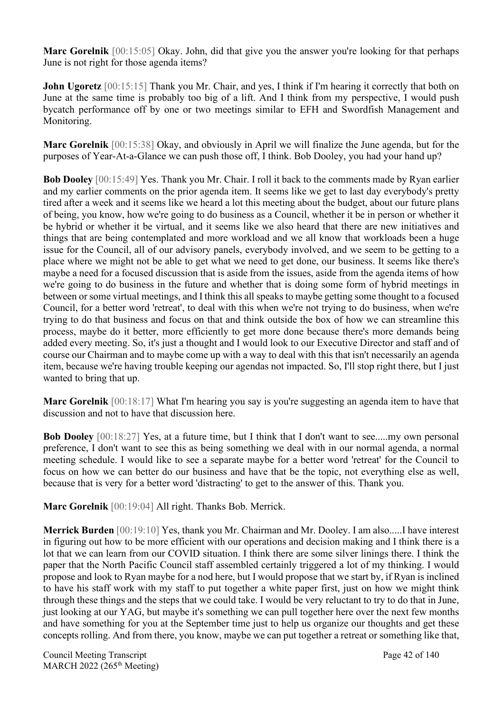**Marc Gorelnik** [00:15:05] Okay. John, did that give you the answer you're looking for that perhaps June is not right for those agenda items?

**John Ugoretz** [00:15:15] Thank you Mr. Chair, and yes, I think if I'm hearing it correctly that both on June at the same time is probably too big of a lift. And I think from my perspective, I would push bycatch performance off by one or two meetings similar to EFH and Swordfish Management and Monitoring.

**Marc Gorelnik** [00:15:38] Okay, and obviously in April we will finalize the June agenda, but for the purposes of Year-At-a-Glance we can push those off, I think. Bob Dooley, you had your hand up?

**Bob Dooley** [00:15:49] Yes. Thank you Mr. Chair. I roll it back to the comments made by Ryan earlier and my earlier comments on the prior agenda item. It seems like we get to last day everybody's pretty tired after a week and it seems like we heard a lot this meeting about the budget, about our future plans of being, you know, how we're going to do business as a Council, whether it be in person or whether it be hybrid or whether it be virtual, and it seems like we also heard that there are new initiatives and things that are being contemplated and more workload and we all know that workloads been a huge issue for the Council, all of our advisory panels, everybody involved, and we seem to be getting to a place where we might not be able to get what we need to get done, our business. It seems like there's maybe a need for a focused discussion that is aside from the issues, aside from the agenda items of how we're going to do business in the future and whether that is doing some form of hybrid meetings in between or some virtual meetings, and I think this all speaks to maybe getting some thought to a focused Council, for a better word 'retreat', to deal with this when we're not trying to do business, when we're trying to do that business and focus on that and think outside the box of how we can streamline this process, maybe do it better, more efficiently to get more done because there's more demands being added every meeting. So, it's just a thought and I would look to our Executive Director and staff and of course our Chairman and to maybe come up with a way to deal with this that isn't necessarily an agenda item, because we're having trouble keeping our agendas not impacted. So, I'll stop right there, but I just wanted to bring that up.

**Marc Gorelnik** [00:18:17] What I'm hearing you say is you're suggesting an agenda item to have that discussion and not to have that discussion here.

**Bob Dooley** [00:18:27] Yes, at a future time, but I think that I don't want to see.....my own personal preference, I don't want to see this as being something we deal with in our normal agenda, a normal meeting schedule. I would like to see a separate maybe for a better word 'retreat' for the Council to focus on how we can better do our business and have that be the topic, not everything else as well, because that is very for a better word 'distracting' to get to the answer of this. Thank you.

**Marc Gorelnik** [00:19:04] All right. Thanks Bob. Merrick.

**Merrick Burden** [00:19:10] Yes, thank you Mr. Chairman and Mr. Dooley. I am also.....I have interest in figuring out how to be more efficient with our operations and decision making and I think there is a lot that we can learn from our COVID situation. I think there are some silver linings there. I think the paper that the North Pacific Council staff assembled certainly triggered a lot of my thinking. I would propose and look to Ryan maybe for a nod here, but I would propose that we start by, if Ryan is inclined to have his staff work with my staff to put together a white paper first, just on how we might think through these things and the steps that we could take. I would be very reluctant to try to do that in June, just looking at our YAG, but maybe it's something we can pull together here over the next few months and have something for you at the September time just to help us organize our thoughts and get these concepts rolling. And from there, you know, maybe we can put together a retreat or something like that,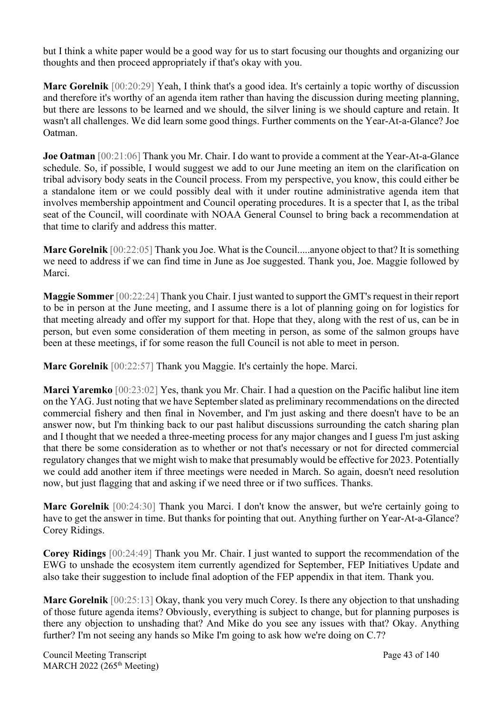but I think a white paper would be a good way for us to start focusing our thoughts and organizing our thoughts and then proceed appropriately if that's okay with you.

**Marc Gorelnik** [00:20:29] Yeah, I think that's a good idea. It's certainly a topic worthy of discussion and therefore it's worthy of an agenda item rather than having the discussion during meeting planning, but there are lessons to be learned and we should, the silver lining is we should capture and retain. It wasn't all challenges. We did learn some good things. Further comments on the Year-At-a-Glance? Joe Oatman.

**Joe Oatman** [00:21:06] Thank you Mr. Chair. I do want to provide a comment at the Year-At-a-Glance schedule. So, if possible, I would suggest we add to our June meeting an item on the clarification on tribal advisory body seats in the Council process. From my perspective, you know, this could either be a standalone item or we could possibly deal with it under routine administrative agenda item that involves membership appointment and Council operating procedures. It is a specter that I, as the tribal seat of the Council, will coordinate with NOAA General Counsel to bring back a recommendation at that time to clarify and address this matter.

**Marc Gorelnik** [00:22:05] Thank you Joe. What is the Council.....anyone object to that? It is something we need to address if we can find time in June as Joe suggested. Thank you, Joe. Maggie followed by Marci.

**Maggie Sommer** [00:22:24] Thank you Chair. I just wanted to support the GMT's request in their report to be in person at the June meeting, and I assume there is a lot of planning going on for logistics for that meeting already and offer my support for that. Hope that they, along with the rest of us, can be in person, but even some consideration of them meeting in person, as some of the salmon groups have been at these meetings, if for some reason the full Council is not able to meet in person.

**Marc Gorelnik** [00:22:57] Thank you Maggie. It's certainly the hope. Marci.

**Marci Yaremko** [00:23:02] Yes, thank you Mr. Chair. I had a question on the Pacific halibut line item on the YAG. Just noting that we have September slated as preliminary recommendations on the directed commercial fishery and then final in November, and I'm just asking and there doesn't have to be an answer now, but I'm thinking back to our past halibut discussions surrounding the catch sharing plan and I thought that we needed a three-meeting process for any major changes and I guess I'm just asking that there be some consideration as to whether or not that's necessary or not for directed commercial regulatory changes that we might wish to make that presumably would be effective for 2023. Potentially we could add another item if three meetings were needed in March. So again, doesn't need resolution now, but just flagging that and asking if we need three or if two suffices. Thanks.

**Marc Gorelnik** [00:24:30] Thank you Marci. I don't know the answer, but we're certainly going to have to get the answer in time. But thanks for pointing that out. Anything further on Year-At-a-Glance? Corey Ridings.

**Corey Ridings** [00:24:49] Thank you Mr. Chair. I just wanted to support the recommendation of the EWG to unshade the ecosystem item currently agendized for September, FEP Initiatives Update and also take their suggestion to include final adoption of the FEP appendix in that item. Thank you.

**Marc Gorelnik** [00:25:13] Okay, thank you very much Corey. Is there any objection to that unshading of those future agenda items? Obviously, everything is subject to change, but for planning purposes is there any objection to unshading that? And Mike do you see any issues with that? Okay. Anything further? I'm not seeing any hands so Mike I'm going to ask how we're doing on C.7?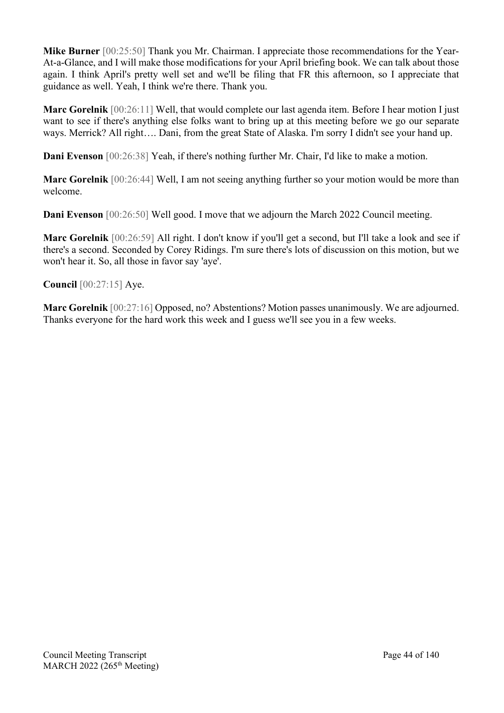**Mike Burner** [00:25:50] Thank you Mr. Chairman. I appreciate those recommendations for the Year-At-a-Glance, and I will make those modifications for your April briefing book. We can talk about those again. I think April's pretty well set and we'll be filing that FR this afternoon, so I appreciate that guidance as well. Yeah, I think we're there. Thank you.

**Marc Gorelnik** [00:26:11] Well, that would complete our last agenda item. Before I hear motion I just want to see if there's anything else folks want to bring up at this meeting before we go our separate ways. Merrick? All right…. Dani, from the great State of Alaska. I'm sorry I didn't see your hand up.

**Dani Evenson** [00:26:38] Yeah, if there's nothing further Mr. Chair, I'd like to make a motion.

**Marc Gorelnik** [00:26:44] Well, I am not seeing anything further so your motion would be more than welcome.

**Dani Evenson** [00:26:50] Well good. I move that we adjourn the March 2022 Council meeting.

**Marc Gorelnik** [00:26:59] All right. I don't know if you'll get a second, but I'll take a look and see if there's a second. Seconded by Corey Ridings. I'm sure there's lots of discussion on this motion, but we won't hear it. So, all those in favor say 'aye'.

**Council** [00:27:15] Aye.

**Marc Gorelnik** [00:27:16] Opposed, no? Abstentions? Motion passes unanimously. We are adjourned. Thanks everyone for the hard work this week and I guess we'll see you in a few weeks.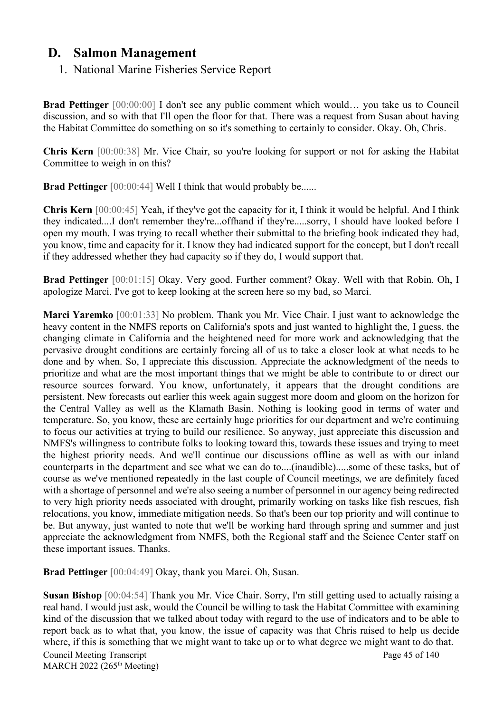# **D. Salmon Management**

1. National Marine Fisheries Service Report

**Brad Pettinger** [00:00:00] I don't see any public comment which would… you take us to Council discussion, and so with that I'll open the floor for that. There was a request from Susan about having the Habitat Committee do something on so it's something to certainly to consider. Okay. Oh, Chris.

**Chris Kern** [00:00:38] Mr. Vice Chair, so you're looking for support or not for asking the Habitat Committee to weigh in on this?

**Brad Pettinger** [00:00:44] Well I think that would probably be......

**Chris Kern** [00:00:45] Yeah, if they've got the capacity for it, I think it would be helpful. And I think they indicated....I don't remember they're...offhand if they're.....sorry, I should have looked before I open my mouth. I was trying to recall whether their submittal to the briefing book indicated they had, you know, time and capacity for it. I know they had indicated support for the concept, but I don't recall if they addressed whether they had capacity so if they do, I would support that.

**Brad Pettinger** [00:01:15] Okay. Very good. Further comment? Okay. Well with that Robin. Oh, I apologize Marci. I've got to keep looking at the screen here so my bad, so Marci.

**Marci Yaremko** [00:01:33] No problem. Thank you Mr. Vice Chair. I just want to acknowledge the heavy content in the NMFS reports on California's spots and just wanted to highlight the, I guess, the changing climate in California and the heightened need for more work and acknowledging that the pervasive drought conditions are certainly forcing all of us to take a closer look at what needs to be done and by when. So, I appreciate this discussion. Appreciate the acknowledgment of the needs to prioritize and what are the most important things that we might be able to contribute to or direct our resource sources forward. You know, unfortunately, it appears that the drought conditions are persistent. New forecasts out earlier this week again suggest more doom and gloom on the horizon for the Central Valley as well as the Klamath Basin. Nothing is looking good in terms of water and temperature. So, you know, these are certainly huge priorities for our department and we're continuing to focus our activities at trying to build our resilience. So anyway, just appreciate this discussion and NMFS's willingness to contribute folks to looking toward this, towards these issues and trying to meet the highest priority needs. And we'll continue our discussions offline as well as with our inland counterparts in the department and see what we can do to....(inaudible).....some of these tasks, but of course as we've mentioned repeatedly in the last couple of Council meetings, we are definitely faced with a shortage of personnel and we're also seeing a number of personnel in our agency being redirected to very high priority needs associated with drought, primarily working on tasks like fish rescues, fish relocations, you know, immediate mitigation needs. So that's been our top priority and will continue to be. But anyway, just wanted to note that we'll be working hard through spring and summer and just appreciate the acknowledgment from NMFS, both the Regional staff and the Science Center staff on these important issues. Thanks.

**Brad Pettinger** [00:04:49] Okay, thank you Marci. Oh, Susan.

Council Meeting Transcript Page 45 of 140 MARCH 2022 (265<sup>th</sup> Meeting) **Susan Bishop** [00:04:54] Thank you Mr. Vice Chair. Sorry, I'm still getting used to actually raising a real hand. I would just ask, would the Council be willing to task the Habitat Committee with examining kind of the discussion that we talked about today with regard to the use of indicators and to be able to report back as to what that, you know, the issue of capacity was that Chris raised to help us decide where, if this is something that we might want to take up or to what degree we might want to do that.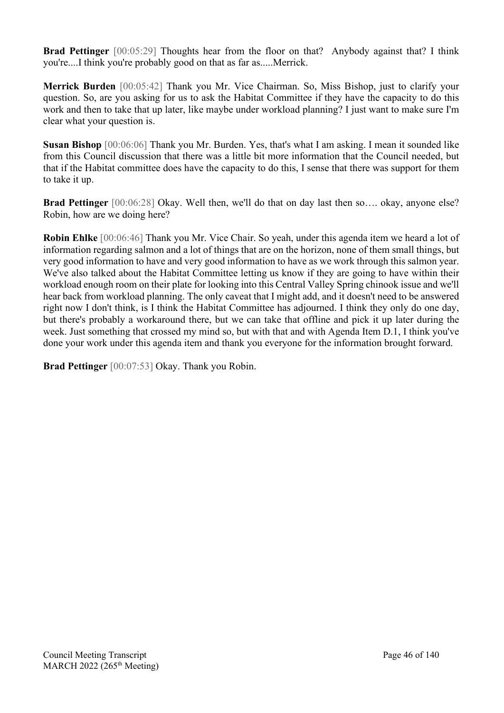**Brad Pettinger** [00:05:29] Thoughts hear from the floor on that? Anybody against that? I think you're....I think you're probably good on that as far as.....Merrick.

**Merrick Burden** [00:05:42] Thank you Mr. Vice Chairman. So, Miss Bishop, just to clarify your question. So, are you asking for us to ask the Habitat Committee if they have the capacity to do this work and then to take that up later, like maybe under workload planning? I just want to make sure I'm clear what your question is.

**Susan Bishop** [00:06:06] Thank you Mr. Burden. Yes, that's what I am asking. I mean it sounded like from this Council discussion that there was a little bit more information that the Council needed, but that if the Habitat committee does have the capacity to do this, I sense that there was support for them to take it up.

**Brad Pettinger** [00:06:28] Okay. Well then, we'll do that on day last then so…. okay, anyone else? Robin, how are we doing here?

**Robin Ehlke** [00:06:46] Thank you Mr. Vice Chair. So yeah, under this agenda item we heard a lot of information regarding salmon and a lot of things that are on the horizon, none of them small things, but very good information to have and very good information to have as we work through this salmon year. We've also talked about the Habitat Committee letting us know if they are going to have within their workload enough room on their plate for looking into this Central Valley Spring chinook issue and we'll hear back from workload planning. The only caveat that I might add, and it doesn't need to be answered right now I don't think, is I think the Habitat Committee has adjourned. I think they only do one day, but there's probably a workaround there, but we can take that offline and pick it up later during the week. Just something that crossed my mind so, but with that and with Agenda Item D.1, I think you've done your work under this agenda item and thank you everyone for the information brought forward.

**Brad Pettinger** [00:07:53] Okay. Thank you Robin.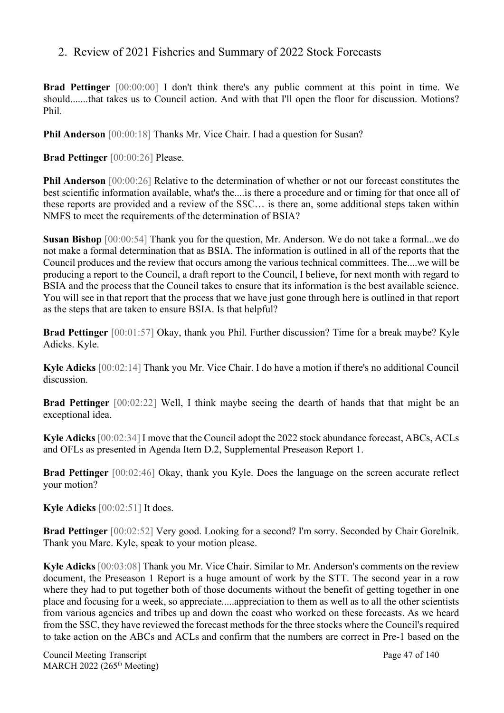## 2. Review of 2021 Fisheries and Summary of 2022 Stock Forecasts

**Brad Pettinger** [00:00:00] I don't think there's any public comment at this point in time. We should.......that takes us to Council action. And with that I'll open the floor for discussion. Motions? Phil.

**Phil Anderson** [00:00:18] Thanks Mr. Vice Chair. I had a question for Susan?

**Brad Pettinger** [00:00:26] Please.

**Phil Anderson** [00:00:26] Relative to the determination of whether or not our forecast constitutes the best scientific information available, what's the....is there a procedure and or timing for that once all of these reports are provided and a review of the SSC… is there an, some additional steps taken within NMFS to meet the requirements of the determination of BSIA?

**Susan Bishop** [00:00:54] Thank you for the question, Mr. Anderson. We do not take a formal...we do not make a formal determination that as BSIA. The information is outlined in all of the reports that the Council produces and the review that occurs among the various technical committees. The....we will be producing a report to the Council, a draft report to the Council, I believe, for next month with regard to BSIA and the process that the Council takes to ensure that its information is the best available science. You will see in that report that the process that we have just gone through here is outlined in that report as the steps that are taken to ensure BSIA. Is that helpful?

**Brad Pettinger** [00:01:57] Okay, thank you Phil. Further discussion? Time for a break maybe? Kyle Adicks. Kyle.

**Kyle Adicks** [00:02:14] Thank you Mr. Vice Chair. I do have a motion if there's no additional Council discussion.

**Brad Pettinger** [00:02:22] Well, I think maybe seeing the dearth of hands that that might be an exceptional idea.

**Kyle Adicks** [00:02:34] I move that the Council adopt the 2022 stock abundance forecast, ABCs, ACLs and OFLs as presented in Agenda Item D.2, Supplemental Preseason Report 1.

**Brad Pettinger** [00:02:46] Okay, thank you Kyle. Does the language on the screen accurate reflect your motion?

**Kyle Adicks** [00:02:51] It does.

**Brad Pettinger** [00:02:52] Very good. Looking for a second? I'm sorry. Seconded by Chair Gorelnik. Thank you Marc. Kyle, speak to your motion please.

**Kyle Adicks** [00:03:08] Thank you Mr. Vice Chair. Similar to Mr. Anderson's comments on the review document, the Preseason 1 Report is a huge amount of work by the STT. The second year in a row where they had to put together both of those documents without the benefit of getting together in one place and focusing for a week, so appreciate.....appreciation to them as well as to all the other scientists from various agencies and tribes up and down the coast who worked on these forecasts. As we heard from the SSC, they have reviewed the forecast methods for the three stocks where the Council's required to take action on the ABCs and ACLs and confirm that the numbers are correct in Pre-1 based on the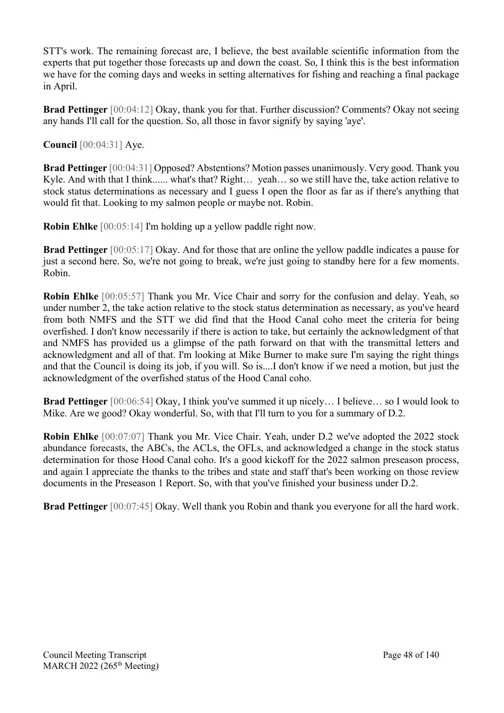STT's work. The remaining forecast are, I believe, the best available scientific information from the experts that put together those forecasts up and down the coast. So, I think this is the best information we have for the coming days and weeks in setting alternatives for fishing and reaching a final package in April.

**Brad Pettinger** [00:04:12] Okay, thank you for that. Further discussion? Comments? Okay not seeing any hands I'll call for the question. So, all those in favor signify by saying 'aye'.

**Council** [00:04:31] Aye.

**Brad Pettinger** [00:04:31] Opposed? Abstentions? Motion passes unanimously. Very good. Thank you Kyle. And with that I think...... what's that? Right… yeah… so we still have the, take action relative to stock status determinations as necessary and I guess I open the floor as far as if there's anything that would fit that. Looking to my salmon people or maybe not. Robin.

**Robin Ehlke** [00:05:14] I'm holding up a yellow paddle right now.

**Brad Pettinger** [00:05:17] Okay. And for those that are online the yellow paddle indicates a pause for just a second here. So, we're not going to break, we're just going to standby here for a few moments. Robin.

**Robin Ehlke** [00:05:57] Thank you Mr. Vice Chair and sorry for the confusion and delay. Yeah, so under number 2, the take action relative to the stock status determination as necessary, as you've heard from both NMFS and the STT we did find that the Hood Canal coho meet the criteria for being overfished. I don't know necessarily if there is action to take, but certainly the acknowledgment of that and NMFS has provided us a glimpse of the path forward on that with the transmittal letters and acknowledgment and all of that. I'm looking at Mike Burner to make sure I'm saying the right things and that the Council is doing its job, if you will. So is....I don't know if we need a motion, but just the acknowledgment of the overfished status of the Hood Canal coho.

**Brad Pettinger** [00:06:54] Okay, I think you've summed it up nicely… I believe… so I would look to Mike. Are we good? Okay wonderful. So, with that I'll turn to you for a summary of D.2.

**Robin Ehlke** [00:07:07] Thank you Mr. Vice Chair. Yeah, under D.2 we've adopted the 2022 stock abundance forecasts, the ABCs, the ACLs, the OFLs, and acknowledged a change in the stock status determination for those Hood Canal coho. It's a good kickoff for the 2022 salmon preseason process, and again I appreciate the thanks to the tribes and state and staff that's been working on those review documents in the Preseason 1 Report. So, with that you've finished your business under D.2.

**Brad Pettinger** [00:07:45] Okay. Well thank you Robin and thank you everyone for all the hard work.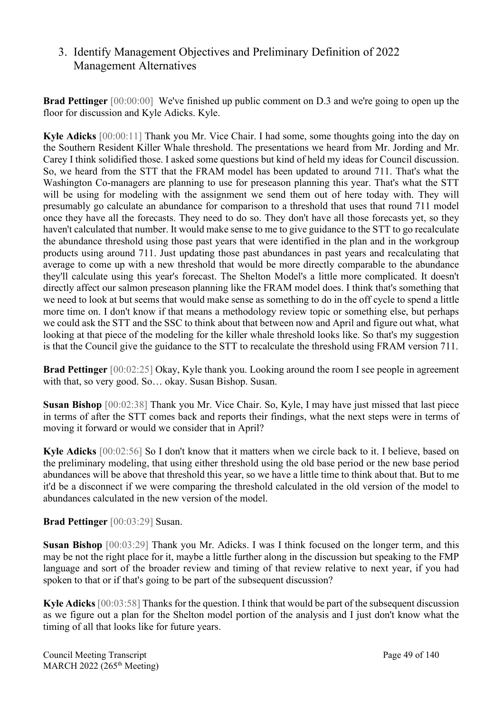# 3. Identify Management Objectives and Preliminary Definition of 2022 Management Alternatives

**Brad Pettinger** [00:00:00] We've finished up public comment on D.3 and we're going to open up the floor for discussion and Kyle Adicks. Kyle.

**Kyle Adicks** [00:00:11] Thank you Mr. Vice Chair. I had some, some thoughts going into the day on the Southern Resident Killer Whale threshold. The presentations we heard from Mr. Jording and Mr. Carey I think solidified those. I asked some questions but kind of held my ideas for Council discussion. So, we heard from the STT that the FRAM model has been updated to around 711. That's what the Washington Co-managers are planning to use for preseason planning this year. That's what the STT will be using for modeling with the assignment we send them out of here today with. They will presumably go calculate an abundance for comparison to a threshold that uses that round 711 model once they have all the forecasts. They need to do so. They don't have all those forecasts yet, so they haven't calculated that number. It would make sense to me to give guidance to the STT to go recalculate the abundance threshold using those past years that were identified in the plan and in the workgroup products using around 711. Just updating those past abundances in past years and recalculating that average to come up with a new threshold that would be more directly comparable to the abundance they'll calculate using this year's forecast. The Shelton Model's a little more complicated. It doesn't directly affect our salmon preseason planning like the FRAM model does. I think that's something that we need to look at but seems that would make sense as something to do in the off cycle to spend a little more time on. I don't know if that means a methodology review topic or something else, but perhaps we could ask the STT and the SSC to think about that between now and April and figure out what, what looking at that piece of the modeling for the killer whale threshold looks like. So that's my suggestion is that the Council give the guidance to the STT to recalculate the threshold using FRAM version 711.

**Brad Pettinger** [00:02:25] Okay, Kyle thank you. Looking around the room I see people in agreement with that, so very good. So… okay. Susan Bishop. Susan.

**Susan Bishop** [00:02:38] Thank you Mr. Vice Chair. So, Kyle, I may have just missed that last piece in terms of after the STT comes back and reports their findings, what the next steps were in terms of moving it forward or would we consider that in April?

**Kyle Adicks** [00:02:56] So I don't know that it matters when we circle back to it. I believe, based on the preliminary modeling, that using either threshold using the old base period or the new base period abundances will be above that threshold this year, so we have a little time to think about that. But to me it'd be a disconnect if we were comparing the threshold calculated in the old version of the model to abundances calculated in the new version of the model.

**Brad Pettinger** [00:03:29] Susan.

**Susan Bishop** [00:03:29] Thank you Mr. Adicks. I was I think focused on the longer term, and this may be not the right place for it, maybe a little further along in the discussion but speaking to the FMP language and sort of the broader review and timing of that review relative to next year, if you had spoken to that or if that's going to be part of the subsequent discussion?

**Kyle Adicks** [00:03:58] Thanks for the question. I think that would be part of the subsequent discussion as we figure out a plan for the Shelton model portion of the analysis and I just don't know what the timing of all that looks like for future years.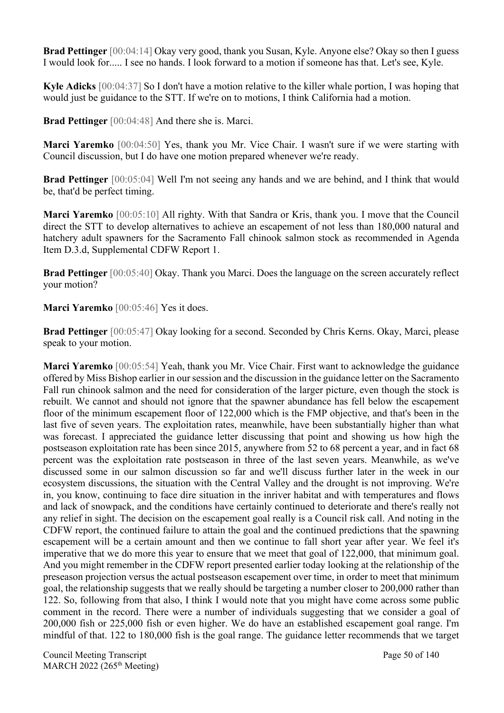**Brad Pettinger** [00:04:14] Okay very good, thank you Susan, Kyle. Anyone else? Okay so then I guess I would look for..... I see no hands. I look forward to a motion if someone has that. Let's see, Kyle.

**Kyle Adicks** [00:04:37] So I don't have a motion relative to the killer whale portion, I was hoping that would just be guidance to the STT. If we're on to motions, I think California had a motion.

**Brad Pettinger** [00:04:48] And there she is. Marci.

**Marci Yaremko** [00:04:50] Yes, thank you Mr. Vice Chair. I wasn't sure if we were starting with Council discussion, but I do have one motion prepared whenever we're ready.

**Brad Pettinger** [00:05:04] Well I'm not seeing any hands and we are behind, and I think that would be, that'd be perfect timing.

**Marci Yaremko** [00:05:10] All righty. With that Sandra or Kris, thank you. I move that the Council direct the STT to develop alternatives to achieve an escapement of not less than 180,000 natural and hatchery adult spawners for the Sacramento Fall chinook salmon stock as recommended in Agenda Item D.3.d, Supplemental CDFW Report 1.

**Brad Pettinger** [00:05:40] Okay. Thank you Marci. Does the language on the screen accurately reflect your motion?

**Marci Yaremko** [00:05:46] Yes it does.

**Brad Pettinger** [00:05:47] Okay looking for a second. Seconded by Chris Kerns. Okay, Marci, please speak to your motion.

**Marci Yaremko** [00:05:54] Yeah, thank you Mr. Vice Chair. First want to acknowledge the guidance offered by Miss Bishop earlier in our session and the discussion in the guidance letter on the Sacramento Fall run chinook salmon and the need for consideration of the larger picture, even though the stock is rebuilt. We cannot and should not ignore that the spawner abundance has fell below the escapement floor of the minimum escapement floor of 122,000 which is the FMP objective, and that's been in the last five of seven years. The exploitation rates, meanwhile, have been substantially higher than what was forecast. I appreciated the guidance letter discussing that point and showing us how high the postseason exploitation rate has been since 2015, anywhere from 52 to 68 percent a year, and in fact 68 percent was the exploitation rate postseason in three of the last seven years. Meanwhile, as we've discussed some in our salmon discussion so far and we'll discuss further later in the week in our ecosystem discussions, the situation with the Central Valley and the drought is not improving. We're in, you know, continuing to face dire situation in the inriver habitat and with temperatures and flows and lack of snowpack, and the conditions have certainly continued to deteriorate and there's really not any relief in sight. The decision on the escapement goal really is a Council risk call. And noting in the CDFW report, the continued failure to attain the goal and the continued predictions that the spawning escapement will be a certain amount and then we continue to fall short year after year. We feel it's imperative that we do more this year to ensure that we meet that goal of 122,000, that minimum goal. And you might remember in the CDFW report presented earlier today looking at the relationship of the preseason projection versus the actual postseason escapement over time, in order to meet that minimum goal, the relationship suggests that we really should be targeting a number closer to 200,000 rather than 122. So, following from that also, I think I would note that you might have come across some public comment in the record. There were a number of individuals suggesting that we consider a goal of 200,000 fish or 225,000 fish or even higher. We do have an established escapement goal range. I'm mindful of that. 122 to 180,000 fish is the goal range. The guidance letter recommends that we target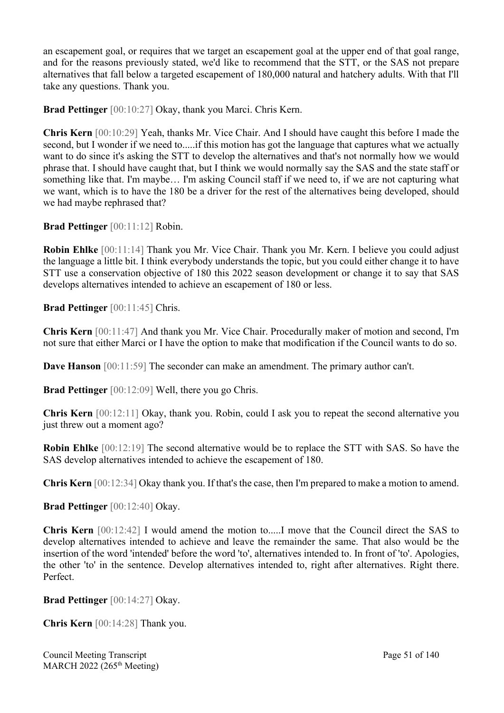an escapement goal, or requires that we target an escapement goal at the upper end of that goal range, and for the reasons previously stated, we'd like to recommend that the STT, or the SAS not prepare alternatives that fall below a targeted escapement of 180,000 natural and hatchery adults. With that I'll take any questions. Thank you.

**Brad Pettinger** [00:10:27] Okay, thank you Marci. Chris Kern.

**Chris Kern** [00:10:29] Yeah, thanks Mr. Vice Chair. And I should have caught this before I made the second, but I wonder if we need to.....if this motion has got the language that captures what we actually want to do since it's asking the STT to develop the alternatives and that's not normally how we would phrase that. I should have caught that, but I think we would normally say the SAS and the state staff or something like that. I'm maybe… I'm asking Council staff if we need to, if we are not capturing what we want, which is to have the 180 be a driver for the rest of the alternatives being developed, should we had maybe rephrased that?

**Brad Pettinger** [00:11:12] Robin.

**Robin Ehlke** [00:11:14] Thank you Mr. Vice Chair. Thank you Mr. Kern. I believe you could adjust the language a little bit. I think everybody understands the topic, but you could either change it to have STT use a conservation objective of 180 this 2022 season development or change it to say that SAS develops alternatives intended to achieve an escapement of 180 or less.

**Brad Pettinger** [00:11:45] Chris.

**Chris Kern** [00:11:47] And thank you Mr. Vice Chair. Procedurally maker of motion and second, I'm not sure that either Marci or I have the option to make that modification if the Council wants to do so.

**Dave Hanson** [00:11:59] The seconder can make an amendment. The primary author can't.

**Brad Pettinger** [00:12:09] Well, there you go Chris.

**Chris Kern** [00:12:11] Okay, thank you. Robin, could I ask you to repeat the second alternative you just threw out a moment ago?

**Robin Ehlke** [00:12:19] The second alternative would be to replace the STT with SAS. So have the SAS develop alternatives intended to achieve the escapement of 180.

**Chris Kern** [00:12:34] Okay thank you. If that's the case, then I'm prepared to make a motion to amend.

**Brad Pettinger** [00:12:40] Okay.

**Chris Kern** [00:12:42] I would amend the motion to.....I move that the Council direct the SAS to develop alternatives intended to achieve and leave the remainder the same. That also would be the insertion of the word 'intended' before the word 'to', alternatives intended to. In front of 'to'. Apologies, the other 'to' in the sentence. Develop alternatives intended to, right after alternatives. Right there. Perfect.

**Brad Pettinger** [00:14:27] Okay.

**Chris Kern** [00:14:28] Thank you.

Council Meeting Transcript **Page 51 of 140** MARCH 2022 (265<sup>th</sup> Meeting)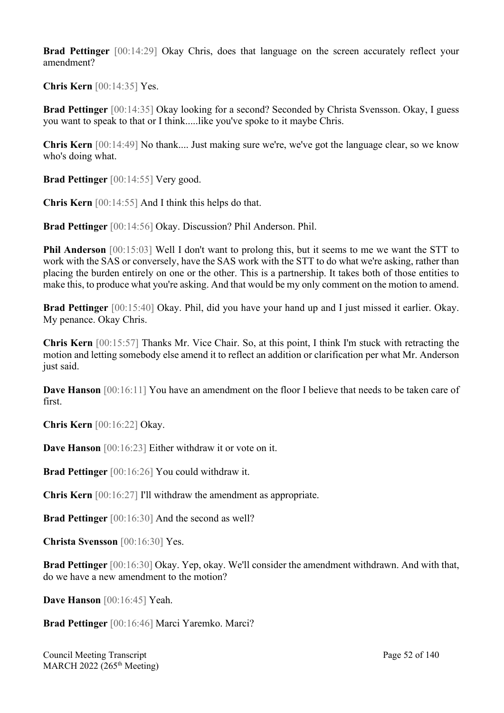**Brad Pettinger** [00:14:29] Okay Chris, does that language on the screen accurately reflect your amendment?

**Chris Kern** [00:14:35] Yes.

**Brad Pettinger** [00:14:35] Okay looking for a second? Seconded by Christa Svensson. Okay, I guess you want to speak to that or I think.....like you've spoke to it maybe Chris.

**Chris Kern** [00:14:49] No thank.... Just making sure we're, we've got the language clear, so we know who's doing what.

**Brad Pettinger** [00:14:55] Very good.

**Chris Kern** [00:14:55] And I think this helps do that.

**Brad Pettinger** [00:14:56] Okay. Discussion? Phil Anderson. Phil.

**Phil Anderson** [00:15:03] Well I don't want to prolong this, but it seems to me we want the STT to work with the SAS or conversely, have the SAS work with the STT to do what we're asking, rather than placing the burden entirely on one or the other. This is a partnership. It takes both of those entities to make this, to produce what you're asking. And that would be my only comment on the motion to amend.

**Brad Pettinger** [00:15:40] Okay. Phil, did you have your hand up and I just missed it earlier. Okay. My penance. Okay Chris.

**Chris Kern** [00:15:57] Thanks Mr. Vice Chair. So, at this point, I think I'm stuck with retracting the motion and letting somebody else amend it to reflect an addition or clarification per what Mr. Anderson just said.

**Dave Hanson** [00:16:11] You have an amendment on the floor I believe that needs to be taken care of first.

**Chris Kern** [00:16:22] Okay.

**Dave Hanson** [00:16:23] Either withdraw it or vote on it.

**Brad Pettinger** [00:16:26] You could withdraw it.

**Chris Kern** [00:16:27] I'll withdraw the amendment as appropriate.

**Brad Pettinger** [00:16:30] And the second as well?

**Christa Svensson** [00:16:30] Yes.

**Brad Pettinger** [00:16:30] Okay. Yep, okay. We'll consider the amendment withdrawn. And with that, do we have a new amendment to the motion?

**Dave Hanson** [00:16:45] Yeah.

**Brad Pettinger** [00:16:46] Marci Yaremko. Marci?

Council Meeting Transcript **Page 52 of 140** MARCH 2022 (265<sup>th</sup> Meeting)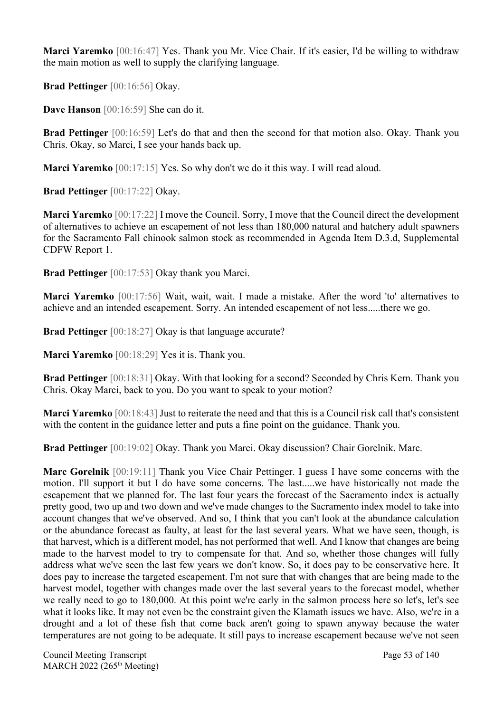**Marci Yaremko** [00:16:47] Yes. Thank you Mr. Vice Chair. If it's easier, I'd be willing to withdraw the main motion as well to supply the clarifying language.

**Brad Pettinger** [00:16:56] Okay.

**Dave Hanson** [00:16:59] She can do it.

**Brad Pettinger** [00:16:59] Let's do that and then the second for that motion also. Okay. Thank you Chris. Okay, so Marci, I see your hands back up.

**Marci Yaremko** [00:17:15] Yes. So why don't we do it this way. I will read aloud.

**Brad Pettinger** [00:17:22] Okay.

**Marci Yaremko** [00:17:22] I move the Council. Sorry, I move that the Council direct the development of alternatives to achieve an escapement of not less than 180,000 natural and hatchery adult spawners for the Sacramento Fall chinook salmon stock as recommended in Agenda Item D.3.d, Supplemental CDFW Report 1.

**Brad Pettinger** [00:17:53] Okay thank you Marci.

**Marci Yaremko** [00:17:56] Wait, wait, wait. I made a mistake. After the word 'to' alternatives to achieve and an intended escapement. Sorry. An intended escapement of not less.....there we go.

**Brad Pettinger** [00:18:27] Okay is that language accurate?

**Marci Yaremko** [00:18:29] Yes it is. Thank you.

**Brad Pettinger** [00:18:31] Okay. With that looking for a second? Seconded by Chris Kern. Thank you Chris. Okay Marci, back to you. Do you want to speak to your motion?

**Marci Yaremko** [00:18:43] Just to reiterate the need and that this is a Council risk call that's consistent with the content in the guidance letter and puts a fine point on the guidance. Thank you.

**Brad Pettinger** [00:19:02] Okay. Thank you Marci. Okay discussion? Chair Gorelnik. Marc.

**Marc Gorelnik** [00:19:11] Thank you Vice Chair Pettinger. I guess I have some concerns with the motion. I'll support it but I do have some concerns. The last.....we have historically not made the escapement that we planned for. The last four years the forecast of the Sacramento index is actually pretty good, two up and two down and we've made changes to the Sacramento index model to take into account changes that we've observed. And so, I think that you can't look at the abundance calculation or the abundance forecast as faulty, at least for the last several years. What we have seen, though, is that harvest, which is a different model, has not performed that well. And I know that changes are being made to the harvest model to try to compensate for that. And so, whether those changes will fully address what we've seen the last few years we don't know. So, it does pay to be conservative here. It does pay to increase the targeted escapement. I'm not sure that with changes that are being made to the harvest model, together with changes made over the last several years to the forecast model, whether we really need to go to 180,000. At this point we're early in the salmon process here so let's, let's see what it looks like. It may not even be the constraint given the Klamath issues we have. Also, we're in a drought and a lot of these fish that come back aren't going to spawn anyway because the water temperatures are not going to be adequate. It still pays to increase escapement because we've not seen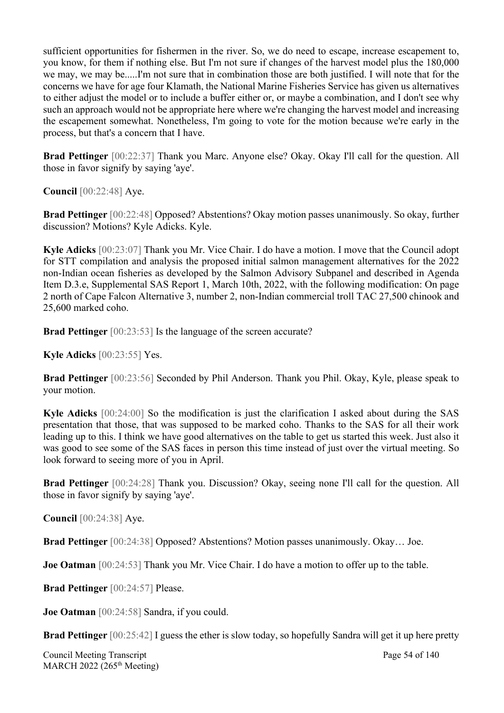sufficient opportunities for fishermen in the river. So, we do need to escape, increase escapement to, you know, for them if nothing else. But I'm not sure if changes of the harvest model plus the 180,000 we may, we may be.....I'm not sure that in combination those are both justified. I will note that for the concerns we have for age four Klamath, the National Marine Fisheries Service has given us alternatives to either adjust the model or to include a buffer either or, or maybe a combination, and I don't see why such an approach would not be appropriate here where we're changing the harvest model and increasing the escapement somewhat. Nonetheless, I'm going to vote for the motion because we're early in the process, but that's a concern that I have.

**Brad Pettinger** [00:22:37] Thank you Marc. Anyone else? Okay. Okay I'll call for the question. All those in favor signify by saying 'aye'.

**Council** [00:22:48] Aye.

**Brad Pettinger** [00:22:48] Opposed? Abstentions? Okay motion passes unanimously. So okay, further discussion? Motions? Kyle Adicks. Kyle.

**Kyle Adicks** [00:23:07] Thank you Mr. Vice Chair. I do have a motion. I move that the Council adopt for STT compilation and analysis the proposed initial salmon management alternatives for the 2022 non-Indian ocean fisheries as developed by the Salmon Advisory Subpanel and described in Agenda Item D.3.e, Supplemental SAS Report 1, March 10th, 2022, with the following modification: On page 2 north of Cape Falcon Alternative 3, number 2, non-Indian commercial troll TAC 27,500 chinook and 25,600 marked coho.

**Brad Pettinger** [00:23:53] Is the language of the screen accurate?

**Kyle Adicks** [00:23:55] Yes.

**Brad Pettinger** [00:23:56] Seconded by Phil Anderson. Thank you Phil. Okay, Kyle, please speak to your motion.

**Kyle Adicks** [00:24:00] So the modification is just the clarification I asked about during the SAS presentation that those, that was supposed to be marked coho. Thanks to the SAS for all their work leading up to this. I think we have good alternatives on the table to get us started this week. Just also it was good to see some of the SAS faces in person this time instead of just over the virtual meeting. So look forward to seeing more of you in April.

**Brad Pettinger** [00:24:28] Thank you. Discussion? Okay, seeing none I'll call for the question. All those in favor signify by saying 'aye'.

**Council** [00:24:38] Aye.

**Brad Pettinger** [00:24:38] Opposed? Abstentions? Motion passes unanimously. Okay… Joe.

**Joe Oatman** [00:24:53] Thank you Mr. Vice Chair. I do have a motion to offer up to the table.

**Brad Pettinger** [00:24:57] Please.

**Joe Oatman** [00:24:58] Sandra, if you could.

**Brad Pettinger** [00:25:42] I guess the ether is slow today, so hopefully Sandra will get it up here pretty

Council Meeting Transcript **Page 54 of 140** MARCH 2022 (265<sup>th</sup> Meeting)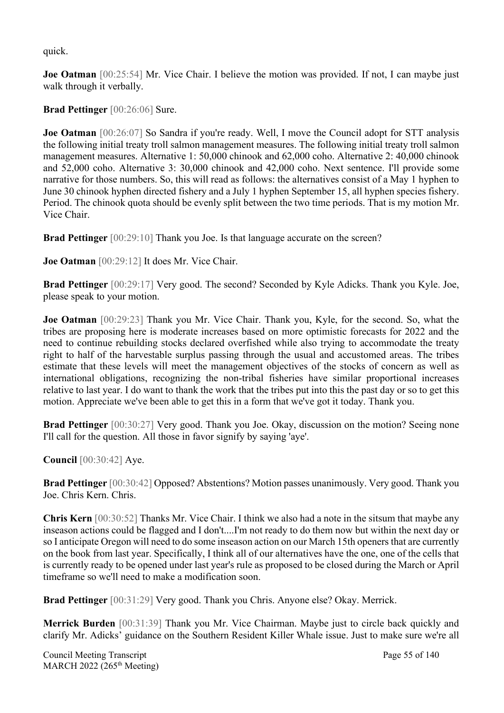quick.

**Joe Oatman** [00:25:54] Mr. Vice Chair. I believe the motion was provided. If not, I can maybe just walk through it verbally.

**Brad Pettinger** [00:26:06] Sure.

**Joe Oatman** [00:26:07] So Sandra if you're ready. Well, I move the Council adopt for STT analysis the following initial treaty troll salmon management measures. The following initial treaty troll salmon management measures. Alternative 1: 50,000 chinook and 62,000 coho. Alternative 2: 40,000 chinook and 52,000 coho. Alternative 3: 30,000 chinook and 42,000 coho. Next sentence. I'll provide some narrative for those numbers. So, this will read as follows: the alternatives consist of a May 1 hyphen to June 30 chinook hyphen directed fishery and a July 1 hyphen September 15, all hyphen species fishery. Period. The chinook quota should be evenly split between the two time periods. That is my motion Mr. Vice Chair.

**Brad Pettinger** [00:29:10] Thank you Joe. Is that language accurate on the screen?

**Joe Oatman** [00:29:12] It does Mr. Vice Chair.

**Brad Pettinger** [00:29:17] Very good. The second? Seconded by Kyle Adicks. Thank you Kyle. Joe, please speak to your motion.

**Joe Oatman** [00:29:23] Thank you Mr. Vice Chair. Thank you, Kyle, for the second. So, what the tribes are proposing here is moderate increases based on more optimistic forecasts for 2022 and the need to continue rebuilding stocks declared overfished while also trying to accommodate the treaty right to half of the harvestable surplus passing through the usual and accustomed areas. The tribes estimate that these levels will meet the management objectives of the stocks of concern as well as international obligations, recognizing the non-tribal fisheries have similar proportional increases relative to last year. I do want to thank the work that the tribes put into this the past day or so to get this motion. Appreciate we've been able to get this in a form that we've got it today. Thank you.

**Brad Pettinger** [00:30:27] Very good. Thank you Joe. Okay, discussion on the motion? Seeing none I'll call for the question. All those in favor signify by saying 'aye'.

**Council** [00:30:42] Aye.

**Brad Pettinger** [00:30:42] Opposed? Abstentions? Motion passes unanimously. Very good. Thank you Joe. Chris Kern. Chris.

**Chris Kern** [00:30:52] Thanks Mr. Vice Chair. I think we also had a note in the sitsum that maybe any inseason actions could be flagged and I don't....I'm not ready to do them now but within the next day or so I anticipate Oregon will need to do some inseason action on our March 15th openers that are currently on the book from last year. Specifically, I think all of our alternatives have the one, one of the cells that is currently ready to be opened under last year's rule as proposed to be closed during the March or April timeframe so we'll need to make a modification soon.

**Brad Pettinger** [00:31:29] Very good. Thank you Chris. Anyone else? Okay. Merrick.

**Merrick Burden** [00:31:39] Thank you Mr. Vice Chairman. Maybe just to circle back quickly and clarify Mr. Adicks' guidance on the Southern Resident Killer Whale issue. Just to make sure we're all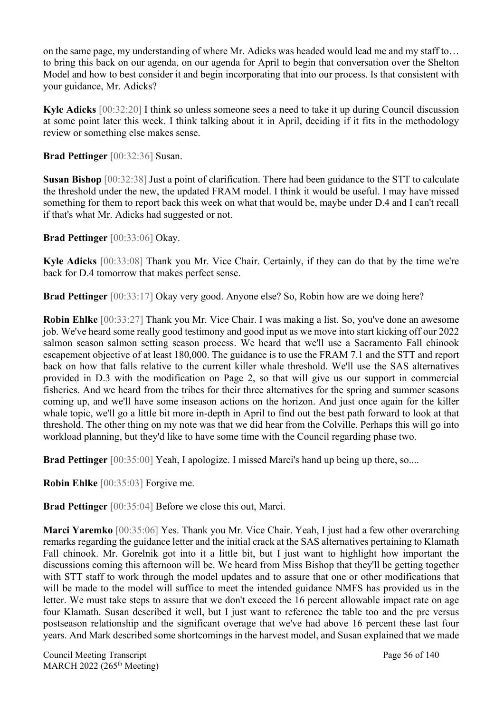on the same page, my understanding of where Mr. Adicks was headed would lead me and my staff to… to bring this back on our agenda, on our agenda for April to begin that conversation over the Shelton Model and how to best consider it and begin incorporating that into our process. Is that consistent with your guidance, Mr. Adicks?

**Kyle Adicks** [00:32:20] I think so unless someone sees a need to take it up during Council discussion at some point later this week. I think talking about it in April, deciding if it fits in the methodology review or something else makes sense.

**Brad Pettinger** [00:32:36] Susan.

**Susan Bishop** [00:32:38] Just a point of clarification. There had been guidance to the STT to calculate the threshold under the new, the updated FRAM model. I think it would be useful. I may have missed something for them to report back this week on what that would be, maybe under D.4 and I can't recall if that's what Mr. Adicks had suggested or not.

**Brad Pettinger** [00:33:06] Okay.

**Kyle Adicks** [00:33:08] Thank you Mr. Vice Chair. Certainly, if they can do that by the time we're back for D.4 tomorrow that makes perfect sense.

**Brad Pettinger** [00:33:17] Okay very good. Anyone else? So, Robin how are we doing here?

**Robin Ehlke** [00:33:27] Thank you Mr. Vice Chair. I was making a list. So, you've done an awesome job. We've heard some really good testimony and good input as we move into start kicking off our 2022 salmon season salmon setting season process. We heard that we'll use a Sacramento Fall chinook escapement objective of at least 180,000. The guidance is to use the FRAM 7.1 and the STT and report back on how that falls relative to the current killer whale threshold. We'll use the SAS alternatives provided in D.3 with the modification on Page 2, so that will give us our support in commercial fisheries. And we heard from the tribes for their three alternatives for the spring and summer seasons coming up, and we'll have some inseason actions on the horizon. And just once again for the killer whale topic, we'll go a little bit more in-depth in April to find out the best path forward to look at that threshold. The other thing on my note was that we did hear from the Colville. Perhaps this will go into workload planning, but they'd like to have some time with the Council regarding phase two.

Brad Pettinger [00:35:00] Yeah, I apologize. I missed Marci's hand up being up there, so....

**Robin Ehlke** [00:35:03] Forgive me.

**Brad Pettinger** [00:35:04] Before we close this out, Marci.

**Marci Yaremko** [00:35:06] Yes. Thank you Mr. Vice Chair. Yeah, I just had a few other overarching remarks regarding the guidance letter and the initial crack at the SAS alternatives pertaining to Klamath Fall chinook. Mr. Gorelnik got into it a little bit, but I just want to highlight how important the discussions coming this afternoon will be. We heard from Miss Bishop that they'll be getting together with STT staff to work through the model updates and to assure that one or other modifications that will be made to the model will suffice to meet the intended guidance NMFS has provided us in the letter. We must take steps to assure that we don't exceed the 16 percent allowable impact rate on age four Klamath. Susan described it well, but I just want to reference the table too and the pre versus postseason relationship and the significant overage that we've had above 16 percent these last four years. And Mark described some shortcomings in the harvest model, and Susan explained that we made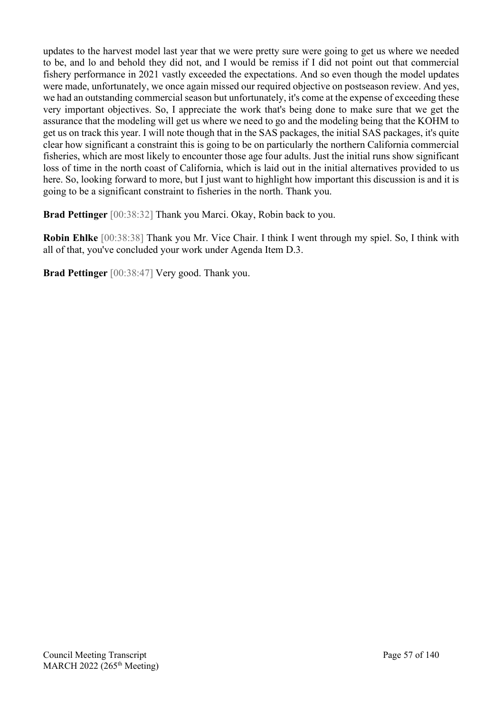updates to the harvest model last year that we were pretty sure were going to get us where we needed to be, and lo and behold they did not, and I would be remiss if I did not point out that commercial fishery performance in 2021 vastly exceeded the expectations. And so even though the model updates were made, unfortunately, we once again missed our required objective on postseason review. And yes, we had an outstanding commercial season but unfortunately, it's come at the expense of exceeding these very important objectives. So, I appreciate the work that's being done to make sure that we get the assurance that the modeling will get us where we need to go and the modeling being that the KOHM to get us on track this year. I will note though that in the SAS packages, the initial SAS packages, it's quite clear how significant a constraint this is going to be on particularly the northern California commercial fisheries, which are most likely to encounter those age four adults. Just the initial runs show significant loss of time in the north coast of California, which is laid out in the initial alternatives provided to us here. So, looking forward to more, but I just want to highlight how important this discussion is and it is going to be a significant constraint to fisheries in the north. Thank you.

**Brad Pettinger** [00:38:32] Thank you Marci. Okay, Robin back to you.

**Robin Ehlke** [00:38:38] Thank you Mr. Vice Chair. I think I went through my spiel. So, I think with all of that, you've concluded your work under Agenda Item D.3.

**Brad Pettinger** [00:38:47] Very good. Thank you.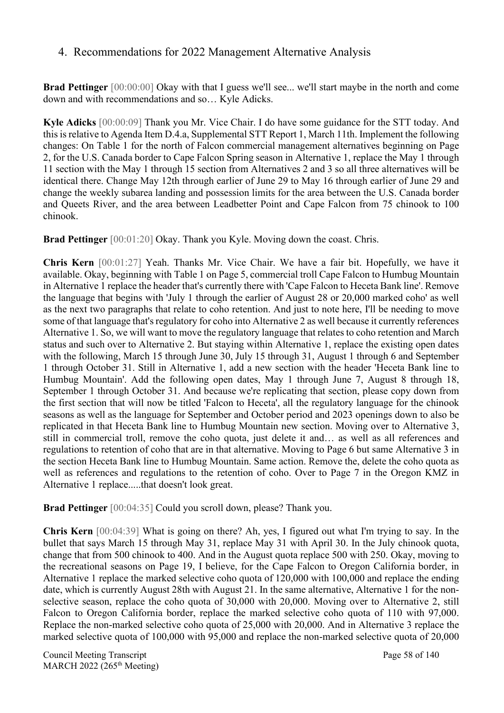#### 4. Recommendations for 2022 Management Alternative Analysis

**Brad Pettinger** [00:00:00] Okay with that I guess we'll see... we'll start maybe in the north and come down and with recommendations and so… Kyle Adicks.

**Kyle Adicks** [00:00:09] Thank you Mr. Vice Chair. I do have some guidance for the STT today. And this is relative to Agenda Item D.4.a, Supplemental STT Report 1, March 11th. Implement the following changes: On Table 1 for the north of Falcon commercial management alternatives beginning on Page 2, for the U.S. Canada border to Cape Falcon Spring season in Alternative 1, replace the May 1 through 11 section with the May 1 through 15 section from Alternatives 2 and 3 so all three alternatives will be identical there. Change May 12th through earlier of June 29 to May 16 through earlier of June 29 and change the weekly subarea landing and possession limits for the area between the U.S. Canada border and Queets River, and the area between Leadbetter Point and Cape Falcon from 75 chinook to 100 chinook.

**Brad Pettinger** [00:01:20] Okay. Thank you Kyle. Moving down the coast. Chris.

**Chris Kern** [00:01:27] Yeah. Thanks Mr. Vice Chair. We have a fair bit. Hopefully, we have it available. Okay, beginning with Table 1 on Page 5, commercial troll Cape Falcon to Humbug Mountain in Alternative 1 replace the header that's currently there with 'Cape Falcon to Heceta Bank line'. Remove the language that begins with 'July 1 through the earlier of August 28 or 20,000 marked coho' as well as the next two paragraphs that relate to coho retention. And just to note here, I'll be needing to move some of that language that's regulatory for coho into Alternative 2 as well because it currently references Alternative 1. So, we will want to move the regulatory language that relates to coho retention and March status and such over to Alternative 2. But staying within Alternative 1, replace the existing open dates with the following, March 15 through June 30, July 15 through 31, August 1 through 6 and September 1 through October 31. Still in Alternative 1, add a new section with the header 'Heceta Bank line to Humbug Mountain'. Add the following open dates, May 1 through June 7, August 8 through 18, September 1 through October 31. And because we're replicating that section, please copy down from the first section that will now be titled 'Falcon to Heceta', all the regulatory language for the chinook seasons as well as the language for September and October period and 2023 openings down to also be replicated in that Heceta Bank line to Humbug Mountain new section. Moving over to Alternative 3, still in commercial troll, remove the coho quota, just delete it and… as well as all references and regulations to retention of coho that are in that alternative. Moving to Page 6 but same Alternative 3 in the section Heceta Bank line to Humbug Mountain. Same action. Remove the, delete the coho quota as well as references and regulations to the retention of coho. Over to Page 7 in the Oregon KMZ in Alternative 1 replace.....that doesn't look great.

**Brad Pettinger** [00:04:35] Could you scroll down, please? Thank you.

**Chris Kern** [00:04:39] What is going on there? Ah, yes, I figured out what I'm trying to say. In the bullet that says March 15 through May 31, replace May 31 with April 30. In the July chinook quota, change that from 500 chinook to 400. And in the August quota replace 500 with 250. Okay, moving to the recreational seasons on Page 19, I believe, for the Cape Falcon to Oregon California border, in Alternative 1 replace the marked selective coho quota of 120,000 with 100,000 and replace the ending date, which is currently August 28th with August 21. In the same alternative, Alternative 1 for the nonselective season, replace the coho quota of 30,000 with 20,000. Moving over to Alternative 2, still Falcon to Oregon California border, replace the marked selective coho quota of 110 with 97,000. Replace the non-marked selective coho quota of 25,000 with 20,000. And in Alternative 3 replace the marked selective quota of 100,000 with 95,000 and replace the non-marked selective quota of 20,000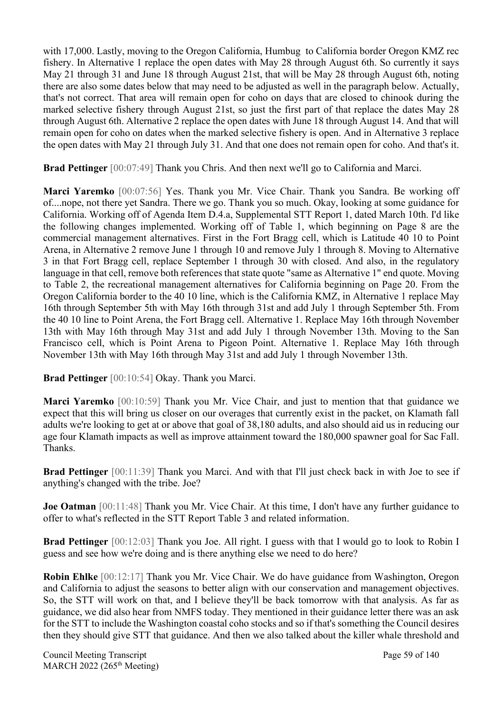with 17,000. Lastly, moving to the Oregon California, Humbug to California border Oregon KMZ rec fishery. In Alternative 1 replace the open dates with May 28 through August 6th. So currently it says May 21 through 31 and June 18 through August 21st, that will be May 28 through August 6th, noting there are also some dates below that may need to be adjusted as well in the paragraph below. Actually, that's not correct. That area will remain open for coho on days that are closed to chinook during the marked selective fishery through August 21st, so just the first part of that replace the dates May 28 through August 6th. Alternative 2 replace the open dates with June 18 through August 14. And that will remain open for coho on dates when the marked selective fishery is open. And in Alternative 3 replace the open dates with May 21 through July 31. And that one does not remain open for coho. And that's it.

**Brad Pettinger** [00:07:49] Thank you Chris. And then next we'll go to California and Marci.

**Marci Yaremko** [00:07:56] Yes. Thank you Mr. Vice Chair. Thank you Sandra. Be working off of....nope, not there yet Sandra. There we go. Thank you so much. Okay, looking at some guidance for California. Working off of Agenda Item D.4.a, Supplemental STT Report 1, dated March 10th. I'd like the following changes implemented. Working off of Table 1, which beginning on Page 8 are the commercial management alternatives. First in the Fort Bragg cell, which is Latitude 40 10 to Point Arena, in Alternative 2 remove June 1 through 10 and remove July 1 through 8. Moving to Alternative 3 in that Fort Bragg cell, replace September 1 through 30 with closed. And also, in the regulatory language in that cell, remove both references that state quote "same as Alternative 1" end quote. Moving to Table 2, the recreational management alternatives for California beginning on Page 20. From the Oregon California border to the 40 10 line, which is the California KMZ, in Alternative 1 replace May 16th through September 5th with May 16th through 31st and add July 1 through September 5th. From the 40 10 line to Point Arena, the Fort Bragg cell. Alternative 1. Replace May 16th through November 13th with May 16th through May 31st and add July 1 through November 13th. Moving to the San Francisco cell, which is Point Arena to Pigeon Point. Alternative 1. Replace May 16th through November 13th with May 16th through May 31st and add July 1 through November 13th.

**Brad Pettinger** [00:10:54] Okay. Thank you Marci.

**Marci Yaremko** [00:10:59] Thank you Mr. Vice Chair, and just to mention that that guidance we expect that this will bring us closer on our overages that currently exist in the packet, on Klamath fall adults we're looking to get at or above that goal of 38,180 adults, and also should aid us in reducing our age four Klamath impacts as well as improve attainment toward the 180,000 spawner goal for Sac Fall. Thanks.

**Brad Pettinger** [00:11:39] Thank you Marci. And with that I'll just check back in with Joe to see if anything's changed with the tribe. Joe?

**Joe Oatman** [00:11:48] Thank you Mr. Vice Chair. At this time, I don't have any further guidance to offer to what's reflected in the STT Report Table 3 and related information.

**Brad Pettinger** [00:12:03] Thank you Joe. All right. I guess with that I would go to look to Robin I guess and see how we're doing and is there anything else we need to do here?

**Robin Ehlke** [00:12:17] Thank you Mr. Vice Chair. We do have guidance from Washington, Oregon and California to adjust the seasons to better align with our conservation and management objectives. So, the STT will work on that, and I believe they'll be back tomorrow with that analysis. As far as guidance, we did also hear from NMFS today. They mentioned in their guidance letter there was an ask for the STT to include the Washington coastal coho stocks and so if that's something the Council desires then they should give STT that guidance. And then we also talked about the killer whale threshold and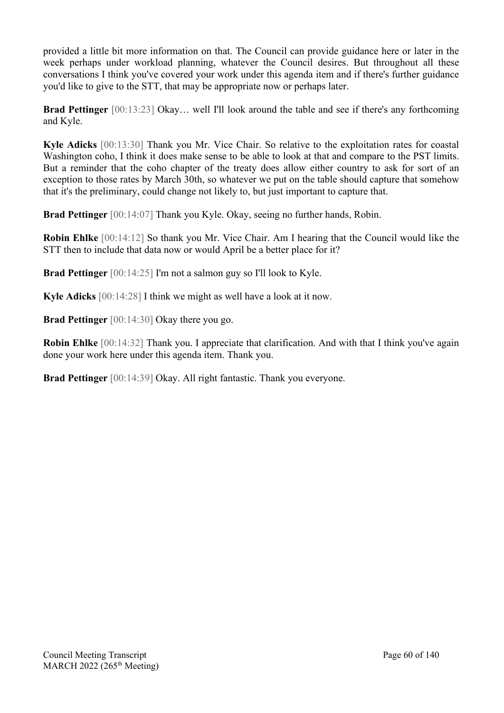provided a little bit more information on that. The Council can provide guidance here or later in the week perhaps under workload planning, whatever the Council desires. But throughout all these conversations I think you've covered your work under this agenda item and if there's further guidance you'd like to give to the STT, that may be appropriate now or perhaps later.

**Brad Pettinger** [00:13:23] Okay... well I'll look around the table and see if there's any forthcoming and Kyle.

**Kyle Adicks** [00:13:30] Thank you Mr. Vice Chair. So relative to the exploitation rates for coastal Washington coho, I think it does make sense to be able to look at that and compare to the PST limits. But a reminder that the coho chapter of the treaty does allow either country to ask for sort of an exception to those rates by March 30th, so whatever we put on the table should capture that somehow that it's the preliminary, could change not likely to, but just important to capture that.

**Brad Pettinger** [00:14:07] Thank you Kyle. Okay, seeing no further hands, Robin.

**Robin Ehlke** [00:14:12] So thank you Mr. Vice Chair. Am I hearing that the Council would like the STT then to include that data now or would April be a better place for it?

**Brad Pettinger** [00:14:25] I'm not a salmon guy so I'll look to Kyle.

**Kyle Adicks** [00:14:28] I think we might as well have a look at it now.

**Brad Pettinger** [00:14:30] Okay there you go.

**Robin Ehlke** [00:14:32] Thank you. I appreciate that clarification. And with that I think you've again done your work here under this agenda item. Thank you.

**Brad Pettinger** [00:14:39] Okay. All right fantastic. Thank you everyone.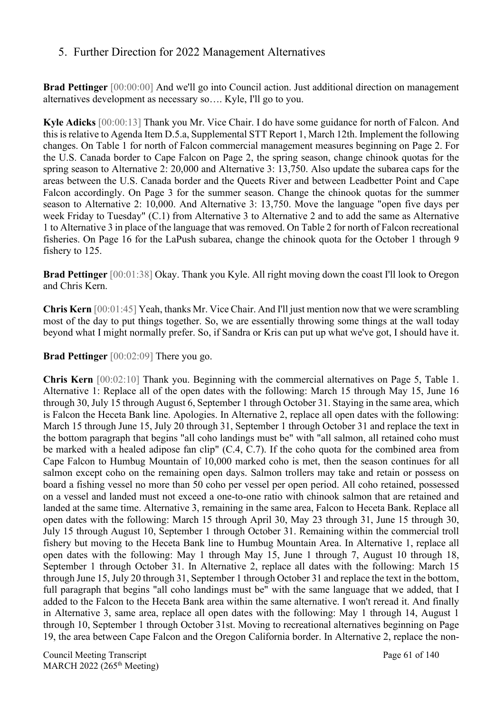## 5. Further Direction for 2022 Management Alternatives

**Brad Pettinger** [00:00:00] And we'll go into Council action. Just additional direction on management alternatives development as necessary so…. Kyle, I'll go to you.

**Kyle Adicks** [00:00:13] Thank you Mr. Vice Chair. I do have some guidance for north of Falcon. And this is relative to Agenda Item D.5.a, Supplemental STT Report 1, March 12th. Implement the following changes. On Table 1 for north of Falcon commercial management measures beginning on Page 2. For the U.S. Canada border to Cape Falcon on Page 2, the spring season, change chinook quotas for the spring season to Alternative 2: 20,000 and Alternative 3: 13,750. Also update the subarea caps for the areas between the U.S. Canada border and the Queets River and between Leadbetter Point and Cape Falcon accordingly. On Page 3 for the summer season. Change the chinook quotas for the summer season to Alternative 2: 10,000. And Alternative 3: 13,750. Move the language "open five days per week Friday to Tuesday" (C.1) from Alternative 3 to Alternative 2 and to add the same as Alternative 1 to Alternative 3 in place of the language that was removed. On Table 2 for north of Falcon recreational fisheries. On Page 16 for the LaPush subarea, change the chinook quota for the October 1 through 9 fishery to 125.

**Brad Pettinger** [00:01:38] Okay. Thank you Kyle. All right moving down the coast I'll look to Oregon and Chris Kern.

**Chris Kern** [00:01:45] Yeah, thanks Mr. Vice Chair. And I'll just mention now that we were scrambling most of the day to put things together. So, we are essentially throwing some things at the wall today beyond what I might normally prefer. So, if Sandra or Kris can put up what we've got, I should have it.

**Brad Pettinger** [00:02:09] There you go.

**Chris Kern** [00:02:10] Thank you. Beginning with the commercial alternatives on Page 5, Table 1. Alternative 1: Replace all of the open dates with the following: March 15 through May 15, June 16 through 30, July 15 through August 6, September 1 through October 31. Staying in the same area, which is Falcon the Heceta Bank line. Apologies. In Alternative 2, replace all open dates with the following: March 15 through June 15, July 20 through 31, September 1 through October 31 and replace the text in the bottom paragraph that begins "all coho landings must be" with "all salmon, all retained coho must be marked with a healed adipose fan clip" (C.4, C.7). If the coho quota for the combined area from Cape Falcon to Humbug Mountain of 10,000 marked coho is met, then the season continues for all salmon except coho on the remaining open days. Salmon trollers may take and retain or possess on board a fishing vessel no more than 50 coho per vessel per open period. All coho retained, possessed on a vessel and landed must not exceed a one-to-one ratio with chinook salmon that are retained and landed at the same time. Alternative 3, remaining in the same area, Falcon to Heceta Bank. Replace all open dates with the following: March 15 through April 30, May 23 through 31, June 15 through 30, July 15 through August 10, September 1 through October 31. Remaining within the commercial troll fishery but moving to the Heceta Bank line to Humbug Mountain Area. In Alternative 1, replace all open dates with the following: May 1 through May 15, June 1 through 7, August 10 through 18, September 1 through October 31. In Alternative 2, replace all dates with the following: March 15 through June 15, July 20 through 31, September 1 through October 31 and replace the text in the bottom, full paragraph that begins "all coho landings must be" with the same language that we added, that I added to the Falcon to the Heceta Bank area within the same alternative. I won't reread it. And finally in Alternative 3, same area, replace all open dates with the following: May 1 through 14, August 1 through 10, September 1 through October 31st. Moving to recreational alternatives beginning on Page 19, the area between Cape Falcon and the Oregon California border. In Alternative 2, replace the non-

Council Meeting Transcript **Page 61** of 140 MARCH 2022 (265<sup>th</sup> Meeting)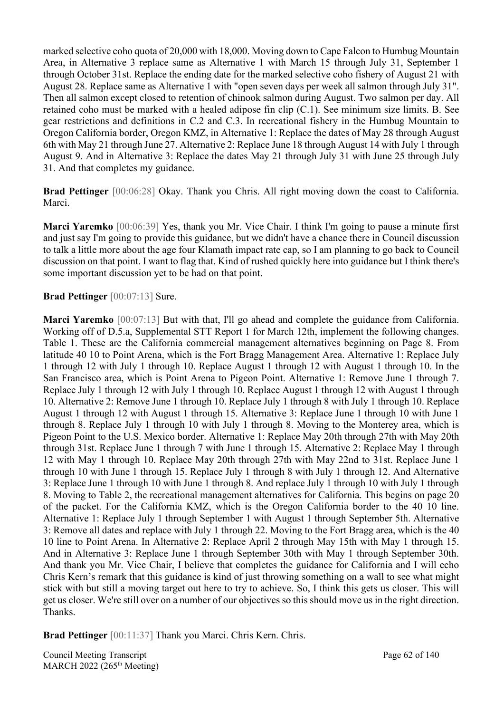marked selective coho quota of 20,000 with 18,000. Moving down to Cape Falcon to Humbug Mountain Area, in Alternative 3 replace same as Alternative 1 with March 15 through July 31, September 1 through October 31st. Replace the ending date for the marked selective coho fishery of August 21 with August 28. Replace same as Alternative 1 with "open seven days per week all salmon through July 31". Then all salmon except closed to retention of chinook salmon during August. Two salmon per day. All retained coho must be marked with a healed adipose fin clip (C.1). See minimum size limits. B. See gear restrictions and definitions in C.2 and C.3. In recreational fishery in the Humbug Mountain to Oregon California border, Oregon KMZ, in Alternative 1: Replace the dates of May 28 through August 6th with May 21 through June 27. Alternative 2: Replace June 18 through August 14 with July 1 through August 9. And in Alternative 3: Replace the dates May 21 through July 31 with June 25 through July 31. And that completes my guidance.

**Brad Pettinger** [00:06:28] Okay. Thank you Chris. All right moving down the coast to California. Marci.

**Marci Yaremko** [00:06:39] Yes, thank you Mr. Vice Chair. I think I'm going to pause a minute first and just say I'm going to provide this guidance, but we didn't have a chance there in Council discussion to talk a little more about the age four Klamath impact rate cap, so I am planning to go back to Council discussion on that point. I want to flag that. Kind of rushed quickly here into guidance but I think there's some important discussion yet to be had on that point.

#### **Brad Pettinger** [00:07:13] Sure.

**Marci Yaremko** [00:07:13] But with that, I'll go ahead and complete the guidance from California. Working off of D.5.a, Supplemental STT Report 1 for March 12th, implement the following changes. Table 1. These are the California commercial management alternatives beginning on Page 8. From latitude 40 10 to Point Arena, which is the Fort Bragg Management Area. Alternative 1: Replace July 1 through 12 with July 1 through 10. Replace August 1 through 12 with August 1 through 10. In the San Francisco area, which is Point Arena to Pigeon Point. Alternative 1: Remove June 1 through 7. Replace July 1 through 12 with July 1 through 10. Replace August 1 through 12 with August 1 through 10. Alternative 2: Remove June 1 through 10. Replace July 1 through 8 with July 1 through 10. Replace August 1 through 12 with August 1 through 15. Alternative 3: Replace June 1 through 10 with June 1 through 8. Replace July 1 through 10 with July 1 through 8. Moving to the Monterey area, which is Pigeon Point to the U.S. Mexico border. Alternative 1: Replace May 20th through 27th with May 20th through 31st. Replace June 1 through 7 with June 1 through 15. Alternative 2: Replace May 1 through 12 with May 1 through 10. Replace May 20th through 27th with May 22nd to 31st. Replace June 1 through 10 with June 1 through 15. Replace July 1 through 8 with July 1 through 12. And Alternative 3: Replace June 1 through 10 with June 1 through 8. And replace July 1 through 10 with July 1 through 8. Moving to Table 2, the recreational management alternatives for California. This begins on page 20 of the packet. For the California KMZ, which is the Oregon California border to the 40 10 line. Alternative 1: Replace July 1 through September 1 with August 1 through September 5th. Alternative 3: Remove all dates and replace with July 1 through 22. Moving to the Fort Bragg area, which is the 40 10 line to Point Arena. In Alternative 2: Replace April 2 through May 15th with May 1 through 15. And in Alternative 3: Replace June 1 through September 30th with May 1 through September 30th. And thank you Mr. Vice Chair, I believe that completes the guidance for California and I will echo Chris Kern's remark that this guidance is kind of just throwing something on a wall to see what might stick with but still a moving target out here to try to achieve. So, I think this gets us closer. This will get us closer. We're still over on a number of our objectives so this should move us in the right direction. Thanks.

**Brad Pettinger** [00:11:37] Thank you Marci. Chris Kern. Chris.

Council Meeting Transcript **Page 62 of 140** MARCH 2022 (265<sup>th</sup> Meeting)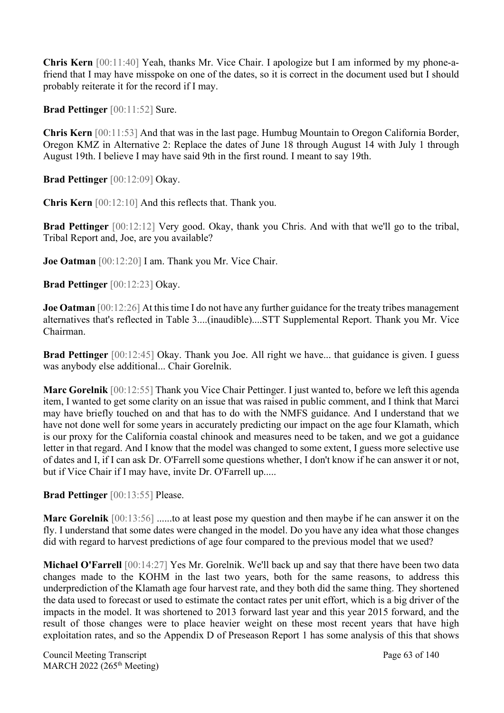**Chris Kern** [00:11:40] Yeah, thanks Mr. Vice Chair. I apologize but I am informed by my phone-afriend that I may have misspoke on one of the dates, so it is correct in the document used but I should probably reiterate it for the record if I may.

**Brad Pettinger** [00:11:52] Sure.

**Chris Kern** [00:11:53] And that was in the last page. Humbug Mountain to Oregon California Border, Oregon KMZ in Alternative 2: Replace the dates of June 18 through August 14 with July 1 through August 19th. I believe I may have said 9th in the first round. I meant to say 19th.

**Brad Pettinger** [00:12:09] Okay.

**Chris Kern** [00:12:10] And this reflects that. Thank you.

**Brad Pettinger** [00:12:12] Very good. Okay, thank you Chris. And with that we'll go to the tribal, Tribal Report and, Joe, are you available?

**Joe Oatman** [00:12:20] I am. Thank you Mr. Vice Chair.

**Brad Pettinger** [00:12:23] Okay.

**Joe Oatman** [00:12:26] At this time I do not have any further guidance for the treaty tribes management alternatives that's reflected in Table 3....(inaudible)....STT Supplemental Report. Thank you Mr. Vice Chairman.

**Brad Pettinger** [00:12:45] Okay. Thank you Joe. All right we have... that guidance is given. I guess was anybody else additional... Chair Gorelnik.

**Marc Gorelnik** [00:12:55] Thank you Vice Chair Pettinger. I just wanted to, before we left this agenda item, I wanted to get some clarity on an issue that was raised in public comment, and I think that Marci may have briefly touched on and that has to do with the NMFS guidance. And I understand that we have not done well for some years in accurately predicting our impact on the age four Klamath, which is our proxy for the California coastal chinook and measures need to be taken, and we got a guidance letter in that regard. And I know that the model was changed to some extent, I guess more selective use of dates and I, if I can ask Dr. O'Farrell some questions whether, I don't know if he can answer it or not, but if Vice Chair if I may have, invite Dr. O'Farrell up.....

**Brad Pettinger** [00:13:55] Please.

**Marc Gorelnik** [00:13:56] ......to at least pose my question and then maybe if he can answer it on the fly. I understand that some dates were changed in the model. Do you have any idea what those changes did with regard to harvest predictions of age four compared to the previous model that we used?

**Michael O'Farrell** [00:14:27] Yes Mr. Gorelnik. We'll back up and say that there have been two data changes made to the KOHM in the last two years, both for the same reasons, to address this underprediction of the Klamath age four harvest rate, and they both did the same thing. They shortened the data used to forecast or used to estimate the contact rates per unit effort, which is a big driver of the impacts in the model. It was shortened to 2013 forward last year and this year 2015 forward, and the result of those changes were to place heavier weight on these most recent years that have high exploitation rates, and so the Appendix D of Preseason Report 1 has some analysis of this that shows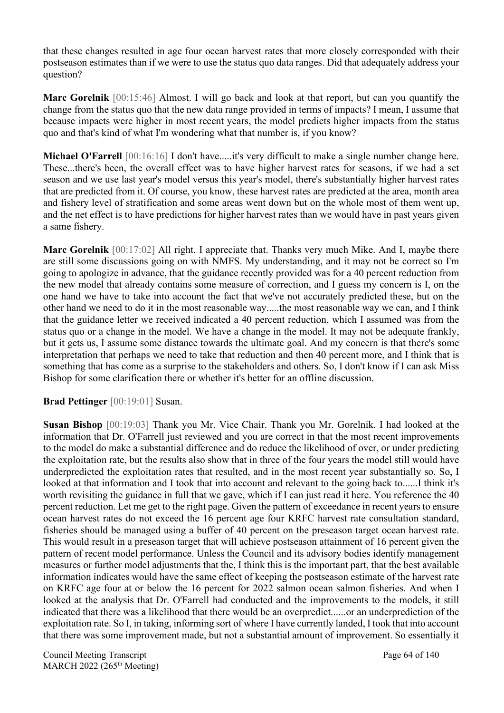that these changes resulted in age four ocean harvest rates that more closely corresponded with their postseason estimates than if we were to use the status quo data ranges. Did that adequately address your question?

**Marc Gorelnik** [00:15:46] Almost. I will go back and look at that report, but can you quantify the change from the status quo that the new data range provided in terms of impacts? I mean, I assume that because impacts were higher in most recent years, the model predicts higher impacts from the status quo and that's kind of what I'm wondering what that number is, if you know?

**Michael O'Farrell** [00:16:16] I don't have.....it's very difficult to make a single number change here. These...there's been, the overall effect was to have higher harvest rates for seasons, if we had a set season and we use last year's model versus this year's model, there's substantially higher harvest rates that are predicted from it. Of course, you know, these harvest rates are predicted at the area, month area and fishery level of stratification and some areas went down but on the whole most of them went up, and the net effect is to have predictions for higher harvest rates than we would have in past years given a same fishery.

**Marc Gorelnik** [00:17:02] All right. I appreciate that. Thanks very much Mike. And I, maybe there are still some discussions going on with NMFS. My understanding, and it may not be correct so I'm going to apologize in advance, that the guidance recently provided was for a 40 percent reduction from the new model that already contains some measure of correction, and I guess my concern is I, on the one hand we have to take into account the fact that we've not accurately predicted these, but on the other hand we need to do it in the most reasonable way.....the most reasonable way we can, and I think that the guidance letter we received indicated a 40 percent reduction, which I assumed was from the status quo or a change in the model. We have a change in the model. It may not be adequate frankly, but it gets us, I assume some distance towards the ultimate goal. And my concern is that there's some interpretation that perhaps we need to take that reduction and then 40 percent more, and I think that is something that has come as a surprise to the stakeholders and others. So, I don't know if I can ask Miss Bishop for some clarification there or whether it's better for an offline discussion.

**Brad Pettinger** [00:19:01] Susan.

**Susan Bishop** [00:19:03] Thank you Mr. Vice Chair. Thank you Mr. Gorelnik. I had looked at the information that Dr. O'Farrell just reviewed and you are correct in that the most recent improvements to the model do make a substantial difference and do reduce the likelihood of over, or under predicting the exploitation rate, but the results also show that in three of the four years the model still would have underpredicted the exploitation rates that resulted, and in the most recent year substantially so. So, I looked at that information and I took that into account and relevant to the going back to......I think it's worth revisiting the guidance in full that we gave, which if I can just read it here. You reference the 40 percent reduction. Let me get to the right page. Given the pattern of exceedance in recent years to ensure ocean harvest rates do not exceed the 16 percent age four KRFC harvest rate consultation standard, fisheries should be managed using a buffer of 40 percent on the preseason target ocean harvest rate. This would result in a preseason target that will achieve postseason attainment of 16 percent given the pattern of recent model performance. Unless the Council and its advisory bodies identify management measures or further model adjustments that the, I think this is the important part, that the best available information indicates would have the same effect of keeping the postseason estimate of the harvest rate on KRFC age four at or below the 16 percent for 2022 salmon ocean salmon fisheries. And when I looked at the analysis that Dr. O'Farrell had conducted and the improvements to the models, it still indicated that there was a likelihood that there would be an overpredict......or an underprediction of the exploitation rate. So I, in taking, informing sort of where I have currently landed, I took that into account that there was some improvement made, but not a substantial amount of improvement. So essentially it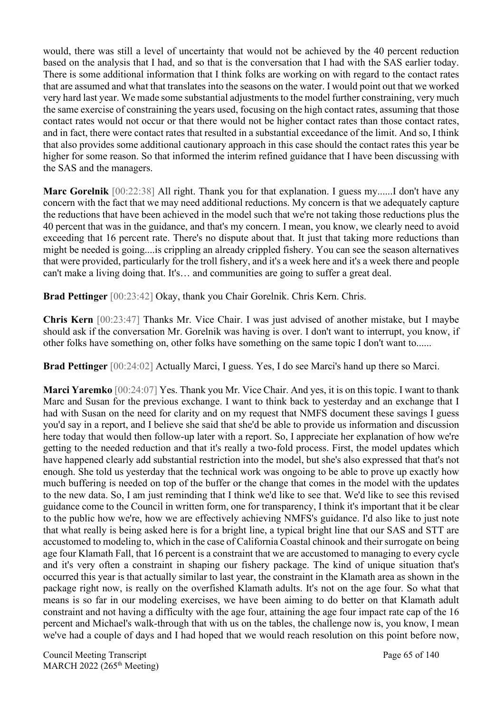would, there was still a level of uncertainty that would not be achieved by the 40 percent reduction based on the analysis that I had, and so that is the conversation that I had with the SAS earlier today. There is some additional information that I think folks are working on with regard to the contact rates that are assumed and what that translates into the seasons on the water. I would point out that we worked very hard last year. We made some substantial adjustments to the model further constraining, very much the same exercise of constraining the years used, focusing on the high contact rates, assuming that those contact rates would not occur or that there would not be higher contact rates than those contact rates, and in fact, there were contact rates that resulted in a substantial exceedance of the limit. And so, I think that also provides some additional cautionary approach in this case should the contact rates this year be higher for some reason. So that informed the interim refined guidance that I have been discussing with the SAS and the managers.

**Marc Gorelnik** [00:22:38] All right. Thank you for that explanation. I guess my......I don't have any concern with the fact that we may need additional reductions. My concern is that we adequately capture the reductions that have been achieved in the model such that we're not taking those reductions plus the 40 percent that was in the guidance, and that's my concern. I mean, you know, we clearly need to avoid exceeding that 16 percent rate. There's no dispute about that. It just that taking more reductions than might be needed is going....is crippling an already crippled fishery. You can see the season alternatives that were provided, particularly for the troll fishery, and it's a week here and it's a week there and people can't make a living doing that. It's… and communities are going to suffer a great deal.

**Brad Pettinger** [00:23:42] Okay, thank you Chair Gorelnik. Chris Kern. Chris.

**Chris Kern** [00:23:47] Thanks Mr. Vice Chair. I was just advised of another mistake, but I maybe should ask if the conversation Mr. Gorelnik was having is over. I don't want to interrupt, you know, if other folks have something on, other folks have something on the same topic I don't want to......

**Brad Pettinger** [00:24:02] Actually Marci, I guess. Yes, I do see Marci's hand up there so Marci.

**Marci Yaremko** [00:24:07] Yes. Thank you Mr. Vice Chair. And yes, it is on this topic. I want to thank Marc and Susan for the previous exchange. I want to think back to yesterday and an exchange that I had with Susan on the need for clarity and on my request that NMFS document these savings I guess you'd say in a report, and I believe she said that she'd be able to provide us information and discussion here today that would then follow-up later with a report. So, I appreciate her explanation of how we're getting to the needed reduction and that it's really a two-fold process. First, the model updates which have happened clearly add substantial restriction into the model, but she's also expressed that that's not enough. She told us yesterday that the technical work was ongoing to be able to prove up exactly how much buffering is needed on top of the buffer or the change that comes in the model with the updates to the new data. So, I am just reminding that I think we'd like to see that. We'd like to see this revised guidance come to the Council in written form, one for transparency, I think it's important that it be clear to the public how we're, how we are effectively achieving NMFS's guidance. I'd also like to just note that what really is being asked here is for a bright line, a typical bright line that our SAS and STT are accustomed to modeling to, which in the case of California Coastal chinook and their surrogate on being age four Klamath Fall, that 16 percent is a constraint that we are accustomed to managing to every cycle and it's very often a constraint in shaping our fishery package. The kind of unique situation that's occurred this year is that actually similar to last year, the constraint in the Klamath area as shown in the package right now, is really on the overfished Klamath adults. It's not on the age four. So what that means is so far in our modeling exercises, we have been aiming to do better on that Klamath adult constraint and not having a difficulty with the age four, attaining the age four impact rate cap of the 16 percent and Michael's walk-through that with us on the tables, the challenge now is, you know, I mean we've had a couple of days and I had hoped that we would reach resolution on this point before now,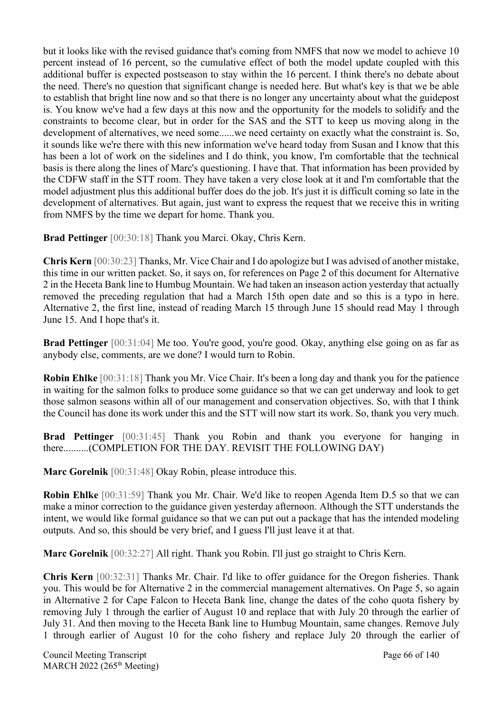but it looks like with the revised guidance that's coming from NMFS that now we model to achieve 10 percent instead of 16 percent, so the cumulative effect of both the model update coupled with this additional buffer is expected postseason to stay within the 16 percent. I think there's no debate about the need. There's no question that significant change is needed here. But what's key is that we be able to establish that bright line now and so that there is no longer any uncertainty about what the guidepost is. You know we've had a few days at this now and the opportunity for the models to solidify and the constraints to become clear, but in order for the SAS and the STT to keep us moving along in the development of alternatives, we need some......we need certainty on exactly what the constraint is. So, it sounds like we're there with this new information we've heard today from Susan and I know that this has been a lot of work on the sidelines and I do think, you know, I'm comfortable that the technical basis is there along the lines of Marc's questioning. I have that. That information has been provided by the CDFW staff in the STT room. They have taken a very close look at it and I'm comfortable that the model adjustment plus this additional buffer does do the job. It's just it is difficult coming so late in the development of alternatives. But again, just want to express the request that we receive this in writing from NMFS by the time we depart for home. Thank you.

**Brad Pettinger** [00:30:18] Thank you Marci. Okay, Chris Kern.

**Chris Kern** [00:30:23] Thanks, Mr. Vice Chair and I do apologize but I was advised of another mistake, this time in our written packet. So, it says on, for references on Page 2 of this document for Alternative 2 in the Heceta Bank line to Humbug Mountain. We had taken an inseason action yesterday that actually removed the preceding regulation that had a March 15th open date and so this is a typo in here. Alternative 2, the first line, instead of reading March 15 through June 15 should read May 1 through June 15. And I hope that's it.

**Brad Pettinger** [00:31:04] Me too. You're good, you're good. Okay, anything else going on as far as anybody else, comments, are we done? I would turn to Robin.

**Robin Ehlke** [00:31:18] Thank you Mr. Vice Chair. It's been a long day and thank you for the patience in waiting for the salmon folks to produce some guidance so that we can get underway and look to get those salmon seasons within all of our management and conservation objectives. So, with that I think the Council has done its work under this and the STT will now start its work. So, thank you very much.

**Brad Pettinger** [00:31:45] Thank you Robin and thank you everyone for hanging in there..........(COMPLETION FOR THE DAY. REVISIT THE FOLLOWING DAY)

**Marc Gorelnik** [00:31:48] Okay Robin, please introduce this.

**Robin Ehlke** [00:31:59] Thank you Mr. Chair. We'd like to reopen Agenda Item D.5 so that we can make a minor correction to the guidance given yesterday afternoon. Although the STT understands the intent, we would like formal guidance so that we can put out a package that has the intended modeling outputs. And so, this should be very brief, and I guess I'll just leave it at that.

**Marc Gorelnik** [00:32:27] All right. Thank you Robin. I'll just go straight to Chris Kern.

**Chris Kern** [00:32:31] Thanks Mr. Chair. I'd like to offer guidance for the Oregon fisheries. Thank you. This would be for Alternative 2 in the commercial management alternatives. On Page 5, so again in Alternative 2 for Cape Falcon to Heceta Bank line, change the dates of the coho quota fishery by removing July 1 through the earlier of August 10 and replace that with July 20 through the earlier of July 31. And then moving to the Heceta Bank line to Humbug Mountain, same changes. Remove July 1 through earlier of August 10 for the coho fishery and replace July 20 through the earlier of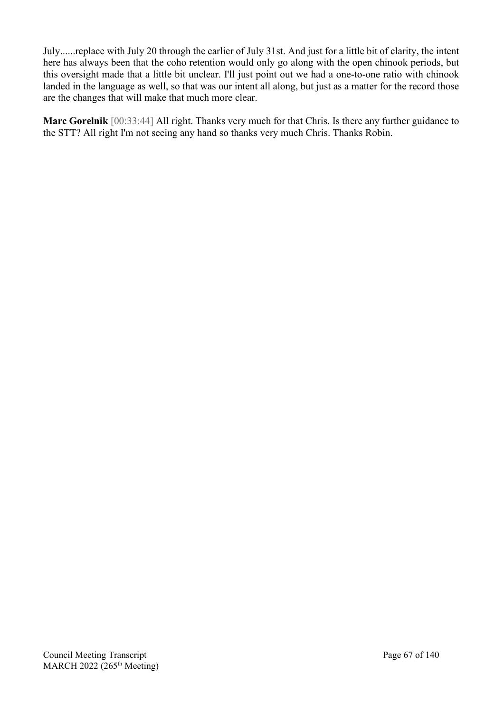July......replace with July 20 through the earlier of July 31st. And just for a little bit of clarity, the intent here has always been that the coho retention would only go along with the open chinook periods, but this oversight made that a little bit unclear. I'll just point out we had a one-to-one ratio with chinook landed in the language as well, so that was our intent all along, but just as a matter for the record those are the changes that will make that much more clear.

**Marc Gorelnik** [00:33:44] All right. Thanks very much for that Chris. Is there any further guidance to the STT? All right I'm not seeing any hand so thanks very much Chris. Thanks Robin.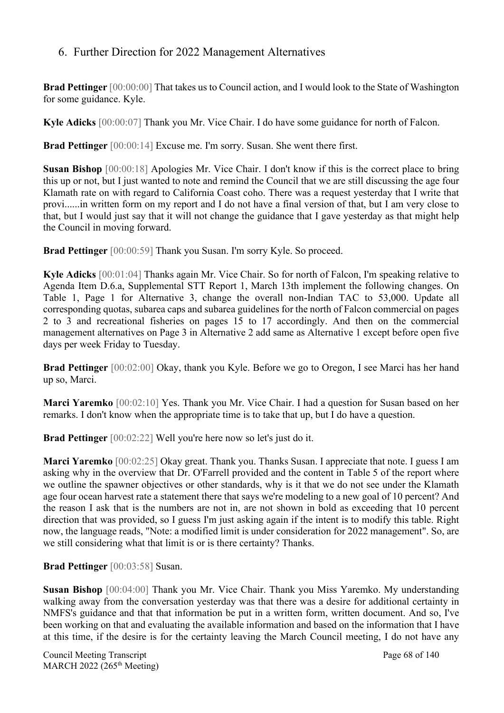# 6. Further Direction for 2022 Management Alternatives

**Brad Pettinger** [00:00:00] That takes us to Council action, and I would look to the State of Washington for some guidance. Kyle.

**Kyle Adicks** [00:00:07] Thank you Mr. Vice Chair. I do have some guidance for north of Falcon.

**Brad Pettinger** [00:00:14] Excuse me. I'm sorry. Susan. She went there first.

**Susan Bishop** [00:00:18] Apologies Mr. Vice Chair. I don't know if this is the correct place to bring this up or not, but I just wanted to note and remind the Council that we are still discussing the age four Klamath rate on with regard to California Coast coho. There was a request yesterday that I write that provi......in written form on my report and I do not have a final version of that, but I am very close to that, but I would just say that it will not change the guidance that I gave yesterday as that might help the Council in moving forward.

**Brad Pettinger** [00:00:59] Thank you Susan. I'm sorry Kyle. So proceed.

**Kyle Adicks** [00:01:04] Thanks again Mr. Vice Chair. So for north of Falcon, I'm speaking relative to Agenda Item D.6.a, Supplemental STT Report 1, March 13th implement the following changes. On Table 1, Page 1 for Alternative 3, change the overall non-Indian TAC to 53,000. Update all corresponding quotas, subarea caps and subarea guidelines for the north of Falcon commercial on pages 2 to 3 and recreational fisheries on pages 15 to 17 accordingly. And then on the commercial management alternatives on Page 3 in Alternative 2 add same as Alternative 1 except before open five days per week Friday to Tuesday.

**Brad Pettinger** [00:02:00] Okay, thank you Kyle. Before we go to Oregon, I see Marci has her hand up so, Marci.

**Marci Yaremko** [00:02:10] Yes. Thank you Mr. Vice Chair. I had a question for Susan based on her remarks. I don't know when the appropriate time is to take that up, but I do have a question.

**Brad Pettinger** [00:02:22] Well you're here now so let's just do it.

**Marci Yaremko** [00:02:25] Okay great. Thank you. Thanks Susan. I appreciate that note. I guess I am asking why in the overview that Dr. O'Farrell provided and the content in Table 5 of the report where we outline the spawner objectives or other standards, why is it that we do not see under the Klamath age four ocean harvest rate a statement there that says we're modeling to a new goal of 10 percent? And the reason I ask that is the numbers are not in, are not shown in bold as exceeding that 10 percent direction that was provided, so I guess I'm just asking again if the intent is to modify this table. Right now, the language reads, "Note: a modified limit is under consideration for 2022 management". So, are we still considering what that limit is or is there certainty? Thanks.

**Brad Pettinger** [00:03:58] Susan.

**Susan Bishop** [00:04:00] Thank you Mr. Vice Chair. Thank you Miss Yaremko. My understanding walking away from the conversation yesterday was that there was a desire for additional certainty in NMFS's guidance and that that information be put in a written form, written document. And so, I've been working on that and evaluating the available information and based on the information that I have at this time, if the desire is for the certainty leaving the March Council meeting, I do not have any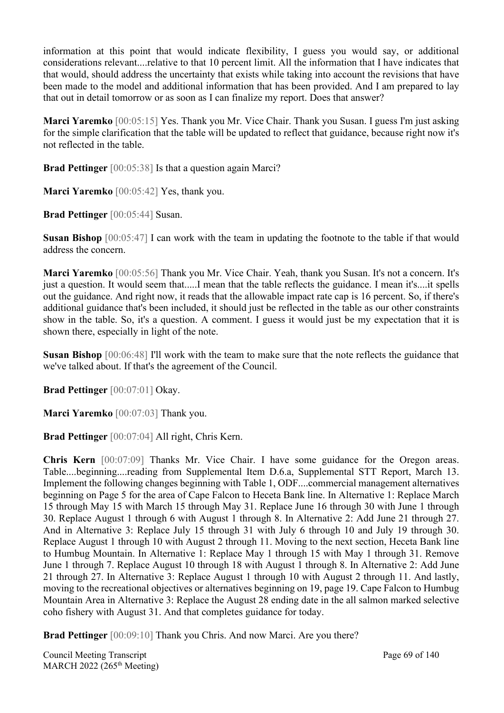information at this point that would indicate flexibility, I guess you would say, or additional considerations relevant....relative to that 10 percent limit. All the information that I have indicates that that would, should address the uncertainty that exists while taking into account the revisions that have been made to the model and additional information that has been provided. And I am prepared to lay that out in detail tomorrow or as soon as I can finalize my report. Does that answer?

**Marci Yaremko** [00:05:15] Yes. Thank you Mr. Vice Chair. Thank you Susan. I guess I'm just asking for the simple clarification that the table will be updated to reflect that guidance, because right now it's not reflected in the table.

**Brad Pettinger** [00:05:38] Is that a question again Marci?

**Marci Yaremko** [00:05:42] Yes, thank you.

**Brad Pettinger** [00:05:44] Susan.

**Susan Bishop** [00:05:47] I can work with the team in updating the footnote to the table if that would address the concern.

**Marci Yaremko** [00:05:56] Thank you Mr. Vice Chair. Yeah, thank you Susan. It's not a concern. It's just a question. It would seem that.....I mean that the table reflects the guidance. I mean it's....it spells out the guidance. And right now, it reads that the allowable impact rate cap is 16 percent. So, if there's additional guidance that's been included, it should just be reflected in the table as our other constraints show in the table. So, it's a question. A comment. I guess it would just be my expectation that it is shown there, especially in light of the note.

**Susan Bishop** [00:06:48] I'll work with the team to make sure that the note reflects the guidance that we've talked about. If that's the agreement of the Council.

**Brad Pettinger** [00:07:01] Okay.

**Marci Yaremko** [00:07:03] Thank you.

**Brad Pettinger** [00:07:04] All right, Chris Kern.

**Chris Kern** [00:07:09] Thanks Mr. Vice Chair. I have some guidance for the Oregon areas. Table....beginning....reading from Supplemental Item D.6.a, Supplemental STT Report, March 13. Implement the following changes beginning with Table 1, ODF....commercial management alternatives beginning on Page 5 for the area of Cape Falcon to Heceta Bank line. In Alternative 1: Replace March 15 through May 15 with March 15 through May 31. Replace June 16 through 30 with June 1 through 30. Replace August 1 through 6 with August 1 through 8. In Alternative 2: Add June 21 through 27. And in Alternative 3: Replace July 15 through 31 with July 6 through 10 and July 19 through 30. Replace August 1 through 10 with August 2 through 11. Moving to the next section, Heceta Bank line to Humbug Mountain. In Alternative 1: Replace May 1 through 15 with May 1 through 31. Remove June 1 through 7. Replace August 10 through 18 with August 1 through 8. In Alternative 2: Add June 21 through 27. In Alternative 3: Replace August 1 through 10 with August 2 through 11. And lastly, moving to the recreational objectives or alternatives beginning on 19, page 19. Cape Falcon to Humbug Mountain Area in Alternative 3: Replace the August 28 ending date in the all salmon marked selective coho fishery with August 31. And that completes guidance for today.

**Brad Pettinger** [00:09:10] Thank you Chris. And now Marci. Are you there?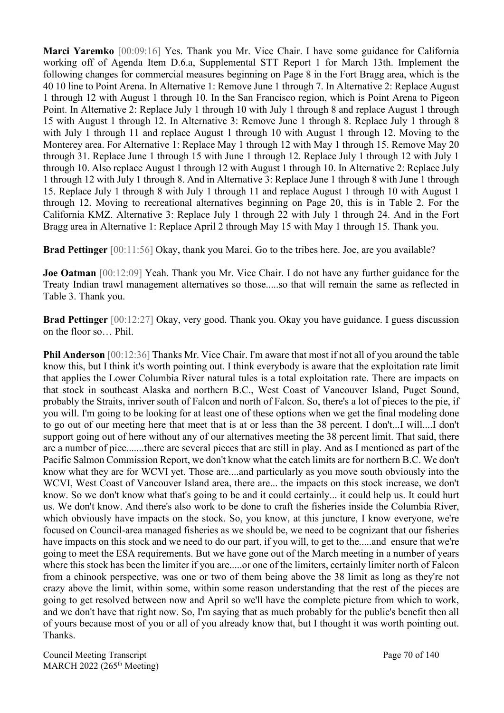**Marci Yaremko** [00:09:16] Yes. Thank you Mr. Vice Chair. I have some guidance for California working off of Agenda Item D.6.a, Supplemental STT Report 1 for March 13th. Implement the following changes for commercial measures beginning on Page 8 in the Fort Bragg area, which is the 40 10 line to Point Arena. In Alternative 1: Remove June 1 through 7. In Alternative 2: Replace August 1 through 12 with August 1 through 10. In the San Francisco region, which is Point Arena to Pigeon Point. In Alternative 2: Replace July 1 through 10 with July 1 through 8 and replace August 1 through 15 with August 1 through 12. In Alternative 3: Remove June 1 through 8. Replace July 1 through 8 with July 1 through 11 and replace August 1 through 10 with August 1 through 12. Moving to the Monterey area. For Alternative 1: Replace May 1 through 12 with May 1 through 15. Remove May 20 through 31. Replace June 1 through 15 with June 1 through 12. Replace July 1 through 12 with July 1 through 10. Also replace August 1 through 12 with August 1 through 10. In Alternative 2: Replace July 1 through 12 with July 1 through 8. And in Alternative 3: Replace June 1 through 8 with June 1 through 15. Replace July 1 through 8 with July 1 through 11 and replace August 1 through 10 with August 1 through 12. Moving to recreational alternatives beginning on Page 20, this is in Table 2. For the California KMZ. Alternative 3: Replace July 1 through 22 with July 1 through 24. And in the Fort Bragg area in Alternative 1: Replace April 2 through May 15 with May 1 through 15. Thank you.

**Brad Pettinger** [00:11:56] Okay, thank you Marci. Go to the tribes here. Joe, are you available?

**Joe Oatman** [00:12:09] Yeah. Thank you Mr. Vice Chair. I do not have any further guidance for the Treaty Indian trawl management alternatives so those.....so that will remain the same as reflected in Table 3. Thank you.

**Brad Pettinger** [00:12:27] Okay, very good. Thank you. Okay you have guidance. I guess discussion on the floor so… Phil.

**Phil Anderson** [00:12:36] Thanks Mr. Vice Chair. I'm aware that most if not all of you around the table know this, but I think it's worth pointing out. I think everybody is aware that the exploitation rate limit that applies the Lower Columbia River natural tules is a total exploitation rate. There are impacts on that stock in southeast Alaska and northern B.C., West Coast of Vancouver Island, Puget Sound, probably the Straits, inriver south of Falcon and north of Falcon. So, there's a lot of pieces to the pie, if you will. I'm going to be looking for at least one of these options when we get the final modeling done to go out of our meeting here that meet that is at or less than the 38 percent. I don't...I will....I don't support going out of here without any of our alternatives meeting the 38 percent limit. That said, there are a number of piec.......there are several pieces that are still in play. And as I mentioned as part of the Pacific Salmon Commission Report, we don't know what the catch limits are for northern B.C. We don't know what they are for WCVI yet. Those are....and particularly as you move south obviously into the WCVI, West Coast of Vancouver Island area, there are... the impacts on this stock increase, we don't know. So we don't know what that's going to be and it could certainly... it could help us. It could hurt us. We don't know. And there's also work to be done to craft the fisheries inside the Columbia River, which obviously have impacts on the stock. So, you know, at this juncture, I know everyone, we're focused on Council-area managed fisheries as we should be, we need to be cognizant that our fisheries have impacts on this stock and we need to do our part, if you will, to get to the.....and ensure that we're going to meet the ESA requirements. But we have gone out of the March meeting in a number of years where this stock has been the limiter if you are.....or one of the limiters, certainly limiter north of Falcon from a chinook perspective, was one or two of them being above the 38 limit as long as they're not crazy above the limit, within some, within some reason understanding that the rest of the pieces are going to get resolved between now and April so we'll have the complete picture from which to work, and we don't have that right now. So, I'm saying that as much probably for the public's benefit then all of yours because most of you or all of you already know that, but I thought it was worth pointing out. Thanks.

Council Meeting Transcript **Page 70 of 140** MARCH 2022 (265<sup>th</sup> Meeting)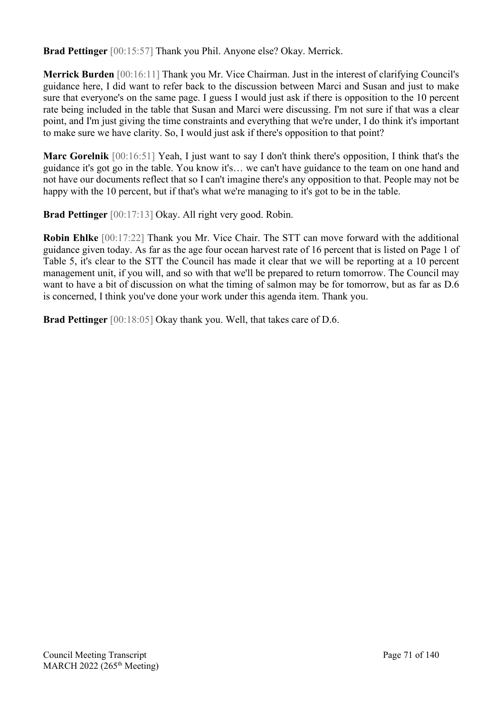**Brad Pettinger** [00:15:57] Thank you Phil. Anyone else? Okay. Merrick.

**Merrick Burden** [00:16:11] Thank you Mr. Vice Chairman. Just in the interest of clarifying Council's guidance here, I did want to refer back to the discussion between Marci and Susan and just to make sure that everyone's on the same page. I guess I would just ask if there is opposition to the 10 percent rate being included in the table that Susan and Marci were discussing. I'm not sure if that was a clear point, and I'm just giving the time constraints and everything that we're under, I do think it's important to make sure we have clarity. So, I would just ask if there's opposition to that point?

**Marc Gorelnik** [00:16:51] Yeah, I just want to say I don't think there's opposition, I think that's the guidance it's got go in the table. You know it's… we can't have guidance to the team on one hand and not have our documents reflect that so I can't imagine there's any opposition to that. People may not be happy with the 10 percent, but if that's what we're managing to it's got to be in the table.

**Brad Pettinger** [00:17:13] Okay. All right very good. Robin.

**Robin Ehlke** [00:17:22] Thank you Mr. Vice Chair. The STT can move forward with the additional guidance given today. As far as the age four ocean harvest rate of 16 percent that is listed on Page 1 of Table 5, it's clear to the STT the Council has made it clear that we will be reporting at a 10 percent management unit, if you will, and so with that we'll be prepared to return tomorrow. The Council may want to have a bit of discussion on what the timing of salmon may be for tomorrow, but as far as D.6 is concerned, I think you've done your work under this agenda item. Thank you.

**Brad Pettinger** [00:18:05] Okay thank you. Well, that takes care of D.6.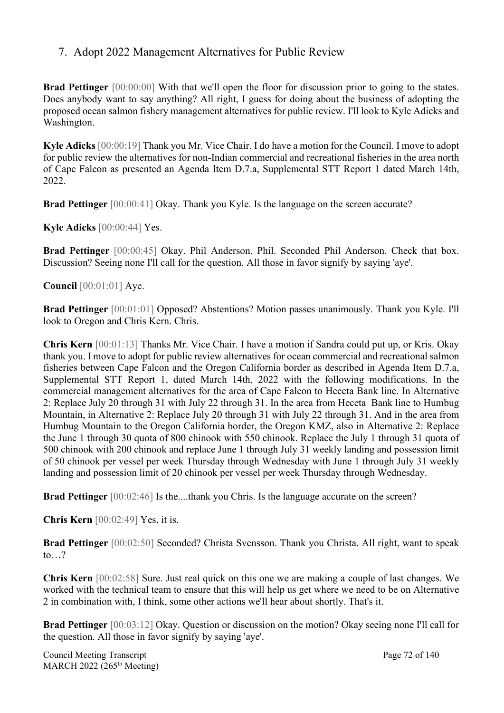# 7. Adopt 2022 Management Alternatives for Public Review

**Brad Pettinger** [00:00:00] With that we'll open the floor for discussion prior to going to the states. Does anybody want to say anything? All right, I guess for doing about the business of adopting the proposed ocean salmon fishery management alternatives for public review. I'll look to Kyle Adicks and Washington.

**Kyle Adicks** [00:00:19] Thank you Mr. Vice Chair. I do have a motion for the Council. I move to adopt for public review the alternatives for non-Indian commercial and recreational fisheries in the area north of Cape Falcon as presented an Agenda Item D.7.a, Supplemental STT Report 1 dated March 14th, 2022.

**Brad Pettinger** [00:00:41] Okay. Thank you Kyle. Is the language on the screen accurate?

**Kyle Adicks** [00:00:44] Yes.

**Brad Pettinger** [00:00:45] Okay. Phil Anderson. Phil. Seconded Phil Anderson. Check that box. Discussion? Seeing none I'll call for the question. All those in favor signify by saying 'aye'.

**Council** [00:01:01] Aye.

**Brad Pettinger** [00:01:01] Opposed? Abstentions? Motion passes unanimously. Thank you Kyle. I'll look to Oregon and Chris Kern. Chris.

**Chris Kern** [00:01:13] Thanks Mr. Vice Chair. I have a motion if Sandra could put up, or Kris. Okay thank you. I move to adopt for public review alternatives for ocean commercial and recreational salmon fisheries between Cape Falcon and the Oregon California border as described in Agenda Item D.7.a, Supplemental STT Report 1, dated March 14th, 2022 with the following modifications. In the commercial management alternatives for the area of Cape Falcon to Heceta Bank line. In Alternative 2: Replace July 20 through 31 with July 22 through 31. In the area from Heceta Bank line to Humbug Mountain, in Alternative 2: Replace July 20 through 31 with July 22 through 31. And in the area from Humbug Mountain to the Oregon California border, the Oregon KMZ, also in Alternative 2: Replace the June 1 through 30 quota of 800 chinook with 550 chinook. Replace the July 1 through 31 quota of 500 chinook with 200 chinook and replace June 1 through July 31 weekly landing and possession limit of 50 chinook per vessel per week Thursday through Wednesday with June 1 through July 31 weekly landing and possession limit of 20 chinook per vessel per week Thursday through Wednesday.

**Brad Pettinger** [00:02:46] Is the....thank you Chris. Is the language accurate on the screen?

**Chris Kern** [00:02:49] Yes, it is.

**Brad Pettinger** [00:02:50] Seconded? Christa Svensson. Thank you Christa. All right, want to speak to…?

**Chris Kern** [00:02:58] Sure. Just real quick on this one we are making a couple of last changes. We worked with the technical team to ensure that this will help us get where we need to be on Alternative 2 in combination with, I think, some other actions we'll hear about shortly. That's it.

**Brad Pettinger** [00:03:12] Okay. Question or discussion on the motion? Okay seeing none I'll call for the question. All those in favor signify by saying 'aye'.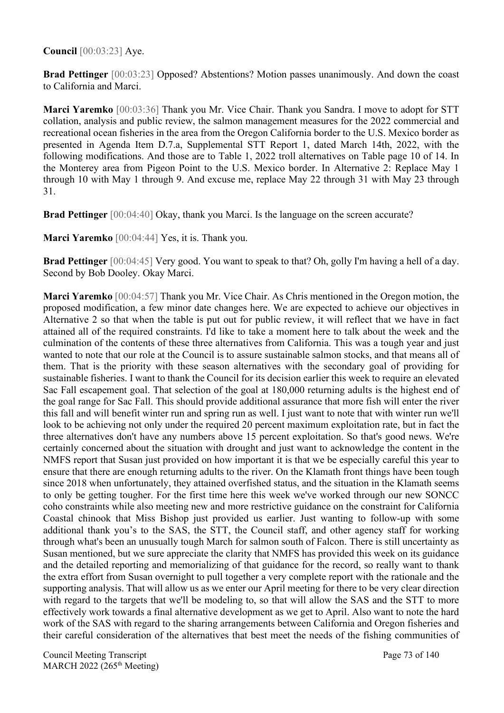**Council** [00:03:23] Aye.

**Brad Pettinger** [00:03:23] Opposed? Abstentions? Motion passes unanimously. And down the coast to California and Marci.

**Marci Yaremko** [00:03:36] Thank you Mr. Vice Chair. Thank you Sandra. I move to adopt for STT collation, analysis and public review, the salmon management measures for the 2022 commercial and recreational ocean fisheries in the area from the Oregon California border to the U.S. Mexico border as presented in Agenda Item D.7.a, Supplemental STT Report 1, dated March 14th, 2022, with the following modifications. And those are to Table 1, 2022 troll alternatives on Table page 10 of 14. In the Monterey area from Pigeon Point to the U.S. Mexico border. In Alternative 2: Replace May 1 through 10 with May 1 through 9. And excuse me, replace May 22 through 31 with May 23 through 31.

**Brad Pettinger** [00:04:40] Okay, thank you Marci. Is the language on the screen accurate?

**Marci Yaremko** [00:04:44] Yes, it is. Thank you.

**Brad Pettinger** [00:04:45] Very good. You want to speak to that? Oh, golly I'm having a hell of a day. Second by Bob Dooley. Okay Marci.

**Marci Yaremko** [00:04:57] Thank you Mr. Vice Chair. As Chris mentioned in the Oregon motion, the proposed modification, a few minor date changes here. We are expected to achieve our objectives in Alternative 2 so that when the table is put out for public review, it will reflect that we have in fact attained all of the required constraints. I'd like to take a moment here to talk about the week and the culmination of the contents of these three alternatives from California. This was a tough year and just wanted to note that our role at the Council is to assure sustainable salmon stocks, and that means all of them. That is the priority with these season alternatives with the secondary goal of providing for sustainable fisheries. I want to thank the Council for its decision earlier this week to require an elevated Sac Fall escapement goal. That selection of the goal at 180,000 returning adults is the highest end of the goal range for Sac Fall. This should provide additional assurance that more fish will enter the river this fall and will benefit winter run and spring run as well. I just want to note that with winter run we'll look to be achieving not only under the required 20 percent maximum exploitation rate, but in fact the three alternatives don't have any numbers above 15 percent exploitation. So that's good news. We're certainly concerned about the situation with drought and just want to acknowledge the content in the NMFS report that Susan just provided on how important it is that we be especially careful this year to ensure that there are enough returning adults to the river. On the Klamath front things have been tough since 2018 when unfortunately, they attained overfished status, and the situation in the Klamath seems to only be getting tougher. For the first time here this week we've worked through our new SONCC coho constraints while also meeting new and more restrictive guidance on the constraint for California Coastal chinook that Miss Bishop just provided us earlier. Just wanting to follow-up with some additional thank you's to the SAS, the STT, the Council staff, and other agency staff for working through what's been an unusually tough March for salmon south of Falcon. There is still uncertainty as Susan mentioned, but we sure appreciate the clarity that NMFS has provided this week on its guidance and the detailed reporting and memorializing of that guidance for the record, so really want to thank the extra effort from Susan overnight to pull together a very complete report with the rationale and the supporting analysis. That will allow us as we enter our April meeting for there to be very clear direction with regard to the targets that we'll be modeling to, so that will allow the SAS and the STT to more effectively work towards a final alternative development as we get to April. Also want to note the hard work of the SAS with regard to the sharing arrangements between California and Oregon fisheries and their careful consideration of the alternatives that best meet the needs of the fishing communities of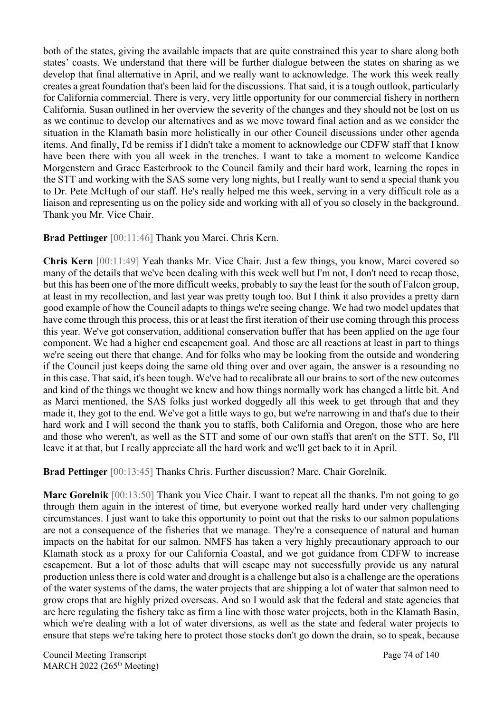both of the states, giving the available impacts that are quite constrained this year to share along both states' coasts. We understand that there will be further dialogue between the states on sharing as we develop that final alternative in April, and we really want to acknowledge. The work this week really creates a great foundation that's been laid for the discussions. That said, it is a tough outlook, particularly for California commercial. There is very, very little opportunity for our commercial fishery in northern California. Susan outlined in her overview the severity of the changes and they should not be lost on us as we continue to develop our alternatives and as we move toward final action and as we consider the situation in the Klamath basin more holistically in our other Council discussions under other agenda items. And finally, I'd be remiss if I didn't take a moment to acknowledge our CDFW staff that I know have been there with you all week in the trenches. I want to take a moment to welcome Kandice Morgenstern and Grace Easterbrook to the Council family and their hard work, learning the ropes in the STT and working with the SAS some very long nights, but I really want to send a special thank you to Dr. Pete McHugh of our staff. He's really helped me this week, serving in a very difficult role as a liaison and representing us on the policy side and working with all of you so closely in the background. Thank you Mr. Vice Chair.

#### **Brad Pettinger** [00:11:46] Thank you Marci. Chris Kern.

**Chris Kern** [00:11:49] Yeah thanks Mr. Vice Chair. Just a few things, you know, Marci covered so many of the details that we've been dealing with this week well but I'm not, I don't need to recap those, but this has been one of the more difficult weeks, probably to say the least for the south of Falcon group, at least in my recollection, and last year was pretty tough too. But I think it also provides a pretty darn good example of how the Council adapts to things we're seeing change. We had two model updates that have come through this process, this or at least the first iteration of their use coming through this process this year. We've got conservation, additional conservation buffer that has been applied on the age four component. We had a higher end escapement goal. And those are all reactions at least in part to things we're seeing out there that change. And for folks who may be looking from the outside and wondering if the Council just keeps doing the same old thing over and over again, the answer is a resounding no in this case. That said, it's been tough. We've had to recalibrate all our brains to sort of the new outcomes and kind of the things we thought we knew and how things normally work has changed a little bit. And as Marci mentioned, the SAS folks just worked doggedly all this week to get through that and they made it, they got to the end. We've got a little ways to go, but we're narrowing in and that's due to their hard work and I will second the thank you to staffs, both California and Oregon, those who are here and those who weren't, as well as the STT and some of our own staffs that aren't on the STT. So, I'll leave it at that, but I really appreciate all the hard work and we'll get back to it in April.

**Brad Pettinger** [00:13:45] Thanks Chris. Further discussion? Marc. Chair Gorelnik.

**Marc Gorelnik** [00:13:50] Thank you Vice Chair. I want to repeat all the thanks. I'm not going to go through them again in the interest of time, but everyone worked really hard under very challenging circumstances. I just want to take this opportunity to point out that the risks to our salmon populations are not a consequence of the fisheries that we manage. They're a consequence of natural and human impacts on the habitat for our salmon. NMFS has taken a very highly precautionary approach to our Klamath stock as a proxy for our California Coastal, and we got guidance from CDFW to increase escapement. But a lot of those adults that will escape may not successfully provide us any natural production unless there is cold water and drought is a challenge but also is a challenge are the operations of the water systems of the dams, the water projects that are shipping a lot of water that salmon need to grow crops that are highly prized overseas. And so I would ask that the federal and state agencies that are here regulating the fishery take as firm a line with those water projects, both in the Klamath Basin, which we're dealing with a lot of water diversions, as well as the state and federal water projects to ensure that steps we're taking here to protect those stocks don't go down the drain, so to speak, because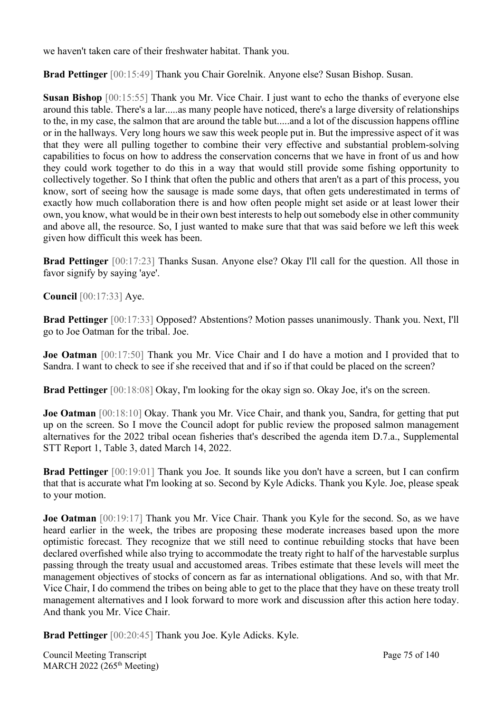we haven't taken care of their freshwater habitat. Thank you.

**Brad Pettinger** [00:15:49] Thank you Chair Gorelnik. Anyone else? Susan Bishop. Susan.

**Susan Bishop** [00:15:55] Thank you Mr. Vice Chair. I just want to echo the thanks of everyone else around this table. There's a lar.....as many people have noticed, there's a large diversity of relationships to the, in my case, the salmon that are around the table but.....and a lot of the discussion happens offline or in the hallways. Very long hours we saw this week people put in. But the impressive aspect of it was that they were all pulling together to combine their very effective and substantial problem-solving capabilities to focus on how to address the conservation concerns that we have in front of us and how they could work together to do this in a way that would still provide some fishing opportunity to collectively together. So I think that often the public and others that aren't as a part of this process, you know, sort of seeing how the sausage is made some days, that often gets underestimated in terms of exactly how much collaboration there is and how often people might set aside or at least lower their own, you know, what would be in their own best interests to help out somebody else in other community and above all, the resource. So, I just wanted to make sure that that was said before we left this week given how difficult this week has been.

**Brad Pettinger** [00:17:23] Thanks Susan. Anyone else? Okay I'll call for the question. All those in favor signify by saying 'aye'.

**Council** [00:17:33] Aye.

**Brad Pettinger** [00:17:33] Opposed? Abstentions? Motion passes unanimously. Thank you. Next, I'll go to Joe Oatman for the tribal. Joe.

**Joe Oatman** [00:17:50] Thank you Mr. Vice Chair and I do have a motion and I provided that to Sandra. I want to check to see if she received that and if so if that could be placed on the screen?

**Brad Pettinger** [00:18:08] Okay, I'm looking for the okay sign so. Okay Joe, it's on the screen.

**Joe Oatman** [00:18:10] Okay. Thank you Mr. Vice Chair, and thank you, Sandra, for getting that put up on the screen. So I move the Council adopt for public review the proposed salmon management alternatives for the 2022 tribal ocean fisheries that's described the agenda item D.7.a., Supplemental STT Report 1, Table 3, dated March 14, 2022.

**Brad Pettinger** [00:19:01] Thank you Joe. It sounds like you don't have a screen, but I can confirm that that is accurate what I'm looking at so. Second by Kyle Adicks. Thank you Kyle. Joe, please speak to your motion.

**Joe Oatman** [00:19:17] Thank you Mr. Vice Chair. Thank you Kyle for the second. So, as we have heard earlier in the week, the tribes are proposing these moderate increases based upon the more optimistic forecast. They recognize that we still need to continue rebuilding stocks that have been declared overfished while also trying to accommodate the treaty right to half of the harvestable surplus passing through the treaty usual and accustomed areas. Tribes estimate that these levels will meet the management objectives of stocks of concern as far as international obligations. And so, with that Mr. Vice Chair, I do commend the tribes on being able to get to the place that they have on these treaty troll management alternatives and I look forward to more work and discussion after this action here today. And thank you Mr. Vice Chair.

**Brad Pettinger** [00:20:45] Thank you Joe. Kyle Adicks. Kyle.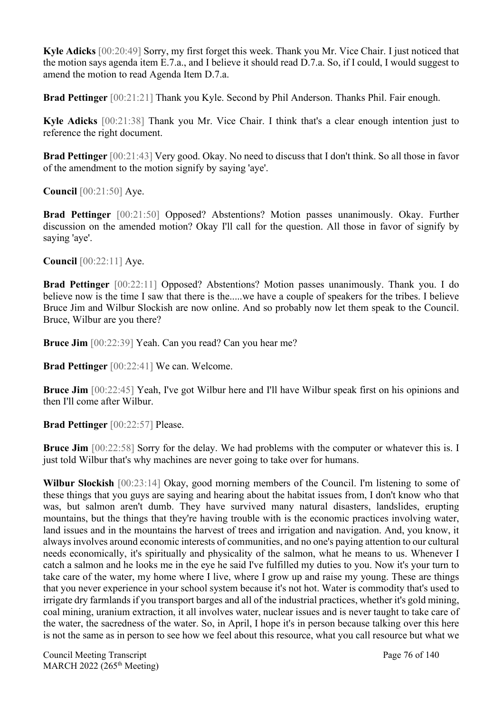**Kyle Adicks** [00:20:49] Sorry, my first forget this week. Thank you Mr. Vice Chair. I just noticed that the motion says agenda item E.7.a., and I believe it should read D.7.a. So, if I could, I would suggest to amend the motion to read Agenda Item D.7.a.

**Brad Pettinger** [00:21:21] Thank you Kyle. Second by Phil Anderson. Thanks Phil. Fair enough.

**Kyle Adicks** [00:21:38] Thank you Mr. Vice Chair. I think that's a clear enough intention just to reference the right document.

**Brad Pettinger** [00:21:43] Very good. Okay. No need to discuss that I don't think. So all those in favor of the amendment to the motion signify by saying 'aye'.

**Council** [00:21:50] Aye.

**Brad Pettinger** [00:21:50] Opposed? Abstentions? Motion passes unanimously. Okay. Further discussion on the amended motion? Okay I'll call for the question. All those in favor of signify by saying 'aye'.

**Council** [00:22:11] Aye.

**Brad Pettinger** [00:22:11] Opposed? Abstentions? Motion passes unanimously. Thank you. I do believe now is the time I saw that there is the.....we have a couple of speakers for the tribes. I believe Bruce Jim and Wilbur Slockish are now online. And so probably now let them speak to the Council. Bruce, Wilbur are you there?

**Bruce Jim** [00:22:39] Yeah. Can you read? Can you hear me?

**Brad Pettinger** [00:22:41] We can. Welcome.

**Bruce Jim** [00:22:45] Yeah, I've got Wilbur here and I'll have Wilbur speak first on his opinions and then I'll come after Wilbur.

**Brad Pettinger** [00:22:57] Please.

**Bruce Jim** [00:22:58] Sorry for the delay. We had problems with the computer or whatever this is. I just told Wilbur that's why machines are never going to take over for humans.

**Wilbur Slockish** [00:23:14] Okay, good morning members of the Council. I'm listening to some of these things that you guys are saying and hearing about the habitat issues from, I don't know who that was, but salmon aren't dumb. They have survived many natural disasters, landslides, erupting mountains, but the things that they're having trouble with is the economic practices involving water, land issues and in the mountains the harvest of trees and irrigation and navigation. And, you know, it always involves around economic interests of communities, and no one's paying attention to our cultural needs economically, it's spiritually and physicality of the salmon, what he means to us. Whenever I catch a salmon and he looks me in the eye he said I've fulfilled my duties to you. Now it's your turn to take care of the water, my home where I live, where I grow up and raise my young. These are things that you never experience in your school system because it's not hot. Water is commodity that's used to irrigate dry farmlands if you transport barges and all of the industrial practices, whether it's gold mining, coal mining, uranium extraction, it all involves water, nuclear issues and is never taught to take care of the water, the sacredness of the water. So, in April, I hope it's in person because talking over this here is not the same as in person to see how we feel about this resource, what you call resource but what we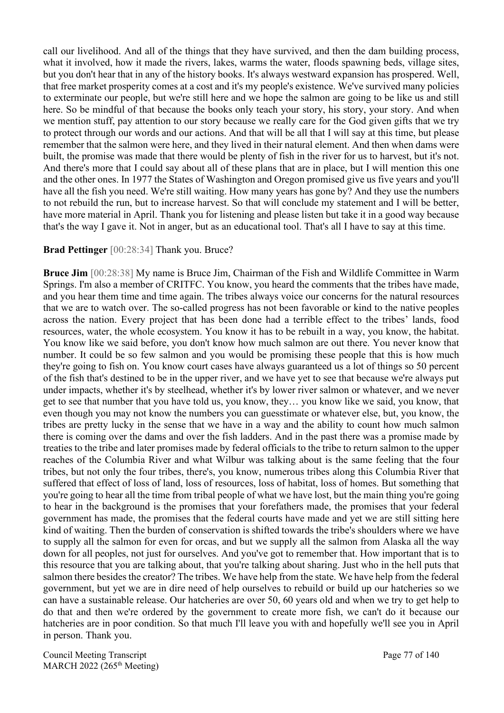call our livelihood. And all of the things that they have survived, and then the dam building process, what it involved, how it made the rivers, lakes, warms the water, floods spawning beds, village sites, but you don't hear that in any of the history books. It's always westward expansion has prospered. Well, that free market prosperity comes at a cost and it's my people's existence. We've survived many policies to exterminate our people, but we're still here and we hope the salmon are going to be like us and still here. So be mindful of that because the books only teach your story, his story, your story. And when we mention stuff, pay attention to our story because we really care for the God given gifts that we try to protect through our words and our actions. And that will be all that I will say at this time, but please remember that the salmon were here, and they lived in their natural element. And then when dams were built, the promise was made that there would be plenty of fish in the river for us to harvest, but it's not. And there's more that I could say about all of these plans that are in place, but I will mention this one and the other ones. In 1977 the States of Washington and Oregon promised give us five years and you'll have all the fish you need. We're still waiting. How many years has gone by? And they use the numbers to not rebuild the run, but to increase harvest. So that will conclude my statement and I will be better, have more material in April. Thank you for listening and please listen but take it in a good way because that's the way I gave it. Not in anger, but as an educational tool. That's all I have to say at this time.

#### **Brad Pettinger** [00:28:34] Thank you. Bruce?

**Bruce Jim** [00:28:38] My name is Bruce Jim, Chairman of the Fish and Wildlife Committee in Warm Springs. I'm also a member of CRITFC. You know, you heard the comments that the tribes have made, and you hear them time and time again. The tribes always voice our concerns for the natural resources that we are to watch over. The so-called progress has not been favorable or kind to the native peoples across the nation. Every project that has been done had a terrible effect to the tribes' lands, food resources, water, the whole ecosystem. You know it has to be rebuilt in a way, you know, the habitat. You know like we said before, you don't know how much salmon are out there. You never know that number. It could be so few salmon and you would be promising these people that this is how much they're going to fish on. You know court cases have always guaranteed us a lot of things so 50 percent of the fish that's destined to be in the upper river, and we have yet to see that because we're always put under impacts, whether it's by steelhead, whether it's by lower river salmon or whatever, and we never get to see that number that you have told us, you know, they… you know like we said, you know, that even though you may not know the numbers you can guesstimate or whatever else, but, you know, the tribes are pretty lucky in the sense that we have in a way and the ability to count how much salmon there is coming over the dams and over the fish ladders. And in the past there was a promise made by treaties to the tribe and later promises made by federal officials to the tribe to return salmon to the upper reaches of the Columbia River and what Wilbur was talking about is the same feeling that the four tribes, but not only the four tribes, there's, you know, numerous tribes along this Columbia River that suffered that effect of loss of land, loss of resources, loss of habitat, loss of homes. But something that you're going to hear all the time from tribal people of what we have lost, but the main thing you're going to hear in the background is the promises that your forefathers made, the promises that your federal government has made, the promises that the federal courts have made and yet we are still sitting here kind of waiting. Then the burden of conservation is shifted towards the tribe's shoulders where we have to supply all the salmon for even for orcas, and but we supply all the salmon from Alaska all the way down for all peoples, not just for ourselves. And you've got to remember that. How important that is to this resource that you are talking about, that you're talking about sharing. Just who in the hell puts that salmon there besides the creator? The tribes. We have help from the state. We have help from the federal government, but yet we are in dire need of help ourselves to rebuild or build up our hatcheries so we can have a sustainable release. Our hatcheries are over 50, 60 years old and when we try to get help to do that and then we're ordered by the government to create more fish, we can't do it because our hatcheries are in poor condition. So that much I'll leave you with and hopefully we'll see you in April in person. Thank you.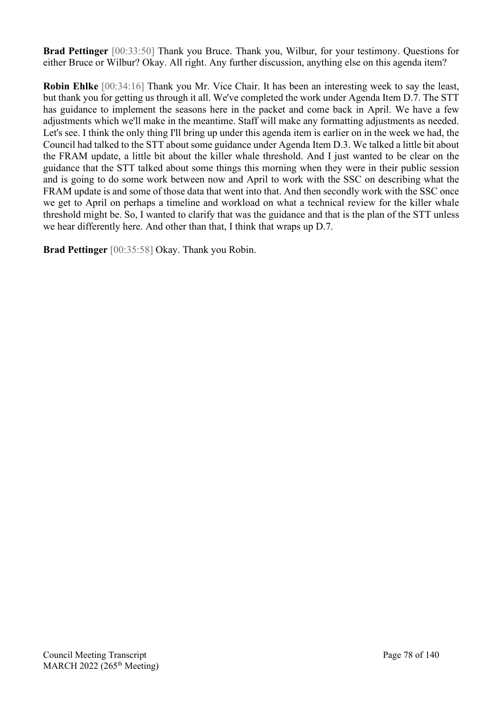**Brad Pettinger** [00:33:50] Thank you Bruce. Thank you, Wilbur, for your testimony. Questions for either Bruce or Wilbur? Okay. All right. Any further discussion, anything else on this agenda item?

**Robin Ehlke** [00:34:16] Thank you Mr. Vice Chair. It has been an interesting week to say the least, but thank you for getting us through it all. We've completed the work under Agenda Item D.7. The STT has guidance to implement the seasons here in the packet and come back in April. We have a few adjustments which we'll make in the meantime. Staff will make any formatting adjustments as needed. Let's see. I think the only thing I'll bring up under this agenda item is earlier on in the week we had, the Council had talked to the STT about some guidance under Agenda Item D.3. We talked a little bit about the FRAM update, a little bit about the killer whale threshold. And I just wanted to be clear on the guidance that the STT talked about some things this morning when they were in their public session and is going to do some work between now and April to work with the SSC on describing what the FRAM update is and some of those data that went into that. And then secondly work with the SSC once we get to April on perhaps a timeline and workload on what a technical review for the killer whale threshold might be. So, I wanted to clarify that was the guidance and that is the plan of the STT unless we hear differently here. And other than that, I think that wraps up D.7.

**Brad Pettinger** [00:35:58] Okay. Thank you Robin.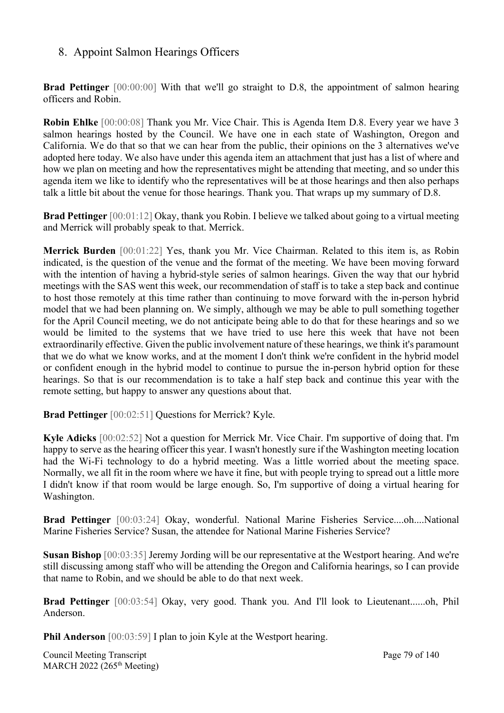### 8. Appoint Salmon Hearings Officers

**Brad Pettinger** [00:00:00] With that we'll go straight to D.8, the appointment of salmon hearing officers and Robin.

**Robin Ehlke** [00:00:08] Thank you Mr. Vice Chair. This is Agenda Item D.8. Every year we have 3 salmon hearings hosted by the Council. We have one in each state of Washington, Oregon and California. We do that so that we can hear from the public, their opinions on the 3 alternatives we've adopted here today. We also have under this agenda item an attachment that just has a list of where and how we plan on meeting and how the representatives might be attending that meeting, and so under this agenda item we like to identify who the representatives will be at those hearings and then also perhaps talk a little bit about the venue for those hearings. Thank you. That wraps up my summary of D.8.

**Brad Pettinger** [00:01:12] Okay, thank you Robin. I believe we talked about going to a virtual meeting and Merrick will probably speak to that. Merrick.

**Merrick Burden** [00:01:22] Yes, thank you Mr. Vice Chairman. Related to this item is, as Robin indicated, is the question of the venue and the format of the meeting. We have been moving forward with the intention of having a hybrid-style series of salmon hearings. Given the way that our hybrid meetings with the SAS went this week, our recommendation of staff is to take a step back and continue to host those remotely at this time rather than continuing to move forward with the in-person hybrid model that we had been planning on. We simply, although we may be able to pull something together for the April Council meeting, we do not anticipate being able to do that for these hearings and so we would be limited to the systems that we have tried to use here this week that have not been extraordinarily effective. Given the public involvement nature of these hearings, we think it's paramount that we do what we know works, and at the moment I don't think we're confident in the hybrid model or confident enough in the hybrid model to continue to pursue the in-person hybrid option for these hearings. So that is our recommendation is to take a half step back and continue this year with the remote setting, but happy to answer any questions about that.

**Brad Pettinger** [00:02:51] Questions for Merrick? Kyle.

**Kyle Adicks** [00:02:52] Not a question for Merrick Mr. Vice Chair. I'm supportive of doing that. I'm happy to serve as the hearing officer this year. I wasn't honestly sure if the Washington meeting location had the Wi-Fi technology to do a hybrid meeting. Was a little worried about the meeting space. Normally, we all fit in the room where we have it fine, but with people trying to spread out a little more I didn't know if that room would be large enough. So, I'm supportive of doing a virtual hearing for Washington.

**Brad Pettinger** [00:03:24] Okay, wonderful. National Marine Fisheries Service....oh....National Marine Fisheries Service? Susan, the attendee for National Marine Fisheries Service?

**Susan Bishop** [00:03:35] Jeremy Jording will be our representative at the Westport hearing. And we're still discussing among staff who will be attending the Oregon and California hearings, so I can provide that name to Robin, and we should be able to do that next week.

**Brad Pettinger** [00:03:54] Okay, very good. Thank you. And I'll look to Lieutenant......oh, Phil Anderson.

**Phil Anderson** [00:03:59] I plan to join Kyle at the Westport hearing.

Council Meeting Transcript **Page 79 of 140** MARCH 2022 (265<sup>th</sup> Meeting)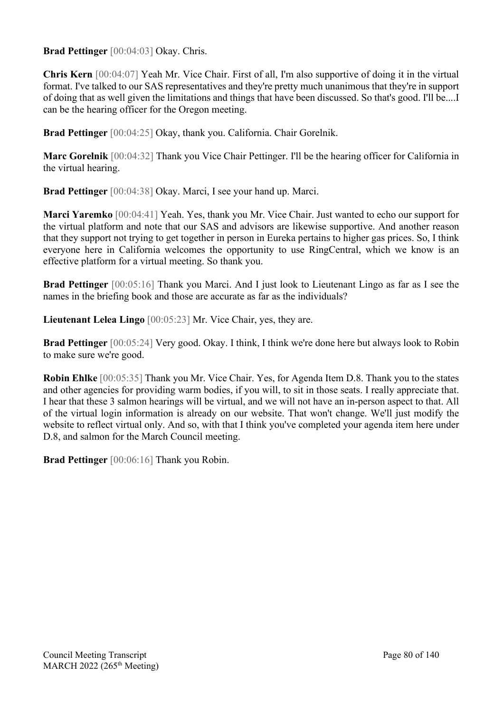**Brad Pettinger** [00:04:03] Okay. Chris.

**Chris Kern** [00:04:07] Yeah Mr. Vice Chair. First of all, I'm also supportive of doing it in the virtual format. I've talked to our SAS representatives and they're pretty much unanimous that they're in support of doing that as well given the limitations and things that have been discussed. So that's good. I'll be....I can be the hearing officer for the Oregon meeting.

**Brad Pettinger** [00:04:25] Okay, thank you. California. Chair Gorelnik.

**Marc Gorelnik** [00:04:32] Thank you Vice Chair Pettinger. I'll be the hearing officer for California in the virtual hearing.

**Brad Pettinger** [00:04:38] Okay. Marci, I see your hand up. Marci.

**Marci Yaremko** [00:04:41] Yeah. Yes, thank you Mr. Vice Chair. Just wanted to echo our support for the virtual platform and note that our SAS and advisors are likewise supportive. And another reason that they support not trying to get together in person in Eureka pertains to higher gas prices. So, I think everyone here in California welcomes the opportunity to use RingCentral, which we know is an effective platform for a virtual meeting. So thank you.

**Brad Pettinger** [00:05:16] Thank you Marci. And I just look to Lieutenant Lingo as far as I see the names in the briefing book and those are accurate as far as the individuals?

**Lieutenant Lelea Lingo** [00:05:23] Mr. Vice Chair, yes, they are.

**Brad Pettinger** [00:05:24] Very good. Okay. I think, I think we're done here but always look to Robin to make sure we're good.

**Robin Ehlke** [00:05:35] Thank you Mr. Vice Chair. Yes, for Agenda Item D.8. Thank you to the states and other agencies for providing warm bodies, if you will, to sit in those seats. I really appreciate that. I hear that these 3 salmon hearings will be virtual, and we will not have an in-person aspect to that. All of the virtual login information is already on our website. That won't change. We'll just modify the website to reflect virtual only. And so, with that I think you've completed your agenda item here under D.8, and salmon for the March Council meeting.

**Brad Pettinger** [00:06:16] Thank you Robin.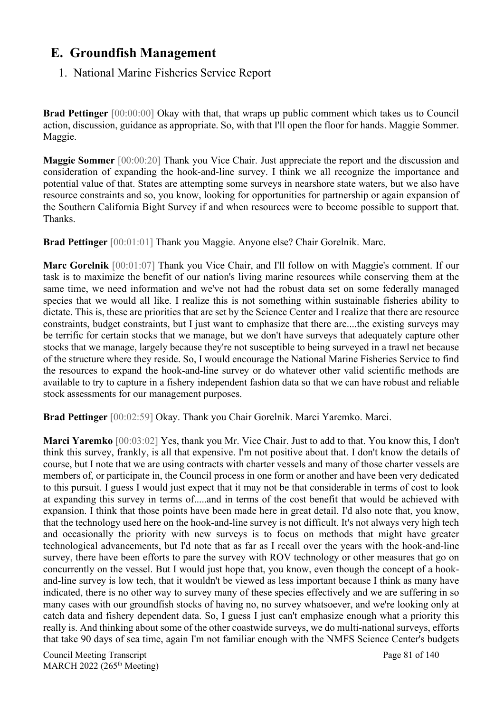# **E. Groundfish Management**

### 1. National Marine Fisheries Service Report

**Brad Pettinger** [00:00:00] Okay with that, that wraps up public comment which takes us to Council action, discussion, guidance as appropriate. So, with that I'll open the floor for hands. Maggie Sommer. Maggie.

**Maggie Sommer** [00:00:20] Thank you Vice Chair. Just appreciate the report and the discussion and consideration of expanding the hook-and-line survey. I think we all recognize the importance and potential value of that. States are attempting some surveys in nearshore state waters, but we also have resource constraints and so, you know, looking for opportunities for partnership or again expansion of the Southern California Bight Survey if and when resources were to become possible to support that. Thanks.

**Brad Pettinger** [00:01:01] Thank you Maggie. Anyone else? Chair Gorelnik. Marc.

**Marc Gorelnik** [00:01:07] Thank you Vice Chair, and I'll follow on with Maggie's comment. If our task is to maximize the benefit of our nation's living marine resources while conserving them at the same time, we need information and we've not had the robust data set on some federally managed species that we would all like. I realize this is not something within sustainable fisheries ability to dictate. This is, these are priorities that are set by the Science Center and I realize that there are resource constraints, budget constraints, but I just want to emphasize that there are....the existing surveys may be terrific for certain stocks that we manage, but we don't have surveys that adequately capture other stocks that we manage, largely because they're not susceptible to being surveyed in a trawl net because of the structure where they reside. So, I would encourage the National Marine Fisheries Service to find the resources to expand the hook-and-line survey or do whatever other valid scientific methods are available to try to capture in a fishery independent fashion data so that we can have robust and reliable stock assessments for our management purposes.

**Brad Pettinger** [00:02:59] Okay. Thank you Chair Gorelnik. Marci Yaremko. Marci.

**Marci Yaremko** [00:03:02] Yes, thank you Mr. Vice Chair. Just to add to that. You know this, I don't think this survey, frankly, is all that expensive. I'm not positive about that. I don't know the details of course, but I note that we are using contracts with charter vessels and many of those charter vessels are members of, or participate in, the Council process in one form or another and have been very dedicated to this pursuit. I guess I would just expect that it may not be that considerable in terms of cost to look at expanding this survey in terms of.....and in terms of the cost benefit that would be achieved with expansion. I think that those points have been made here in great detail. I'd also note that, you know, that the technology used here on the hook-and-line survey is not difficult. It's not always very high tech and occasionally the priority with new surveys is to focus on methods that might have greater technological advancements, but I'd note that as far as I recall over the years with the hook-and-line survey, there have been efforts to pare the survey with ROV technology or other measures that go on concurrently on the vessel. But I would just hope that, you know, even though the concept of a hookand-line survey is low tech, that it wouldn't be viewed as less important because I think as many have indicated, there is no other way to survey many of these species effectively and we are suffering in so many cases with our groundfish stocks of having no, no survey whatsoever, and we're looking only at catch data and fishery dependent data. So, I guess I just can't emphasize enough what a priority this really is. And thinking about some of the other coastwide surveys, we do multi-national surveys, efforts that take 90 days of sea time, again I'm not familiar enough with the NMFS Science Center's budgets

Council Meeting Transcript **Page 81** of 140 MARCH 2022 (265<sup>th</sup> Meeting)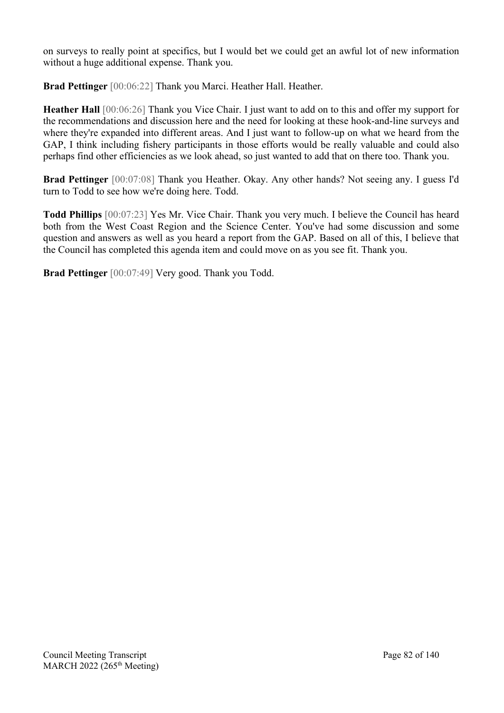on surveys to really point at specifics, but I would bet we could get an awful lot of new information without a huge additional expense. Thank you.

**Brad Pettinger** [00:06:22] Thank you Marci. Heather Hall. Heather.

**Heather Hall** [00:06:26] Thank you Vice Chair. I just want to add on to this and offer my support for the recommendations and discussion here and the need for looking at these hook-and-line surveys and where they're expanded into different areas. And I just want to follow-up on what we heard from the GAP, I think including fishery participants in those efforts would be really valuable and could also perhaps find other efficiencies as we look ahead, so just wanted to add that on there too. Thank you.

**Brad Pettinger** [00:07:08] Thank you Heather. Okay. Any other hands? Not seeing any. I guess I'd turn to Todd to see how we're doing here. Todd.

**Todd Phillips** [00:07:23] Yes Mr. Vice Chair. Thank you very much. I believe the Council has heard both from the West Coast Region and the Science Center. You've had some discussion and some question and answers as well as you heard a report from the GAP. Based on all of this, I believe that the Council has completed this agenda item and could move on as you see fit. Thank you.

**Brad Pettinger** [00:07:49] Very good. Thank you Todd.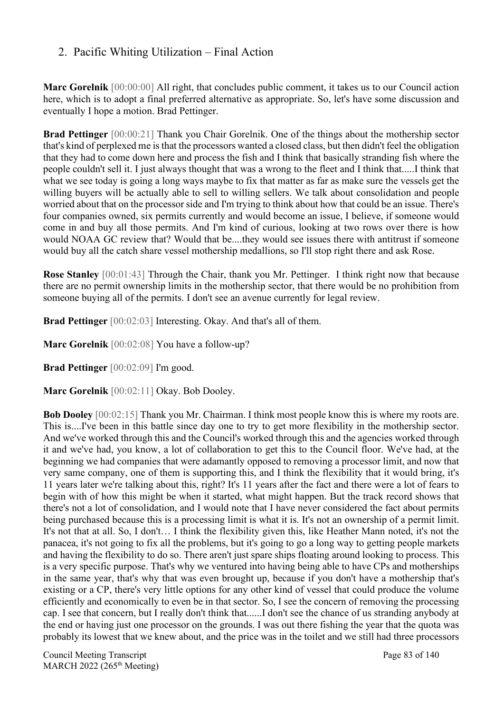## 2. Pacific Whiting Utilization – Final Action

**Marc Gorelnik** [00:00:00] All right, that concludes public comment, it takes us to our Council action here, which is to adopt a final preferred alternative as appropriate. So, let's have some discussion and eventually I hope a motion. Brad Pettinger.

**Brad Pettinger** [00:00:21] Thank you Chair Gorelnik. One of the things about the mothership sector that's kind of perplexed me is that the processors wanted a closed class, but then didn't feel the obligation that they had to come down here and process the fish and I think that basically stranding fish where the people couldn't sell it. I just always thought that was a wrong to the fleet and I think that.....I think that what we see today is going a long ways maybe to fix that matter as far as make sure the vessels get the willing buyers will be actually able to sell to willing sellers. We talk about consolidation and people worried about that on the processor side and I'm trying to think about how that could be an issue. There's four companies owned, six permits currently and would become an issue, I believe, if someone would come in and buy all those permits. And I'm kind of curious, looking at two rows over there is how would NOAA GC review that? Would that be....they would see issues there with antitrust if someone would buy all the catch share vessel mothership medallions, so I'll stop right there and ask Rose.

**Rose Stanley** [00:01:43] Through the Chair, thank you Mr. Pettinger. I think right now that because there are no permit ownership limits in the mothership sector, that there would be no prohibition from someone buying all of the permits. I don't see an avenue currently for legal review.

**Brad Pettinger** [00:02:03] Interesting. Okay. And that's all of them.

**Marc Gorelnik** [00:02:08] You have a follow-up?

**Brad Pettinger** [00:02:09] I'm good.

**Marc Gorelnik** [00:02:11] Okay. Bob Dooley.

**Bob Dooley** [00:02:15] Thank you Mr. Chairman. I think most people know this is where my roots are. This is....I've been in this battle since day one to try to get more flexibility in the mothership sector. And we've worked through this and the Council's worked through this and the agencies worked through it and we've had, you know, a lot of collaboration to get this to the Council floor. We've had, at the beginning we had companies that were adamantly opposed to removing a processor limit, and now that very same company, one of them is supporting this, and I think the flexibility that it would bring, it's 11 years later we're talking about this, right? It's 11 years after the fact and there were a lot of fears to begin with of how this might be when it started, what might happen. But the track record shows that there's not a lot of consolidation, and I would note that I have never considered the fact about permits being purchased because this is a processing limit is what it is. It's not an ownership of a permit limit. It's not that at all. So, I don't… I think the flexibility given this, like Heather Mann noted, it's not the panacea, it's not going to fix all the problems, but it's going to go a long way to getting people markets and having the flexibility to do so. There aren't just spare ships floating around looking to process. This is a very specific purpose. That's why we ventured into having being able to have CPs and motherships in the same year, that's why that was even brought up, because if you don't have a mothership that's existing or a CP, there's very little options for any other kind of vessel that could produce the volume efficiently and economically to even be in that sector. So, I see the concern of removing the processing cap. I see that concern, but I really don't think that......I don't see the chance of us stranding anybody at the end or having just one processor on the grounds. I was out there fishing the year that the quota was probably its lowest that we knew about, and the price was in the toilet and we still had three processors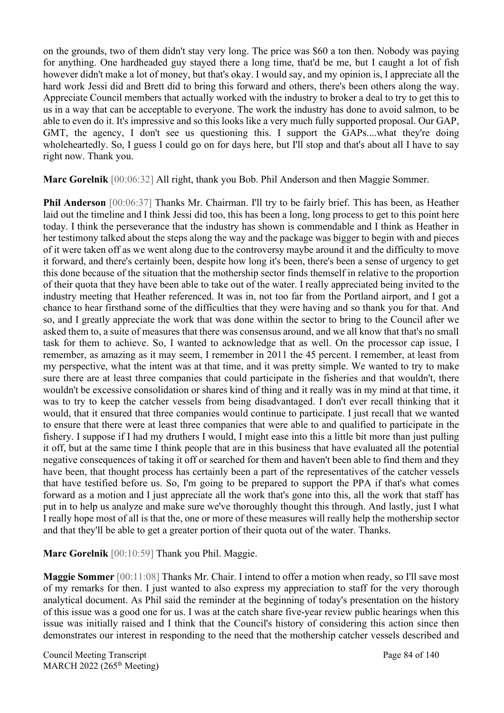on the grounds, two of them didn't stay very long. The price was \$60 a ton then. Nobody was paying for anything. One hardheaded guy stayed there a long time, that'd be me, but I caught a lot of fish however didn't make a lot of money, but that's okay. I would say, and my opinion is, I appreciate all the hard work Jessi did and Brett did to bring this forward and others, there's been others along the way. Appreciate Council members that actually worked with the industry to broker a deal to try to get this to us in a way that can be acceptable to everyone. The work the industry has done to avoid salmon, to be able to even do it. It's impressive and so this looks like a very much fully supported proposal. Our GAP, GMT, the agency, I don't see us questioning this. I support the GAPs....what they're doing wholeheartedly. So, I guess I could go on for days here, but I'll stop and that's about all I have to say right now. Thank you.

**Marc Gorelnik** [00:06:32] All right, thank you Bob. Phil Anderson and then Maggie Sommer.

**Phil Anderson** [00:06:37] Thanks Mr. Chairman. I'll try to be fairly brief. This has been, as Heather laid out the timeline and I think Jessi did too, this has been a long, long process to get to this point here today. I think the perseverance that the industry has shown is commendable and I think as Heather in her testimony talked about the steps along the way and the package was bigger to begin with and pieces of it were taken off as we went along due to the controversy maybe around it and the difficulty to move it forward, and there's certainly been, despite how long it's been, there's been a sense of urgency to get this done because of the situation that the mothership sector finds themself in relative to the proportion of their quota that they have been able to take out of the water. I really appreciated being invited to the industry meeting that Heather referenced. It was in, not too far from the Portland airport, and I got a chance to hear firsthand some of the difficulties that they were having and so thank you for that. And so, and I greatly appreciate the work that was done within the sector to bring to the Council after we asked them to, a suite of measures that there was consensus around, and we all know that that's no small task for them to achieve. So, I wanted to acknowledge that as well. On the processor cap issue, I remember, as amazing as it may seem, I remember in 2011 the 45 percent. I remember, at least from my perspective, what the intent was at that time, and it was pretty simple. We wanted to try to make sure there are at least three companies that could participate in the fisheries and that wouldn't, there wouldn't be excessive consolidation or shares kind of thing and it really was in my mind at that time, it was to try to keep the catcher vessels from being disadvantaged. I don't ever recall thinking that it would, that it ensured that three companies would continue to participate. I just recall that we wanted to ensure that there were at least three companies that were able to and qualified to participate in the fishery. I suppose if I had my druthers I would, I might ease into this a little bit more than just pulling it off, but at the same time I think people that are in this business that have evaluated all the potential negative consequences of taking it off or searched for them and haven't been able to find them and they have been, that thought process has certainly been a part of the representatives of the catcher vessels that have testified before us. So, I'm going to be prepared to support the PPA if that's what comes forward as a motion and I just appreciate all the work that's gone into this, all the work that staff has put in to help us analyze and make sure we've thoroughly thought this through. And lastly, just I what I really hope most of all is that the, one or more of these measures will really help the mothership sector and that they'll be able to get a greater portion of their quota out of the water. Thanks.

**Marc Gorelnik** [00:10:59] Thank you Phil. Maggie.

**Maggie Sommer** [00:11:08] Thanks Mr. Chair. I intend to offer a motion when ready, so I'll save most of my remarks for then. I just wanted to also express my appreciation to staff for the very thorough analytical document. As Phil said the reminder at the beginning of today's presentation on the history of this issue was a good one for us. I was at the catch share five-year review public hearings when this issue was initially raised and I think that the Council's history of considering this action since then demonstrates our interest in responding to the need that the mothership catcher vessels described and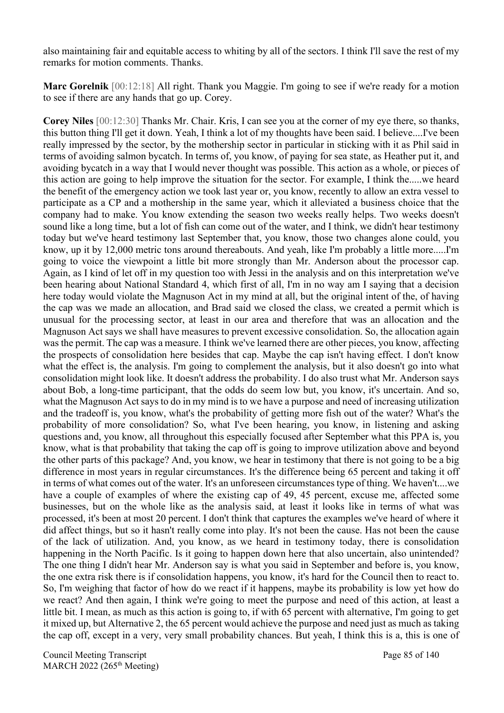also maintaining fair and equitable access to whiting by all of the sectors. I think I'll save the rest of my remarks for motion comments. Thanks.

**Marc Gorelnik** [00:12:18] All right. Thank you Maggie. I'm going to see if we're ready for a motion to see if there are any hands that go up. Corey.

**Corey Niles** [00:12:30] Thanks Mr. Chair. Kris, I can see you at the corner of my eye there, so thanks, this button thing I'll get it down. Yeah, I think a lot of my thoughts have been said. I believe....I've been really impressed by the sector, by the mothership sector in particular in sticking with it as Phil said in terms of avoiding salmon bycatch. In terms of, you know, of paying for sea state, as Heather put it, and avoiding bycatch in a way that I would never thought was possible. This action as a whole, or pieces of this action are going to help improve the situation for the sector. For example, I think the.....we heard the benefit of the emergency action we took last year or, you know, recently to allow an extra vessel to participate as a CP and a mothership in the same year, which it alleviated a business choice that the company had to make. You know extending the season two weeks really helps. Two weeks doesn't sound like a long time, but a lot of fish can come out of the water, and I think, we didn't hear testimony today but we've heard testimony last September that, you know, those two changes alone could, you know, up it by 12,000 metric tons around thereabouts. And yeah, like I'm probably a little more.....I'm going to voice the viewpoint a little bit more strongly than Mr. Anderson about the processor cap. Again, as I kind of let off in my question too with Jessi in the analysis and on this interpretation we've been hearing about National Standard 4, which first of all, I'm in no way am I saying that a decision here today would violate the Magnuson Act in my mind at all, but the original intent of the, of having the cap was we made an allocation, and Brad said we closed the class, we created a permit which is unusual for the processing sector, at least in our area and therefore that was an allocation and the Magnuson Act says we shall have measures to prevent excessive consolidation. So, the allocation again was the permit. The cap was a measure. I think we've learned there are other pieces, you know, affecting the prospects of consolidation here besides that cap. Maybe the cap isn't having effect. I don't know what the effect is, the analysis. I'm going to complement the analysis, but it also doesn't go into what consolidation might look like. It doesn't address the probability. I do also trust what Mr. Anderson says about Bob, a long-time participant, that the odds do seem low but, you know, it's uncertain. And so, what the Magnuson Act says to do in my mind is to we have a purpose and need of increasing utilization and the tradeoff is, you know, what's the probability of getting more fish out of the water? What's the probability of more consolidation? So, what I've been hearing, you know, in listening and asking questions and, you know, all throughout this especially focused after September what this PPA is, you know, what is that probability that taking the cap off is going to improve utilization above and beyond the other parts of this package? And, you know, we hear in testimony that there is not going to be a big difference in most years in regular circumstances. It's the difference being 65 percent and taking it off in terms of what comes out of the water. It's an unforeseen circumstances type of thing. We haven't....we have a couple of examples of where the existing cap of 49, 45 percent, excuse me, affected some businesses, but on the whole like as the analysis said, at least it looks like in terms of what was processed, it's been at most 20 percent. I don't think that captures the examples we've heard of where it did affect things, but so it hasn't really come into play. It's not been the cause. Has not been the cause of the lack of utilization. And, you know, as we heard in testimony today, there is consolidation happening in the North Pacific. Is it going to happen down here that also uncertain, also unintended? The one thing I didn't hear Mr. Anderson say is what you said in September and before is, you know, the one extra risk there is if consolidation happens, you know, it's hard for the Council then to react to. So, I'm weighing that factor of how do we react if it happens, maybe its probability is low yet how do we react? And then again, I think we're going to meet the purpose and need of this action, at least a little bit. I mean, as much as this action is going to, if with 65 percent with alternative, I'm going to get it mixed up, but Alternative 2, the 65 percent would achieve the purpose and need just as much as taking the cap off, except in a very, very small probability chances. But yeah, I think this is a, this is one of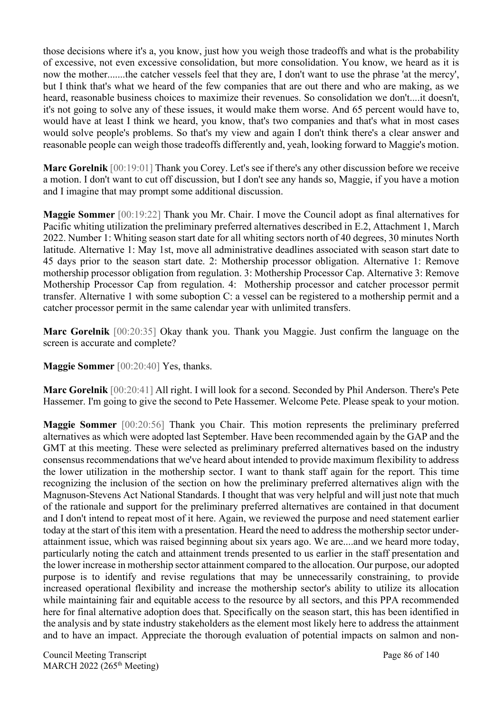those decisions where it's a, you know, just how you weigh those tradeoffs and what is the probability of excessive, not even excessive consolidation, but more consolidation. You know, we heard as it is now the mother.......the catcher vessels feel that they are, I don't want to use the phrase 'at the mercy', but I think that's what we heard of the few companies that are out there and who are making, as we heard, reasonable business choices to maximize their revenues. So consolidation we don't....it doesn't, it's not going to solve any of these issues, it would make them worse. And 65 percent would have to, would have at least I think we heard, you know, that's two companies and that's what in most cases would solve people's problems. So that's my view and again I don't think there's a clear answer and reasonable people can weigh those tradeoffs differently and, yeah, looking forward to Maggie's motion.

**Marc Gorelnik** [00:19:01] Thank you Corey. Let's see if there's any other discussion before we receive a motion. I don't want to cut off discussion, but I don't see any hands so, Maggie, if you have a motion and I imagine that may prompt some additional discussion.

**Maggie Sommer** [00:19:22] Thank you Mr. Chair. I move the Council adopt as final alternatives for Pacific whiting utilization the preliminary preferred alternatives described in E.2, Attachment 1, March 2022. Number 1: Whiting season start date for all whiting sectors north of 40 degrees, 30 minutes North latitude. Alternative 1: May 1st, move all administrative deadlines associated with season start date to 45 days prior to the season start date. 2: Mothership processor obligation. Alternative 1: Remove mothership processor obligation from regulation. 3: Mothership Processor Cap. Alternative 3: Remove Mothership Processor Cap from regulation. 4: Mothership processor and catcher processor permit transfer. Alternative 1 with some suboption C: a vessel can be registered to a mothership permit and a catcher processor permit in the same calendar year with unlimited transfers.

**Marc Gorelnik** [00:20:35] Okay thank you. Thank you Maggie. Just confirm the language on the screen is accurate and complete?

**Maggie Sommer** [00:20:40] Yes, thanks.

**Marc Gorelnik** [00:20:41] All right. I will look for a second. Seconded by Phil Anderson. There's Pete Hassemer. I'm going to give the second to Pete Hassemer. Welcome Pete. Please speak to your motion.

**Maggie Sommer** [00:20:56] Thank you Chair. This motion represents the preliminary preferred alternatives as which were adopted last September. Have been recommended again by the GAP and the GMT at this meeting. These were selected as preliminary preferred alternatives based on the industry consensus recommendations that we've heard about intended to provide maximum flexibility to address the lower utilization in the mothership sector. I want to thank staff again for the report. This time recognizing the inclusion of the section on how the preliminary preferred alternatives align with the Magnuson-Stevens Act National Standards. I thought that was very helpful and will just note that much of the rationale and support for the preliminary preferred alternatives are contained in that document and I don't intend to repeat most of it here. Again, we reviewed the purpose and need statement earlier today at the start of this item with a presentation. Heard the need to address the mothership sector underattainment issue, which was raised beginning about six years ago. We are....and we heard more today, particularly noting the catch and attainment trends presented to us earlier in the staff presentation and the lower increase in mothership sector attainment compared to the allocation. Our purpose, our adopted purpose is to identify and revise regulations that may be unnecessarily constraining, to provide increased operational flexibility and increase the mothership sector's ability to utilize its allocation while maintaining fair and equitable access to the resource by all sectors, and this PPA recommended here for final alternative adoption does that. Specifically on the season start, this has been identified in the analysis and by state industry stakeholders as the element most likely here to address the attainment and to have an impact. Appreciate the thorough evaluation of potential impacts on salmon and non-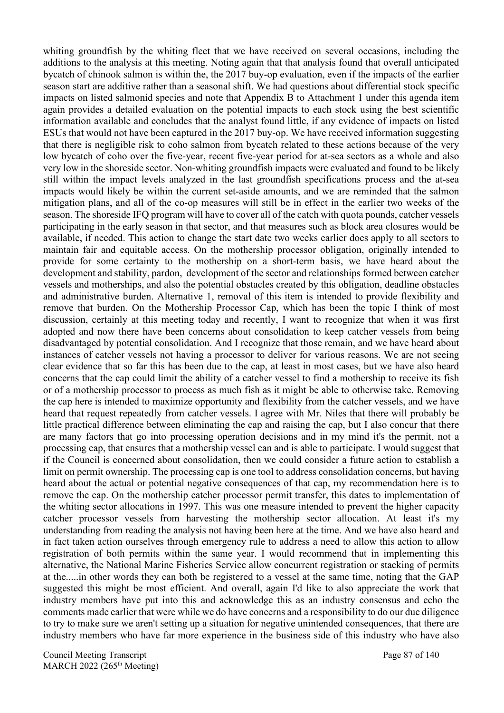whiting groundfish by the whiting fleet that we have received on several occasions, including the additions to the analysis at this meeting. Noting again that that analysis found that overall anticipated bycatch of chinook salmon is within the, the 2017 buy-op evaluation, even if the impacts of the earlier season start are additive rather than a seasonal shift. We had questions about differential stock specific impacts on listed salmonid species and note that Appendix B to Attachment 1 under this agenda item again provides a detailed evaluation on the potential impacts to each stock using the best scientific information available and concludes that the analyst found little, if any evidence of impacts on listed ESUs that would not have been captured in the 2017 buy-op. We have received information suggesting that there is negligible risk to coho salmon from bycatch related to these actions because of the very low bycatch of coho over the five-year, recent five-year period for at-sea sectors as a whole and also very low in the shoreside sector. Non-whiting groundfish impacts were evaluated and found to be likely still within the impact levels analyzed in the last groundfish specifications process and the at-sea impacts would likely be within the current set-aside amounts, and we are reminded that the salmon mitigation plans, and all of the co-op measures will still be in effect in the earlier two weeks of the season. The shoreside IFQ program will have to cover all of the catch with quota pounds, catcher vessels participating in the early season in that sector, and that measures such as block area closures would be available, if needed. This action to change the start date two weeks earlier does apply to all sectors to maintain fair and equitable access. On the mothership processor obligation, originally intended to provide for some certainty to the mothership on a short-term basis, we have heard about the development and stability, pardon, development of the sector and relationships formed between catcher vessels and motherships, and also the potential obstacles created by this obligation, deadline obstacles and administrative burden. Alternative 1, removal of this item is intended to provide flexibility and remove that burden. On the Mothership Processor Cap, which has been the topic I think of most discussion, certainly at this meeting today and recently, I want to recognize that when it was first adopted and now there have been concerns about consolidation to keep catcher vessels from being disadvantaged by potential consolidation. And I recognize that those remain, and we have heard about instances of catcher vessels not having a processor to deliver for various reasons. We are not seeing clear evidence that so far this has been due to the cap, at least in most cases, but we have also heard concerns that the cap could limit the ability of a catcher vessel to find a mothership to receive its fish or of a mothership processor to process as much fish as it might be able to otherwise take. Removing the cap here is intended to maximize opportunity and flexibility from the catcher vessels, and we have heard that request repeatedly from catcher vessels. I agree with Mr. Niles that there will probably be little practical difference between eliminating the cap and raising the cap, but I also concur that there are many factors that go into processing operation decisions and in my mind it's the permit, not a processing cap, that ensures that a mothership vessel can and is able to participate. I would suggest that if the Council is concerned about consolidation, then we could consider a future action to establish a limit on permit ownership. The processing cap is one tool to address consolidation concerns, but having heard about the actual or potential negative consequences of that cap, my recommendation here is to remove the cap. On the mothership catcher processor permit transfer, this dates to implementation of the whiting sector allocations in 1997. This was one measure intended to prevent the higher capacity catcher processor vessels from harvesting the mothership sector allocation. At least it's my understanding from reading the analysis not having been here at the time. And we have also heard and in fact taken action ourselves through emergency rule to address a need to allow this action to allow registration of both permits within the same year. I would recommend that in implementing this alternative, the National Marine Fisheries Service allow concurrent registration or stacking of permits at the.....in other words they can both be registered to a vessel at the same time, noting that the GAP suggested this might be most efficient. And overall, again I'd like to also appreciate the work that industry members have put into this and acknowledge this as an industry consensus and echo the comments made earlier that were while we do have concerns and a responsibility to do our due diligence to try to make sure we aren't setting up a situation for negative unintended consequences, that there are industry members who have far more experience in the business side of this industry who have also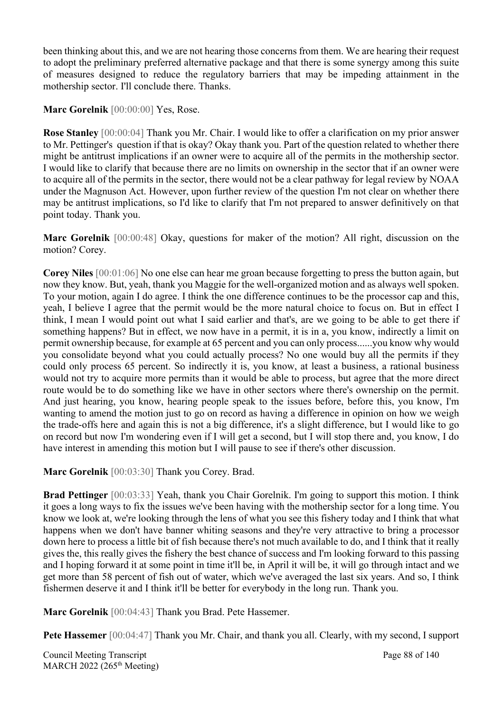been thinking about this, and we are not hearing those concerns from them. We are hearing their request to adopt the preliminary preferred alternative package and that there is some synergy among this suite of measures designed to reduce the regulatory barriers that may be impeding attainment in the mothership sector. I'll conclude there. Thanks.

Marc Gorelnik [00:00:00] Yes, Rose.

**Rose Stanley** [00:00:04] Thank you Mr. Chair. I would like to offer a clarification on my prior answer to Mr. Pettinger's question if that is okay? Okay thank you. Part of the question related to whether there might be antitrust implications if an owner were to acquire all of the permits in the mothership sector. I would like to clarify that because there are no limits on ownership in the sector that if an owner were to acquire all of the permits in the sector, there would not be a clear pathway for legal review by NOAA under the Magnuson Act. However, upon further review of the question I'm not clear on whether there may be antitrust implications, so I'd like to clarify that I'm not prepared to answer definitively on that point today. Thank you.

**Marc Gorelnik** [00:00:48] Okay, questions for maker of the motion? All right, discussion on the motion? Corey.

**Corey Niles** [00:01:06] No one else can hear me groan because forgetting to press the button again, but now they know. But, yeah, thank you Maggie for the well-organized motion and as always well spoken. To your motion, again I do agree. I think the one difference continues to be the processor cap and this, yeah, I believe I agree that the permit would be the more natural choice to focus on. But in effect I think, I mean I would point out what I said earlier and that's, are we going to be able to get there if something happens? But in effect, we now have in a permit, it is in a, you know, indirectly a limit on permit ownership because, for example at 65 percent and you can only process......you know why would you consolidate beyond what you could actually process? No one would buy all the permits if they could only process 65 percent. So indirectly it is, you know, at least a business, a rational business would not try to acquire more permits than it would be able to process, but agree that the more direct route would be to do something like we have in other sectors where there's ownership on the permit. And just hearing, you know, hearing people speak to the issues before, before this, you know, I'm wanting to amend the motion just to go on record as having a difference in opinion on how we weigh the trade-offs here and again this is not a big difference, it's a slight difference, but I would like to go on record but now I'm wondering even if I will get a second, but I will stop there and, you know, I do have interest in amending this motion but I will pause to see if there's other discussion.

**Marc Gorelnik** [00:03:30] Thank you Corey. Brad.

**Brad Pettinger** [00:03:33] Yeah, thank you Chair Gorelnik. I'm going to support this motion. I think it goes a long ways to fix the issues we've been having with the mothership sector for a long time. You know we look at, we're looking through the lens of what you see this fishery today and I think that what happens when we don't have banner whiting seasons and they're very attractive to bring a processor down here to process a little bit of fish because there's not much available to do, and I think that it really gives the, this really gives the fishery the best chance of success and I'm looking forward to this passing and I hoping forward it at some point in time it'll be, in April it will be, it will go through intact and we get more than 58 percent of fish out of water, which we've averaged the last six years. And so, I think fishermen deserve it and I think it'll be better for everybody in the long run. Thank you.

**Marc Gorelnik** [00:04:43] Thank you Brad. Pete Hassemer.

Pete Hassemer [00:04:47] Thank you Mr. Chair, and thank you all. Clearly, with my second, I support

Council Meeting Transcript **Page 88** of 140 MARCH 2022 (265<sup>th</sup> Meeting)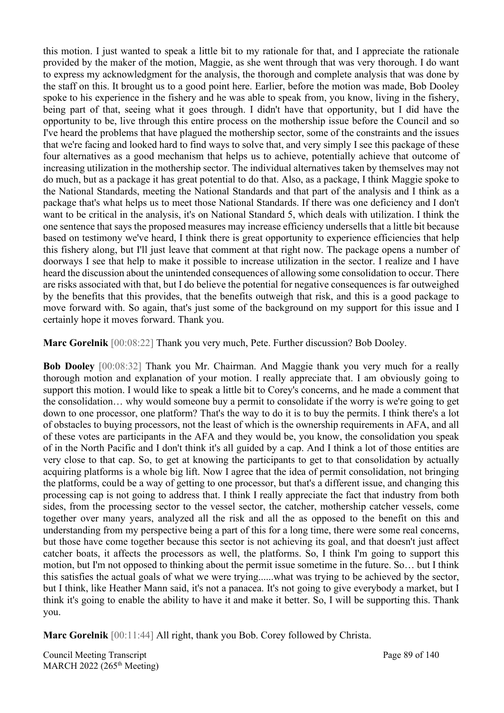this motion. I just wanted to speak a little bit to my rationale for that, and I appreciate the rationale provided by the maker of the motion, Maggie, as she went through that was very thorough. I do want to express my acknowledgment for the analysis, the thorough and complete analysis that was done by the staff on this. It brought us to a good point here. Earlier, before the motion was made, Bob Dooley spoke to his experience in the fishery and he was able to speak from, you know, living in the fishery, being part of that, seeing what it goes through. I didn't have that opportunity, but I did have the opportunity to be, live through this entire process on the mothership issue before the Council and so I've heard the problems that have plagued the mothership sector, some of the constraints and the issues that we're facing and looked hard to find ways to solve that, and very simply I see this package of these four alternatives as a good mechanism that helps us to achieve, potentially achieve that outcome of increasing utilization in the mothership sector. The individual alternatives taken by themselves may not do much, but as a package it has great potential to do that. Also, as a package, I think Maggie spoke to the National Standards, meeting the National Standards and that part of the analysis and I think as a package that's what helps us to meet those National Standards. If there was one deficiency and I don't want to be critical in the analysis, it's on National Standard 5, which deals with utilization. I think the one sentence that says the proposed measures may increase efficiency undersells that a little bit because based on testimony we've heard, I think there is great opportunity to experience efficiencies that help this fishery along, but I'll just leave that comment at that right now. The package opens a number of doorways I see that help to make it possible to increase utilization in the sector. I realize and I have heard the discussion about the unintended consequences of allowing some consolidation to occur. There are risks associated with that, but I do believe the potential for negative consequences is far outweighed by the benefits that this provides, that the benefits outweigh that risk, and this is a good package to move forward with. So again, that's just some of the background on my support for this issue and I certainly hope it moves forward. Thank you.

**Marc Gorelnik** [00:08:22] Thank you very much, Pete. Further discussion? Bob Dooley.

**Bob Dooley** [00:08:32] Thank you Mr. Chairman. And Maggie thank you very much for a really thorough motion and explanation of your motion. I really appreciate that. I am obviously going to support this motion. I would like to speak a little bit to Corey's concerns, and he made a comment that the consolidation… why would someone buy a permit to consolidate if the worry is we're going to get down to one processor, one platform? That's the way to do it is to buy the permits. I think there's a lot of obstacles to buying processors, not the least of which is the ownership requirements in AFA, and all of these votes are participants in the AFA and they would be, you know, the consolidation you speak of in the North Pacific and I don't think it's all guided by a cap. And I think a lot of those entities are very close to that cap. So, to get at knowing the participants to get to that consolidation by actually acquiring platforms is a whole big lift. Now I agree that the idea of permit consolidation, not bringing the platforms, could be a way of getting to one processor, but that's a different issue, and changing this processing cap is not going to address that. I think I really appreciate the fact that industry from both sides, from the processing sector to the vessel sector, the catcher, mothership catcher vessels, come together over many years, analyzed all the risk and all the as opposed to the benefit on this and understanding from my perspective being a part of this for a long time, there were some real concerns, but those have come together because this sector is not achieving its goal, and that doesn't just affect catcher boats, it affects the processors as well, the platforms. So, I think I'm going to support this motion, but I'm not opposed to thinking about the permit issue sometime in the future. So… but I think this satisfies the actual goals of what we were trying......what was trying to be achieved by the sector, but I think, like Heather Mann said, it's not a panacea. It's not going to give everybody a market, but I think it's going to enable the ability to have it and make it better. So, I will be supporting this. Thank you.

**Marc Gorelnik** [00:11:44] All right, thank you Bob. Corey followed by Christa.

Council Meeting Transcript **Page 89 of 140** MARCH 2022 (265<sup>th</sup> Meeting)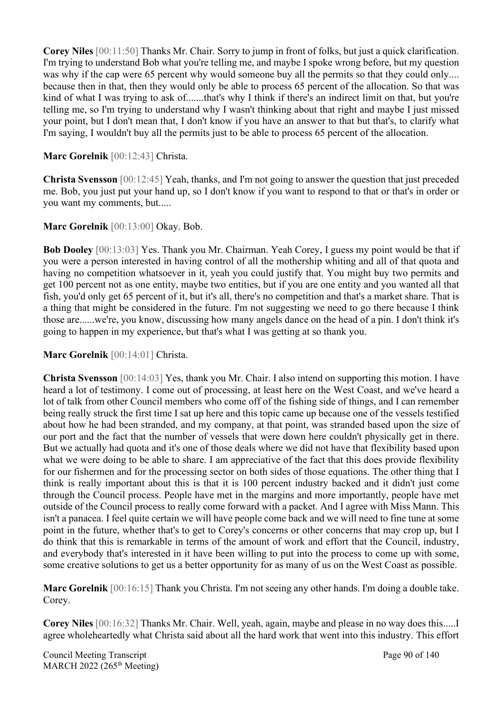**Corey Niles** [00:11:50] Thanks Mr. Chair. Sorry to jump in front of folks, but just a quick clarification. I'm trying to understand Bob what you're telling me, and maybe I spoke wrong before, but my question was why if the cap were 65 percent why would someone buy all the permits so that they could only.... because then in that, then they would only be able to process 65 percent of the allocation. So that was kind of what I was trying to ask of.......that's why I think if there's an indirect limit on that, but you're telling me, so I'm trying to understand why I wasn't thinking about that right and maybe I just missed your point, but I don't mean that, I don't know if you have an answer to that but that's, to clarify what I'm saying, I wouldn't buy all the permits just to be able to process 65 percent of the allocation.

### **Marc Gorelnik** [00:12:43] Christa.

**Christa Svensson** [00:12:45] Yeah, thanks, and I'm not going to answer the question that just preceded me. Bob, you just put your hand up, so I don't know if you want to respond to that or that's in order or you want my comments, but.....

#### **Marc Gorelnik** [00:13:00] Okay. Bob.

**Bob Dooley** [00:13:03] Yes. Thank you Mr. Chairman. Yeah Corey, I guess my point would be that if you were a person interested in having control of all the mothership whiting and all of that quota and having no competition whatsoever in it, yeah you could justify that. You might buy two permits and get 100 percent not as one entity, maybe two entities, but if you are one entity and you wanted all that fish, you'd only get 65 percent of it, but it's all, there's no competition and that's a market share. That is a thing that might be considered in the future. I'm not suggesting we need to go there because I think those are......we're, you know, discussing how many angels dance on the head of a pin. I don't think it's going to happen in my experience, but that's what I was getting at so thank you.

#### **Marc Gorelnik** [00:14:01] Christa.

**Christa Svensson** [00:14:03] Yes, thank you Mr. Chair. I also intend on supporting this motion. I have heard a lot of testimony. I come out of processing, at least here on the West Coast, and we've heard a lot of talk from other Council members who come off of the fishing side of things, and I can remember being really struck the first time I sat up here and this topic came up because one of the vessels testified about how he had been stranded, and my company, at that point, was stranded based upon the size of our port and the fact that the number of vessels that were down here couldn't physically get in there. But we actually had quota and it's one of those deals where we did not have that flexibility based upon what we were doing to be able to share. I am appreciative of the fact that this does provide flexibility for our fishermen and for the processing sector on both sides of those equations. The other thing that I think is really important about this is that it is 100 percent industry backed and it didn't just come through the Council process. People have met in the margins and more importantly, people have met outside of the Council process to really come forward with a packet. And I agree with Miss Mann. This isn't a panacea. I feel quite certain we will have people come back and we will need to fine tune at some point in the future, whether that's to get to Corey's concerns or other concerns that may crop up, but I do think that this is remarkable in terms of the amount of work and effort that the Council, industry, and everybody that's interested in it have been willing to put into the process to come up with some, some creative solutions to get us a better opportunity for as many of us on the West Coast as possible.

**Marc Gorelnik** [00:16:15] Thank you Christa. I'm not seeing any other hands. I'm doing a double take. Corey.

**Corey Niles** [00:16:32] Thanks Mr. Chair. Well, yeah, again, maybe and please in no way does this.....I agree wholeheartedly what Christa said about all the hard work that went into this industry. This effort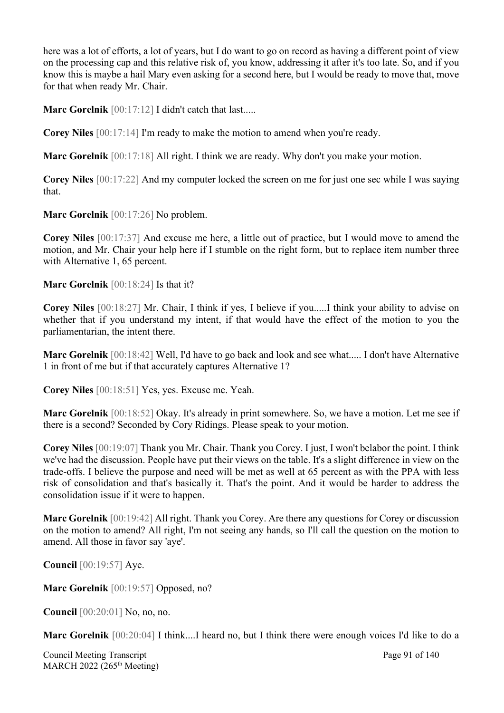here was a lot of efforts, a lot of years, but I do want to go on record as having a different point of view on the processing cap and this relative risk of, you know, addressing it after it's too late. So, and if you know this is maybe a hail Mary even asking for a second here, but I would be ready to move that, move for that when ready Mr. Chair.

**Marc Gorelnik** [00:17:12] I didn't catch that last.....

**Corey Niles** [00:17:14] I'm ready to make the motion to amend when you're ready.

**Marc Gorelnik** [00:17:18] All right. I think we are ready. Why don't you make your motion.

**Corey Niles** [00:17:22] And my computer locked the screen on me for just one sec while I was saying that.

**Marc Gorelnik** [00:17:26] No problem.

**Corey Niles** [00:17:37] And excuse me here, a little out of practice, but I would move to amend the motion, and Mr. Chair your help here if I stumble on the right form, but to replace item number three with Alternative 1, 65 percent.

**Marc Gorelnik** [00:18:24] Is that it?

**Corey Niles** [00:18:27] Mr. Chair, I think if yes, I believe if you.....I think your ability to advise on whether that if you understand my intent, if that would have the effect of the motion to you the parliamentarian, the intent there.

**Marc Gorelnik** [00:18:42] Well, I'd have to go back and look and see what..... I don't have Alternative 1 in front of me but if that accurately captures Alternative 1?

**Corey Niles** [00:18:51] Yes, yes. Excuse me. Yeah.

**Marc Gorelnik** [00:18:52] Okay. It's already in print somewhere. So, we have a motion. Let me see if there is a second? Seconded by Cory Ridings. Please speak to your motion.

**Corey Niles** [00:19:07] Thank you Mr. Chair. Thank you Corey. I just, I won't belabor the point. I think we've had the discussion. People have put their views on the table. It's a slight difference in view on the trade-offs. I believe the purpose and need will be met as well at 65 percent as with the PPA with less risk of consolidation and that's basically it. That's the point. And it would be harder to address the consolidation issue if it were to happen.

**Marc Gorelnik** [00:19:42] All right. Thank you Corey. Are there any questions for Corey or discussion on the motion to amend? All right, I'm not seeing any hands, so I'll call the question on the motion to amend. All those in favor say 'aye'.

**Council** [00:19:57] Aye.

**Marc Gorelnik** [00:19:57] Opposed, no?

**Council** [00:20:01] No, no, no.

**Marc Gorelnik** [00:20:04] I think....I heard no, but I think there were enough voices I'd like to do a

Council Meeting Transcript **Page 91** of 140 MARCH 2022 (265<sup>th</sup> Meeting)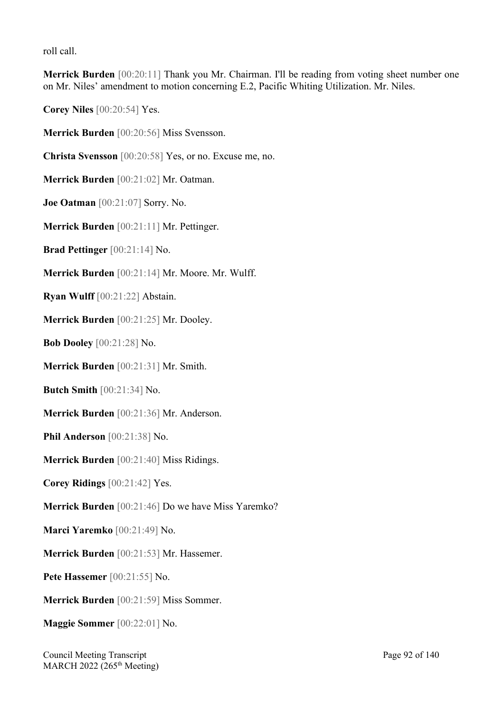roll call.

**Merrick Burden** [00:20:11] Thank you Mr. Chairman. I'll be reading from voting sheet number one on Mr. Niles' amendment to motion concerning E.2, Pacific Whiting Utilization. Mr. Niles.

**Corey Niles** [00:20:54] Yes.

**Merrick Burden** [00:20:56] Miss Svensson.

**Christa Svensson** [00:20:58] Yes, or no. Excuse me, no.

**Merrick Burden** [00:21:02] Mr. Oatman.

**Joe Oatman** [00:21:07] Sorry. No.

**Merrick Burden** [00:21:11] Mr. Pettinger.

**Brad Pettinger** [00:21:14] No.

**Merrick Burden** [00:21:14] Mr. Moore. Mr. Wulff.

**Ryan Wulff** [00:21:22] Abstain.

**Merrick Burden** [00:21:25] Mr. Dooley.

**Bob Dooley** [00:21:28] No.

**Merrick Burden** [00:21:31] Mr. Smith.

**Butch Smith** [00:21:34] No.

**Merrick Burden** [00:21:36] Mr. Anderson.

**Phil Anderson** [00:21:38] No.

**Merrick Burden** [00:21:40] Miss Ridings.

**Corey Ridings** [00:21:42] Yes.

**Merrick Burden** [00:21:46] Do we have Miss Yaremko?

**Marci Yaremko** [00:21:49] No.

**Merrick Burden** [00:21:53] Mr. Hassemer.

**Pete Hassemer** [00:21:55] No.

**Merrick Burden** [00:21:59] Miss Sommer.

**Maggie Sommer** [00:22:01] No.

Council Meeting Transcript **Page 92 of 140** MARCH 2022 (265<sup>th</sup> Meeting)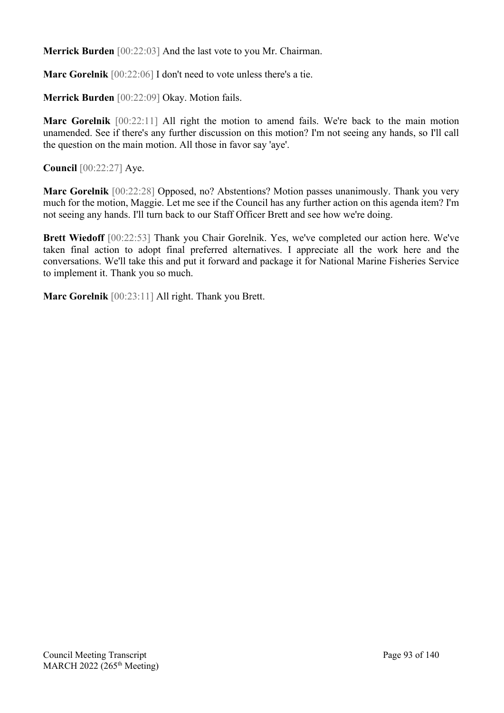**Merrick Burden** [00:22:03] And the last vote to you Mr. Chairman.

**Marc Gorelnik** [00:22:06] I don't need to vote unless there's a tie.

**Merrick Burden** [00:22:09] Okay. Motion fails.

**Marc Gorelnik** [00:22:11] All right the motion to amend fails. We're back to the main motion unamended. See if there's any further discussion on this motion? I'm not seeing any hands, so I'll call the question on the main motion. All those in favor say 'aye'.

**Council** [00:22:27] Aye.

**Marc Gorelnik** [00:22:28] Opposed, no? Abstentions? Motion passes unanimously. Thank you very much for the motion, Maggie. Let me see if the Council has any further action on this agenda item? I'm not seeing any hands. I'll turn back to our Staff Officer Brett and see how we're doing.

**Brett Wiedoff** [00:22:53] Thank you Chair Gorelnik. Yes, we've completed our action here. We've taken final action to adopt final preferred alternatives. I appreciate all the work here and the conversations. We'll take this and put it forward and package it for National Marine Fisheries Service to implement it. Thank you so much.

**Marc Gorelnik** [00:23:11] All right. Thank you Brett.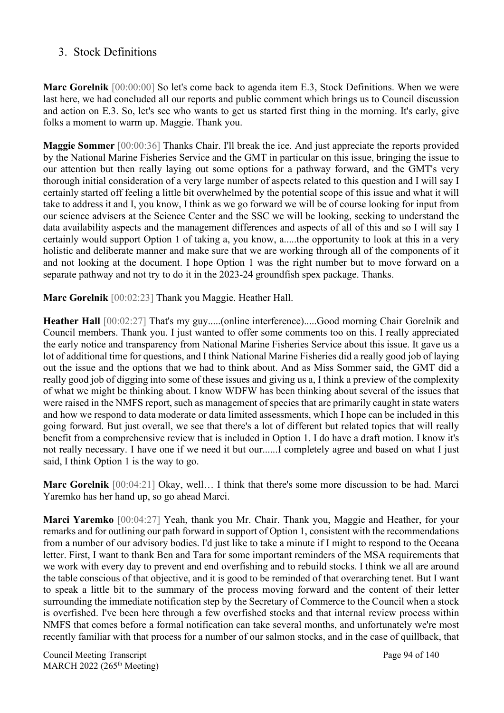### 3. Stock Definitions

**Marc Gorelnik** [00:00:00] So let's come back to agenda item E.3, Stock Definitions. When we were last here, we had concluded all our reports and public comment which brings us to Council discussion and action on E.3. So, let's see who wants to get us started first thing in the morning. It's early, give folks a moment to warm up. Maggie. Thank you.

**Maggie Sommer** [00:00:36] Thanks Chair. I'll break the ice. And just appreciate the reports provided by the National Marine Fisheries Service and the GMT in particular on this issue, bringing the issue to our attention but then really laying out some options for a pathway forward, and the GMT's very thorough initial consideration of a very large number of aspects related to this question and I will say I certainly started off feeling a little bit overwhelmed by the potential scope of this issue and what it will take to address it and I, you know, I think as we go forward we will be of course looking for input from our science advisers at the Science Center and the SSC we will be looking, seeking to understand the data availability aspects and the management differences and aspects of all of this and so I will say I certainly would support Option 1 of taking a, you know, a.....the opportunity to look at this in a very holistic and deliberate manner and make sure that we are working through all of the components of it and not looking at the document. I hope Option 1 was the right number but to move forward on a separate pathway and not try to do it in the 2023-24 groundfish spex package. Thanks.

**Marc Gorelnik** [00:02:23] Thank you Maggie. Heather Hall.

**Heather Hall** [00:02:27] That's my guy.....(online interference).....Good morning Chair Gorelnik and Council members. Thank you. I just wanted to offer some comments too on this. I really appreciated the early notice and transparency from National Marine Fisheries Service about this issue. It gave us a lot of additional time for questions, and I think National Marine Fisheries did a really good job of laying out the issue and the options that we had to think about. And as Miss Sommer said, the GMT did a really good job of digging into some of these issues and giving us a, I think a preview of the complexity of what we might be thinking about. I know WDFW has been thinking about several of the issues that were raised in the NMFS report, such as management of species that are primarily caught in state waters and how we respond to data moderate or data limited assessments, which I hope can be included in this going forward. But just overall, we see that there's a lot of different but related topics that will really benefit from a comprehensive review that is included in Option 1. I do have a draft motion. I know it's not really necessary. I have one if we need it but our......I completely agree and based on what I just said, I think Option 1 is the way to go.

**Marc Gorelnik** [00:04:21] Okay, well… I think that there's some more discussion to be had. Marci Yaremko has her hand up, so go ahead Marci.

**Marci Yaremko** [00:04:27] Yeah, thank you Mr. Chair. Thank you, Maggie and Heather, for your remarks and for outlining our path forward in support of Option 1, consistent with the recommendations from a number of our advisory bodies. I'd just like to take a minute if I might to respond to the Oceana letter. First, I want to thank Ben and Tara for some important reminders of the MSA requirements that we work with every day to prevent and end overfishing and to rebuild stocks. I think we all are around the table conscious of that objective, and it is good to be reminded of that overarching tenet. But I want to speak a little bit to the summary of the process moving forward and the content of their letter surrounding the immediate notification step by the Secretary of Commerce to the Council when a stock is overfished. I've been here through a few overfished stocks and that internal review process within NMFS that comes before a formal notification can take several months, and unfortunately we're most recently familiar with that process for a number of our salmon stocks, and in the case of quillback, that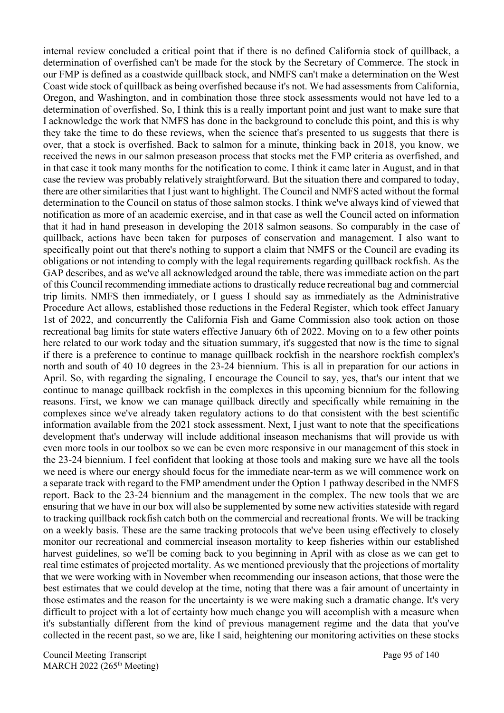internal review concluded a critical point that if there is no defined California stock of quillback, a determination of overfished can't be made for the stock by the Secretary of Commerce. The stock in our FMP is defined as a coastwide quillback stock, and NMFS can't make a determination on the West Coast wide stock of quillback as being overfished because it's not. We had assessments from California, Oregon, and Washington, and in combination those three stock assessments would not have led to a determination of overfished. So, I think this is a really important point and just want to make sure that I acknowledge the work that NMFS has done in the background to conclude this point, and this is why they take the time to do these reviews, when the science that's presented to us suggests that there is over, that a stock is overfished. Back to salmon for a minute, thinking back in 2018, you know, we received the news in our salmon preseason process that stocks met the FMP criteria as overfished, and in that case it took many months for the notification to come. I think it came later in August, and in that case the review was probably relatively straightforward. But the situation there and compared to today, there are other similarities that I just want to highlight. The Council and NMFS acted without the formal determination to the Council on status of those salmon stocks. I think we've always kind of viewed that notification as more of an academic exercise, and in that case as well the Council acted on information that it had in hand preseason in developing the 2018 salmon seasons. So comparably in the case of quillback, actions have been taken for purposes of conservation and management. I also want to specifically point out that there's nothing to support a claim that NMFS or the Council are evading its obligations or not intending to comply with the legal requirements regarding quillback rockfish. As the GAP describes, and as we've all acknowledged around the table, there was immediate action on the part of this Council recommending immediate actions to drastically reduce recreational bag and commercial trip limits. NMFS then immediately, or I guess I should say as immediately as the Administrative Procedure Act allows, established those reductions in the Federal Register, which took effect January 1st of 2022, and concurrently the California Fish and Game Commission also took action on those recreational bag limits for state waters effective January 6th of 2022. Moving on to a few other points here related to our work today and the situation summary, it's suggested that now is the time to signal if there is a preference to continue to manage quillback rockfish in the nearshore rockfish complex's north and south of 40 10 degrees in the 23-24 biennium. This is all in preparation for our actions in April. So, with regarding the signaling, I encourage the Council to say, yes, that's our intent that we continue to manage quillback rockfish in the complexes in this upcoming biennium for the following reasons. First, we know we can manage quillback directly and specifically while remaining in the complexes since we've already taken regulatory actions to do that consistent with the best scientific information available from the 2021 stock assessment. Next, I just want to note that the specifications development that's underway will include additional inseason mechanisms that will provide us with even more tools in our toolbox so we can be even more responsive in our management of this stock in the 23-24 biennium. I feel confident that looking at those tools and making sure we have all the tools we need is where our energy should focus for the immediate near-term as we will commence work on a separate track with regard to the FMP amendment under the Option 1 pathway described in the NMFS report. Back to the 23-24 biennium and the management in the complex. The new tools that we are ensuring that we have in our box will also be supplemented by some new activities stateside with regard to tracking quillback rockfish catch both on the commercial and recreational fronts. We will be tracking on a weekly basis. These are the same tracking protocols that we've been using effectively to closely monitor our recreational and commercial inseason mortality to keep fisheries within our established harvest guidelines, so we'll be coming back to you beginning in April with as close as we can get to real time estimates of projected mortality. As we mentioned previously that the projections of mortality that we were working with in November when recommending our inseason actions, that those were the best estimates that we could develop at the time, noting that there was a fair amount of uncertainty in those estimates and the reason for the uncertainty is we were making such a dramatic change. It's very difficult to project with a lot of certainty how much change you will accomplish with a measure when it's substantially different from the kind of previous management regime and the data that you've collected in the recent past, so we are, like I said, heightening our monitoring activities on these stocks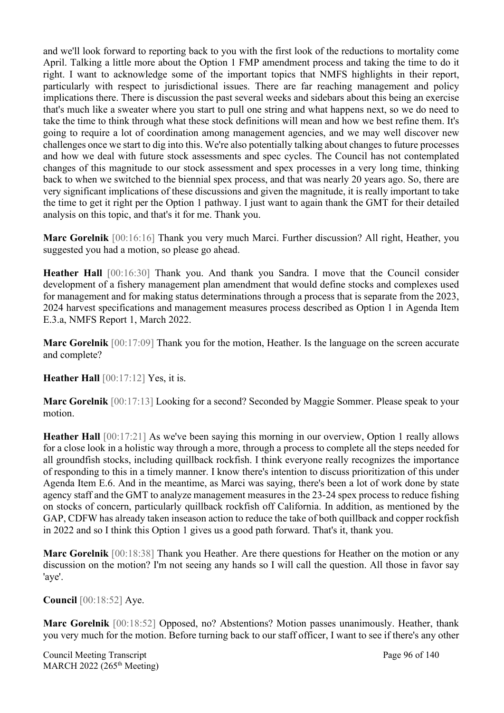and we'll look forward to reporting back to you with the first look of the reductions to mortality come April. Talking a little more about the Option 1 FMP amendment process and taking the time to do it right. I want to acknowledge some of the important topics that NMFS highlights in their report, particularly with respect to jurisdictional issues. There are far reaching management and policy implications there. There is discussion the past several weeks and sidebars about this being an exercise that's much like a sweater where you start to pull one string and what happens next, so we do need to take the time to think through what these stock definitions will mean and how we best refine them. It's going to require a lot of coordination among management agencies, and we may well discover new challenges once we start to dig into this. We're also potentially talking about changes to future processes and how we deal with future stock assessments and spec cycles. The Council has not contemplated changes of this magnitude to our stock assessment and spex processes in a very long time, thinking back to when we switched to the biennial spex process, and that was nearly 20 years ago. So, there are very significant implications of these discussions and given the magnitude, it is really important to take the time to get it right per the Option 1 pathway. I just want to again thank the GMT for their detailed analysis on this topic, and that's it for me. Thank you.

**Marc Gorelnik** [00:16:16] Thank you very much Marci. Further discussion? All right, Heather, you suggested you had a motion, so please go ahead.

**Heather Hall** [00:16:30] Thank you. And thank you Sandra. I move that the Council consider development of a fishery management plan amendment that would define stocks and complexes used for management and for making status determinations through a process that is separate from the 2023, 2024 harvest specifications and management measures process described as Option 1 in Agenda Item E.3.a, NMFS Report 1, March 2022.

**Marc Gorelnik** [00:17:09] Thank you for the motion, Heather. Is the language on the screen accurate and complete?

**Heather Hall** [00:17:12] Yes, it is.

**Marc Gorelnik** [00:17:13] Looking for a second? Seconded by Maggie Sommer. Please speak to your motion.

**Heather Hall** [00:17:21] As we've been saying this morning in our overview, Option 1 really allows for a close look in a holistic way through a more, through a process to complete all the steps needed for all groundfish stocks, including quillback rockfish. I think everyone really recognizes the importance of responding to this in a timely manner. I know there's intention to discuss prioritization of this under Agenda Item E.6. And in the meantime, as Marci was saying, there's been a lot of work done by state agency staff and the GMT to analyze management measures in the 23-24 spex process to reduce fishing on stocks of concern, particularly quillback rockfish off California. In addition, as mentioned by the GAP, CDFW has already taken inseason action to reduce the take of both quillback and copper rockfish in 2022 and so I think this Option 1 gives us a good path forward. That's it, thank you.

**Marc Gorelnik** [00:18:38] Thank you Heather. Are there questions for Heather on the motion or any discussion on the motion? I'm not seeing any hands so I will call the question. All those in favor say 'aye'.

**Council** [00:18:52] Aye.

**Marc Gorelnik** [00:18:52] Opposed, no? Abstentions? Motion passes unanimously. Heather, thank you very much for the motion. Before turning back to our staff officer, I want to see if there's any other

Council Meeting Transcript **Page 96 of 140** MARCH 2022 (265<sup>th</sup> Meeting)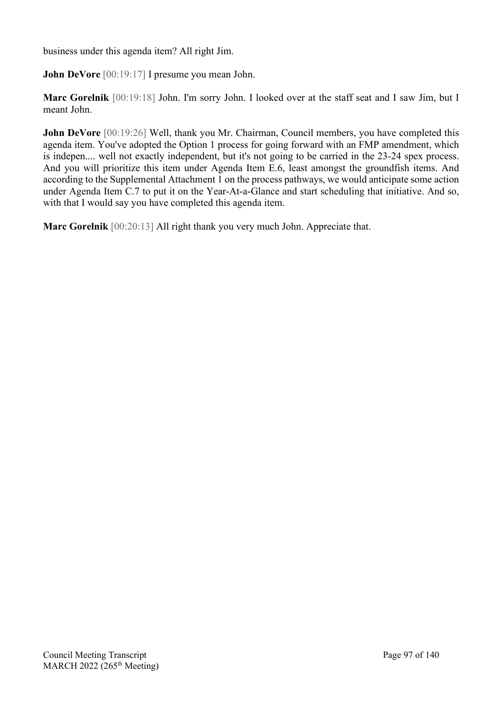business under this agenda item? All right Jim.

**John DeVore** [00:19:17] I presume you mean John.

**Marc Gorelnik** [00:19:18] John. I'm sorry John. I looked over at the staff seat and I saw Jim, but I meant John.

**John DeVore** [00:19:26] Well, thank you Mr. Chairman, Council members, you have completed this agenda item. You've adopted the Option 1 process for going forward with an FMP amendment, which is indepen.... well not exactly independent, but it's not going to be carried in the 23-24 spex process. And you will prioritize this item under Agenda Item E.6, least amongst the groundfish items. And according to the Supplemental Attachment 1 on the process pathways, we would anticipate some action under Agenda Item C.7 to put it on the Year-At-a-Glance and start scheduling that initiative. And so, with that I would say you have completed this agenda item.

**Marc Gorelnik** [00:20:13] All right thank you very much John. Appreciate that.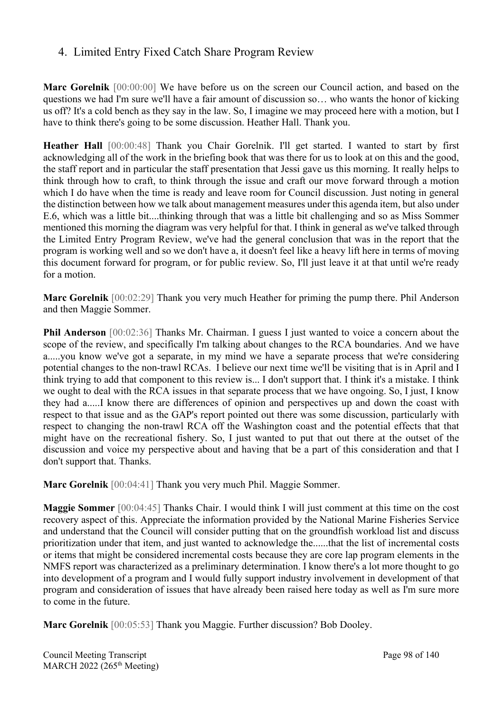### 4. Limited Entry Fixed Catch Share Program Review

**Marc Gorelnik** [00:00:00] We have before us on the screen our Council action, and based on the questions we had I'm sure we'll have a fair amount of discussion so… who wants the honor of kicking us off? It's a cold bench as they say in the law. So, I imagine we may proceed here with a motion, but I have to think there's going to be some discussion. Heather Hall. Thank you.

**Heather Hall** [00:00:48] Thank you Chair Gorelnik. I'll get started. I wanted to start by first acknowledging all of the work in the briefing book that was there for us to look at on this and the good, the staff report and in particular the staff presentation that Jessi gave us this morning. It really helps to think through how to craft, to think through the issue and craft our move forward through a motion which I do have when the time is ready and leave room for Council discussion. Just noting in general the distinction between how we talk about management measures under this agenda item, but also under E.6, which was a little bit....thinking through that was a little bit challenging and so as Miss Sommer mentioned this morning the diagram was very helpful for that. I think in general as we've talked through the Limited Entry Program Review, we've had the general conclusion that was in the report that the program is working well and so we don't have a, it doesn't feel like a heavy lift here in terms of moving this document forward for program, or for public review. So, I'll just leave it at that until we're ready for a motion.

**Marc Gorelnik** [00:02:29] Thank you very much Heather for priming the pump there. Phil Anderson and then Maggie Sommer.

**Phil Anderson** [00:02:36] Thanks Mr. Chairman. I guess I just wanted to voice a concern about the scope of the review, and specifically I'm talking about changes to the RCA boundaries. And we have a.....you know we've got a separate, in my mind we have a separate process that we're considering potential changes to the non-trawl RCAs. I believe our next time we'll be visiting that is in April and I think trying to add that component to this review is... I don't support that. I think it's a mistake. I think we ought to deal with the RCA issues in that separate process that we have ongoing. So, I just, I know they had a.....I know there are differences of opinion and perspectives up and down the coast with respect to that issue and as the GAP's report pointed out there was some discussion, particularly with respect to changing the non-trawl RCA off the Washington coast and the potential effects that that might have on the recreational fishery. So, I just wanted to put that out there at the outset of the discussion and voice my perspective about and having that be a part of this consideration and that I don't support that. Thanks.

**Marc Gorelnik** [00:04:41] Thank you very much Phil. Maggie Sommer.

**Maggie Sommer** [00:04:45] Thanks Chair. I would think I will just comment at this time on the cost recovery aspect of this. Appreciate the information provided by the National Marine Fisheries Service and understand that the Council will consider putting that on the groundfish workload list and discuss prioritization under that item, and just wanted to acknowledge the......that the list of incremental costs or items that might be considered incremental costs because they are core lap program elements in the NMFS report was characterized as a preliminary determination. I know there's a lot more thought to go into development of a program and I would fully support industry involvement in development of that program and consideration of issues that have already been raised here today as well as I'm sure more to come in the future.

**Marc Gorelnik** [00:05:53] Thank you Maggie. Further discussion? Bob Dooley.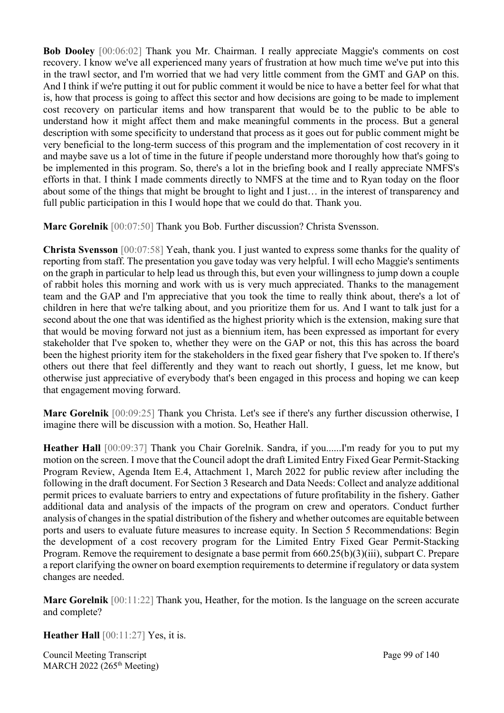**Bob Dooley** [00:06:02] Thank you Mr. Chairman. I really appreciate Maggie's comments on cost recovery. I know we've all experienced many years of frustration at how much time we've put into this in the trawl sector, and I'm worried that we had very little comment from the GMT and GAP on this. And I think if we're putting it out for public comment it would be nice to have a better feel for what that is, how that process is going to affect this sector and how decisions are going to be made to implement cost recovery on particular items and how transparent that would be to the public to be able to understand how it might affect them and make meaningful comments in the process. But a general description with some specificity to understand that process as it goes out for public comment might be very beneficial to the long-term success of this program and the implementation of cost recovery in it and maybe save us a lot of time in the future if people understand more thoroughly how that's going to be implemented in this program. So, there's a lot in the briefing book and I really appreciate NMFS's efforts in that. I think I made comments directly to NMFS at the time and to Ryan today on the floor about some of the things that might be brought to light and I just… in the interest of transparency and full public participation in this I would hope that we could do that. Thank you.

**Marc Gorelnik** [00:07:50] Thank you Bob. Further discussion? Christa Svensson.

**Christa Svensson** [00:07:58] Yeah, thank you. I just wanted to express some thanks for the quality of reporting from staff. The presentation you gave today was very helpful. I will echo Maggie's sentiments on the graph in particular to help lead us through this, but even your willingness to jump down a couple of rabbit holes this morning and work with us is very much appreciated. Thanks to the management team and the GAP and I'm appreciative that you took the time to really think about, there's a lot of children in here that we're talking about, and you prioritize them for us. And I want to talk just for a second about the one that was identified as the highest priority which is the extension, making sure that that would be moving forward not just as a biennium item, has been expressed as important for every stakeholder that I've spoken to, whether they were on the GAP or not, this this has across the board been the highest priority item for the stakeholders in the fixed gear fishery that I've spoken to. If there's others out there that feel differently and they want to reach out shortly, I guess, let me know, but otherwise just appreciative of everybody that's been engaged in this process and hoping we can keep that engagement moving forward.

**Marc Gorelnik** [00:09:25] Thank you Christa. Let's see if there's any further discussion otherwise, I imagine there will be discussion with a motion. So, Heather Hall.

**Heather Hall** [00:09:37] Thank you Chair Gorelnik. Sandra, if you......I'm ready for you to put my motion on the screen. I move that the Council adopt the draft Limited Entry Fixed Gear Permit-Stacking Program Review, Agenda Item E.4, Attachment 1, March 2022 for public review after including the following in the draft document. For Section 3 Research and Data Needs: Collect and analyze additional permit prices to evaluate barriers to entry and expectations of future profitability in the fishery. Gather additional data and analysis of the impacts of the program on crew and operators. Conduct further analysis of changes in the spatial distribution of the fishery and whether outcomes are equitable between ports and users to evaluate future measures to increase equity. In Section 5 Recommendations: Begin the development of a cost recovery program for the Limited Entry Fixed Gear Permit-Stacking Program. Remove the requirement to designate a base permit from 660.25(b)(3)(iii), subpart C. Prepare a report clarifying the owner on board exemption requirements to determine if regulatory or data system changes are needed.

**Marc Gorelnik** [00:11:22] Thank you, Heather, for the motion. Is the language on the screen accurate and complete?

**Heather Hall** [00:11:27] Yes, it is.

Council Meeting Transcript **Page 99 of 140** MARCH 2022 (265<sup>th</sup> Meeting)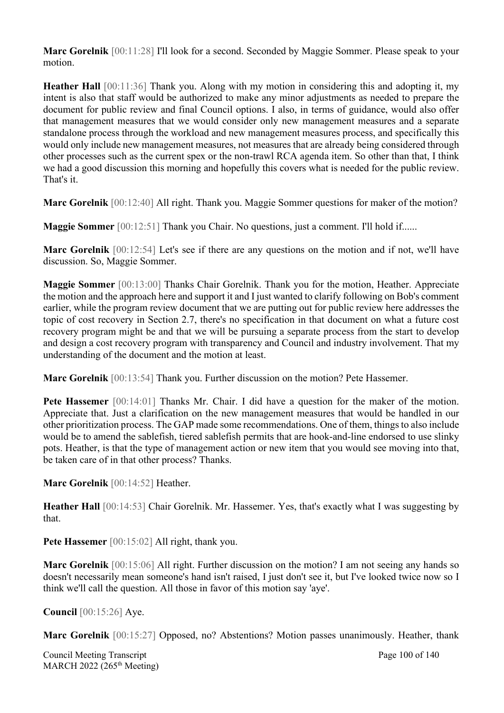**Marc Gorelnik** [00:11:28] I'll look for a second. Seconded by Maggie Sommer. Please speak to your motion.

**Heather Hall** [00:11:36] Thank you. Along with my motion in considering this and adopting it, my intent is also that staff would be authorized to make any minor adjustments as needed to prepare the document for public review and final Council options. I also, in terms of guidance, would also offer that management measures that we would consider only new management measures and a separate standalone process through the workload and new management measures process, and specifically this would only include new management measures, not measures that are already being considered through other processes such as the current spex or the non-trawl RCA agenda item. So other than that, I think we had a good discussion this morning and hopefully this covers what is needed for the public review. That's it.

**Marc Gorelnik** [00:12:40] All right. Thank you. Maggie Sommer questions for maker of the motion?

**Maggie Sommer** [00:12:51] Thank you Chair. No questions, just a comment. I'll hold if......

**Marc Gorelnik** [00:12:54] Let's see if there are any questions on the motion and if not, we'll have discussion. So, Maggie Sommer.

**Maggie Sommer** [00:13:00] Thanks Chair Gorelnik. Thank you for the motion, Heather. Appreciate the motion and the approach here and support it and I just wanted to clarify following on Bob's comment earlier, while the program review document that we are putting out for public review here addresses the topic of cost recovery in Section 2.7, there's no specification in that document on what a future cost recovery program might be and that we will be pursuing a separate process from the start to develop and design a cost recovery program with transparency and Council and industry involvement. That my understanding of the document and the motion at least.

**Marc Gorelnik** [00:13:54] Thank you. Further discussion on the motion? Pete Hassemer.

**Pete Hassemer** [00:14:01] Thanks Mr. Chair. I did have a question for the maker of the motion. Appreciate that. Just a clarification on the new management measures that would be handled in our other prioritization process. The GAP made some recommendations. One of them, things to also include would be to amend the sablefish, tiered sablefish permits that are hook-and-line endorsed to use slinky pots. Heather, is that the type of management action or new item that you would see moving into that, be taken care of in that other process? Thanks.

**Marc Gorelnik** [00:14:52] Heather.

**Heather Hall** [00:14:53] Chair Gorelnik. Mr. Hassemer. Yes, that's exactly what I was suggesting by that.

Pete Hassemer [00:15:02] All right, thank you.

**Marc Gorelnik** [00:15:06] All right. Further discussion on the motion? I am not seeing any hands so doesn't necessarily mean someone's hand isn't raised, I just don't see it, but I've looked twice now so I think we'll call the question. All those in favor of this motion say 'aye'.

**Council** [00:15:26] Aye.

**Marc Gorelnik** [00:15:27] Opposed, no? Abstentions? Motion passes unanimously. Heather, thank

Council Meeting Transcript **Page 100 of 140** MARCH 2022 (265<sup>th</sup> Meeting)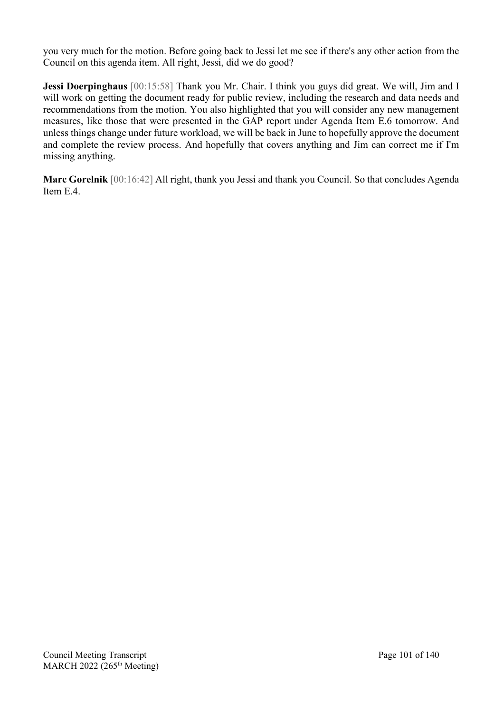you very much for the motion. Before going back to Jessi let me see if there's any other action from the Council on this agenda item. All right, Jessi, did we do good?

**Jessi Doerpinghaus** [00:15:58] Thank you Mr. Chair. I think you guys did great. We will, Jim and I will work on getting the document ready for public review, including the research and data needs and recommendations from the motion. You also highlighted that you will consider any new management measures, like those that were presented in the GAP report under Agenda Item E.6 tomorrow. And unless things change under future workload, we will be back in June to hopefully approve the document and complete the review process. And hopefully that covers anything and Jim can correct me if I'm missing anything.

**Marc Gorelnik** [00:16:42] All right, thank you Jessi and thank you Council. So that concludes Agenda Item E.4.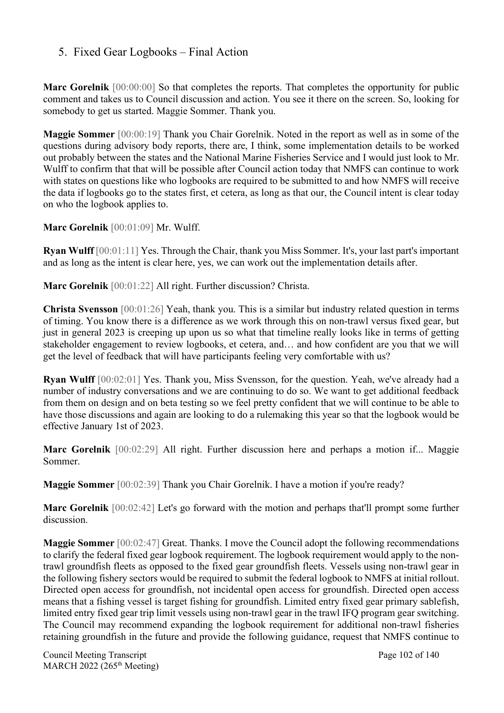### 5. Fixed Gear Logbooks – Final Action

Marc Gorelnik [00:00:00] So that completes the reports. That completes the opportunity for public comment and takes us to Council discussion and action. You see it there on the screen. So, looking for somebody to get us started. Maggie Sommer. Thank you.

**Maggie Sommer** [00:00:19] Thank you Chair Gorelnik. Noted in the report as well as in some of the questions during advisory body reports, there are, I think, some implementation details to be worked out probably between the states and the National Marine Fisheries Service and I would just look to Mr. Wulff to confirm that that will be possible after Council action today that NMFS can continue to work with states on questions like who logbooks are required to be submitted to and how NMFS will receive the data if logbooks go to the states first, et cetera, as long as that our, the Council intent is clear today on who the logbook applies to.

**Marc Gorelnik** [00:01:09] Mr. Wulff.

**Ryan Wulff** [00:01:11] Yes. Through the Chair, thank you Miss Sommer. It's, your last part's important and as long as the intent is clear here, yes, we can work out the implementation details after.

**Marc Gorelnik** [00:01:22] All right. Further discussion? Christa.

**Christa Svensson** [00:01:26] Yeah, thank you. This is a similar but industry related question in terms of timing. You know there is a difference as we work through this on non-trawl versus fixed gear, but just in general 2023 is creeping up upon us so what that timeline really looks like in terms of getting stakeholder engagement to review logbooks, et cetera, and… and how confident are you that we will get the level of feedback that will have participants feeling very comfortable with us?

**Ryan Wulff** [00:02:01] Yes. Thank you, Miss Svensson, for the question. Yeah, we've already had a number of industry conversations and we are continuing to do so. We want to get additional feedback from them on design and on beta testing so we feel pretty confident that we will continue to be able to have those discussions and again are looking to do a rulemaking this year so that the logbook would be effective January 1st of 2023.

**Marc Gorelnik** [00:02:29] All right. Further discussion here and perhaps a motion if... Maggie Sommer.

**Maggie Sommer** [00:02:39] Thank you Chair Gorelnik. I have a motion if you're ready?

**Marc Gorelnik** [00:02:42] Let's go forward with the motion and perhaps that'll prompt some further discussion.

**Maggie Sommer** [00:02:47] Great. Thanks. I move the Council adopt the following recommendations to clarify the federal fixed gear logbook requirement. The logbook requirement would apply to the nontrawl groundfish fleets as opposed to the fixed gear groundfish fleets. Vessels using non-trawl gear in the following fishery sectors would be required to submit the federal logbook to NMFS at initial rollout. Directed open access for groundfish, not incidental open access for groundfish. Directed open access means that a fishing vessel is target fishing for groundfish. Limited entry fixed gear primary sablefish, limited entry fixed gear trip limit vessels using non-trawl gear in the trawl IFQ program gear switching. The Council may recommend expanding the logbook requirement for additional non-trawl fisheries retaining groundfish in the future and provide the following guidance, request that NMFS continue to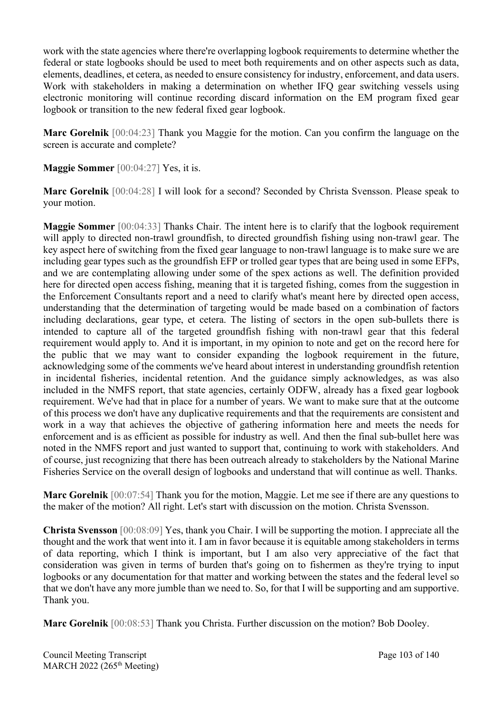work with the state agencies where there're overlapping logbook requirements to determine whether the federal or state logbooks should be used to meet both requirements and on other aspects such as data, elements, deadlines, et cetera, as needed to ensure consistency for industry, enforcement, and data users. Work with stakeholders in making a determination on whether IFQ gear switching vessels using electronic monitoring will continue recording discard information on the EM program fixed gear logbook or transition to the new federal fixed gear logbook.

**Marc Gorelnik** [00:04:23] Thank you Maggie for the motion. Can you confirm the language on the screen is accurate and complete?

**Maggie Sommer** [00:04:27] Yes, it is.

**Marc Gorelnik** [00:04:28] I will look for a second? Seconded by Christa Svensson. Please speak to your motion.

**Maggie Sommer** [00:04:33] Thanks Chair. The intent here is to clarify that the logbook requirement will apply to directed non-trawl groundfish, to directed groundfish fishing using non-trawl gear. The key aspect here of switching from the fixed gear language to non-trawl language is to make sure we are including gear types such as the groundfish EFP or trolled gear types that are being used in some EFPs, and we are contemplating allowing under some of the spex actions as well. The definition provided here for directed open access fishing, meaning that it is targeted fishing, comes from the suggestion in the Enforcement Consultants report and a need to clarify what's meant here by directed open access, understanding that the determination of targeting would be made based on a combination of factors including declarations, gear type, et cetera. The listing of sectors in the open sub-bullets there is intended to capture all of the targeted groundfish fishing with non-trawl gear that this federal requirement would apply to. And it is important, in my opinion to note and get on the record here for the public that we may want to consider expanding the logbook requirement in the future, acknowledging some of the comments we've heard about interest in understanding groundfish retention in incidental fisheries, incidental retention. And the guidance simply acknowledges, as was also included in the NMFS report, that state agencies, certainly ODFW, already has a fixed gear logbook requirement. We've had that in place for a number of years. We want to make sure that at the outcome of this process we don't have any duplicative requirements and that the requirements are consistent and work in a way that achieves the objective of gathering information here and meets the needs for enforcement and is as efficient as possible for industry as well. And then the final sub-bullet here was noted in the NMFS report and just wanted to support that, continuing to work with stakeholders. And of course, just recognizing that there has been outreach already to stakeholders by the National Marine Fisheries Service on the overall design of logbooks and understand that will continue as well. Thanks.

**Marc Gorelnik** [00:07:54] Thank you for the motion, Maggie. Let me see if there are any questions to the maker of the motion? All right. Let's start with discussion on the motion. Christa Svensson.

**Christa Svensson** [00:08:09] Yes, thank you Chair. I will be supporting the motion. I appreciate all the thought and the work that went into it. I am in favor because it is equitable among stakeholders in terms of data reporting, which I think is important, but I am also very appreciative of the fact that consideration was given in terms of burden that's going on to fishermen as they're trying to input logbooks or any documentation for that matter and working between the states and the federal level so that we don't have any more jumble than we need to. So, for that I will be supporting and am supportive. Thank you.

**Marc Gorelnik** [00:08:53] Thank you Christa. Further discussion on the motion? Bob Dooley.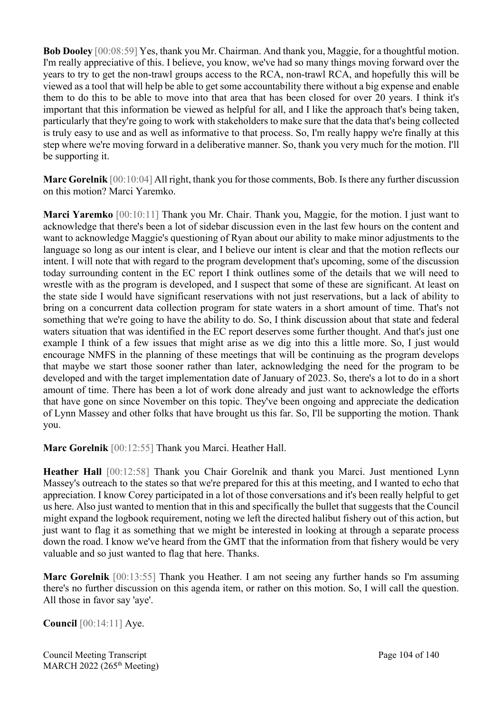**Bob Dooley** [00:08:59] Yes, thank you Mr. Chairman. And thank you, Maggie, for a thoughtful motion. I'm really appreciative of this. I believe, you know, we've had so many things moving forward over the years to try to get the non-trawl groups access to the RCA, non-trawl RCA, and hopefully this will be viewed as a tool that will help be able to get some accountability there without a big expense and enable them to do this to be able to move into that area that has been closed for over 20 years. I think it's important that this information be viewed as helpful for all, and I like the approach that's being taken, particularly that they're going to work with stakeholders to make sure that the data that's being collected is truly easy to use and as well as informative to that process. So, I'm really happy we're finally at this step where we're moving forward in a deliberative manner. So, thank you very much for the motion. I'll be supporting it.

**Marc Gorelnik** [00:10:04] All right, thank you for those comments, Bob. Is there any further discussion on this motion? Marci Yaremko.

**Marci Yaremko** [00:10:11] Thank you Mr. Chair. Thank you, Maggie, for the motion. I just want to acknowledge that there's been a lot of sidebar discussion even in the last few hours on the content and want to acknowledge Maggie's questioning of Ryan about our ability to make minor adjustments to the language so long as our intent is clear, and I believe our intent is clear and that the motion reflects our intent. I will note that with regard to the program development that's upcoming, some of the discussion today surrounding content in the EC report I think outlines some of the details that we will need to wrestle with as the program is developed, and I suspect that some of these are significant. At least on the state side I would have significant reservations with not just reservations, but a lack of ability to bring on a concurrent data collection program for state waters in a short amount of time. That's not something that we're going to have the ability to do. So, I think discussion about that state and federal waters situation that was identified in the EC report deserves some further thought. And that's just one example I think of a few issues that might arise as we dig into this a little more. So, I just would encourage NMFS in the planning of these meetings that will be continuing as the program develops that maybe we start those sooner rather than later, acknowledging the need for the program to be developed and with the target implementation date of January of 2023. So, there's a lot to do in a short amount of time. There has been a lot of work done already and just want to acknowledge the efforts that have gone on since November on this topic. They've been ongoing and appreciate the dedication of Lynn Massey and other folks that have brought us this far. So, I'll be supporting the motion. Thank you.

**Marc Gorelnik** [00:12:55] Thank you Marci. Heather Hall.

**Heather Hall** [00:12:58] Thank you Chair Gorelnik and thank you Marci. Just mentioned Lynn Massey's outreach to the states so that we're prepared for this at this meeting, and I wanted to echo that appreciation. I know Corey participated in a lot of those conversations and it's been really helpful to get us here. Also just wanted to mention that in this and specifically the bullet that suggests that the Council might expand the logbook requirement, noting we left the directed halibut fishery out of this action, but just want to flag it as something that we might be interested in looking at through a separate process down the road. I know we've heard from the GMT that the information from that fishery would be very valuable and so just wanted to flag that here. Thanks.

**Marc Gorelnik** [00:13:55] Thank you Heather. I am not seeing any further hands so I'm assuming there's no further discussion on this agenda item, or rather on this motion. So, I will call the question. All those in favor say 'aye'.

**Council** [00:14:11] Aye.

Council Meeting Transcript **Page 104 of 140** MARCH 2022 (265<sup>th</sup> Meeting)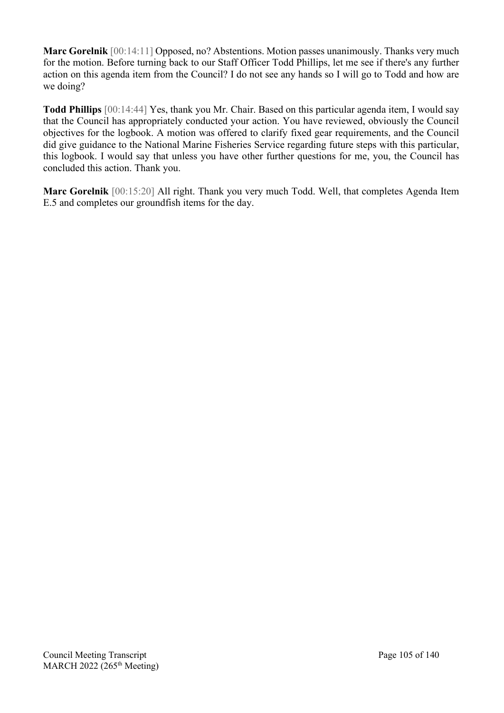**Marc Gorelnik** [00:14:11] Opposed, no? Abstentions. Motion passes unanimously. Thanks very much for the motion. Before turning back to our Staff Officer Todd Phillips, let me see if there's any further action on this agenda item from the Council? I do not see any hands so I will go to Todd and how are we doing?

**Todd Phillips** [00:14:44] Yes, thank you Mr. Chair. Based on this particular agenda item, I would say that the Council has appropriately conducted your action. You have reviewed, obviously the Council objectives for the logbook. A motion was offered to clarify fixed gear requirements, and the Council did give guidance to the National Marine Fisheries Service regarding future steps with this particular, this logbook. I would say that unless you have other further questions for me, you, the Council has concluded this action. Thank you.

**Marc Gorelnik** [00:15:20] All right. Thank you very much Todd. Well, that completes Agenda Item E.5 and completes our groundfish items for the day.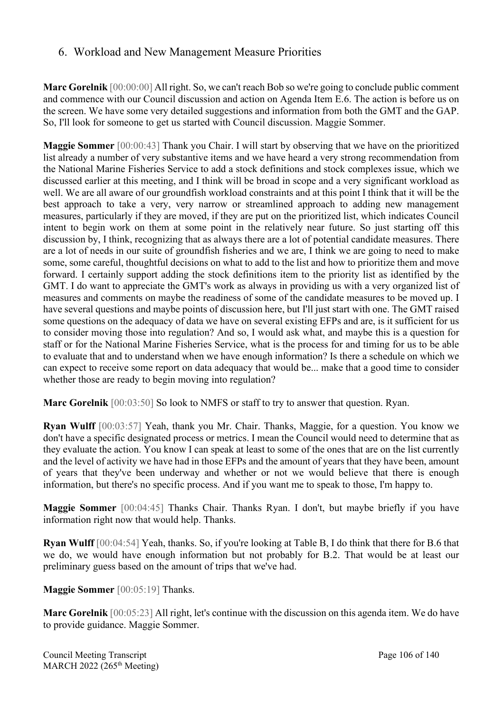### 6. Workload and New Management Measure Priorities

**Marc Gorelnik** [00:00:00] All right. So, we can't reach Bob so we're going to conclude public comment and commence with our Council discussion and action on Agenda Item E.6. The action is before us on the screen. We have some very detailed suggestions and information from both the GMT and the GAP. So, I'll look for someone to get us started with Council discussion. Maggie Sommer.

**Maggie Sommer** [00:00:43] Thank you Chair. I will start by observing that we have on the prioritized list already a number of very substantive items and we have heard a very strong recommendation from the National Marine Fisheries Service to add a stock definitions and stock complexes issue, which we discussed earlier at this meeting, and I think will be broad in scope and a very significant workload as well. We are all aware of our groundfish workload constraints and at this point I think that it will be the best approach to take a very, very narrow or streamlined approach to adding new management measures, particularly if they are moved, if they are put on the prioritized list, which indicates Council intent to begin work on them at some point in the relatively near future. So just starting off this discussion by, I think, recognizing that as always there are a lot of potential candidate measures. There are a lot of needs in our suite of groundfish fisheries and we are, I think we are going to need to make some, some careful, thoughtful decisions on what to add to the list and how to prioritize them and move forward. I certainly support adding the stock definitions item to the priority list as identified by the GMT. I do want to appreciate the GMT's work as always in providing us with a very organized list of measures and comments on maybe the readiness of some of the candidate measures to be moved up. I have several questions and maybe points of discussion here, but I'll just start with one. The GMT raised some questions on the adequacy of data we have on several existing EFPs and are, is it sufficient for us to consider moving those into regulation? And so, I would ask what, and maybe this is a question for staff or for the National Marine Fisheries Service, what is the process for and timing for us to be able to evaluate that and to understand when we have enough information? Is there a schedule on which we can expect to receive some report on data adequacy that would be... make that a good time to consider whether those are ready to begin moving into regulation?

**Marc Gorelnik** [00:03:50] So look to NMFS or staff to try to answer that question. Ryan.

**Ryan Wulff** [00:03:57] Yeah, thank you Mr. Chair. Thanks, Maggie, for a question. You know we don't have a specific designated process or metrics. I mean the Council would need to determine that as they evaluate the action. You know I can speak at least to some of the ones that are on the list currently and the level of activity we have had in those EFPs and the amount of years that they have been, amount of years that they've been underway and whether or not we would believe that there is enough information, but there's no specific process. And if you want me to speak to those, I'm happy to.

**Maggie Sommer** [00:04:45] Thanks Chair. Thanks Ryan. I don't, but maybe briefly if you have information right now that would help. Thanks.

**Ryan Wulff** [00:04:54] Yeah, thanks. So, if you're looking at Table B, I do think that there for B.6 that we do, we would have enough information but not probably for B.2. That would be at least our preliminary guess based on the amount of trips that we've had.

**Maggie Sommer** [00:05:19] Thanks.

**Marc Gorelnik** [00:05:23] All right, let's continue with the discussion on this agenda item. We do have to provide guidance. Maggie Sommer.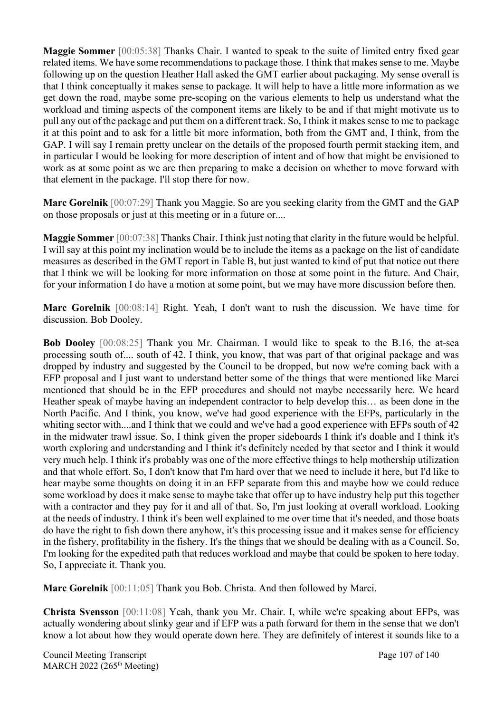**Maggie Sommer** [00:05:38] Thanks Chair. I wanted to speak to the suite of limited entry fixed gear related items. We have some recommendations to package those. I think that makes sense to me. Maybe following up on the question Heather Hall asked the GMT earlier about packaging. My sense overall is that I think conceptually it makes sense to package. It will help to have a little more information as we get down the road, maybe some pre-scoping on the various elements to help us understand what the workload and timing aspects of the component items are likely to be and if that might motivate us to pull any out of the package and put them on a different track. So, I think it makes sense to me to package it at this point and to ask for a little bit more information, both from the GMT and, I think, from the GAP. I will say I remain pretty unclear on the details of the proposed fourth permit stacking item, and in particular I would be looking for more description of intent and of how that might be envisioned to work as at some point as we are then preparing to make a decision on whether to move forward with that element in the package. I'll stop there for now.

**Marc Gorelnik** [00:07:29] Thank you Maggie. So are you seeking clarity from the GMT and the GAP on those proposals or just at this meeting or in a future or....

**Maggie Sommer** [00:07:38] Thanks Chair. I think just noting that clarity in the future would be helpful. I will say at this point my inclination would be to include the items as a package on the list of candidate measures as described in the GMT report in Table B, but just wanted to kind of put that notice out there that I think we will be looking for more information on those at some point in the future. And Chair, for your information I do have a motion at some point, but we may have more discussion before then.

**Marc Gorelnik** [00:08:14] Right. Yeah, I don't want to rush the discussion. We have time for discussion. Bob Dooley.

**Bob Dooley** [00:08:25] Thank you Mr. Chairman. I would like to speak to the B.16, the at-sea processing south of.... south of 42. I think, you know, that was part of that original package and was dropped by industry and suggested by the Council to be dropped, but now we're coming back with a EFP proposal and I just want to understand better some of the things that were mentioned like Marci mentioned that should be in the EFP procedures and should not maybe necessarily here. We heard Heather speak of maybe having an independent contractor to help develop this… as been done in the North Pacific. And I think, you know, we've had good experience with the EFPs, particularly in the whiting sector with....and I think that we could and we've had a good experience with EFPs south of 42 in the midwater trawl issue. So, I think given the proper sideboards I think it's doable and I think it's worth exploring and understanding and I think it's definitely needed by that sector and I think it would very much help. I think it's probably was one of the more effective things to help mothership utilization and that whole effort. So, I don't know that I'm hard over that we need to include it here, but I'd like to hear maybe some thoughts on doing it in an EFP separate from this and maybe how we could reduce some workload by does it make sense to maybe take that offer up to have industry help put this together with a contractor and they pay for it and all of that. So, I'm just looking at overall workload. Looking at the needs of industry. I think it's been well explained to me over time that it's needed, and those boats do have the right to fish down there anyhow, it's this processing issue and it makes sense for efficiency in the fishery, profitability in the fishery. It's the things that we should be dealing with as a Council. So, I'm looking for the expedited path that reduces workload and maybe that could be spoken to here today. So, I appreciate it. Thank you.

**Marc Gorelnik** [00:11:05] Thank you Bob. Christa. And then followed by Marci.

**Christa Svensson** [00:11:08] Yeah, thank you Mr. Chair. I, while we're speaking about EFPs, was actually wondering about slinky gear and if EFP was a path forward for them in the sense that we don't know a lot about how they would operate down here. They are definitely of interest it sounds like to a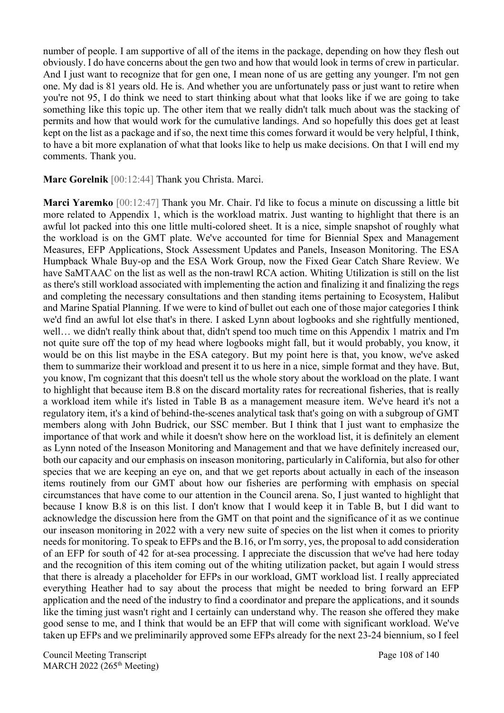number of people. I am supportive of all of the items in the package, depending on how they flesh out obviously. I do have concerns about the gen two and how that would look in terms of crew in particular. And I just want to recognize that for gen one, I mean none of us are getting any younger. I'm not gen one. My dad is 81 years old. He is. And whether you are unfortunately pass or just want to retire when you're not 95, I do think we need to start thinking about what that looks like if we are going to take something like this topic up. The other item that we really didn't talk much about was the stacking of permits and how that would work for the cumulative landings. And so hopefully this does get at least kept on the list as a package and if so, the next time this comes forward it would be very helpful, I think, to have a bit more explanation of what that looks like to help us make decisions. On that I will end my comments. Thank you.

**Marc Gorelnik** [00:12:44] Thank you Christa. Marci.

**Marci Yaremko** [00:12:47] Thank you Mr. Chair. I'd like to focus a minute on discussing a little bit more related to Appendix 1, which is the workload matrix. Just wanting to highlight that there is an awful lot packed into this one little multi-colored sheet. It is a nice, simple snapshot of roughly what the workload is on the GMT plate. We've accounted for time for Biennial Spex and Management Measures, EFP Applications, Stock Assessment Updates and Panels, Inseason Monitoring. The ESA Humpback Whale Buy-op and the ESA Work Group, now the Fixed Gear Catch Share Review. We have SaMTAAC on the list as well as the non-trawl RCA action. Whiting Utilization is still on the list as there's still workload associated with implementing the action and finalizing it and finalizing the regs and completing the necessary consultations and then standing items pertaining to Ecosystem, Halibut and Marine Spatial Planning. If we were to kind of bullet out each one of those major categories I think we'd find an awful lot else that's in there. I asked Lynn about logbooks and she rightfully mentioned, well… we didn't really think about that, didn't spend too much time on this Appendix 1 matrix and I'm not quite sure off the top of my head where logbooks might fall, but it would probably, you know, it would be on this list maybe in the ESA category. But my point here is that, you know, we've asked them to summarize their workload and present it to us here in a nice, simple format and they have. But, you know, I'm cognizant that this doesn't tell us the whole story about the workload on the plate. I want to highlight that because item B.8 on the discard mortality rates for recreational fisheries, that is really a workload item while it's listed in Table B as a management measure item. We've heard it's not a regulatory item, it's a kind of behind-the-scenes analytical task that's going on with a subgroup of GMT members along with John Budrick, our SSC member. But I think that I just want to emphasize the importance of that work and while it doesn't show here on the workload list, it is definitely an element as Lynn noted of the Inseason Monitoring and Management and that we have definitely increased our, both our capacity and our emphasis on inseason monitoring, particularly in California, but also for other species that we are keeping an eye on, and that we get reports about actually in each of the inseason items routinely from our GMT about how our fisheries are performing with emphasis on special circumstances that have come to our attention in the Council arena. So, I just wanted to highlight that because I know B.8 is on this list. I don't know that I would keep it in Table B, but I did want to acknowledge the discussion here from the GMT on that point and the significance of it as we continue our inseason monitoring in 2022 with a very new suite of species on the list when it comes to priority needs for monitoring. To speak to EFPs and the B.16, or I'm sorry, yes, the proposal to add consideration of an EFP for south of 42 for at-sea processing. I appreciate the discussion that we've had here today and the recognition of this item coming out of the whiting utilization packet, but again I would stress that there is already a placeholder for EFPs in our workload, GMT workload list. I really appreciated everything Heather had to say about the process that might be needed to bring forward an EFP application and the need of the industry to find a coordinator and prepare the applications, and it sounds like the timing just wasn't right and I certainly can understand why. The reason she offered they make good sense to me, and I think that would be an EFP that will come with significant workload. We've taken up EFPs and we preliminarily approved some EFPs already for the next 23-24 biennium, so I feel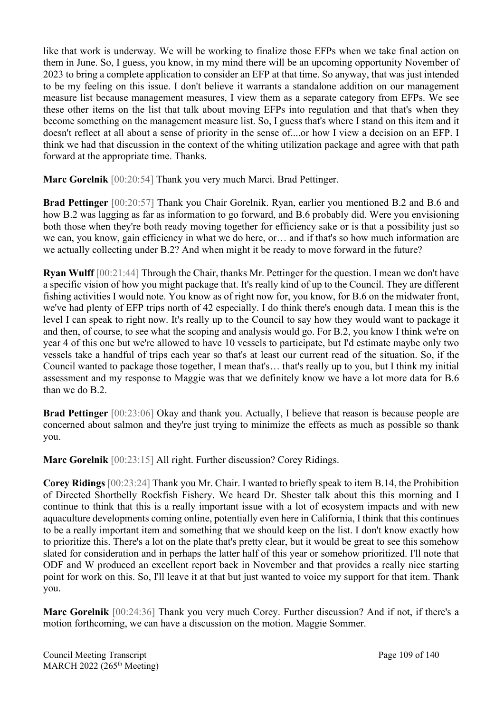like that work is underway. We will be working to finalize those EFPs when we take final action on them in June. So, I guess, you know, in my mind there will be an upcoming opportunity November of 2023 to bring a complete application to consider an EFP at that time. So anyway, that was just intended to be my feeling on this issue. I don't believe it warrants a standalone addition on our management measure list because management measures, I view them as a separate category from EFPs. We see these other items on the list that talk about moving EFPs into regulation and that that's when they become something on the management measure list. So, I guess that's where I stand on this item and it doesn't reflect at all about a sense of priority in the sense of....or how I view a decision on an EFP. I think we had that discussion in the context of the whiting utilization package and agree with that path forward at the appropriate time. Thanks.

**Marc Gorelnik** [00:20:54] Thank you very much Marci. Brad Pettinger.

**Brad Pettinger** [00:20:57] Thank you Chair Gorelnik. Ryan, earlier you mentioned B.2 and B.6 and how B.2 was lagging as far as information to go forward, and B.6 probably did. Were you envisioning both those when they're both ready moving together for efficiency sake or is that a possibility just so we can, you know, gain efficiency in what we do here, or… and if that's so how much information are we actually collecting under B.2? And when might it be ready to move forward in the future?

**Ryan Wulff** [00:21:44] Through the Chair, thanks Mr. Pettinger for the question. I mean we don't have a specific vision of how you might package that. It's really kind of up to the Council. They are different fishing activities I would note. You know as of right now for, you know, for B.6 on the midwater front, we've had plenty of EFP trips north of 42 especially. I do think there's enough data. I mean this is the level I can speak to right now. It's really up to the Council to say how they would want to package it and then, of course, to see what the scoping and analysis would go. For B.2, you know I think we're on year 4 of this one but we're allowed to have 10 vessels to participate, but I'd estimate maybe only two vessels take a handful of trips each year so that's at least our current read of the situation. So, if the Council wanted to package those together, I mean that's… that's really up to you, but I think my initial assessment and my response to Maggie was that we definitely know we have a lot more data for B.6 than we do B.2.

**Brad Pettinger** [00:23:06] Okay and thank you. Actually, I believe that reason is because people are concerned about salmon and they're just trying to minimize the effects as much as possible so thank you.

**Marc Gorelnik** [00:23:15] All right. Further discussion? Corey Ridings.

**Corey Ridings** [00:23:24] Thank you Mr. Chair. I wanted to briefly speak to item B.14, the Prohibition of Directed Shortbelly Rockfish Fishery. We heard Dr. Shester talk about this this morning and I continue to think that this is a really important issue with a lot of ecosystem impacts and with new aquaculture developments coming online, potentially even here in California, I think that this continues to be a really important item and something that we should keep on the list. I don't know exactly how to prioritize this. There's a lot on the plate that's pretty clear, but it would be great to see this somehow slated for consideration and in perhaps the latter half of this year or somehow prioritized. I'll note that ODF and W produced an excellent report back in November and that provides a really nice starting point for work on this. So, I'll leave it at that but just wanted to voice my support for that item. Thank you.

**Marc Gorelnik** [00:24:36] Thank you very much Corey. Further discussion? And if not, if there's a motion forthcoming, we can have a discussion on the motion. Maggie Sommer.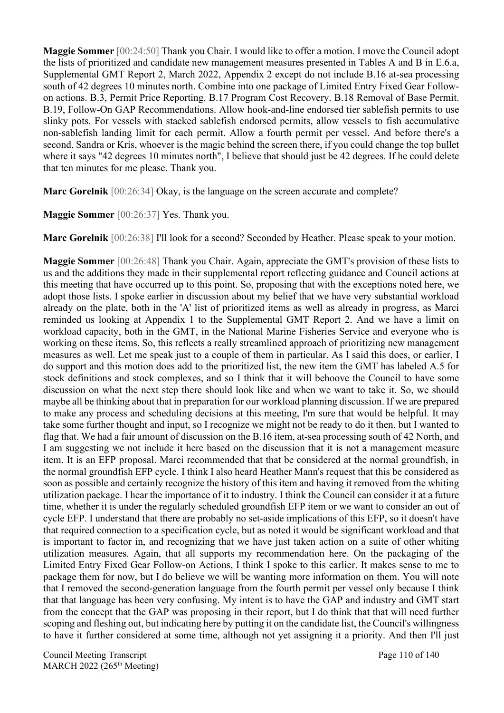**Maggie Sommer** [00:24:50] Thank you Chair. I would like to offer a motion. I move the Council adopt the lists of prioritized and candidate new management measures presented in Tables A and B in E.6.a, Supplemental GMT Report 2, March 2022, Appendix 2 except do not include B.16 at-sea processing south of 42 degrees 10 minutes north. Combine into one package of Limited Entry Fixed Gear Followon actions. B.3, Permit Price Reporting. B.17 Program Cost Recovery. B.18 Removal of Base Permit. B.19, Follow-On GAP Recommendations. Allow hook-and-line endorsed tier sablefish permits to use slinky pots. For vessels with stacked sablefish endorsed permits, allow vessels to fish accumulative non-sablefish landing limit for each permit. Allow a fourth permit per vessel. And before there's a second, Sandra or Kris, whoever is the magic behind the screen there, if you could change the top bullet where it says "42 degrees 10 minutes north", I believe that should just be 42 degrees. If he could delete that ten minutes for me please. Thank you.

**Marc Gorelnik** [00:26:34] Okay, is the language on the screen accurate and complete?

**Maggie Sommer** [00:26:37] Yes. Thank you.

**Marc Gorelnik** [00:26:38] I'll look for a second? Seconded by Heather. Please speak to your motion.

**Maggie Sommer** [00:26:48] Thank you Chair. Again, appreciate the GMT's provision of these lists to us and the additions they made in their supplemental report reflecting guidance and Council actions at this meeting that have occurred up to this point. So, proposing that with the exceptions noted here, we adopt those lists. I spoke earlier in discussion about my belief that we have very substantial workload already on the plate, both in the 'A' list of prioritized items as well as already in progress, as Marci reminded us looking at Appendix 1 to the Supplemental GMT Report 2. And we have a limit on workload capacity, both in the GMT, in the National Marine Fisheries Service and everyone who is working on these items. So, this reflects a really streamlined approach of prioritizing new management measures as well. Let me speak just to a couple of them in particular. As I said this does, or earlier, I do support and this motion does add to the prioritized list, the new item the GMT has labeled A.5 for stock definitions and stock complexes, and so I think that it will behoove the Council to have some discussion on what the next step there should look like and when we want to take it. So, we should maybe all be thinking about that in preparation for our workload planning discussion. If we are prepared to make any process and scheduling decisions at this meeting, I'm sure that would be helpful. It may take some further thought and input, so I recognize we might not be ready to do it then, but I wanted to flag that. We had a fair amount of discussion on the B.16 item, at-sea processing south of 42 North, and I am suggesting we not include it here based on the discussion that it is not a management measure item. It is an EFP proposal. Marci recommended that that be considered at the normal groundfish, in the normal groundfish EFP cycle. I think I also heard Heather Mann's request that this be considered as soon as possible and certainly recognize the history of this item and having it removed from the whiting utilization package. I hear the importance of it to industry. I think the Council can consider it at a future time, whether it is under the regularly scheduled groundfish EFP item or we want to consider an out of cycle EFP. I understand that there are probably no set-aside implications of this EFP, so it doesn't have that required connection to a specification cycle, but as noted it would be significant workload and that is important to factor in, and recognizing that we have just taken action on a suite of other whiting utilization measures. Again, that all supports my recommendation here. On the packaging of the Limited Entry Fixed Gear Follow-on Actions, I think I spoke to this earlier. It makes sense to me to package them for now, but I do believe we will be wanting more information on them. You will note that I removed the second-generation language from the fourth permit per vessel only because I think that that language has been very confusing. My intent is to have the GAP and industry and GMT start from the concept that the GAP was proposing in their report, but I do think that that will need further scoping and fleshing out, but indicating here by putting it on the candidate list, the Council's willingness to have it further considered at some time, although not yet assigning it a priority. And then I'll just

Council Meeting Transcript **Page 110 of 140** MARCH 2022 (265<sup>th</sup> Meeting)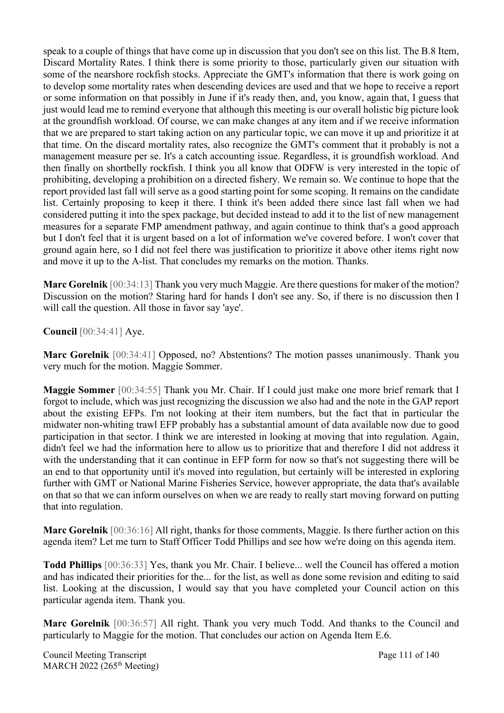speak to a couple of things that have come up in discussion that you don't see on this list. The B.8 Item, Discard Mortality Rates. I think there is some priority to those, particularly given our situation with some of the nearshore rockfish stocks. Appreciate the GMT's information that there is work going on to develop some mortality rates when descending devices are used and that we hope to receive a report or some information on that possibly in June if it's ready then, and, you know, again that, I guess that just would lead me to remind everyone that although this meeting is our overall holistic big picture look at the groundfish workload. Of course, we can make changes at any item and if we receive information that we are prepared to start taking action on any particular topic, we can move it up and prioritize it at that time. On the discard mortality rates, also recognize the GMT's comment that it probably is not a management measure per se. It's a catch accounting issue. Regardless, it is groundfish workload. And then finally on shortbelly rockfish. I think you all know that ODFW is very interested in the topic of prohibiting, developing a prohibition on a directed fishery. We remain so. We continue to hope that the report provided last fall will serve as a good starting point for some scoping. It remains on the candidate list. Certainly proposing to keep it there. I think it's been added there since last fall when we had considered putting it into the spex package, but decided instead to add it to the list of new management measures for a separate FMP amendment pathway, and again continue to think that's a good approach but I don't feel that it is urgent based on a lot of information we've covered before. I won't cover that ground again here, so I did not feel there was justification to prioritize it above other items right now and move it up to the A-list. That concludes my remarks on the motion. Thanks.

**Marc Gorelnik** [00:34:13] Thank you very much Maggie. Are there questions for maker of the motion? Discussion on the motion? Staring hard for hands I don't see any. So, if there is no discussion then I will call the question. All those in favor say 'aye'.

**Council** [00:34:41] Aye.

**Marc Gorelnik** [00:34:41] Opposed, no? Abstentions? The motion passes unanimously. Thank you very much for the motion. Maggie Sommer.

**Maggie Sommer** [00:34:55] Thank you Mr. Chair. If I could just make one more brief remark that I forgot to include, which was just recognizing the discussion we also had and the note in the GAP report about the existing EFPs. I'm not looking at their item numbers, but the fact that in particular the midwater non-whiting trawl EFP probably has a substantial amount of data available now due to good participation in that sector. I think we are interested in looking at moving that into regulation. Again, didn't feel we had the information here to allow us to prioritize that and therefore I did not address it with the understanding that it can continue in EFP form for now so that's not suggesting there will be an end to that opportunity until it's moved into regulation, but certainly will be interested in exploring further with GMT or National Marine Fisheries Service, however appropriate, the data that's available on that so that we can inform ourselves on when we are ready to really start moving forward on putting that into regulation.

**Marc Gorelnik** [00:36:16] All right, thanks for those comments, Maggie. Is there further action on this agenda item? Let me turn to Staff Officer Todd Phillips and see how we're doing on this agenda item.

**Todd Phillips** [00:36:33] Yes, thank you Mr. Chair. I believe... well the Council has offered a motion and has indicated their priorities for the... for the list, as well as done some revision and editing to said list. Looking at the discussion, I would say that you have completed your Council action on this particular agenda item. Thank you.

**Marc Gorelnik** [00:36:57] All right. Thank you very much Todd. And thanks to the Council and particularly to Maggie for the motion. That concludes our action on Agenda Item E.6.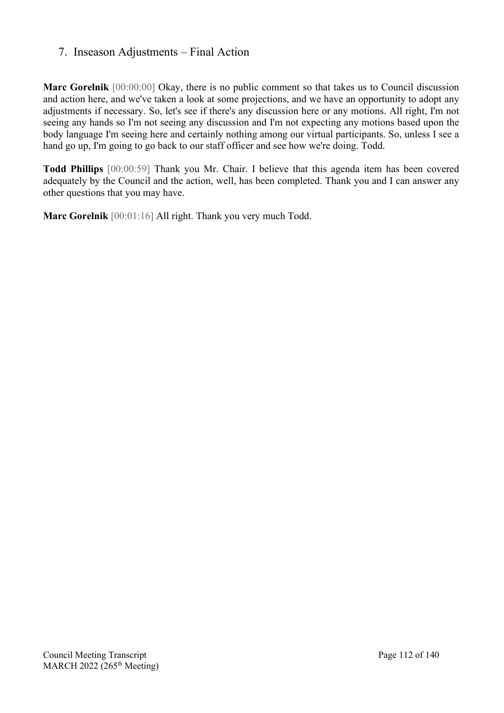## 7. Inseason Adjustments – Final Action

**Marc Gorelnik** [00:00:00] Okay, there is no public comment so that takes us to Council discussion and action here, and we've taken a look at some projections, and we have an opportunity to adopt any adjustments if necessary. So, let's see if there's any discussion here or any motions. All right, I'm not seeing any hands so I'm not seeing any discussion and I'm not expecting any motions based upon the body language I'm seeing here and certainly nothing among our virtual participants. So, unless I see a hand go up, I'm going to go back to our staff officer and see how we're doing. Todd.

**Todd Phillips** [00:00:59] Thank you Mr. Chair. I believe that this agenda item has been covered adequately by the Council and the action, well, has been completed. Thank you and I can answer any other questions that you may have.

**Marc Gorelnik** [00:01:16] All right. Thank you very much Todd.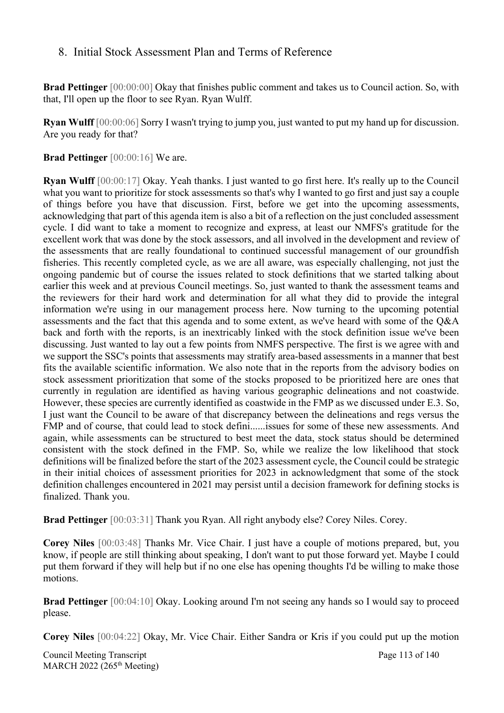#### 8. Initial Stock Assessment Plan and Terms of Reference

**Brad Pettinger** [00:00:00] Okay that finishes public comment and takes us to Council action. So, with that, I'll open up the floor to see Ryan. Ryan Wulff.

**Ryan Wulff** [00:00:06] Sorry I wasn't trying to jump you, just wanted to put my hand up for discussion. Are you ready for that?

**Brad Pettinger** [00:00:16] We are.

**Ryan Wulff** [00:00:17] Okay. Yeah thanks. I just wanted to go first here. It's really up to the Council what you want to prioritize for stock assessments so that's why I wanted to go first and just say a couple of things before you have that discussion. First, before we get into the upcoming assessments, acknowledging that part of this agenda item is also a bit of a reflection on the just concluded assessment cycle. I did want to take a moment to recognize and express, at least our NMFS's gratitude for the excellent work that was done by the stock assessors, and all involved in the development and review of the assessments that are really foundational to continued successful management of our groundfish fisheries. This recently completed cycle, as we are all aware, was especially challenging, not just the ongoing pandemic but of course the issues related to stock definitions that we started talking about earlier this week and at previous Council meetings. So, just wanted to thank the assessment teams and the reviewers for their hard work and determination for all what they did to provide the integral information we're using in our management process here. Now turning to the upcoming potential assessments and the fact that this agenda and to some extent, as we've heard with some of the Q&A back and forth with the reports, is an inextricably linked with the stock definition issue we've been discussing. Just wanted to lay out a few points from NMFS perspective. The first is we agree with and we support the SSC's points that assessments may stratify area-based assessments in a manner that best fits the available scientific information. We also note that in the reports from the advisory bodies on stock assessment prioritization that some of the stocks proposed to be prioritized here are ones that currently in regulation are identified as having various geographic delineations and not coastwide. However, these species are currently identified as coastwide in the FMP as we discussed under E.3. So, I just want the Council to be aware of that discrepancy between the delineations and regs versus the FMP and of course, that could lead to stock defini......issues for some of these new assessments. And again, while assessments can be structured to best meet the data, stock status should be determined consistent with the stock defined in the FMP. So, while we realize the low likelihood that stock definitions will be finalized before the start of the 2023 assessment cycle, the Council could be strategic in their initial choices of assessment priorities for 2023 in acknowledgment that some of the stock definition challenges encountered in 2021 may persist until a decision framework for defining stocks is finalized. Thank you.

**Brad Pettinger** [00:03:31] Thank you Ryan. All right anybody else? Corey Niles. Corey.

**Corey Niles** [00:03:48] Thanks Mr. Vice Chair. I just have a couple of motions prepared, but, you know, if people are still thinking about speaking, I don't want to put those forward yet. Maybe I could put them forward if they will help but if no one else has opening thoughts I'd be willing to make those motions.

**Brad Pettinger** [00:04:10] Okay. Looking around I'm not seeing any hands so I would say to proceed please.

**Corey Niles** [00:04:22] Okay, Mr. Vice Chair. Either Sandra or Kris if you could put up the motion

Council Meeting Transcript **Page 113 of 140** MARCH 2022 (265<sup>th</sup> Meeting)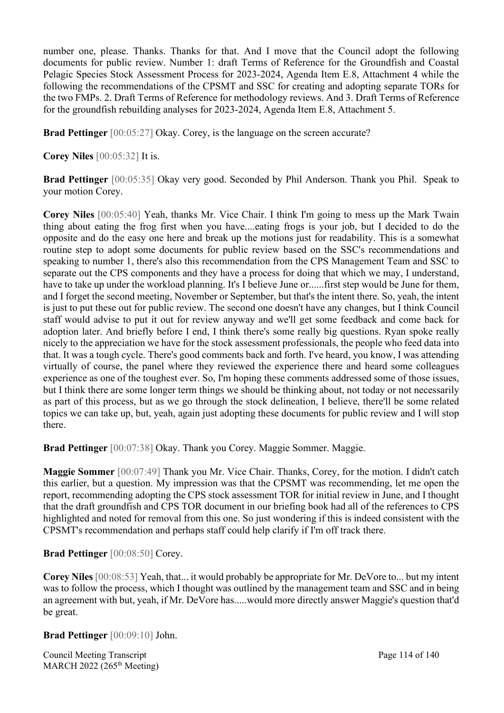number one, please. Thanks. Thanks for that. And I move that the Council adopt the following documents for public review. Number 1: draft Terms of Reference for the Groundfish and Coastal Pelagic Species Stock Assessment Process for 2023-2024, Agenda Item E.8, Attachment 4 while the following the recommendations of the CPSMT and SSC for creating and adopting separate TORs for the two FMPs. 2. Draft Terms of Reference for methodology reviews. And 3. Draft Terms of Reference for the groundfish rebuilding analyses for 2023-2024, Agenda Item E.8, Attachment 5.

**Brad Pettinger** [00:05:27] Okay. Corey, is the language on the screen accurate?

**Corey Niles** [00:05:32] It is.

**Brad Pettinger** [00:05:35] Okay very good. Seconded by Phil Anderson. Thank you Phil. Speak to your motion Corey.

**Corey Niles** [00:05:40] Yeah, thanks Mr. Vice Chair. I think I'm going to mess up the Mark Twain thing about eating the frog first when you have....eating frogs is your job, but I decided to do the opposite and do the easy one here and break up the motions just for readability. This is a somewhat routine step to adopt some documents for public review based on the SSC's recommendations and speaking to number 1, there's also this recommendation from the CPS Management Team and SSC to separate out the CPS components and they have a process for doing that which we may, I understand, have to take up under the workload planning. It's I believe June or......first step would be June for them, and I forget the second meeting, November or September, but that's the intent there. So, yeah, the intent is just to put these out for public review. The second one doesn't have any changes, but I think Council staff would advise to put it out for review anyway and we'll get some feedback and come back for adoption later. And briefly before I end, I think there's some really big questions. Ryan spoke really nicely to the appreciation we have for the stock assessment professionals, the people who feed data into that. It was a tough cycle. There's good comments back and forth. I've heard, you know, I was attending virtually of course, the panel where they reviewed the experience there and heard some colleagues experience as one of the toughest ever. So, I'm hoping these comments addressed some of those issues, but I think there are some longer term things we should be thinking about, not today or not necessarily as part of this process, but as we go through the stock delineation, I believe, there'll be some related topics we can take up, but, yeah, again just adopting these documents for public review and I will stop there.

**Brad Pettinger** [00:07:38] Okay. Thank you Corey. Maggie Sommer. Maggie.

**Maggie Sommer** [00:07:49] Thank you Mr. Vice Chair. Thanks, Corey, for the motion. I didn't catch this earlier, but a question. My impression was that the CPSMT was recommending, let me open the report, recommending adopting the CPS stock assessment TOR for initial review in June, and I thought that the draft groundfish and CPS TOR document in our briefing book had all of the references to CPS highlighted and noted for removal from this one. So just wondering if this is indeed consistent with the CPSMT's recommendation and perhaps staff could help clarify if I'm off track there.

**Brad Pettinger** [00:08:50] Corey.

**Corey Niles** [00:08:53] Yeah, that... it would probably be appropriate for Mr. DeVore to... but my intent was to follow the process, which I thought was outlined by the management team and SSC and in being an agreement with but, yeah, if Mr. DeVore has.....would more directly answer Maggie's question that'd be great.

**Brad Pettinger** [00:09:10] John.

Council Meeting Transcript **Page 114 of 140** MARCH 2022 (265<sup>th</sup> Meeting)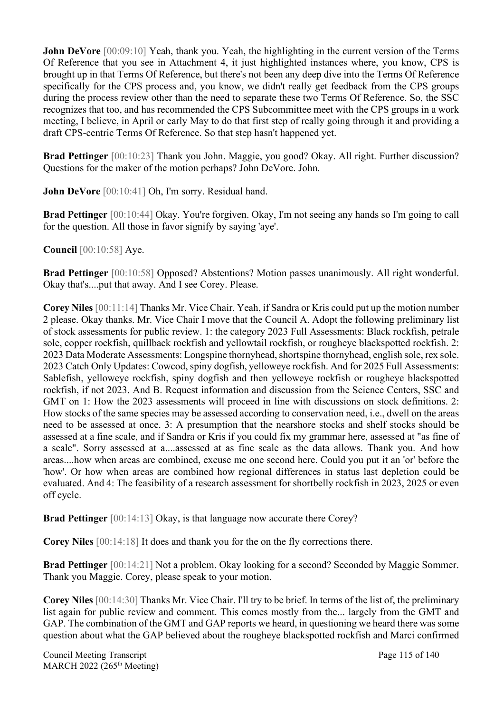**John DeVore** [00:09:10] Yeah, thank you. Yeah, the highlighting in the current version of the Terms Of Reference that you see in Attachment 4, it just highlighted instances where, you know, CPS is brought up in that Terms Of Reference, but there's not been any deep dive into the Terms Of Reference specifically for the CPS process and, you know, we didn't really get feedback from the CPS groups during the process review other than the need to separate these two Terms Of Reference. So, the SSC recognizes that too, and has recommended the CPS Subcommittee meet with the CPS groups in a work meeting, I believe, in April or early May to do that first step of really going through it and providing a draft CPS-centric Terms Of Reference. So that step hasn't happened yet.

**Brad Pettinger** [00:10:23] Thank you John. Maggie, you good? Okay. All right. Further discussion? Questions for the maker of the motion perhaps? John DeVore. John.

John DeVore  $[00:10:41]$  Oh, I'm sorry. Residual hand.

**Brad Pettinger** [00:10:44] Okay. You're forgiven. Okay, I'm not seeing any hands so I'm going to call for the question. All those in favor signify by saying 'aye'.

**Council** [00:10:58] Aye.

**Brad Pettinger** [00:10:58] Opposed? Abstentions? Motion passes unanimously. All right wonderful. Okay that's....put that away. And I see Corey. Please.

**Corey Niles** [00:11:14] Thanks Mr. Vice Chair. Yeah, if Sandra or Kris could put up the motion number 2 please. Okay thanks. Mr. Vice Chair I move that the Council A. Adopt the following preliminary list of stock assessments for public review. 1: the category 2023 Full Assessments: Black rockfish, petrale sole, copper rockfish, quillback rockfish and yellowtail rockfish, or rougheye blackspotted rockfish. 2: 2023 Data Moderate Assessments: Longspine thornyhead, shortspine thornyhead, english sole, rex sole. 2023 Catch Only Updates: Cowcod, spiny dogfish, yelloweye rockfish. And for 2025 Full Assessments: Sablefish, yelloweye rockfish, spiny dogfish and then yelloweye rockfish or rougheye blackspotted rockfish, if not 2023. And B. Request information and discussion from the Science Centers, SSC and GMT on 1: How the 2023 assessments will proceed in line with discussions on stock definitions. 2: How stocks of the same species may be assessed according to conservation need, i.e., dwell on the areas need to be assessed at once. 3: A presumption that the nearshore stocks and shelf stocks should be assessed at a fine scale, and if Sandra or Kris if you could fix my grammar here, assessed at "as fine of a scale". Sorry assessed at a....assessed at as fine scale as the data allows. Thank you. And how areas....how when areas are combined, excuse me one second here. Could you put it an 'or' before the 'how'. Or how when areas are combined how regional differences in status last depletion could be evaluated. And 4: The feasibility of a research assessment for shortbelly rockfish in 2023, 2025 or even off cycle.

**Brad Pettinger** [00:14:13] Okay, is that language now accurate there Corey?

**Corey Niles** [00:14:18] It does and thank you for the on the fly corrections there.

**Brad Pettinger** [00:14:21] Not a problem. Okay looking for a second? Seconded by Maggie Sommer. Thank you Maggie. Corey, please speak to your motion.

**Corey Niles** [00:14:30] Thanks Mr. Vice Chair. I'll try to be brief. In terms of the list of, the preliminary list again for public review and comment. This comes mostly from the... largely from the GMT and GAP. The combination of the GMT and GAP reports we heard, in questioning we heard there was some question about what the GAP believed about the rougheye blackspotted rockfish and Marci confirmed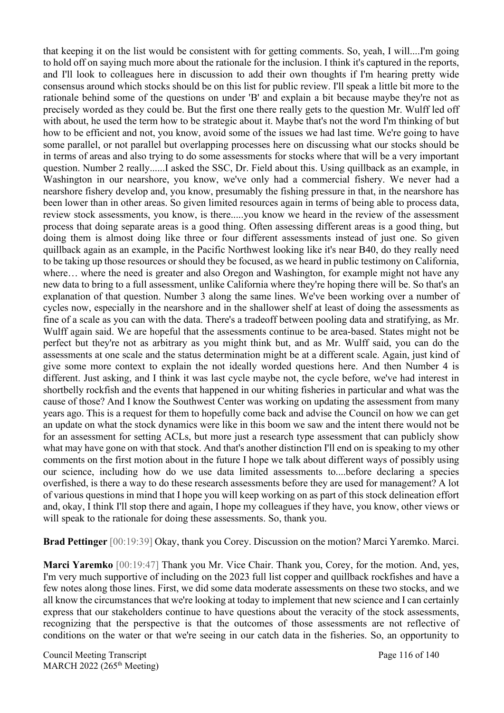that keeping it on the list would be consistent with for getting comments. So, yeah, I will....I'm going to hold off on saying much more about the rationale for the inclusion. I think it's captured in the reports, and I'll look to colleagues here in discussion to add their own thoughts if I'm hearing pretty wide consensus around which stocks should be on this list for public review. I'll speak a little bit more to the rationale behind some of the questions on under 'B' and explain a bit because maybe they're not as precisely worded as they could be. But the first one there really gets to the question Mr. Wulff led off with about, he used the term how to be strategic about it. Maybe that's not the word I'm thinking of but how to be efficient and not, you know, avoid some of the issues we had last time. We're going to have some parallel, or not parallel but overlapping processes here on discussing what our stocks should be in terms of areas and also trying to do some assessments for stocks where that will be a very important question. Number 2 really......I asked the SSC, Dr. Field about this. Using quillback as an example, in Washington in our nearshore, you know, we've only had a commercial fishery. We never had a nearshore fishery develop and, you know, presumably the fishing pressure in that, in the nearshore has been lower than in other areas. So given limited resources again in terms of being able to process data, review stock assessments, you know, is there.....you know we heard in the review of the assessment process that doing separate areas is a good thing. Often assessing different areas is a good thing, but doing them is almost doing like three or four different assessments instead of just one. So given quillback again as an example, in the Pacific Northwest looking like it's near B40, do they really need to be taking up those resources or should they be focused, as we heard in public testimony on California, where… where the need is greater and also Oregon and Washington, for example might not have any new data to bring to a full assessment, unlike California where they're hoping there will be. So that's an explanation of that question. Number 3 along the same lines. We've been working over a number of cycles now, especially in the nearshore and in the shallower shelf at least of doing the assessments as fine of a scale as you can with the data. There's a tradeoff between pooling data and stratifying, as Mr. Wulff again said. We are hopeful that the assessments continue to be area-based. States might not be perfect but they're not as arbitrary as you might think but, and as Mr. Wulff said, you can do the assessments at one scale and the status determination might be at a different scale. Again, just kind of give some more context to explain the not ideally worded questions here. And then Number 4 is different. Just asking, and I think it was last cycle maybe not, the cycle before, we've had interest in shortbelly rockfish and the events that happened in our whiting fisheries in particular and what was the cause of those? And I know the Southwest Center was working on updating the assessment from many years ago. This is a request for them to hopefully come back and advise the Council on how we can get an update on what the stock dynamics were like in this boom we saw and the intent there would not be for an assessment for setting ACLs, but more just a research type assessment that can publicly show what may have gone on with that stock. And that's another distinction I'll end on is speaking to my other comments on the first motion about in the future I hope we talk about different ways of possibly using our science, including how do we use data limited assessments to....before declaring a species overfished, is there a way to do these research assessments before they are used for management? A lot of various questions in mind that I hope you will keep working on as part of this stock delineation effort and, okay, I think I'll stop there and again, I hope my colleagues if they have, you know, other views or will speak to the rationale for doing these assessments. So, thank you.

**Brad Pettinger** [00:19:39] Okay, thank you Corey. Discussion on the motion? Marci Yaremko. Marci.

**Marci Yaremko** [00:19:47] Thank you Mr. Vice Chair. Thank you, Corey, for the motion. And, yes, I'm very much supportive of including on the 2023 full list copper and quillback rockfishes and have a few notes along those lines. First, we did some data moderate assessments on these two stocks, and we all know the circumstances that we're looking at today to implement that new science and I can certainly express that our stakeholders continue to have questions about the veracity of the stock assessments, recognizing that the perspective is that the outcomes of those assessments are not reflective of conditions on the water or that we're seeing in our catch data in the fisheries. So, an opportunity to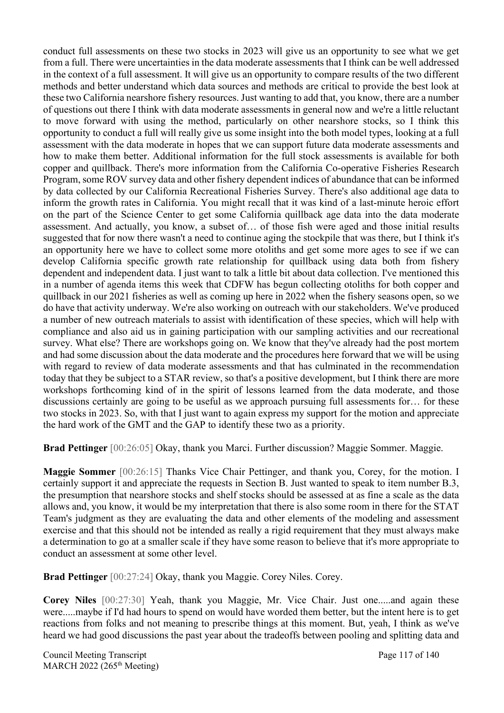conduct full assessments on these two stocks in 2023 will give us an opportunity to see what we get from a full. There were uncertainties in the data moderate assessments that I think can be well addressed in the context of a full assessment. It will give us an opportunity to compare results of the two different methods and better understand which data sources and methods are critical to provide the best look at these two California nearshore fishery resources. Just wanting to add that, you know, there are a number of questions out there I think with data moderate assessments in general now and we're a little reluctant to move forward with using the method, particularly on other nearshore stocks, so I think this opportunity to conduct a full will really give us some insight into the both model types, looking at a full assessment with the data moderate in hopes that we can support future data moderate assessments and how to make them better. Additional information for the full stock assessments is available for both copper and quillback. There's more information from the California Co-operative Fisheries Research Program, some ROV survey data and other fishery dependent indices of abundance that can be informed by data collected by our California Recreational Fisheries Survey. There's also additional age data to inform the growth rates in California. You might recall that it was kind of a last-minute heroic effort on the part of the Science Center to get some California quillback age data into the data moderate assessment. And actually, you know, a subset of… of those fish were aged and those initial results suggested that for now there wasn't a need to continue aging the stockpile that was there, but I think it's an opportunity here we have to collect some more otoliths and get some more ages to see if we can develop California specific growth rate relationship for quillback using data both from fishery dependent and independent data. I just want to talk a little bit about data collection. I've mentioned this in a number of agenda items this week that CDFW has begun collecting otoliths for both copper and quillback in our 2021 fisheries as well as coming up here in 2022 when the fishery seasons open, so we do have that activity underway. We're also working on outreach with our stakeholders. We've produced a number of new outreach materials to assist with identification of these species, which will help with compliance and also aid us in gaining participation with our sampling activities and our recreational survey. What else? There are workshops going on. We know that they've already had the post mortem and had some discussion about the data moderate and the procedures here forward that we will be using with regard to review of data moderate assessments and that has culminated in the recommendation today that they be subject to a STAR review, so that's a positive development, but I think there are more workshops forthcoming kind of in the spirit of lessons learned from the data moderate, and those discussions certainly are going to be useful as we approach pursuing full assessments for… for these two stocks in 2023. So, with that I just want to again express my support for the motion and appreciate the hard work of the GMT and the GAP to identify these two as a priority.

**Brad Pettinger** [00:26:05] Okay, thank you Marci. Further discussion? Maggie Sommer. Maggie.

**Maggie Sommer** [00:26:15] Thanks Vice Chair Pettinger, and thank you, Corey, for the motion. I certainly support it and appreciate the requests in Section B. Just wanted to speak to item number B.3, the presumption that nearshore stocks and shelf stocks should be assessed at as fine a scale as the data allows and, you know, it would be my interpretation that there is also some room in there for the STAT Team's judgment as they are evaluating the data and other elements of the modeling and assessment exercise and that this should not be intended as really a rigid requirement that they must always make a determination to go at a smaller scale if they have some reason to believe that it's more appropriate to conduct an assessment at some other level.

**Brad Pettinger** [00:27:24] Okay, thank you Maggie. Corey Niles. Corey.

**Corey Niles** [00:27:30] Yeah, thank you Maggie, Mr. Vice Chair. Just one.....and again these were.....maybe if I'd had hours to spend on would have worded them better, but the intent here is to get reactions from folks and not meaning to prescribe things at this moment. But, yeah, I think as we've heard we had good discussions the past year about the tradeoffs between pooling and splitting data and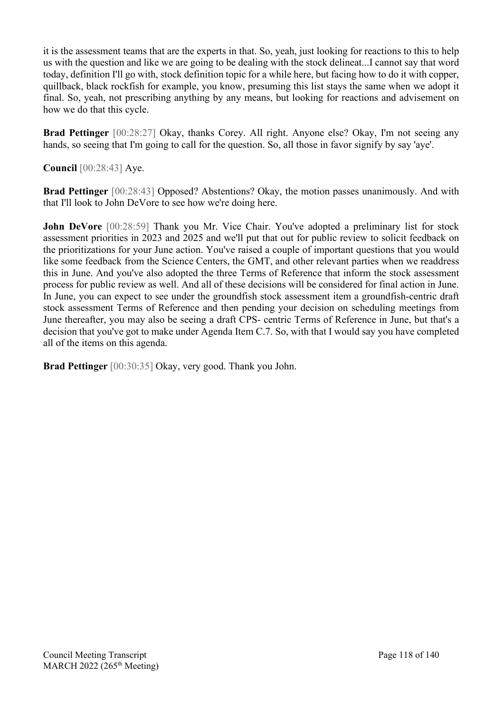it is the assessment teams that are the experts in that. So, yeah, just looking for reactions to this to help us with the question and like we are going to be dealing with the stock delineat...I cannot say that word today, definition I'll go with, stock definition topic for a while here, but facing how to do it with copper, quillback, black rockfish for example, you know, presuming this list stays the same when we adopt it final. So, yeah, not prescribing anything by any means, but looking for reactions and advisement on how we do that this cycle.

**Brad Pettinger** [00:28:27] Okay, thanks Corey. All right. Anyone else? Okay, I'm not seeing any hands, so seeing that I'm going to call for the question. So, all those in favor signify by say 'aye'.

**Council** [00:28:43] Aye.

**Brad Pettinger** [00:28:43] Opposed? Abstentions? Okay, the motion passes unanimously. And with that I'll look to John DeVore to see how we're doing here.

**John DeVore** [00:28:59] Thank you Mr. Vice Chair. You've adopted a preliminary list for stock assessment priorities in 2023 and 2025 and we'll put that out for public review to solicit feedback on the prioritizations for your June action. You've raised a couple of important questions that you would like some feedback from the Science Centers, the GMT, and other relevant parties when we readdress this in June. And you've also adopted the three Terms of Reference that inform the stock assessment process for public review as well. And all of these decisions will be considered for final action in June. In June, you can expect to see under the groundfish stock assessment item a groundfish-centric draft stock assessment Terms of Reference and then pending your decision on scheduling meetings from June thereafter, you may also be seeing a draft CPS- centric Terms of Reference in June, but that's a decision that you've got to make under Agenda Item C.7. So, with that I would say you have completed all of the items on this agenda.

**Brad Pettinger** [00:30:35] Okay, very good. Thank you John.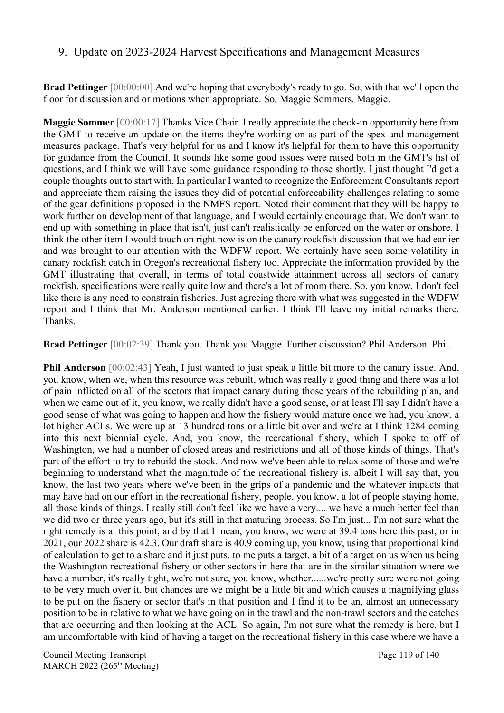#### 9. Update on 2023-2024 Harvest Specifications and Management Measures

**Brad Pettinger** [00:00:00] And we're hoping that everybody's ready to go. So, with that we'll open the floor for discussion and or motions when appropriate. So, Maggie Sommers. Maggie.

**Maggie Sommer** [00:00:17] Thanks Vice Chair. I really appreciate the check-in opportunity here from the GMT to receive an update on the items they're working on as part of the spex and management measures package. That's very helpful for us and I know it's helpful for them to have this opportunity for guidance from the Council. It sounds like some good issues were raised both in the GMT's list of questions, and I think we will have some guidance responding to those shortly. I just thought I'd get a couple thoughts out to start with. In particular I wanted to recognize the Enforcement Consultants report and appreciate them raising the issues they did of potential enforceability challenges relating to some of the gear definitions proposed in the NMFS report. Noted their comment that they will be happy to work further on development of that language, and I would certainly encourage that. We don't want to end up with something in place that isn't, just can't realistically be enforced on the water or onshore. I think the other item I would touch on right now is on the canary rockfish discussion that we had earlier and was brought to our attention with the WDFW report. We certainly have seen some volatility in canary rockfish catch in Oregon's recreational fishery too. Appreciate the information provided by the GMT illustrating that overall, in terms of total coastwide attainment across all sectors of canary rockfish, specifications were really quite low and there's a lot of room there. So, you know, I don't feel like there is any need to constrain fisheries. Just agreeing there with what was suggested in the WDFW report and I think that Mr. Anderson mentioned earlier. I think I'll leave my initial remarks there. Thanks.

**Brad Pettinger** [00:02:39] Thank you. Thank you Maggie. Further discussion? Phil Anderson. Phil.

**Phil Anderson** [00:02:43] Yeah, I just wanted to just speak a little bit more to the canary issue. And, you know, when we, when this resource was rebuilt, which was really a good thing and there was a lot of pain inflicted on all of the sectors that impact canary during those years of the rebuilding plan, and when we came out of it, you know, we really didn't have a good sense, or at least I'll say I didn't have a good sense of what was going to happen and how the fishery would mature once we had, you know, a lot higher ACLs. We were up at 13 hundred tons or a little bit over and we're at I think 1284 coming into this next biennial cycle. And, you know, the recreational fishery, which I spoke to off of Washington, we had a number of closed areas and restrictions and all of those kinds of things. That's part of the effort to try to rebuild the stock. And now we've been able to relax some of those and we're beginning to understand what the magnitude of the recreational fishery is, albeit I will say that, you know, the last two years where we've been in the grips of a pandemic and the whatever impacts that may have had on our effort in the recreational fishery, people, you know, a lot of people staying home, all those kinds of things. I really still don't feel like we have a very.... we have a much better feel than we did two or three years ago, but it's still in that maturing process. So I'm just... I'm not sure what the right remedy is at this point, and by that I mean, you know, we were at 39.4 tons here this past, or in 2021, our 2022 share is 42.3. Our draft share is 40.9 coming up, you know, using that proportional kind of calculation to get to a share and it just puts, to me puts a target, a bit of a target on us when us being the Washington recreational fishery or other sectors in here that are in the similar situation where we have a number, it's really tight, we're not sure, you know, whether......we're pretty sure we're not going to be very much over it, but chances are we might be a little bit and which causes a magnifying glass to be put on the fishery or sector that's in that position and I find it to be an, almost an unnecessary position to be in relative to what we have going on in the trawl and the non-trawl sectors and the catches that are occurring and then looking at the ACL. So again, I'm not sure what the remedy is here, but I am uncomfortable with kind of having a target on the recreational fishery in this case where we have a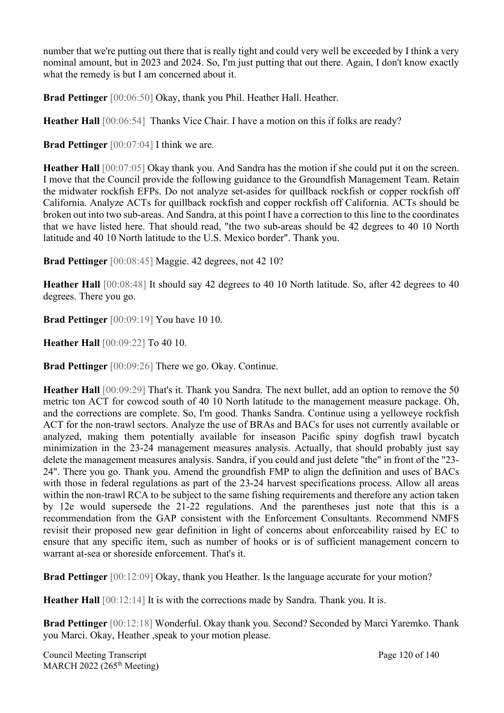number that we're putting out there that is really tight and could very well be exceeded by I think a very nominal amount, but in 2023 and 2024. So, I'm just putting that out there. Again, I don't know exactly what the remedy is but I am concerned about it.

**Brad Pettinger** [00:06:50] Okay, thank you Phil. Heather Hall. Heather.

**Heather Hall** [00:06:54] Thanks Vice Chair. I have a motion on this if folks are ready?

**Brad Pettinger** [00:07:04] I think we are.

**Heather Hall** [00:07:05] Okay thank you. And Sandra has the motion if she could put it on the screen. I move that the Council provide the following guidance to the Groundfish Management Team. Retain the midwater rockfish EFPs. Do not analyze set-asides for quillback rockfish or copper rockfish off California. Analyze ACTs for quillback rockfish and copper rockfish off California. ACTs should be broken out into two sub-areas. And Sandra, at this point I have a correction to this line to the coordinates that we have listed here. That should read, "the two sub-areas should be 42 degrees to 40 10 North latitude and 40 10 North latitude to the U.S. Mexico border". Thank you.

**Brad Pettinger** [00:08:45] Maggie. 42 degrees, not 42 10?

**Heather Hall** [00:08:48] It should say 42 degrees to 40 10 North latitude. So, after 42 degrees to 40 degrees. There you go.

**Brad Pettinger** [00:09:19] You have 10 10.

**Heather Hall** [00:09:22] To 40 10.

**Brad Pettinger** [00:09:26] There we go. Okay. Continue.

**Heather Hall** [00:09:29] That's it. Thank you Sandra. The next bullet, add an option to remove the 50 metric ton ACT for cowcod south of 40 10 North latitude to the management measure package. Oh, and the corrections are complete. So, I'm good. Thanks Sandra. Continue using a yelloweye rockfish ACT for the non-trawl sectors. Analyze the use of BRAs and BACs for uses not currently available or analyzed, making them potentially available for inseason Pacific spiny dogfish trawl bycatch minimization in the 23-24 management measures analysis. Actually, that should probably just say delete the management measures analysis. Sandra, if you could and just delete "the" in front of the "23- 24". There you go. Thank you. Amend the groundfish FMP to align the definition and uses of BACs with those in federal regulations as part of the 23-24 harvest specifications process. Allow all areas within the non-trawl RCA to be subject to the same fishing requirements and therefore any action taken by 12e would supersede the 21-22 regulations. And the parentheses just note that this is a recommendation from the GAP consistent with the Enforcement Consultants. Recommend NMFS revisit their proposed new gear definition in light of concerns about enforceability raised by EC to ensure that any specific item, such as number of hooks or is of sufficient management concern to warrant at-sea or shoreside enforcement. That's it.

**Brad Pettinger** [00:12:09] Okay, thank you Heather. Is the language accurate for your motion?

**Heather Hall** [00:12:14] It is with the corrections made by Sandra. Thank you. It is.

**Brad Pettinger** [00:12:18] Wonderful. Okay thank you. Second? Seconded by Marci Yaremko. Thank you Marci. Okay, Heather ,speak to your motion please.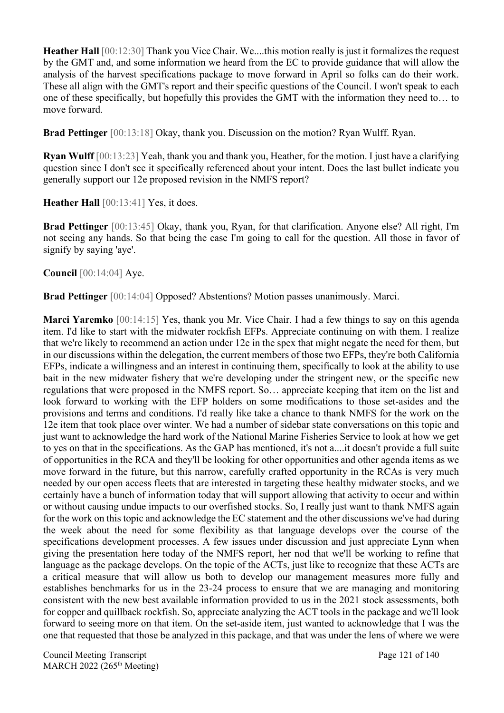**Heather Hall** [00:12:30] Thank you Vice Chair. We....this motion really is just it formalizes the request by the GMT and, and some information we heard from the EC to provide guidance that will allow the analysis of the harvest specifications package to move forward in April so folks can do their work. These all align with the GMT's report and their specific questions of the Council. I won't speak to each one of these specifically, but hopefully this provides the GMT with the information they need to… to move forward.

**Brad Pettinger** [00:13:18] Okay, thank you. Discussion on the motion? Ryan Wulff. Ryan.

**Ryan Wulff** [00:13:23] Yeah, thank you and thank you, Heather, for the motion. I just have a clarifying question since I don't see it specifically referenced about your intent. Does the last bullet indicate you generally support our 12e proposed revision in the NMFS report?

Heather Hall  $[00:13:41]$  Yes, it does.

**Brad Pettinger** [00:13:45] Okay, thank you, Ryan, for that clarification. Anyone else? All right, I'm not seeing any hands. So that being the case I'm going to call for the question. All those in favor of signify by saying 'aye'.

**Council** [00:14:04] Aye.

**Brad Pettinger** [00:14:04] Opposed? Abstentions? Motion passes unanimously. Marci.

**Marci Yaremko** [00:14:15] Yes, thank you Mr. Vice Chair. I had a few things to say on this agenda item. I'd like to start with the midwater rockfish EFPs. Appreciate continuing on with them. I realize that we're likely to recommend an action under 12e in the spex that might negate the need for them, but in our discussions within the delegation, the current members of those two EFPs, they're both California EFPs, indicate a willingness and an interest in continuing them, specifically to look at the ability to use bait in the new midwater fishery that we're developing under the stringent new, or the specific new regulations that were proposed in the NMFS report. So… appreciate keeping that item on the list and look forward to working with the EFP holders on some modifications to those set-asides and the provisions and terms and conditions. I'd really like take a chance to thank NMFS for the work on the 12e item that took place over winter. We had a number of sidebar state conversations on this topic and just want to acknowledge the hard work of the National Marine Fisheries Service to look at how we get to yes on that in the specifications. As the GAP has mentioned, it's not a....it doesn't provide a full suite of opportunities in the RCA and they'll be looking for other opportunities and other agenda items as we move forward in the future, but this narrow, carefully crafted opportunity in the RCAs is very much needed by our open access fleets that are interested in targeting these healthy midwater stocks, and we certainly have a bunch of information today that will support allowing that activity to occur and within or without causing undue impacts to our overfished stocks. So, I really just want to thank NMFS again for the work on this topic and acknowledge the EC statement and the other discussions we've had during the week about the need for some flexibility as that language develops over the course of the specifications development processes. A few issues under discussion and just appreciate Lynn when giving the presentation here today of the NMFS report, her nod that we'll be working to refine that language as the package develops. On the topic of the ACTs, just like to recognize that these ACTs are a critical measure that will allow us both to develop our management measures more fully and establishes benchmarks for us in the 23-24 process to ensure that we are managing and monitoring consistent with the new best available information provided to us in the 2021 stock assessments, both for copper and quillback rockfish. So, appreciate analyzing the ACT tools in the package and we'll look forward to seeing more on that item. On the set-aside item, just wanted to acknowledge that I was the one that requested that those be analyzed in this package, and that was under the lens of where we were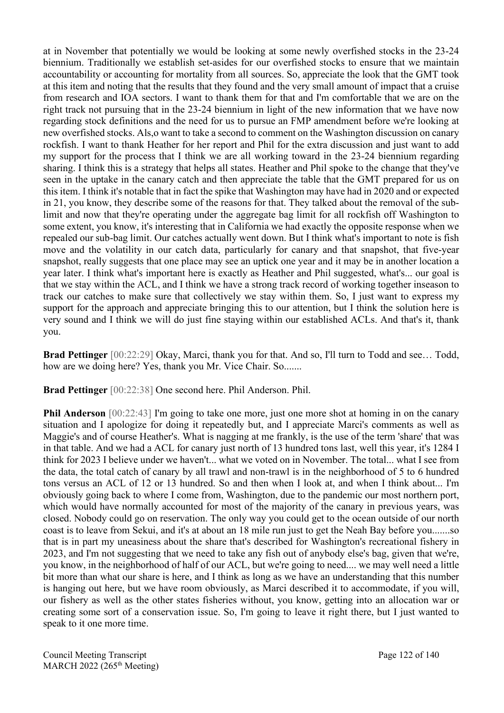at in November that potentially we would be looking at some newly overfished stocks in the 23-24 biennium. Traditionally we establish set-asides for our overfished stocks to ensure that we maintain accountability or accounting for mortality from all sources. So, appreciate the look that the GMT took at this item and noting that the results that they found and the very small amount of impact that a cruise from research and IOA sectors. I want to thank them for that and I'm comfortable that we are on the right track not pursuing that in the 23-24 biennium in light of the new information that we have now regarding stock definitions and the need for us to pursue an FMP amendment before we're looking at new overfished stocks. Als,o want to take a second to comment on the Washington discussion on canary rockfish. I want to thank Heather for her report and Phil for the extra discussion and just want to add my support for the process that I think we are all working toward in the 23-24 biennium regarding sharing. I think this is a strategy that helps all states. Heather and Phil spoke to the change that they've seen in the uptake in the canary catch and then appreciate the table that the GMT prepared for us on this item. I think it's notable that in fact the spike that Washington may have had in 2020 and or expected in 21, you know, they describe some of the reasons for that. They talked about the removal of the sublimit and now that they're operating under the aggregate bag limit for all rockfish off Washington to some extent, you know, it's interesting that in California we had exactly the opposite response when we repealed our sub-bag limit. Our catches actually went down. But I think what's important to note is fish move and the volatility in our catch data, particularly for canary and that snapshot, that five-year snapshot, really suggests that one place may see an uptick one year and it may be in another location a year later. I think what's important here is exactly as Heather and Phil suggested, what's... our goal is that we stay within the ACL, and I think we have a strong track record of working together inseason to track our catches to make sure that collectively we stay within them. So, I just want to express my support for the approach and appreciate bringing this to our attention, but I think the solution here is very sound and I think we will do just fine staying within our established ACLs. And that's it, thank you.

**Brad Pettinger** [00:22:29] Okay, Marci, thank you for that. And so, I'll turn to Todd and see… Todd, how are we doing here? Yes, thank you Mr. Vice Chair. So.......

**Brad Pettinger** [00:22:38] One second here. Phil Anderson. Phil.

**Phil Anderson** [00:22:43] I'm going to take one more, just one more shot at homing in on the canary situation and I apologize for doing it repeatedly but, and I appreciate Marci's comments as well as Maggie's and of course Heather's. What is nagging at me frankly, is the use of the term 'share' that was in that table. And we had a ACL for canary just north of 13 hundred tons last, well this year, it's 1284 I think for 2023 I believe under we haven't... what we voted on in November. The total... what I see from the data, the total catch of canary by all trawl and non-trawl is in the neighborhood of 5 to 6 hundred tons versus an ACL of 12 or 13 hundred. So and then when I look at, and when I think about... I'm obviously going back to where I come from, Washington, due to the pandemic our most northern port, which would have normally accounted for most of the majority of the canary in previous years, was closed. Nobody could go on reservation. The only way you could get to the ocean outside of our north coast is to leave from Sekui, and it's at about an 18 mile run just to get the Neah Bay before you.......so that is in part my uneasiness about the share that's described for Washington's recreational fishery in 2023, and I'm not suggesting that we need to take any fish out of anybody else's bag, given that we're, you know, in the neighborhood of half of our ACL, but we're going to need.... we may well need a little bit more than what our share is here, and I think as long as we have an understanding that this number is hanging out here, but we have room obviously, as Marci described it to accommodate, if you will, our fishery as well as the other states fisheries without, you know, getting into an allocation war or creating some sort of a conservation issue. So, I'm going to leave it right there, but I just wanted to speak to it one more time.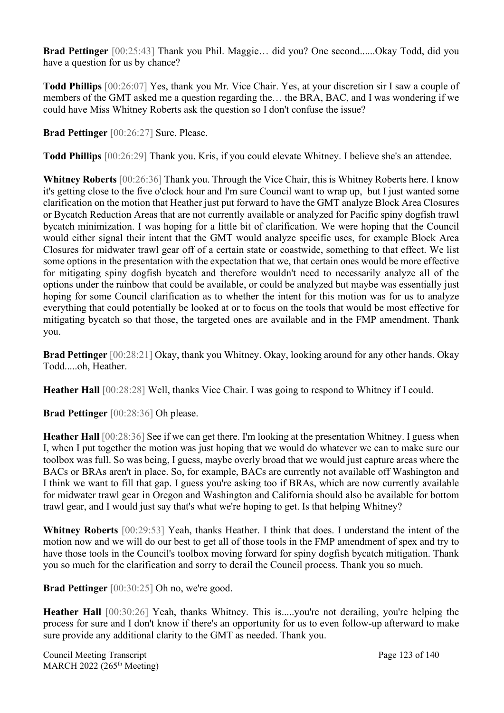**Brad Pettinger** [00:25:43] Thank you Phil. Maggie… did you? One second......Okay Todd, did you have a question for us by chance?

**Todd Phillips** [00:26:07] Yes, thank you Mr. Vice Chair. Yes, at your discretion sir I saw a couple of members of the GMT asked me a question regarding the… the BRA, BAC, and I was wondering if we could have Miss Whitney Roberts ask the question so I don't confuse the issue?

**Brad Pettinger** [00:26:27] Sure. Please.

**Todd Phillips** [00:26:29] Thank you. Kris, if you could elevate Whitney. I believe she's an attendee.

**Whitney Roberts** [00:26:36] Thank you. Through the Vice Chair, this is Whitney Roberts here. I know it's getting close to the five o'clock hour and I'm sure Council want to wrap up, but I just wanted some clarification on the motion that Heather just put forward to have the GMT analyze Block Area Closures or Bycatch Reduction Areas that are not currently available or analyzed for Pacific spiny dogfish trawl bycatch minimization. I was hoping for a little bit of clarification. We were hoping that the Council would either signal their intent that the GMT would analyze specific uses, for example Block Area Closures for midwater trawl gear off of a certain state or coastwide, something to that effect. We list some options in the presentation with the expectation that we, that certain ones would be more effective for mitigating spiny dogfish bycatch and therefore wouldn't need to necessarily analyze all of the options under the rainbow that could be available, or could be analyzed but maybe was essentially just hoping for some Council clarification as to whether the intent for this motion was for us to analyze everything that could potentially be looked at or to focus on the tools that would be most effective for mitigating bycatch so that those, the targeted ones are available and in the FMP amendment. Thank you.

**Brad Pettinger** [00:28:21] Okay, thank you Whitney. Okay, looking around for any other hands. Okay Todd.....oh, Heather.

**Heather Hall** [00:28:28] Well, thanks Vice Chair. I was going to respond to Whitney if I could.

**Brad Pettinger** [00:28:36] Oh please.

**Heather Hall** [00:28:36] See if we can get there. I'm looking at the presentation Whitney. I guess when I, when I put together the motion was just hoping that we would do whatever we can to make sure our toolbox was full. So was being, I guess, maybe overly broad that we would just capture areas where the BACs or BRAs aren't in place. So, for example, BACs are currently not available off Washington and I think we want to fill that gap. I guess you're asking too if BRAs, which are now currently available for midwater trawl gear in Oregon and Washington and California should also be available for bottom trawl gear, and I would just say that's what we're hoping to get. Is that helping Whitney?

**Whitney Roberts** [00:29:53] Yeah, thanks Heather. I think that does. I understand the intent of the motion now and we will do our best to get all of those tools in the FMP amendment of spex and try to have those tools in the Council's toolbox moving forward for spiny dogfish bycatch mitigation. Thank you so much for the clarification and sorry to derail the Council process. Thank you so much.

**Brad Pettinger** [00:30:25] Oh no, we're good.

Heather Hall [00:30:26] Yeah, thanks Whitney. This is.....you're not derailing, you're helping the process for sure and I don't know if there's an opportunity for us to even follow-up afterward to make sure provide any additional clarity to the GMT as needed. Thank you.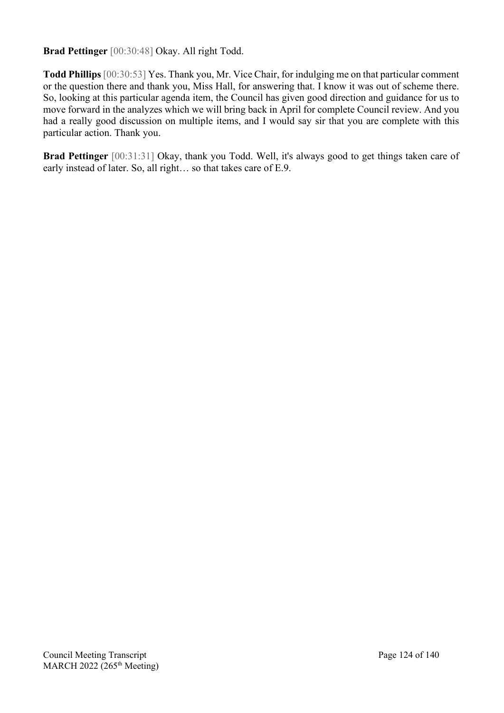**Brad Pettinger** [00:30:48] Okay. All right Todd.

**Todd Phillips** [00:30:53] Yes. Thank you, Mr. Vice Chair, for indulging me on that particular comment or the question there and thank you, Miss Hall, for answering that. I know it was out of scheme there. So, looking at this particular agenda item, the Council has given good direction and guidance for us to move forward in the analyzes which we will bring back in April for complete Council review. And you had a really good discussion on multiple items, and I would say sir that you are complete with this particular action. Thank you.

**Brad Pettinger** [00:31:31] Okay, thank you Todd. Well, it's always good to get things taken care of early instead of later. So, all right… so that takes care of E.9.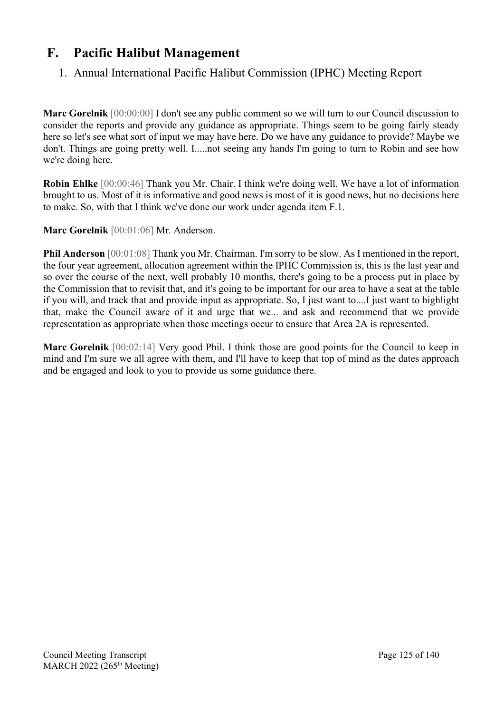# **F. Pacific Halibut Management**

# 1. Annual International Pacific Halibut Commission (IPHC) Meeting Report

**Marc Gorelnik** [00:00:00] I don't see any public comment so we will turn to our Council discussion to consider the reports and provide any guidance as appropriate. Things seem to be going fairly steady here so let's see what sort of input we may have here. Do we have any guidance to provide? Maybe we don't. Things are going pretty well. I.....not seeing any hands I'm going to turn to Robin and see how we're doing here.

**Robin Ehlke** [00:00:46] Thank you Mr. Chair. I think we're doing well. We have a lot of information brought to us. Most of it is informative and good news is most of it is good news, but no decisions here to make. So, with that I think we've done our work under agenda item F.1.

#### **Marc Gorelnik** [00:01:06] Mr. Anderson.

**Phil Anderson** [00:01:08] Thank you Mr. Chairman. I'm sorry to be slow. As I mentioned in the report, the four year agreement, allocation agreement within the IPHC Commission is, this is the last year and so over the course of the next, well probably 10 months, there's going to be a process put in place by the Commission that to revisit that, and it's going to be important for our area to have a seat at the table if you will, and track that and provide input as appropriate. So, I just want to....I just want to highlight that, make the Council aware of it and urge that we... and ask and recommend that we provide representation as appropriate when those meetings occur to ensure that Area 2A is represented.

**Marc Gorelnik** [00:02:14] Very good Phil. I think those are good points for the Council to keep in mind and I'm sure we all agree with them, and I'll have to keep that top of mind as the dates approach and be engaged and look to you to provide us some guidance there.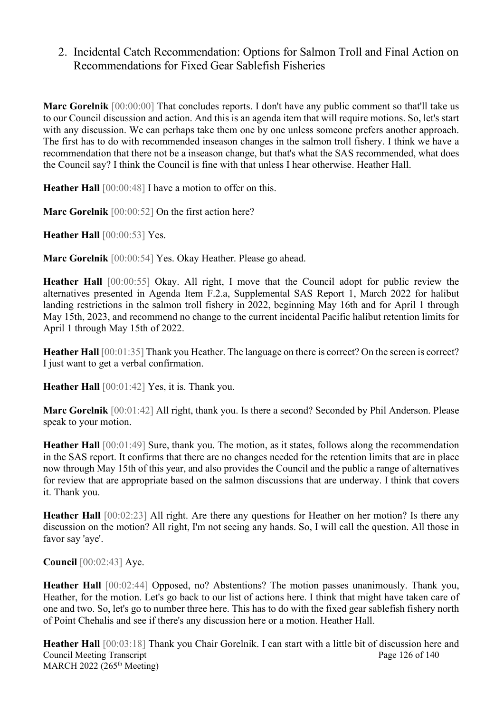## 2. Incidental Catch Recommendation: Options for Salmon Troll and Final Action on Recommendations for Fixed Gear Sablefish Fisheries

**Marc Gorelnik** [00:00:00] That concludes reports. I don't have any public comment so that'll take us to our Council discussion and action. And this is an agenda item that will require motions. So, let's start with any discussion. We can perhaps take them one by one unless someone prefers another approach. The first has to do with recommended inseason changes in the salmon troll fishery. I think we have a recommendation that there not be a inseason change, but that's what the SAS recommended, what does the Council say? I think the Council is fine with that unless I hear otherwise. Heather Hall.

**Heather Hall** [00:00:48] I have a motion to offer on this.

**Marc Gorelnik** [00:00:52] On the first action here?

**Heather Hall** [00:00:53] Yes.

**Marc Gorelnik** [00:00:54] Yes. Okay Heather. Please go ahead.

**Heather Hall** [00:00:55] Okay. All right, I move that the Council adopt for public review the alternatives presented in Agenda Item F.2.a, Supplemental SAS Report 1, March 2022 for halibut landing restrictions in the salmon troll fishery in 2022, beginning May 16th and for April 1 through May 15th, 2023, and recommend no change to the current incidental Pacific halibut retention limits for April 1 through May 15th of 2022.

**Heather Hall** [00:01:35] Thank you Heather. The language on there is correct? On the screen is correct? I just want to get a verbal confirmation.

**Heather Hall** [00:01:42] Yes, it is. Thank you.

**Marc Gorelnik** [00:01:42] All right, thank you. Is there a second? Seconded by Phil Anderson. Please speak to your motion.

**Heather Hall** [00:01:49] Sure, thank you. The motion, as it states, follows along the recommendation in the SAS report. It confirms that there are no changes needed for the retention limits that are in place now through May 15th of this year, and also provides the Council and the public a range of alternatives for review that are appropriate based on the salmon discussions that are underway. I think that covers it. Thank you.

**Heather Hall** [00:02:23] All right. Are there any questions for Heather on her motion? Is there any discussion on the motion? All right, I'm not seeing any hands. So, I will call the question. All those in favor say 'aye'.

**Council** [00:02:43] Aye.

**Heather Hall** [00:02:44] Opposed, no? Abstentions? The motion passes unanimously. Thank you, Heather, for the motion. Let's go back to our list of actions here. I think that might have taken care of one and two. So, let's go to number three here. This has to do with the fixed gear sablefish fishery north of Point Chehalis and see if there's any discussion here or a motion. Heather Hall.

Council Meeting Transcript Page 126 of 140 MARCH 2022 (265<sup>th</sup> Meeting) **Heather Hall** [00:03:18] Thank you Chair Gorelnik. I can start with a little bit of discussion here and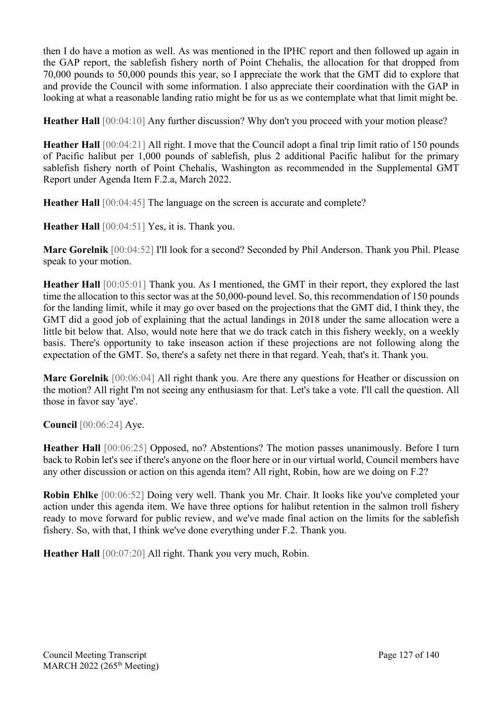then I do have a motion as well. As was mentioned in the IPHC report and then followed up again in the GAP report, the sablefish fishery north of Point Chehalis, the allocation for that dropped from 70,000 pounds to 50,000 pounds this year, so I appreciate the work that the GMT did to explore that and provide the Council with some information. I also appreciate their coordination with the GAP in looking at what a reasonable landing ratio might be for us as we contemplate what that limit might be.

**Heather Hall** [00:04:10] Any further discussion? Why don't you proceed with your motion please?

**Heather Hall** [00:04:21] All right. I move that the Council adopt a final trip limit ratio of 150 pounds of Pacific halibut per 1,000 pounds of sablefish, plus 2 additional Pacific halibut for the primary sablefish fishery north of Point Chehalis, Washington as recommended in the Supplemental GMT Report under Agenda Item F.2.a, March 2022.

**Heather Hall** [00:04:45] The language on the screen is accurate and complete?

**Heather Hall** [00:04:51] Yes, it is. Thank you.

**Marc Gorelnik** [00:04:52] I'll look for a second? Seconded by Phil Anderson. Thank you Phil. Please speak to your motion.

**Heather Hall** [00:05:01] Thank you. As I mentioned, the GMT in their report, they explored the last time the allocation to this sector was at the 50,000-pound level. So, this recommendation of 150 pounds for the landing limit, while it may go over based on the projections that the GMT did, I think they, the GMT did a good job of explaining that the actual landings in 2018 under the same allocation were a little bit below that. Also, would note here that we do track catch in this fishery weekly, on a weekly basis. There's opportunity to take inseason action if these projections are not following along the expectation of the GMT. So, there's a safety net there in that regard. Yeah, that's it. Thank you.

**Marc Gorelnik** [00:06:04] All right thank you. Are there any questions for Heather or discussion on the motion? All right I'm not seeing any enthusiasm for that. Let's take a vote. I'll call the question. All those in favor say 'aye'.

**Council** [00:06:24] Aye.

**Heather Hall** [00:06:25] Opposed, no? Abstentions? The motion passes unanimously. Before I turn back to Robin let's see if there's anyone on the floor here or in our virtual world, Council members have any other discussion or action on this agenda item? All right, Robin, how are we doing on F.2?

**Robin Ehlke** [00:06:52] Doing very well. Thank you Mr. Chair. It looks like you've completed your action under this agenda item. We have three options for halibut retention in the salmon troll fishery ready to move forward for public review, and we've made final action on the limits for the sablefish fishery. So, with that, I think we've done everything under F.2. Thank you.

**Heather Hall** [00:07:20] All right. Thank you very much, Robin.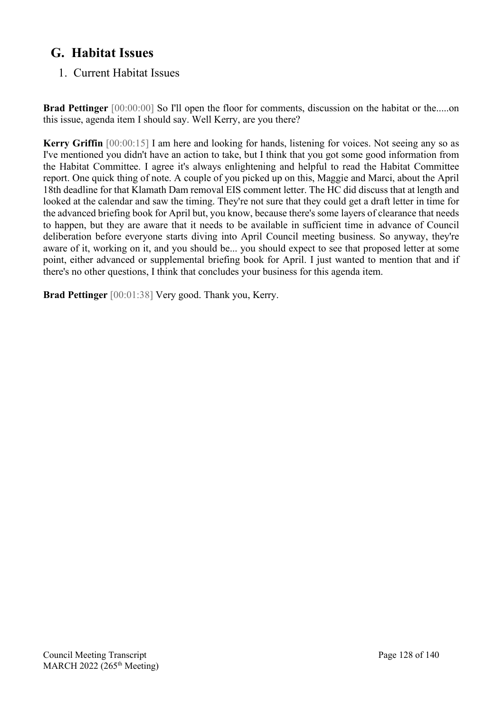# **G. Habitat Issues**

# 1. Current Habitat Issues

**Brad Pettinger** [00:00:00] So I'll open the floor for comments, discussion on the habitat or the.....on this issue, agenda item I should say. Well Kerry, are you there?

**Kerry Griffin** [00:00:15] I am here and looking for hands, listening for voices. Not seeing any so as I've mentioned you didn't have an action to take, but I think that you got some good information from the Habitat Committee. I agree it's always enlightening and helpful to read the Habitat Committee report. One quick thing of note. A couple of you picked up on this, Maggie and Marci, about the April 18th deadline for that Klamath Dam removal EIS comment letter. The HC did discuss that at length and looked at the calendar and saw the timing. They're not sure that they could get a draft letter in time for the advanced briefing book for April but, you know, because there's some layers of clearance that needs to happen, but they are aware that it needs to be available in sufficient time in advance of Council deliberation before everyone starts diving into April Council meeting business. So anyway, they're aware of it, working on it, and you should be... you should expect to see that proposed letter at some point, either advanced or supplemental briefing book for April. I just wanted to mention that and if there's no other questions, I think that concludes your business for this agenda item.

**Brad Pettinger** [00:01:38] Very good. Thank you, Kerry.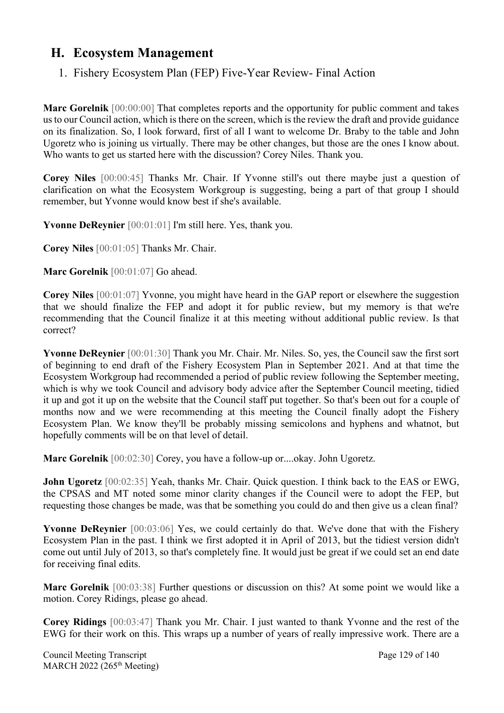# **H. Ecosystem Management**

# 1. Fishery Ecosystem Plan (FEP) Five-Year Review- Final Action

**Marc Gorelnik** [00:00:00] That completes reports and the opportunity for public comment and takes us to our Council action, which is there on the screen, which is the review the draft and provide guidance on its finalization. So, I look forward, first of all I want to welcome Dr. Braby to the table and John Ugoretz who is joining us virtually. There may be other changes, but those are the ones I know about. Who wants to get us started here with the discussion? Corey Niles. Thank you.

**Corey Niles** [00:00:45] Thanks Mr. Chair. If Yvonne still's out there maybe just a question of clarification on what the Ecosystem Workgroup is suggesting, being a part of that group I should remember, but Yvonne would know best if she's available.

**Yvonne DeReynier** [00:01:01] I'm still here. Yes, thank you.

**Corey Niles** [00:01:05] Thanks Mr. Chair.

Marc Gorelnik [00:01:07] Go ahead.

**Corey Niles** [00:01:07] Yvonne, you might have heard in the GAP report or elsewhere the suggestion that we should finalize the FEP and adopt it for public review, but my memory is that we're recommending that the Council finalize it at this meeting without additional public review. Is that correct?

**Yvonne DeReynier** [00:01:30] Thank you Mr. Chair. Mr. Niles. So, yes, the Council saw the first sort of beginning to end draft of the Fishery Ecosystem Plan in September 2021. And at that time the Ecosystem Workgroup had recommended a period of public review following the September meeting, which is why we took Council and advisory body advice after the September Council meeting, tidied it up and got it up on the website that the Council staff put together. So that's been out for a couple of months now and we were recommending at this meeting the Council finally adopt the Fishery Ecosystem Plan. We know they'll be probably missing semicolons and hyphens and whatnot, but hopefully comments will be on that level of detail.

**Marc Gorelnik** [00:02:30] Corey, you have a follow-up or....okay. John Ugoretz.

**John Ugoretz** [00:02:35] Yeah, thanks Mr. Chair. Quick question. I think back to the EAS or EWG, the CPSAS and MT noted some minor clarity changes if the Council were to adopt the FEP, but requesting those changes be made, was that be something you could do and then give us a clean final?

**Yvonne DeReynier** [00:03:06] Yes, we could certainly do that. We've done that with the Fishery Ecosystem Plan in the past. I think we first adopted it in April of 2013, but the tidiest version didn't come out until July of 2013, so that's completely fine. It would just be great if we could set an end date for receiving final edits.

**Marc Gorelnik** [00:03:38] Further questions or discussion on this? At some point we would like a motion. Corey Ridings, please go ahead.

**Corey Ridings** [00:03:47] Thank you Mr. Chair. I just wanted to thank Yvonne and the rest of the EWG for their work on this. This wraps up a number of years of really impressive work. There are a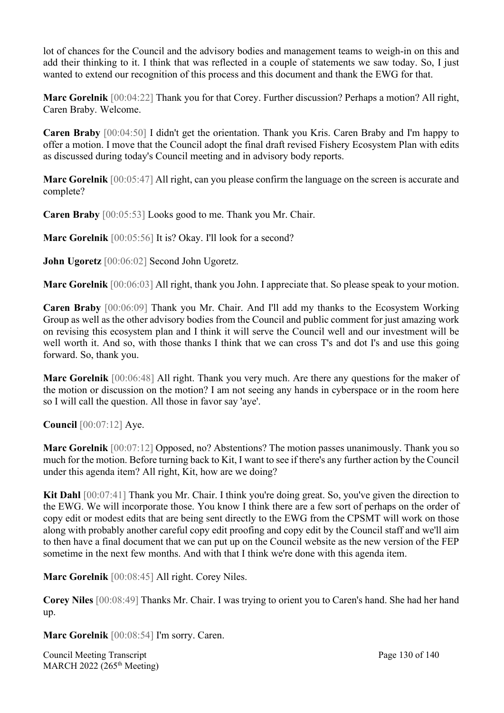lot of chances for the Council and the advisory bodies and management teams to weigh-in on this and add their thinking to it. I think that was reflected in a couple of statements we saw today. So, I just wanted to extend our recognition of this process and this document and thank the EWG for that.

**Marc Gorelnik** [00:04:22] Thank you for that Corey. Further discussion? Perhaps a motion? All right, Caren Braby. Welcome.

**Caren Braby** [00:04:50] I didn't get the orientation. Thank you Kris. Caren Braby and I'm happy to offer a motion. I move that the Council adopt the final draft revised Fishery Ecosystem Plan with edits as discussed during today's Council meeting and in advisory body reports.

**Marc Gorelnik** [00:05:47] All right, can you please confirm the language on the screen is accurate and complete?

**Caren Braby** [00:05:53] Looks good to me. Thank you Mr. Chair.

**Marc Gorelnik** [00:05:56] It is? Okay. I'll look for a second?

**John Ugoretz** [00:06:02] Second John Ugoretz.

**Marc Gorelnik** [00:06:03] All right, thank you John. I appreciate that. So please speak to your motion.

**Caren Braby** [00:06:09] Thank you Mr. Chair. And I'll add my thanks to the Ecosystem Working Group as well as the other advisory bodies from the Council and public comment for just amazing work on revising this ecosystem plan and I think it will serve the Council well and our investment will be well worth it. And so, with those thanks I think that we can cross T's and dot I's and use this going forward. So, thank you.

**Marc Gorelnik** [00:06:48] All right. Thank you very much. Are there any questions for the maker of the motion or discussion on the motion? I am not seeing any hands in cyberspace or in the room here so I will call the question. All those in favor say 'aye'.

**Council** [00:07:12] Aye.

**Marc Gorelnik** [00:07:12] Opposed, no? Abstentions? The motion passes unanimously. Thank you so much for the motion. Before turning back to Kit, I want to see if there's any further action by the Council under this agenda item? All right, Kit, how are we doing?

**Kit Dahl** [00:07:41] Thank you Mr. Chair. I think you're doing great. So, you've given the direction to the EWG. We will incorporate those. You know I think there are a few sort of perhaps on the order of copy edit or modest edits that are being sent directly to the EWG from the CPSMT will work on those along with probably another careful copy edit proofing and copy edit by the Council staff and we'll aim to then have a final document that we can put up on the Council website as the new version of the FEP sometime in the next few months. And with that I think we're done with this agenda item.

**Marc Gorelnik** [00:08:45] All right. Corey Niles.

**Corey Niles** [00:08:49] Thanks Mr. Chair. I was trying to orient you to Caren's hand. She had her hand up.

**Marc Gorelnik** [00:08:54] I'm sorry. Caren.

Council Meeting Transcript **Page 130 of 140** MARCH 2022 (265<sup>th</sup> Meeting)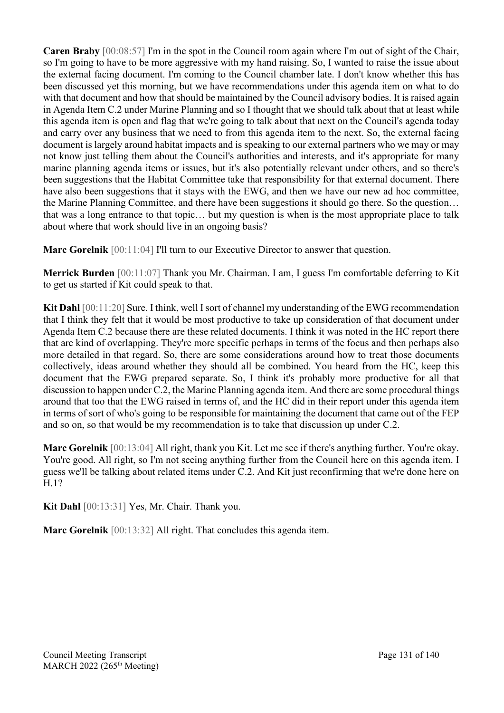**Caren Braby** [00:08:57] I'm in the spot in the Council room again where I'm out of sight of the Chair, so I'm going to have to be more aggressive with my hand raising. So, I wanted to raise the issue about the external facing document. I'm coming to the Council chamber late. I don't know whether this has been discussed yet this morning, but we have recommendations under this agenda item on what to do with that document and how that should be maintained by the Council advisory bodies. It is raised again in Agenda Item C.2 under Marine Planning and so I thought that we should talk about that at least while this agenda item is open and flag that we're going to talk about that next on the Council's agenda today and carry over any business that we need to from this agenda item to the next. So, the external facing document is largely around habitat impacts and is speaking to our external partners who we may or may not know just telling them about the Council's authorities and interests, and it's appropriate for many marine planning agenda items or issues, but it's also potentially relevant under others, and so there's been suggestions that the Habitat Committee take that responsibility for that external document. There have also been suggestions that it stays with the EWG, and then we have our new ad hoc committee, the Marine Planning Committee, and there have been suggestions it should go there. So the question… that was a long entrance to that topic… but my question is when is the most appropriate place to talk about where that work should live in an ongoing basis?

**Marc Gorelnik** [00:11:04] I'll turn to our Executive Director to answer that question.

**Merrick Burden** [00:11:07] Thank you Mr. Chairman. I am, I guess I'm comfortable deferring to Kit to get us started if Kit could speak to that.

**Kit Dahl** [00:11:20] Sure. I think, well I sort of channel my understanding of the EWG recommendation that I think they felt that it would be most productive to take up consideration of that document under Agenda Item C.2 because there are these related documents. I think it was noted in the HC report there that are kind of overlapping. They're more specific perhaps in terms of the focus and then perhaps also more detailed in that regard. So, there are some considerations around how to treat those documents collectively, ideas around whether they should all be combined. You heard from the HC, keep this document that the EWG prepared separate. So, I think it's probably more productive for all that discussion to happen under C.2, the Marine Planning agenda item. And there are some procedural things around that too that the EWG raised in terms of, and the HC did in their report under this agenda item in terms of sort of who's going to be responsible for maintaining the document that came out of the FEP and so on, so that would be my recommendation is to take that discussion up under C.2.

**Marc Gorelnik** [00:13:04] All right, thank you Kit. Let me see if there's anything further. You're okay. You're good. All right, so I'm not seeing anything further from the Council here on this agenda item. I guess we'll be talking about related items under C.2. And Kit just reconfirming that we're done here on H.1?

**Kit Dahl** [00:13:31] Yes, Mr. Chair. Thank you.

**Marc Gorelnik** [00:13:32] All right. That concludes this agenda item.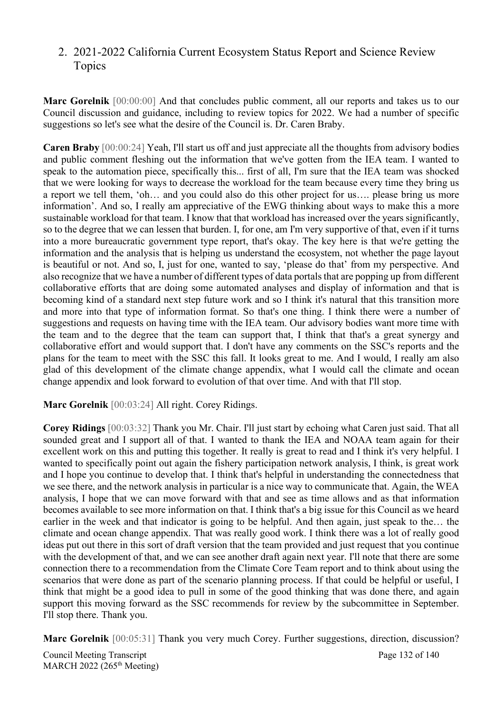## 2. 2021-2022 California Current Ecosystem Status Report and Science Review Topics

**Marc Gorelnik** [00:00:00] And that concludes public comment, all our reports and takes us to our Council discussion and guidance, including to review topics for 2022. We had a number of specific suggestions so let's see what the desire of the Council is. Dr. Caren Braby.

**Caren Braby** [00:00:24] Yeah, I'll start us off and just appreciate all the thoughts from advisory bodies and public comment fleshing out the information that we've gotten from the IEA team. I wanted to speak to the automation piece, specifically this... first of all, I'm sure that the IEA team was shocked that we were looking for ways to decrease the workload for the team because every time they bring us a report we tell them, 'oh… and you could also do this other project for us…. please bring us more information'. And so, I really am appreciative of the EWG thinking about ways to make this a more sustainable workload for that team. I know that that workload has increased over the years significantly, so to the degree that we can lessen that burden. I, for one, am I'm very supportive of that, even if it turns into a more bureaucratic government type report, that's okay. The key here is that we're getting the information and the analysis that is helping us understand the ecosystem, not whether the page layout is beautiful or not. And so, I, just for one, wanted to say, 'please do that' from my perspective. And also recognize that we have a number of different types of data portals that are popping up from different collaborative efforts that are doing some automated analyses and display of information and that is becoming kind of a standard next step future work and so I think it's natural that this transition more and more into that type of information format. So that's one thing. I think there were a number of suggestions and requests on having time with the IEA team. Our advisory bodies want more time with the team and to the degree that the team can support that, I think that that's a great synergy and collaborative effort and would support that. I don't have any comments on the SSC's reports and the plans for the team to meet with the SSC this fall. It looks great to me. And I would, I really am also glad of this development of the climate change appendix, what I would call the climate and ocean change appendix and look forward to evolution of that over time. And with that I'll stop.

**Marc Gorelnik** [00:03:24] All right. Corey Ridings.

**Corey Ridings** [00:03:32] Thank you Mr. Chair. I'll just start by echoing what Caren just said. That all sounded great and I support all of that. I wanted to thank the IEA and NOAA team again for their excellent work on this and putting this together. It really is great to read and I think it's very helpful. I wanted to specifically point out again the fishery participation network analysis, I think, is great work and I hope you continue to develop that. I think that's helpful in understanding the connectedness that we see there, and the network analysis in particular is a nice way to communicate that. Again, the WEA analysis, I hope that we can move forward with that and see as time allows and as that information becomes available to see more information on that. I think that's a big issue for this Council as we heard earlier in the week and that indicator is going to be helpful. And then again, just speak to the… the climate and ocean change appendix. That was really good work. I think there was a lot of really good ideas put out there in this sort of draft version that the team provided and just request that you continue with the development of that, and we can see another draft again next year. I'll note that there are some connection there to a recommendation from the Climate Core Team report and to think about using the scenarios that were done as part of the scenario planning process. If that could be helpful or useful, I think that might be a good idea to pull in some of the good thinking that was done there, and again support this moving forward as the SSC recommends for review by the subcommittee in September. I'll stop there. Thank you.

**Marc Gorelnik** [00:05:31] Thank you very much Corey. Further suggestions, direction, discussion?

Council Meeting Transcript **Page 132 of 140** MARCH 2022 (265<sup>th</sup> Meeting)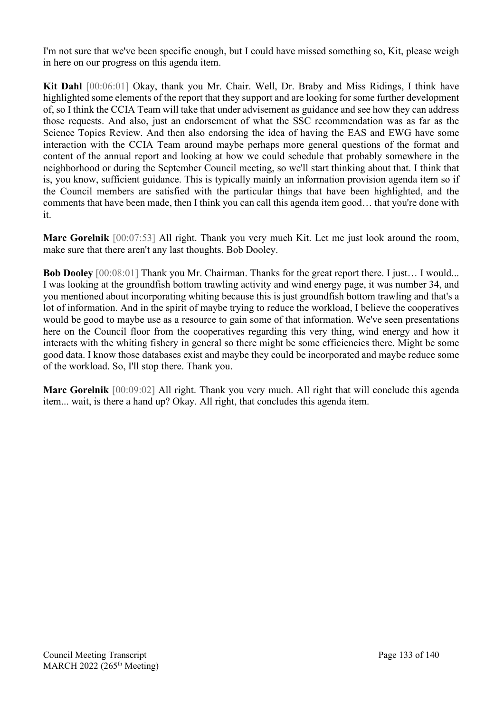I'm not sure that we've been specific enough, but I could have missed something so, Kit, please weigh in here on our progress on this agenda item.

**Kit Dahl** [00:06:01] Okay, thank you Mr. Chair. Well, Dr. Braby and Miss Ridings, I think have highlighted some elements of the report that they support and are looking for some further development of, so I think the CCIA Team will take that under advisement as guidance and see how they can address those requests. And also, just an endorsement of what the SSC recommendation was as far as the Science Topics Review. And then also endorsing the idea of having the EAS and EWG have some interaction with the CCIA Team around maybe perhaps more general questions of the format and content of the annual report and looking at how we could schedule that probably somewhere in the neighborhood or during the September Council meeting, so we'll start thinking about that. I think that is, you know, sufficient guidance. This is typically mainly an information provision agenda item so if the Council members are satisfied with the particular things that have been highlighted, and the comments that have been made, then I think you can call this agenda item good… that you're done with it.

**Marc Gorelnik** [00:07:53] All right. Thank you very much Kit. Let me just look around the room, make sure that there aren't any last thoughts. Bob Dooley.

**Bob Dooley** [00:08:01] Thank you Mr. Chairman. Thanks for the great report there. I just… I would... I was looking at the groundfish bottom trawling activity and wind energy page, it was number 34, and you mentioned about incorporating whiting because this is just groundfish bottom trawling and that's a lot of information. And in the spirit of maybe trying to reduce the workload, I believe the cooperatives would be good to maybe use as a resource to gain some of that information. We've seen presentations here on the Council floor from the cooperatives regarding this very thing, wind energy and how it interacts with the whiting fishery in general so there might be some efficiencies there. Might be some good data. I know those databases exist and maybe they could be incorporated and maybe reduce some of the workload. So, I'll stop there. Thank you.

**Marc Gorelnik** [00:09:02] All right. Thank you very much. All right that will conclude this agenda item... wait, is there a hand up? Okay. All right, that concludes this agenda item.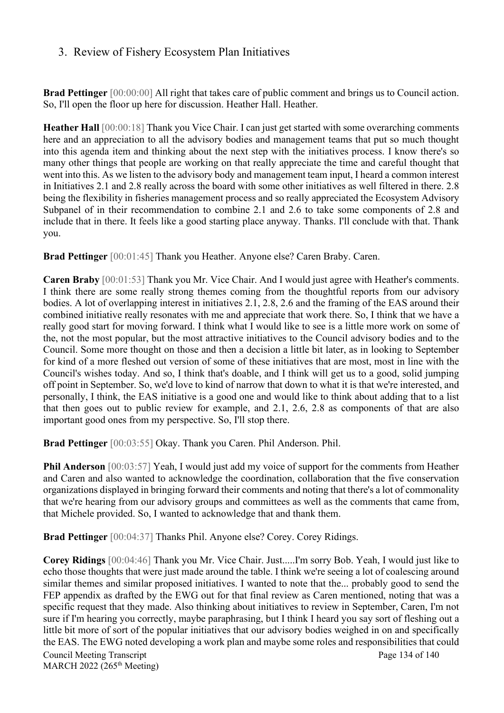### 3. Review of Fishery Ecosystem Plan Initiatives

**Brad Pettinger** [00:00:00] All right that takes care of public comment and brings us to Council action. So, I'll open the floor up here for discussion. Heather Hall. Heather.

**Heather Hall** [00:00:18] Thank you Vice Chair. I can just get started with some overarching comments here and an appreciation to all the advisory bodies and management teams that put so much thought into this agenda item and thinking about the next step with the initiatives process. I know there's so many other things that people are working on that really appreciate the time and careful thought that went into this. As we listen to the advisory body and management team input, I heard a common interest in Initiatives 2.1 and 2.8 really across the board with some other initiatives as well filtered in there. 2.8 being the flexibility in fisheries management process and so really appreciated the Ecosystem Advisory Subpanel of in their recommendation to combine 2.1 and 2.6 to take some components of 2.8 and include that in there. It feels like a good starting place anyway. Thanks. I'll conclude with that. Thank you.

**Brad Pettinger** [00:01:45] Thank you Heather. Anyone else? Caren Braby. Caren.

**Caren Braby** [00:01:53] Thank you Mr. Vice Chair. And I would just agree with Heather's comments. I think there are some really strong themes coming from the thoughtful reports from our advisory bodies. A lot of overlapping interest in initiatives 2.1, 2.8, 2.6 and the framing of the EAS around their combined initiative really resonates with me and appreciate that work there. So, I think that we have a really good start for moving forward. I think what I would like to see is a little more work on some of the, not the most popular, but the most attractive initiatives to the Council advisory bodies and to the Council. Some more thought on those and then a decision a little bit later, as in looking to September for kind of a more fleshed out version of some of these initiatives that are most, most in line with the Council's wishes today. And so, I think that's doable, and I think will get us to a good, solid jumping off point in September. So, we'd love to kind of narrow that down to what it is that we're interested, and personally, I think, the EAS initiative is a good one and would like to think about adding that to a list that then goes out to public review for example, and 2.1, 2.6, 2.8 as components of that are also important good ones from my perspective. So, I'll stop there.

**Brad Pettinger** [00:03:55] Okay. Thank you Caren. Phil Anderson. Phil.

**Phil Anderson** [00:03:57] Yeah, I would just add my voice of support for the comments from Heather and Caren and also wanted to acknowledge the coordination, collaboration that the five conservation organizations displayed in bringing forward their comments and noting that there's a lot of commonality that we're hearing from our advisory groups and committees as well as the comments that came from, that Michele provided. So, I wanted to acknowledge that and thank them.

**Brad Pettinger** [00:04:37] Thanks Phil. Anyone else? Corey. Corey Ridings.

**Corey Ridings** [00:04:46] Thank you Mr. Vice Chair. Just.....I'm sorry Bob. Yeah, I would just like to echo those thoughts that were just made around the table. I think we're seeing a lot of coalescing around similar themes and similar proposed initiatives. I wanted to note that the... probably good to send the FEP appendix as drafted by the EWG out for that final review as Caren mentioned, noting that was a specific request that they made. Also thinking about initiatives to review in September, Caren, I'm not sure if I'm hearing you correctly, maybe paraphrasing, but I think I heard you say sort of fleshing out a little bit more of sort of the popular initiatives that our advisory bodies weighed in on and specifically the EAS. The EWG noted developing a work plan and maybe some roles and responsibilities that could

Council Meeting Transcript **Page 134 of 140** MARCH 2022 (265<sup>th</sup> Meeting)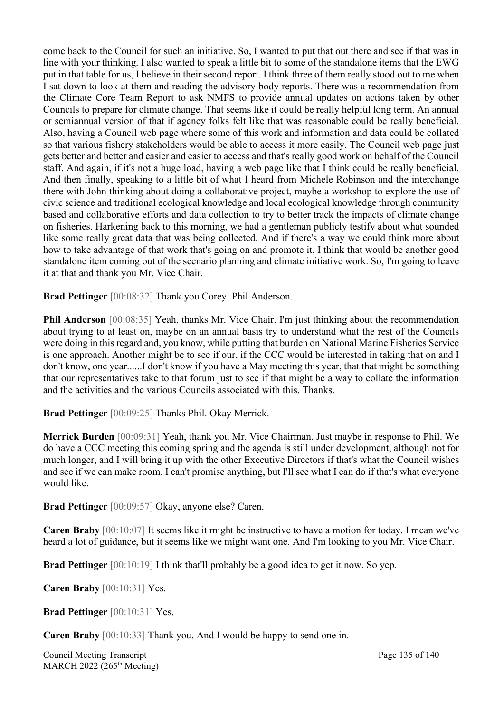come back to the Council for such an initiative. So, I wanted to put that out there and see if that was in line with your thinking. I also wanted to speak a little bit to some of the standalone items that the EWG put in that table for us, I believe in their second report. I think three of them really stood out to me when I sat down to look at them and reading the advisory body reports. There was a recommendation from the Climate Core Team Report to ask NMFS to provide annual updates on actions taken by other Councils to prepare for climate change. That seems like it could be really helpful long term. An annual or semiannual version of that if agency folks felt like that was reasonable could be really beneficial. Also, having a Council web page where some of this work and information and data could be collated so that various fishery stakeholders would be able to access it more easily. The Council web page just gets better and better and easier and easier to access and that's really good work on behalf of the Council staff. And again, if it's not a huge load, having a web page like that I think could be really beneficial. And then finally, speaking to a little bit of what I heard from Michele Robinson and the interchange there with John thinking about doing a collaborative project, maybe a workshop to explore the use of civic science and traditional ecological knowledge and local ecological knowledge through community based and collaborative efforts and data collection to try to better track the impacts of climate change on fisheries. Harkening back to this morning, we had a gentleman publicly testify about what sounded like some really great data that was being collected. And if there's a way we could think more about how to take advantage of that work that's going on and promote it, I think that would be another good standalone item coming out of the scenario planning and climate initiative work. So, I'm going to leave it at that and thank you Mr. Vice Chair.

**Brad Pettinger** [00:08:32] Thank you Corey. Phil Anderson.

**Phil Anderson** [00:08:35] Yeah, thanks Mr. Vice Chair. I'm just thinking about the recommendation about trying to at least on, maybe on an annual basis try to understand what the rest of the Councils were doing in this regard and, you know, while putting that burden on National Marine Fisheries Service is one approach. Another might be to see if our, if the CCC would be interested in taking that on and I don't know, one year......I don't know if you have a May meeting this year, that that might be something that our representatives take to that forum just to see if that might be a way to collate the information and the activities and the various Councils associated with this. Thanks.

**Brad Pettinger** [00:09:25] Thanks Phil. Okay Merrick.

**Merrick Burden** [00:09:31] Yeah, thank you Mr. Vice Chairman. Just maybe in response to Phil. We do have a CCC meeting this coming spring and the agenda is still under development, although not for much longer, and I will bring it up with the other Executive Directors if that's what the Council wishes and see if we can make room. I can't promise anything, but I'll see what I can do if that's what everyone would like.

**Brad Pettinger** [00:09:57] Okay, anyone else? Caren.

**Caren Braby** [00:10:07] It seems like it might be instructive to have a motion for today. I mean we've heard a lot of guidance, but it seems like we might want one. And I'm looking to you Mr. Vice Chair.

**Brad Pettinger** [00:10:19] I think that'll probably be a good idea to get it now. So yep.

**Caren Braby** [00:10:31] Yes.

**Brad Pettinger** [00:10:31] Yes.

**Caren Braby** [00:10:33] Thank you. And I would be happy to send one in.

Council Meeting Transcript **Page 135 of 140** MARCH 2022 (265<sup>th</sup> Meeting)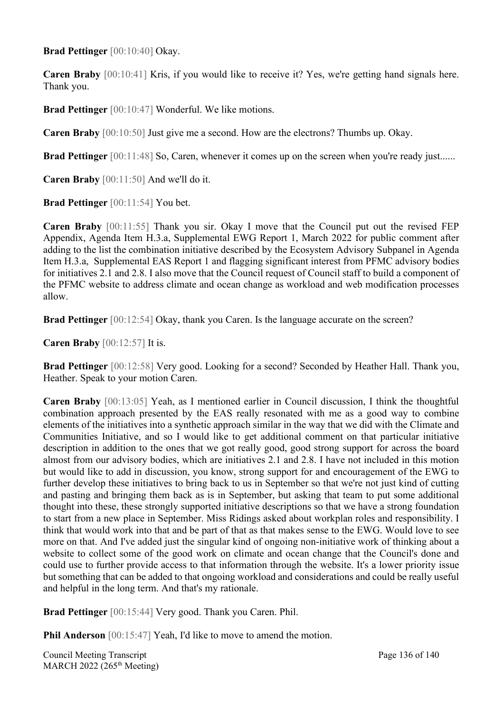**Brad Pettinger** [00:10:40] Okay.

**Caren Braby** [00:10:41] Kris, if you would like to receive it? Yes, we're getting hand signals here. Thank you.

**Brad Pettinger** [00:10:47] Wonderful. We like motions.

**Caren Braby** [00:10:50] Just give me a second. How are the electrons? Thumbs up. Okay.

**Brad Pettinger** [00:11:48] So, Caren, whenever it comes up on the screen when you're ready just......

**Caren Braby** [00:11:50] And we'll do it.

**Brad Pettinger** [00:11:54] You bet.

**Caren Braby** [00:11:55] Thank you sir. Okay I move that the Council put out the revised FEP Appendix, Agenda Item H.3.a, Supplemental EWG Report 1, March 2022 for public comment after adding to the list the combination initiative described by the Ecosystem Advisory Subpanel in Agenda Item H.3.a, Supplemental EAS Report 1 and flagging significant interest from PFMC advisory bodies for initiatives 2.1 and 2.8. I also move that the Council request of Council staff to build a component of the PFMC website to address climate and ocean change as workload and web modification processes allow.

**Brad Pettinger** [00:12:54] Okay, thank you Caren. Is the language accurate on the screen?

**Caren Braby** [00:12:57] It is.

**Brad Pettinger** [00:12:58] Very good. Looking for a second? Seconded by Heather Hall. Thank you, Heather. Speak to your motion Caren.

**Caren Braby** [00:13:05] Yeah, as I mentioned earlier in Council discussion, I think the thoughtful combination approach presented by the EAS really resonated with me as a good way to combine elements of the initiatives into a synthetic approach similar in the way that we did with the Climate and Communities Initiative, and so I would like to get additional comment on that particular initiative description in addition to the ones that we got really good, good strong support for across the board almost from our advisory bodies, which are initiatives 2.1 and 2.8. I have not included in this motion but would like to add in discussion, you know, strong support for and encouragement of the EWG to further develop these initiatives to bring back to us in September so that we're not just kind of cutting and pasting and bringing them back as is in September, but asking that team to put some additional thought into these, these strongly supported initiative descriptions so that we have a strong foundation to start from a new place in September. Miss Ridings asked about workplan roles and responsibility. I think that would work into that and be part of that as that makes sense to the EWG. Would love to see more on that. And I've added just the singular kind of ongoing non-initiative work of thinking about a website to collect some of the good work on climate and ocean change that the Council's done and could use to further provide access to that information through the website. It's a lower priority issue but something that can be added to that ongoing workload and considerations and could be really useful and helpful in the long term. And that's my rationale.

**Brad Pettinger** [00:15:44] Very good. Thank you Caren. Phil.

**Phil Anderson** [00:15:47] Yeah, I'd like to move to amend the motion.

Council Meeting Transcript **Page 136 of 140** MARCH 2022 (265<sup>th</sup> Meeting)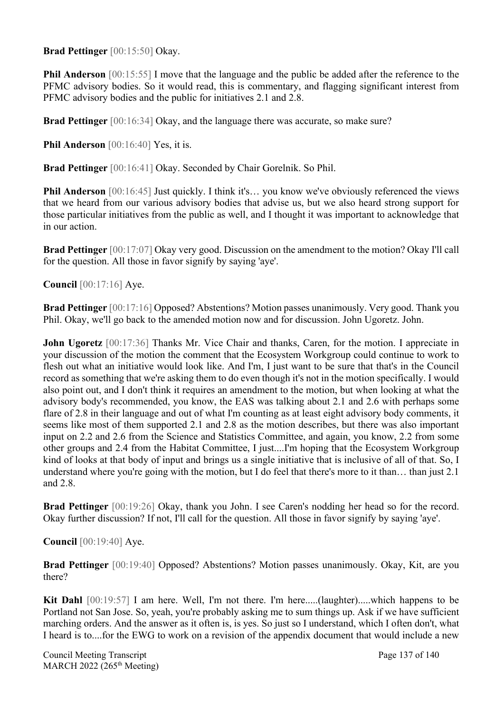**Brad Pettinger** [00:15:50] Okay.

**Phil Anderson** [00:15:55] I move that the language and the public be added after the reference to the PFMC advisory bodies. So it would read, this is commentary, and flagging significant interest from PFMC advisory bodies and the public for initiatives 2.1 and 2.8.

**Brad Pettinger** [00:16:34] Okay, and the language there was accurate, so make sure?

**Phil Anderson** [00:16:40] Yes, it is.

**Brad Pettinger** [00:16:41] Okay. Seconded by Chair Gorelnik. So Phil.

**Phil Anderson** [00:16:45] Just quickly. I think it's... you know we've obviously referenced the views that we heard from our various advisory bodies that advise us, but we also heard strong support for those particular initiatives from the public as well, and I thought it was important to acknowledge that in our action.

**Brad Pettinger** [00:17:07] Okay very good. Discussion on the amendment to the motion? Okay I'll call for the question. All those in favor signify by saying 'aye'.

**Council** [00:17:16] Aye.

**Brad Pettinger** [00:17:16] Opposed? Abstentions? Motion passes unanimously. Very good. Thank you Phil. Okay, we'll go back to the amended motion now and for discussion. John Ugoretz. John.

**John Ugoretz** [00:17:36] Thanks Mr. Vice Chair and thanks, Caren, for the motion. I appreciate in your discussion of the motion the comment that the Ecosystem Workgroup could continue to work to flesh out what an initiative would look like. And I'm, I just want to be sure that that's in the Council record as something that we're asking them to do even though it's not in the motion specifically. I would also point out, and I don't think it requires an amendment to the motion, but when looking at what the advisory body's recommended, you know, the EAS was talking about 2.1 and 2.6 with perhaps some flare of 2.8 in their language and out of what I'm counting as at least eight advisory body comments, it seems like most of them supported 2.1 and 2.8 as the motion describes, but there was also important input on 2.2 and 2.6 from the Science and Statistics Committee, and again, you know, 2.2 from some other groups and 2.4 from the Habitat Committee, I just....I'm hoping that the Ecosystem Workgroup kind of looks at that body of input and brings us a single initiative that is inclusive of all of that. So, I understand where you're going with the motion, but I do feel that there's more to it than... than just 2.1 and 2.8.

**Brad Pettinger** [00:19:26] Okay, thank you John. I see Caren's nodding her head so for the record. Okay further discussion? If not, I'll call for the question. All those in favor signify by saying 'aye'.

**Council** [00:19:40] Aye.

**Brad Pettinger** [00:19:40] Opposed? Abstentions? Motion passes unanimously. Okay, Kit, are you there?

**Kit Dahl** [00:19:57] I am here. Well, I'm not there. I'm here.....(laughter).....which happens to be Portland not San Jose. So, yeah, you're probably asking me to sum things up. Ask if we have sufficient marching orders. And the answer as it often is, is yes. So just so I understand, which I often don't, what I heard is to....for the EWG to work on a revision of the appendix document that would include a new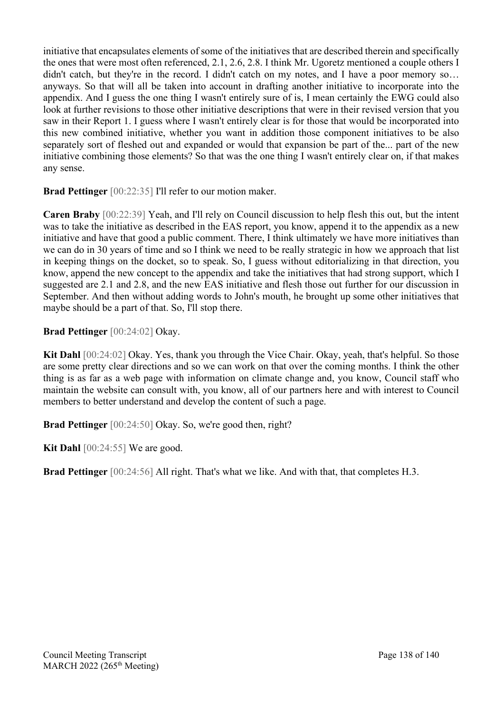initiative that encapsulates elements of some of the initiatives that are described therein and specifically the ones that were most often referenced, 2.1, 2.6, 2.8. I think Mr. Ugoretz mentioned a couple others I didn't catch, but they're in the record. I didn't catch on my notes, and I have a poor memory so... anyways. So that will all be taken into account in drafting another initiative to incorporate into the appendix. And I guess the one thing I wasn't entirely sure of is, I mean certainly the EWG could also look at further revisions to those other initiative descriptions that were in their revised version that you saw in their Report 1. I guess where I wasn't entirely clear is for those that would be incorporated into this new combined initiative, whether you want in addition those component initiatives to be also separately sort of fleshed out and expanded or would that expansion be part of the... part of the new initiative combining those elements? So that was the one thing I wasn't entirely clear on, if that makes any sense.

**Brad Pettinger** [00:22:35] I'll refer to our motion maker.

**Caren Braby** [00:22:39] Yeah, and I'll rely on Council discussion to help flesh this out, but the intent was to take the initiative as described in the EAS report, you know, append it to the appendix as a new initiative and have that good a public comment. There, I think ultimately we have more initiatives than we can do in 30 years of time and so I think we need to be really strategic in how we approach that list in keeping things on the docket, so to speak. So, I guess without editorializing in that direction, you know, append the new concept to the appendix and take the initiatives that had strong support, which I suggested are 2.1 and 2.8, and the new EAS initiative and flesh those out further for our discussion in September. And then without adding words to John's mouth, he brought up some other initiatives that maybe should be a part of that. So, I'll stop there.

**Brad Pettinger** [00:24:02] Okay.

**Kit Dahl** [00:24:02] Okay. Yes, thank you through the Vice Chair. Okay, yeah, that's helpful. So those are some pretty clear directions and so we can work on that over the coming months. I think the other thing is as far as a web page with information on climate change and, you know, Council staff who maintain the website can consult with, you know, all of our partners here and with interest to Council members to better understand and develop the content of such a page.

**Brad Pettinger** [00:24:50] Okay. So, we're good then, right?

**Kit Dahl** [00:24:55] We are good.

**Brad Pettinger** [00:24:56] All right. That's what we like. And with that, that completes H.3.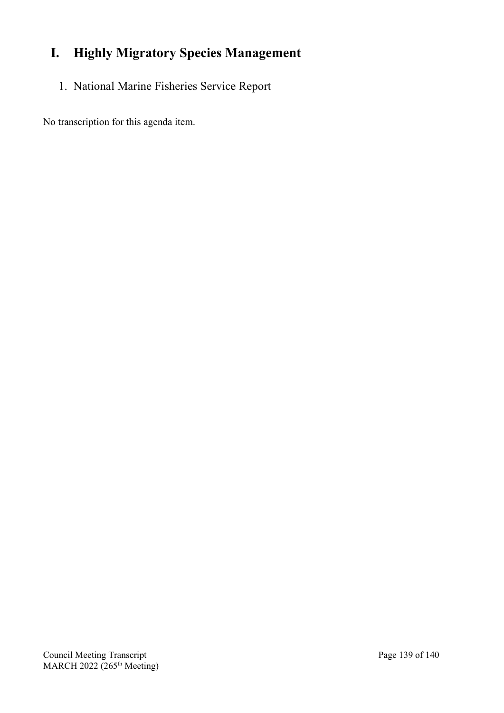# **I. Highly Migratory Species Management**

1. National Marine Fisheries Service Report

No transcription for this agenda item.